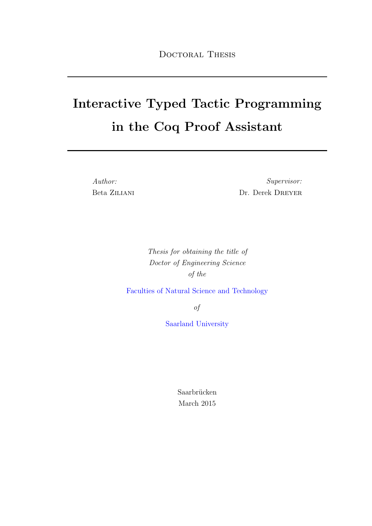# Interactive Typed Tactic Programming in the Coq Proof Assistant

Author: Beta Ziliani

Supervisor: Dr. Derek DREYER

Thesis for obtaining the title of Doctor of Engineering Science of the

[Faculties of Natural Science and Technology](http://cs.uni-saarland.de)

of

[Saarland University](http://www.uni-saarland.de)

Saarbrücken March 2015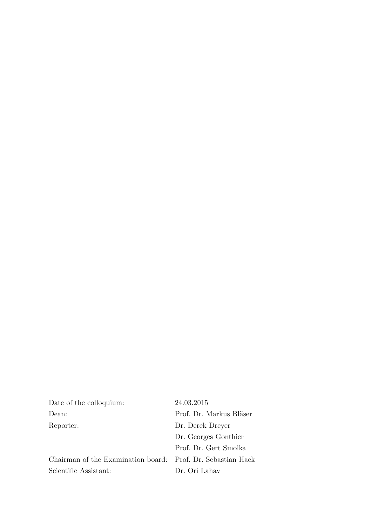| Date of the colloquium:                                     | 24.03.2015              |
|-------------------------------------------------------------|-------------------------|
| Dean:                                                       | Prof. Dr. Markus Bläser |
| Reporter:                                                   | Dr. Derek Dreyer        |
|                                                             | Dr. Georges Gonthier    |
|                                                             | Prof. Dr. Gert Smolka   |
| Chairman of the Examination board: Prof. Dr. Sebastian Hack |                         |
| Scientific Assistant:                                       | Dr. Ori Lahav           |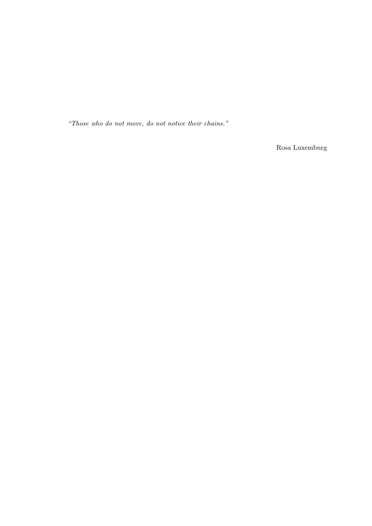"Those who do not move, do not notice their chains."

Rosa Luxemburg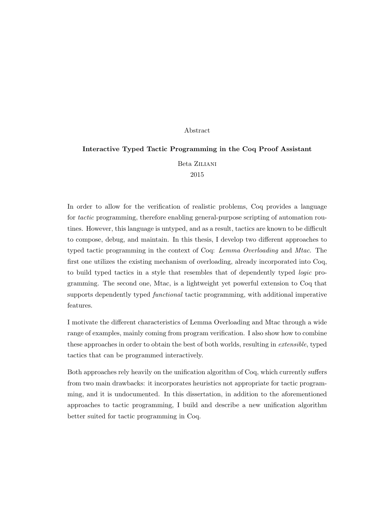#### Abstract

### <span id="page-4-0"></span>Interactive Typed Tactic Programming in the Coq Proof Assistant

Beta Ziliani 2015

In order to allow for the verification of realistic problems, Coq provides a language for tactic programming, therefore enabling general-purpose scripting of automation routines. However, this language is untyped, and as a result, tactics are known to be difficult to compose, debug, and maintain. In this thesis, I develop two different approaches to typed tactic programming in the context of Coq: Lemma Overloading and Mtac. The first one utilizes the existing mechanism of overloading, already incorporated into Coq, to build typed tactics in a style that resembles that of dependently typed logic programming. The second one, Mtac, is a lightweight yet powerful extension to Coq that supports dependently typed functional tactic programming, with additional imperative features.

I motivate the different characteristics of Lemma Overloading and Mtac through a wide range of examples, mainly coming from program verification. I also show how to combine these approaches in order to obtain the best of both worlds, resulting in extensible, typed tactics that can be programmed interactively.

Both approaches rely heavily on the unification algorithm of Coq, which currently suffers from two main drawbacks: it incorporates heuristics not appropriate for tactic programming, and it is undocumented. In this dissertation, in addition to the aforementioned approaches to tactic programming, I build and describe a new unification algorithm better suited for tactic programming in Coq.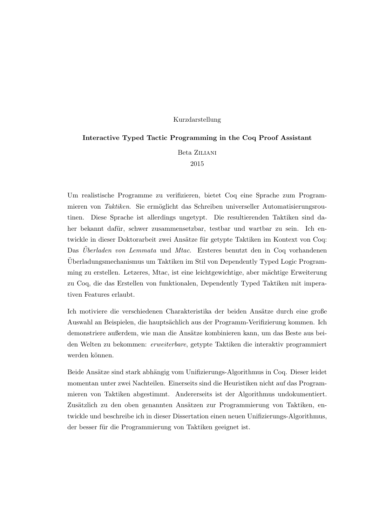#### Kurzdarstellung

#### <span id="page-6-0"></span>Interactive Typed Tactic Programming in the Coq Proof Assistant

Beta Ziliani

2015

Um realistische Programme zu verifizieren, bietet Coq eine Sprache zum Programmieren von Taktiken. Sie ermöglicht das Schreiben universeller Automatisierungsroutinen. Diese Sprache ist allerdings ungetypt. Die resultierenden Taktiken sind daher bekannt dafür, schwer zusammensetzbar, testbar und wartbar zu sein. Ich entwickle in dieser Doktorarbeit zwei Ansätze für getypte Taktiken im Kontext von Coq: Das Überladen von Lemmata und Mtac. Ersteres benutzt den in Coq vorhandenen Uberladungsmechanismus um Taktiken im Stil von Dependently Typed Logic Program- ¨ ming zu erstellen. Letzeres, Mtac, ist eine leichtgewichtige, aber mächtige Erweiterung zu Coq, die das Erstellen von funktionalen, Dependently Typed Taktiken mit imperativen Features erlaubt.

Ich motiviere die verschiedenen Charakteristika der beiden Ansätze durch eine große Auswahl an Beispielen, die haupts¨achlich aus der Programm-Verifizierung kommen. Ich demonstriere außerdem, wie man die Ansätze kombinieren kann, um das Beste aus beiden Welten zu bekommen: erweiterbare, getypte Taktiken die interaktiv programmiert werden können.

Beide Ansätze sind stark abhängig vom Unifizierungs-Algorithmus in Coq. Dieser leidet momentan unter zwei Nachteilen. Einerseits sind die Heuristiken nicht auf das Programmieren von Taktiken abgestimmt. Andererseits ist der Algorithmus undokumentiert. Zusätzlich zu den oben genannten Ansätzen zur Programmierung von Taktiken, entwickle und beschreibe ich in dieser Dissertation einen neuen Unifizierungs-Algorithmus, der besser für die Programmierung von Taktiken geeignet ist.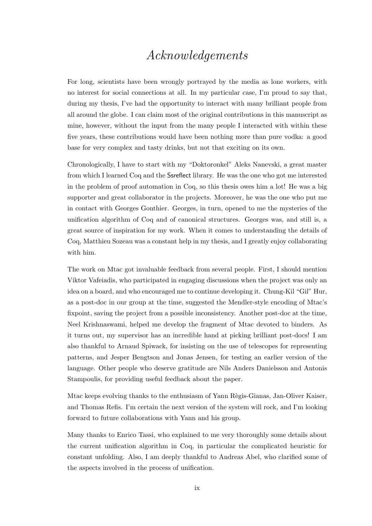## Acknowledgements

<span id="page-8-0"></span>For long, scientists have been wrongly portrayed by the media as lone workers, with no interest for social connections at all. In my particular case, I'm proud to say that, during my thesis, I've had the opportunity to interact with many brilliant people from all around the globe. I can claim most of the original contributions in this manuscript as mine, however, without the input from the many people I interacted with within these five years, these contributions would have been nothing more than pure vodka: a good base for very complex and tasty drinks, but not that exciting on its own.

Chronologically, I have to start with my "Doktoronkel" Aleks Nanevski, a great master from which I learned Coq and the Ssreflect library. He was the one who got me interested in the problem of proof automation in Coq, so this thesis owes him a lot! He was a big supporter and great collaborator in the projects. Moreover, he was the one who put me in contact with Georges Gonthier. Georges, in turn, opened to me the mysteries of the unification algorithm of Coq and of canonical structures. Georges was, and still is, a great source of inspiration for my work. When it comes to understanding the details of Coq, Matthieu Sozeau was a constant help in my thesis, and I greatly enjoy collaborating with him.

The work on Mtac got invaluable feedback from several people. First, I should mention Viktor Vafeiadis, who participated in engaging discussions when the project was only an idea on a board, and who encouraged me to continue developing it. Chung-Kil "Gil" Hur, as a post-doc in our group at the time, suggested the Mendler-style encoding of Mtac's fixpoint, saving the project from a possible inconsistency. Another post-doc at the time, Neel Krishnaswami, helped me develop the fragment of Mtac devoted to binders. As it turns out, my supervisor has an incredible hand at picking brilliant post-docs! I am also thankful to Arnaud Spiwack, for insisting on the use of telescopes for representing patterns, and Jesper Bengtson and Jonas Jensen, for testing an earlier version of the language. Other people who deserve gratitude are Nils Anders Danielsson and Antonis Stampoulis, for providing useful feedback about the paper.

Mtac keeps evolving thanks to the enthusiasm of Yann Règis-Gianas, Jan-Oliver Kaiser, and Thomas Refis. I'm certain the next version of the system will rock, and I'm looking forward to future collaborations with Yann and his group.

Many thanks to Enrico Tassi, who explained to me very thoroughly some details about the current unification algorithm in Coq, in particular the complicated heuristic for constant unfolding. Also, I am deeply thankful to Andreas Abel, who clarified some of the aspects involved in the process of unification.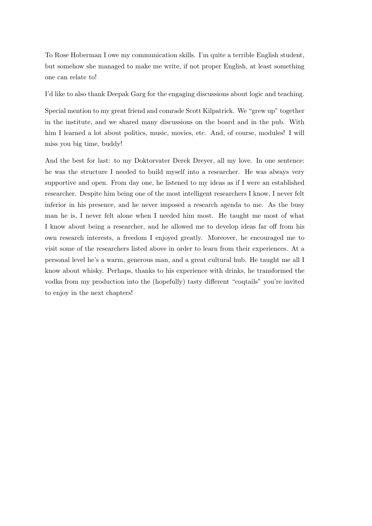To Rose Hoberman I owe my communication skills. I'm quite a terrible English student, but somehow she managed to make me write, if not proper English, at least something one can relate to!

I'd like to also thank Deepak Garg for the engaging discussions about logic and teaching.

Special mention to my great friend and comrade Scott Kilpatrick. We "grew up" together in the institute, and we shared many discussions on the board and in the pub. With him I learned a lot about politics, music, movies, etc. And, of course, modules! I will miss you big time, buddy!

And the best for last: to my Doktorvater Derek Dreyer, all my love. In one sentence: he was the structure I needed to build myself into a researcher. He was always very supportive and open. From day one, he listened to my ideas as if I were an established researcher. Despite him being one of the most intelligent researchers I know, I never felt inferior in his presence, and he never imposed a research agenda to me. As the busy man he is, I never felt alone when I needed him most. He taught me most of what I know about being a researcher, and he allowed me to develop ideas far off from his own research interests, a freedom I enjoyed greatly. Moreover, he encouraged me to visit some of the researchers listed above in order to learn from their experiences. At a personal level he's a warm, generous man, and a great cultural hub. He taught me all I know about whisky. Perhaps, thanks to his experience with drinks, he transformed the vodka from my production into the (hopefully) tasty different "coqtails" you're invited to enjoy in the next chapters!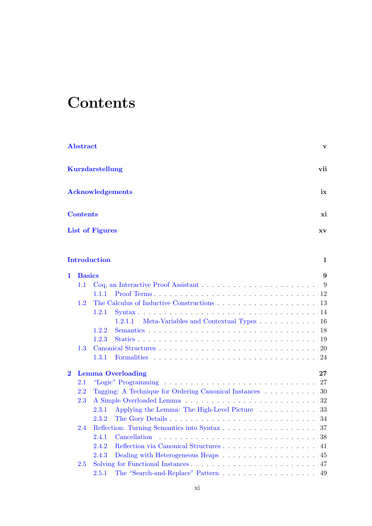# <span id="page-10-0"></span>**Contents**

|                         | Abstract        |                                                        | v                       |
|-------------------------|-----------------|--------------------------------------------------------|-------------------------|
|                         |                 | <b>Kurzdarstellung</b>                                 | vii                     |
|                         |                 | <b>Acknowledgements</b>                                | ix                      |
|                         | <b>Contents</b> |                                                        | xi                      |
|                         |                 | <b>List of Figures</b>                                 | $\mathbf{X} \mathbf{V}$ |
|                         |                 | <b>Introduction</b>                                    | $\mathbf 1$             |
| $\mathbf 1$             | <b>Basics</b>   |                                                        | 9                       |
|                         | 1.1             |                                                        | 9                       |
|                         |                 | 1.1.1                                                  | 12                      |
|                         | 1.2             |                                                        | 13                      |
|                         |                 | 1.2.1                                                  | 14                      |
|                         |                 | Meta-Variables and Contextual Types<br>1.2.1.1         | 16                      |
|                         |                 | 1.2.2                                                  | 18                      |
|                         |                 | 1.2.3                                                  | 19                      |
|                         | 1.3             |                                                        | 20                      |
|                         |                 | 1.3.1                                                  | 24                      |
| $\overline{\mathbf{2}}$ |                 | <b>Lemma Overloading</b>                               | $27\,$                  |
|                         | 2.1             |                                                        | 27                      |
|                         | 2.2             | Tagging: A Technique for Ordering Canonical Instances  | 30                      |
|                         | 2.3             |                                                        |                         |
|                         |                 | Applying the Lemma: The High-Level Picture 33<br>2.3.1 |                         |
|                         |                 | 2.3.2                                                  |                         |
|                         | 2.4             |                                                        | 37                      |
|                         |                 | 2.4.1<br>Cancellation                                  | 38                      |
|                         |                 | Reflection via Canonical Structures<br>2.4.2           | 41                      |
|                         |                 | 2.4.3                                                  | 45                      |
|                         | 2.5             |                                                        | 47                      |
|                         |                 | 2.5.1                                                  | 49                      |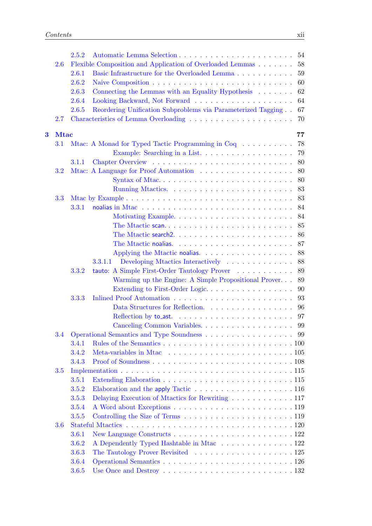|                         |             | 2.5.2 |                                                                                                    | 54 |
|-------------------------|-------------|-------|----------------------------------------------------------------------------------------------------|----|
|                         | 2.6         |       | Flexible Composition and Application of Overloaded Lemmas                                          | 58 |
|                         |             | 2.6.1 | Basic Infrastructure for the Overloaded Lemma                                                      | 59 |
|                         |             | 2.6.2 |                                                                                                    | 60 |
|                         |             | 2.6.3 | Connecting the Lemmas with an Equality Hypothesis $\ldots \ldots$                                  | 62 |
|                         |             | 2.6.4 |                                                                                                    | 64 |
|                         |             | 2.6.5 | Reordering Unification Subproblems via Parameterized Tagging                                       | 67 |
|                         | 2.7         |       |                                                                                                    | 70 |
| $\overline{\mathbf{3}}$ | <b>Mtac</b> |       |                                                                                                    | 77 |
|                         | 3.1         |       | Mtac: A Monad for Typed Tactic Programming in Coq                                                  | 78 |
|                         |             |       | Example: Searching in a List                                                                       | 79 |
|                         |             | 3.1.1 |                                                                                                    | 80 |
|                         | 3.2         |       |                                                                                                    | 80 |
|                         |             |       | Syntax of Mtac                                                                                     | 80 |
|                         |             |       |                                                                                                    | 83 |
|                         | 3.3         |       |                                                                                                    | 83 |
|                         |             | 3.3.1 |                                                                                                    | 84 |
|                         |             |       |                                                                                                    | 84 |
|                         |             |       |                                                                                                    | 85 |
|                         |             |       |                                                                                                    | 86 |
|                         |             |       |                                                                                                    | 87 |
|                         |             |       | Applying the Mtactic noalias. $\ldots \ldots \ldots \ldots \ldots$                                 | 88 |
|                         |             |       | Developing Mtactics Interactively<br>3.3.1.1                                                       | 88 |
|                         |             | 3.3.2 | tauto: A Simple First-Order Tautology Prover                                                       | 89 |
|                         |             |       | Warming up the Engine: A Simple Propositional Prover                                               | 89 |
|                         |             |       | Extending to First-Order Logic                                                                     | 90 |
|                         |             | 3.3.3 |                                                                                                    | 93 |
|                         |             |       |                                                                                                    | 96 |
|                         |             |       |                                                                                                    | 97 |
|                         |             |       |                                                                                                    |    |
|                         |             |       | 3.4 Operational Semantics and Type Soundness 99                                                    |    |
|                         |             | 3.4.1 |                                                                                                    |    |
|                         |             | 3.4.2 |                                                                                                    |    |
|                         |             | 3.4.3 |                                                                                                    |    |
|                         | 3.5         |       |                                                                                                    |    |
|                         |             | 3.5.1 |                                                                                                    |    |
|                         |             | 3.5.2 | Elaboration and the apply Tactic $\ldots \ldots \ldots \ldots \ldots \ldots 116$                   |    |
|                         |             | 3.5.3 |                                                                                                    |    |
|                         |             | 3.5.4 |                                                                                                    |    |
|                         |             | 3.5.5 |                                                                                                    |    |
|                         | 3.6         |       |                                                                                                    |    |
|                         |             | 3.6.1 |                                                                                                    |    |
|                         |             | 3.6.2 | A Dependently Typed Hashtable in Mtac 122                                                          |    |
|                         |             | 3.6.3 |                                                                                                    |    |
|                         |             | 3.6.4 |                                                                                                    |    |
|                         |             | 3.6.5 | Use Once and Destroy $\dots \dots \dots \dots \dots \dots \dots \dots \dots \dots \dots \dots 132$ |    |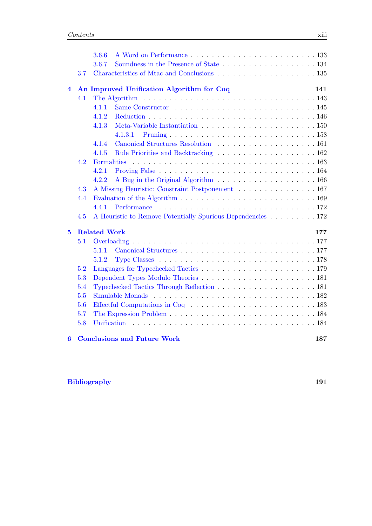|                |     | 3.6.6                                                                                                   |     |
|----------------|-----|---------------------------------------------------------------------------------------------------------|-----|
|                |     | 3.6.7                                                                                                   |     |
|                | 3.7 |                                                                                                         |     |
| 4              |     | An Improved Unification Algorithm for Coq                                                               | 141 |
|                | 4.1 | The Algorithm $\dots \dots \dots \dots \dots \dots \dots \dots \dots \dots \dots \dots \dots \dots 143$ |     |
|                |     | 4.1.1                                                                                                   |     |
|                |     | 4.1.2                                                                                                   |     |
|                |     | 4.1.3                                                                                                   |     |
|                |     | 4.1.3.1                                                                                                 |     |
|                |     | 4.1.4                                                                                                   |     |
|                |     | 4.1.5                                                                                                   |     |
|                | 4.2 |                                                                                                         |     |
|                |     | 4.2.1                                                                                                   |     |
|                |     | 4.2.2                                                                                                   |     |
|                | 4.3 | A Missing Heuristic: Constraint Postponement 167                                                        |     |
|                | 4.4 |                                                                                                         |     |
|                |     | 4.4.1                                                                                                   |     |
|                | 4.5 | A Heuristic to Remove Potentially Spurious Dependencies 172                                             |     |
| $\overline{5}$ |     | <b>Related Work</b>                                                                                     | 177 |
|                | 5.1 |                                                                                                         |     |
|                |     | 5.1.1                                                                                                   |     |
|                |     | 5.1.2                                                                                                   |     |
|                | 5.2 |                                                                                                         |     |
|                | 5.3 |                                                                                                         |     |
|                | 5.4 |                                                                                                         |     |
|                | 5.5 |                                                                                                         |     |
|                | 5.6 |                                                                                                         |     |
|                | 5.7 |                                                                                                         |     |
|                | 5.8 |                                                                                                         |     |
| $\bf{6}$       |     | <b>Conclusions and Future Work</b>                                                                      | 187 |

### [Bibliography](#page-210-0) 191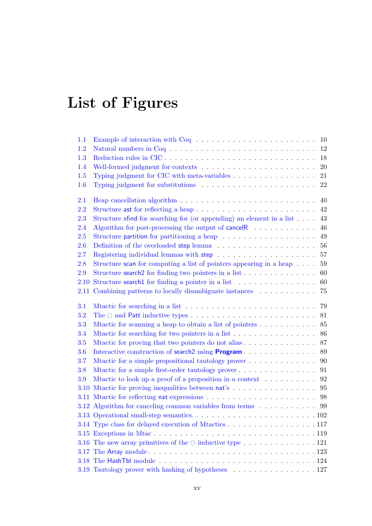# <span id="page-14-0"></span>List of Figures

| 1.1  | Example of interaction with $Coq \ldots \ldots \ldots \ldots \ldots \ldots \ldots$ | 10          |
|------|------------------------------------------------------------------------------------|-------------|
| 1.2  | Natural numbers in $Coq \tldots \tldots \tldots \tldots \tldots \tldots$           | 12          |
| 1.3  |                                                                                    | 18          |
| 1.4  |                                                                                    | 20          |
| 1.5  |                                                                                    | 21          |
| 1.6  |                                                                                    | 22          |
| 2.1  |                                                                                    | 40          |
| 2.2  | Structure ast for reflecting a heap                                                | 42          |
| 2.3  | Structure $x$ find for searching for (or appending) an element in a list $\dots$ . | 43          |
| 2.4  | Algorithm for post-processing the output of cancelR                                | $\sqrt{46}$ |
| 2.5  |                                                                                    | 49          |
| 2.6  |                                                                                    | 56          |
| 2.7  |                                                                                    | 57          |
| 2.8  | Structure scan for computing a list of pointers appearing in a heap $\dots$ .      | 59          |
| 2.9  | Structure search 2 for finding two pointers in a list $\dots \dots \dots \dots$    | 60          |
| 2.10 | Structure search1 for finding a pointer in a list                                  | 60          |
| 2.11 | Combining patterns to locally disambiguate instances                               | 75          |
| 3.1  |                                                                                    | 79          |
| 3.2  |                                                                                    | 81          |
| 3.3  | Mtactic for scanning a heap to obtain a list of pointers                           | 85          |
| 3.4  |                                                                                    | 86          |
| 3.5  | Mtactic for proving that two pointers do not alias                                 | 87          |
| 3.6  | Interactive construction of search2 using <b>Program</b>                           | 89          |
| 3.7  | Mtactic for a simple propositional tautology prover                                | 90          |
| 3.8  | Mtactic for a simple first-order tautology prover                                  | 91          |
| 3.9  | Mtactic to look up a proof of a proposition in a context                           | 92          |
|      | 3.10 Mtactic for proving inequalities between nat's                                | 95          |
|      |                                                                                    | 98          |
|      | 3.12 Algorithm for canceling common variables from terms $\ldots \ldots \ldots$    | 99          |
|      |                                                                                    |             |
|      | 3.14 Type class for delayed execution of Mtactics 117                              |             |
|      |                                                                                    |             |
|      | 3.16 The new array primitives of the $\circ$ inductive type 121                    |             |
|      |                                                                                    |             |
|      |                                                                                    |             |
|      | 3.19 Tautology prover with hashing of hypotheses 127                               |             |
|      |                                                                                    |             |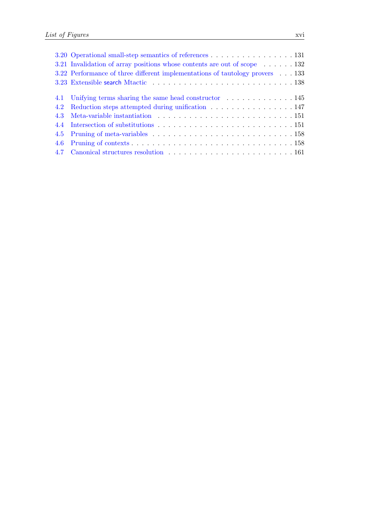| 3.20 Operational small-step semantics of references 131                                |
|----------------------------------------------------------------------------------------|
| 3.21 Invalidation of array positions whose contents are out of scope $\dots \dots$ 132 |
| 3.22 Performance of three different implementations of tautology provers 133           |
|                                                                                        |
|                                                                                        |
|                                                                                        |
| 4.2 Reduction steps attempted during unification 147                                   |
|                                                                                        |
|                                                                                        |
|                                                                                        |
|                                                                                        |
|                                                                                        |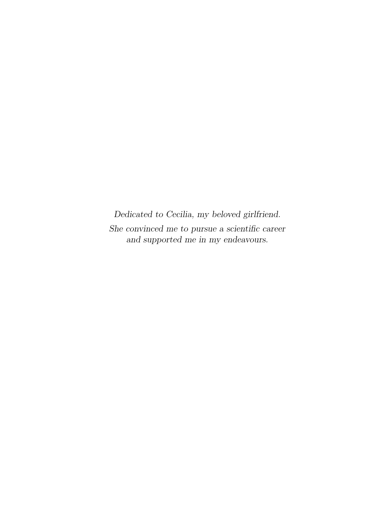Dedicated to Cecilia, my beloved girlfriend. She convinced me to pursue a scientific career and supported me in my endeavours.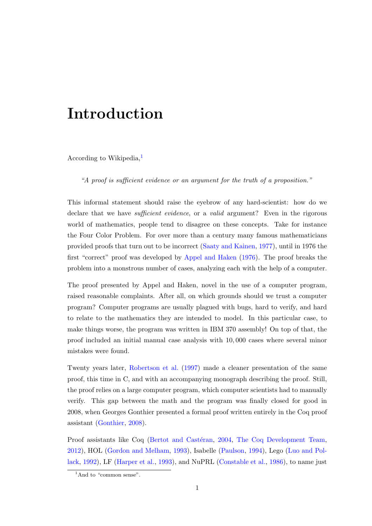# <span id="page-20-0"></span>Introduction

According to Wikipedia, $<sup>1</sup>$  $<sup>1</sup>$  $<sup>1</sup>$ </sup>

"A proof is sufficient evidence or an argument for the truth of a proposition."

This informal statement should raise the eyebrow of any hard-scientist: how do we declare that we have sufficient evidence, or a valid argument? Even in the rigorous world of mathematics, people tend to disagree on these concepts. Take for instance the Four Color Problem. For over more than a century many famous mathematicians provided proofs that turn out to be incorrect [\(Saaty and Kainen,](#page-215-0) [1977\)](#page-215-0), until in 1976 the first "correct" proof was developed by [Appel and Haken](#page-210-1) [\(1976\)](#page-210-1). The proof breaks the problem into a monstrous number of cases, analyzing each with the help of a computer.

The proof presented by Appel and Haken, novel in the use of a computer program, raised reasonable complaints. After all, on which grounds should we trust a computer program? Computer programs are usually plagued with bugs, hard to verify, and hard to relate to the mathematics they are intended to model. In this particular case, to make things worse, the program was written in IBM 370 assembly! On top of that, the proof included an initial manual case analysis with 10, 000 cases where several minor mistakes were found.

Twenty years later, [Robertson et al.](#page-215-1) [\(1997\)](#page-215-1) made a cleaner presentation of the same proof, this time in C, and with an accompanying monograph describing the proof. Still, the proof relies on a large computer program, which computer scientists had to manually verify. This gap between the math and the program was finally closed for good in 2008, when Georges Gonthier presented a formal proof written entirely in the Coq proof assistant [\(Gonthier,](#page-212-0) [2008\)](#page-212-0).

Proof assistants like Coq (Bertot and Castéran, [2004,](#page-211-0) [The Coq Development Team,](#page-216-0) [2012\)](#page-216-0), HOL [\(Gordon and Melham,](#page-212-1) [1993\)](#page-212-1), Isabelle [\(Paulson,](#page-214-0) [1994\)](#page-214-0), Lego [\(Luo and Pol](#page-213-0)[lack,](#page-213-0) [1992\)](#page-213-0), LF [\(Harper et al.,](#page-213-1) [1993\)](#page-213-1), and NuPRL [\(Constable et al.,](#page-211-1) [1986\)](#page-211-1), to name just

<span id="page-20-1"></span><sup>&</sup>lt;sup>1</sup>And to "common sense".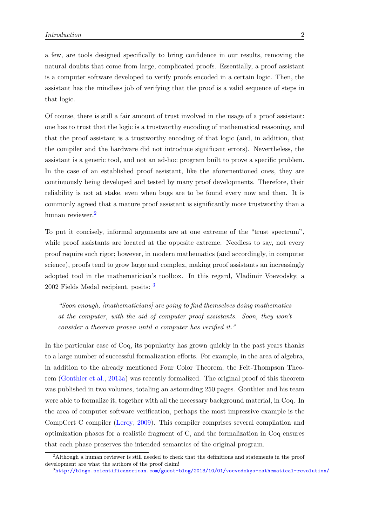a few, are tools designed specifically to bring confidence in our results, removing the natural doubts that come from large, complicated proofs. Essentially, a proof assistant is a computer software developed to verify proofs encoded in a certain logic. Then, the assistant has the mindless job of verifying that the proof is a valid sequence of steps in that logic.

Of course, there is still a fair amount of trust involved in the usage of a proof assistant: one has to trust that the logic is a trustworthy encoding of mathematical reasoning, and that the proof assistant is a trustworthy encoding of that logic (and, in addition, that the compiler and the hardware did not introduce significant errors). Nevertheless, the assistant is a generic tool, and not an ad-hoc program built to prove a specific problem. In the case of an established proof assistant, like the aforementioned ones, they are continuously being developed and tested by many proof developments. Therefore, their reliability is not at stake, even when bugs are to be found every now and then. It is commonly agreed that a mature proof assistant is significantly more trustworthy than a human reviewer.<sup>[2](#page-21-0)</sup>

To put it concisely, informal arguments are at one extreme of the "trust spectrum", while proof assistants are located at the opposite extreme. Needless to say, not every proof require such rigor; however, in modern mathematics (and accordingly, in computer science), proofs tend to grow large and complex, making proof assistants an increasingly adopted tool in the mathematician's toolbox. In this regard, Vladimir Voevodsky, a 2002 Fields Medal recipient, posits: [3](#page-21-1)

"Soon enough, [mathematicians] are going to find themselves doing mathematics at the computer, with the aid of computer proof assistants. Soon, they won't consider a theorem proven until a computer has verified it."

In the particular case of Coq, its popularity has grown quickly in the past years thanks to a large number of successful formalization efforts. For example, in the area of algebra, in addition to the already mentioned Four Color Theorem, the Feit-Thompson Theorem [\(Gonthier et al.,](#page-212-2) [2013a\)](#page-212-2) was recently formalized. The original proof of this theorem was published in two volumes, totaling an astounding 250 pages. Gonthier and his team were able to formalize it, together with all the necessary background material, in Coq. In the area of computer software verification, perhaps the most impressive example is the CompCert C compiler [\(Leroy,](#page-213-2) [2009\)](#page-213-2). This compiler comprises several compilation and optimization phases for a realistic fragment of C, and the formalization in Coq ensures that each phase preserves the intended semantics of the original program.

<span id="page-21-0"></span><sup>&</sup>lt;sup>2</sup>Although a human reviewer is still needed to check that the definitions and statements in the proof development are what the authors of the proof claim!

<span id="page-21-1"></span> $^3$ <http://blogs.scientificamerican.com/guest-blog/2013/10/01/voevodskys-mathematical-revolution/>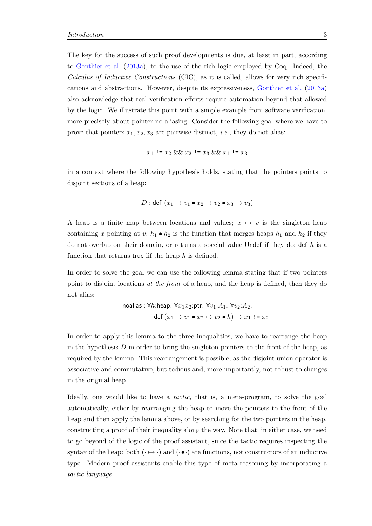The key for the success of such proof developments is due, at least in part, according to [Gonthier et al.](#page-212-2) [\(2013a\)](#page-212-2), to the use of the rich logic employed by Coq. Indeed, the Calculus of Inductive Constructions (CIC), as it is called, allows for very rich specifications and abstractions. However, despite its expressiveness, [Gonthier et al.](#page-212-2) [\(2013a\)](#page-212-2) also acknowledge that real verification efforts require automation beyond that allowed by the logic. We illustrate this point with a simple example from software verification, more precisely about pointer no-aliasing. Consider the following goal where we have to prove that pointers  $x_1, x_2, x_3$  are pairwise distinct, *i.e.*, they do not alias:

$$
x_1
$$
!=  $x_2$  &&  $x_2$ !=  $x_3$  &&  $x_1$ !=  $x_3$ 

in a context where the following hypothesis holds, stating that the pointers points to disjoint sections of a heap:

$$
D: \text{def}(x_1 \mapsto v_1 \bullet x_2 \mapsto v_2 \bullet x_3 \mapsto v_3)
$$

A heap is a finite map between locations and values;  $x \mapsto v$  is the singleton heap containing x pointing at v;  $h_1 \bullet h_2$  is the function that merges heaps  $h_1$  and  $h_2$  if they do not overlap on their domain, or returns a special value Undef if they do; def  $h$  is a function that returns true if the heap  $h$  is defined.

In order to solve the goal we can use the following lemma stating that if two pointers point to disjoint locations at the front of a heap, and the heap is defined, then they do not alias:

$$
\text{noalias}: \forall h: \text{heap. } \forall x_1 x_2: \text{ptr. } \forall v_1: A_1. \ \forall v_2: A_2.
$$
\n
$$
\text{def}(x_1 \mapsto v_1 \bullet x_2 \mapsto v_2 \bullet h) \to x_1 \mathrel{!}= x_2
$$

In order to apply this lemma to the three inequalities, we have to rearrange the heap in the hypothesis  $D$  in order to bring the singleton pointers to the front of the heap, as required by the lemma. This rearrangement is possible, as the disjoint union operator is associative and commutative, but tedious and, more importantly, not robust to changes in the original heap.

Ideally, one would like to have a tactic, that is, a meta-program, to solve the goal automatically, either by rearranging the heap to move the pointers to the front of the heap and then apply the lemma above, or by searching for the two pointers in the heap, constructing a proof of their inequality along the way. Note that, in either case, we need to go beyond of the logic of the proof assistant, since the tactic requires inspecting the syntax of the heap: both  $(\cdot \mapsto \cdot)$  and  $(\cdot \bullet \cdot)$  are functions, not constructors of an inductive type. Modern proof assistants enable this type of meta-reasoning by incorporating a tactic language.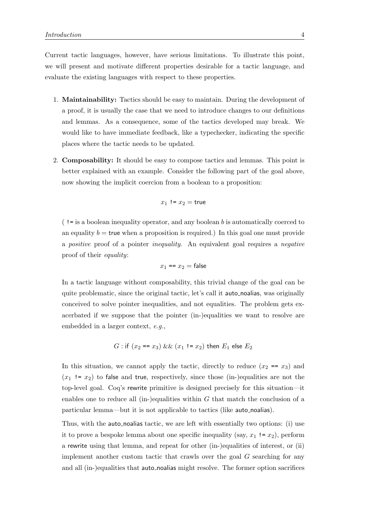Current tactic languages, however, have serious limitations. To illustrate this point, we will present and motivate different properties desirable for a tactic language, and evaluate the existing languages with respect to these properties.

- 1. Maintainability: Tactics should be easy to maintain. During the development of a proof, it is usually the case that we need to introduce changes to our definitions and lemmas. As a consequence, some of the tactics developed may break. We would like to have immediate feedback, like a typechecker, indicating the specific places where the tactic needs to be updated.
- 2. Composability: It should be easy to compose tactics and lemmas. This point is better explained with an example. Consider the following part of the goal above, now showing the implicit coercion from a boolean to a proposition:

$$
x_1 := x_2 = \mathsf{true}
$$

 $($ ! = is a boolean inequality operator, and any boolean b is automatically coerced to an equality  $b = \text{true}$  when a proposition is required.) In this goal one must provide a positive proof of a pointer inequality. An equivalent goal requires a negative proof of their equality:

$$
x_1 == x_2 = \mathsf{false}
$$

In a tactic language without composability, this trivial change of the goal can be quite problematic, since the original tactic, let's call it auto noalias, was originally conceived to solve pointer inequalities, and not equalities. The problem gets exacerbated if we suppose that the pointer (in-)equalities we want to resolve are embedded in a larger context, e.g.,

G : if 
$$
(x_2 == x_3) \&\& (x_1 != x_2)
$$
 then  $E_1$  else  $E_2$ 

In this situation, we cannot apply the tactic, directly to reduce  $(x_2 == x_3)$  and  $(x_1$  !=  $x_2$ ) to false and true, respectively, since those (in-)equalities are not the top-level goal. Coq's rewrite primitive is designed precisely for this situation—it enables one to reduce all (in-)equalities within  $G$  that match the conclusion of a particular lemma—but it is not applicable to tactics (like auto noalias).

Thus, with the auto-noalias tactic, we are left with essentially two options: (i) use it to prove a bespoke lemma about one specific inequality (say,  $x_1 := x_2$ ), perform a rewrite using that lemma, and repeat for other (in-)equalities of interest, or (ii) implement another custom tactic that crawls over the goal G searching for any and all (in-)equalities that auto noalias might resolve. The former option sacrifices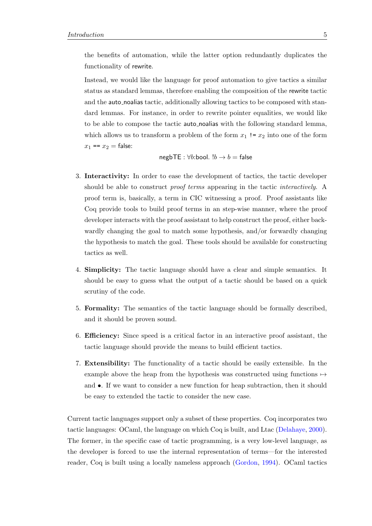the benefits of automation, while the latter option redundantly duplicates the functionality of rewrite.

Instead, we would like the language for proof automation to give tactics a similar status as standard lemmas, therefore enabling the composition of the rewrite tactic and the auto noalias tactic, additionally allowing tactics to be composed with standard lemmas. For instance, in order to rewrite pointer equalities, we would like to be able to compose the tactic auto noalias with the following standard lemma, which allows us to transform a problem of the form  $x_1 := x_2$  into one of the form  $x_1 == x_2 = false:$ 

$$
\mathsf{negbTE} : \forall b : \mathsf{bool} \colon !b \to b = \mathsf{false}
$$

- 3. Interactivity: In order to ease the development of tactics, the tactic developer should be able to construct *proof terms* appearing in the tactic *interactively*. A proof term is, basically, a term in CIC witnessing a proof. Proof assistants like Coq provide tools to build proof terms in an step-wise manner, where the proof developer interacts with the proof assistant to help construct the proof, either backwardly changing the goal to match some hypothesis, and/or forwardly changing the hypothesis to match the goal. These tools should be available for constructing tactics as well.
- 4. Simplicity: The tactic language should have a clear and simple semantics. It should be easy to guess what the output of a tactic should be based on a quick scrutiny of the code.
- 5. Formality: The semantics of the tactic language should be formally described, and it should be proven sound.
- 6. Efficiency: Since speed is a critical factor in an interactive proof assistant, the tactic language should provide the means to build efficient tactics.
- 7. Extensibility: The functionality of a tactic should be easily extensible. In the example above the heap from the hypothesis was constructed using functions  $\mapsto$ and •. If we want to consider a new function for heap subtraction, then it should be easy to extended the tactic to consider the new case.

Current tactic languages support only a subset of these properties. Coq incorporates two tactic languages: OCaml, the language on which Coq is built, and Ltac [\(Delahaye,](#page-211-2) [2000\)](#page-211-2). The former, in the specific case of tactic programming, is a very low-level language, as the developer is forced to use the internal representation of terms—for the interested reader, Coq is built using a locally nameless approach [\(Gordon,](#page-212-3) [1994\)](#page-212-3). OCaml tactics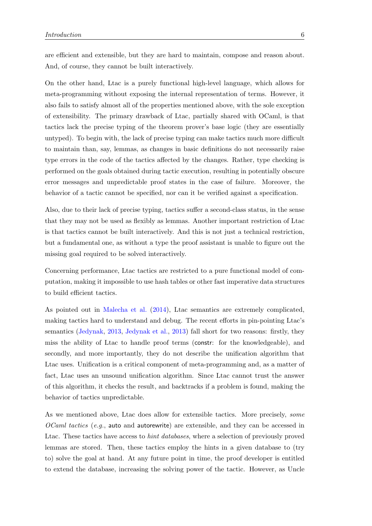are efficient and extensible, but they are hard to maintain, compose and reason about. And, of course, they cannot be built interactively.

On the other hand, Ltac is a purely functional high-level language, which allows for meta-programming without exposing the internal representation of terms. However, it also fails to satisfy almost all of the properties mentioned above, with the sole exception of extensibility. The primary drawback of Ltac, partially shared with OCaml, is that tactics lack the precise typing of the theorem prover's base logic (they are essentially untyped). To begin with, the lack of precise typing can make tactics much more difficult to maintain than, say, lemmas, as changes in basic definitions do not necessarily raise type errors in the code of the tactics affected by the changes. Rather, type checking is performed on the goals obtained during tactic execution, resulting in potentially obscure error messages and unpredictable proof states in the case of failure. Moreover, the behavior of a tactic cannot be specified, nor can it be verified against a specification.

Also, due to their lack of precise typing, tactics suffer a second-class status, in the sense that they may not be used as flexibly as lemmas. Another important restriction of Ltac is that tactics cannot be built interactively. And this is not just a technical restriction, but a fundamental one, as without a type the proof assistant is unable to figure out the missing goal required to be solved interactively.

Concerning performance, Ltac tactics are restricted to a pure functional model of computation, making it impossible to use hash tables or other fast imperative data structures to build efficient tactics.

As pointed out in [Malecha et al.](#page-213-3) [\(2014\)](#page-213-3), Ltac semantics are extremely complicated, making tactics hard to understand and debug. The recent efforts in pin-pointing Ltac's semantics [\(Jedynak,](#page-213-4) [2013,](#page-213-4) [Jedynak et al.,](#page-213-5) [2013\)](#page-213-5) fall short for two reasons: firstly, they miss the ability of Ltac to handle proof terms (constr: for the knowledgeable), and secondly, and more importantly, they do not describe the unification algorithm that Ltac uses. Unification is a critical component of meta-programming and, as a matter of fact, Ltac uses an unsound unification algorithm. Since Ltac cannot trust the answer of this algorithm, it checks the result, and backtracks if a problem is found, making the behavior of tactics unpredictable.

As we mentioned above, Ltac does allow for extensible tactics. More precisely, some OCaml tactics (e.g., auto and autorewrite) are extensible, and they can be accessed in Ltac. These tactics have access to *hint databases*, where a selection of previously proved lemmas are stored. Then, these tactics employ the hints in a given database to (try to) solve the goal at hand. At any future point in time, the proof developer is entitled to extend the database, increasing the solving power of the tactic. However, as Uncle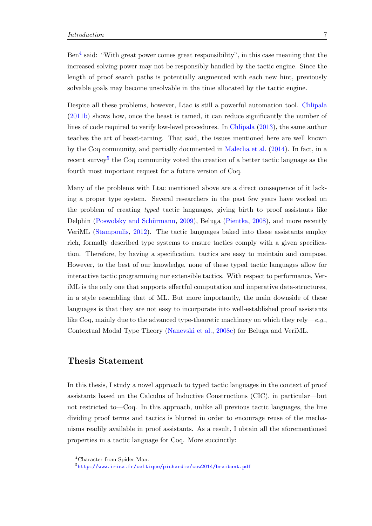Ben<sup>[4](#page-26-0)</sup> said: "With great power comes great responsibility", in this case meaning that the increased solving power may not be responsibly handled by the tactic engine. Since the length of proof search paths is potentially augmented with each new hint, previously solvable goals may become unsolvable in the time allocated by the tactic engine.

Despite all these problems, however, Ltac is still a powerful automation tool. [Chlipala](#page-211-3) [\(2011b\)](#page-211-3) shows how, once the beast is tamed, it can reduce significantly the number of lines of code required to verify low-level procedures. In [Chlipala](#page-211-4) [\(2013\)](#page-211-4), the same author teaches the art of beast-taming. That said, the issues mentioned here are well known by the Coq community, and partially documented in [Malecha et al.](#page-213-3) [\(2014\)](#page-213-3). In fact, in a recent survey<sup>[5](#page-26-1)</sup> the Coq community voted the creation of a better tactic language as the fourth most important request for a future version of Coq.

Many of the problems with Ltac mentioned above are a direct consequence of it lacking a proper type system. Several researchers in the past few years have worked on the problem of creating typed tactic languages, giving birth to proof assistants like Delphin (Poswolsky and Schürmann, [2009\)](#page-214-1), Beluga [\(Pientka,](#page-214-2) [2008\)](#page-214-2), and more recently VeriML [\(Stampoulis,](#page-215-2) [2012\)](#page-215-2). The tactic languages baked into these assistants employ rich, formally described type systems to ensure tactics comply with a given specification. Therefore, by having a specification, tactics are easy to maintain and compose. However, to the best of our knowledge, none of these typed tactic languages allow for interactive tactic programming nor extensible tactics. With respect to performance, VeriML is the only one that supports effectful computation and imperative data-structures, in a style resembling that of ML. But more importantly, the main downside of these languages is that they are not easy to incorporate into well-established proof assistants like Coq, mainly due to the advanced type-theoretic machinery on which they rely—e.g., Contextual Modal Type Theory [\(Nanevski et al.,](#page-214-3) [2008c\)](#page-214-3) for Beluga and VeriML.

### Thesis Statement

In this thesis, I study a novel approach to typed tactic languages in the context of proof assistants based on the Calculus of Inductive Constructions (CIC), in particular—but not restricted to—Coq. In this approach, unlike all previous tactic languages, the line dividing proof terms and tactics is blurred in order to encourage reuse of the mechanisms readily available in proof assistants. As a result, I obtain all the aforementioned properties in a tactic language for Coq. More succinctly:

<span id="page-26-0"></span><sup>4</sup>Character from Spider-Man.

<span id="page-26-1"></span> $^{5}$ http://www.irisa.fr/celtique/pichardie/cuw $2014$ /braibant.pdf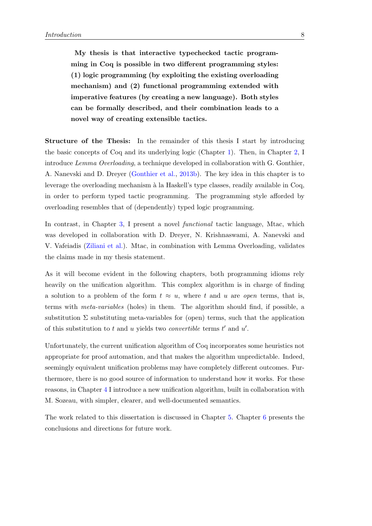My thesis is that interactive typechecked tactic programming in Coq is possible in two different programming styles: (1) logic programming (by exploiting the existing overloading mechanism) and (2) functional programming extended with imperative features (by creating a new language). Both styles can be formally described, and their combination leads to a novel way of creating extensible tactics.

Structure of the Thesis: In the remainder of this thesis I start by introducing the basic concepts of Coq and its underlying logic (Chapter [1\)](#page-28-0). Then, in Chapter [2,](#page-46-0) I introduce Lemma Overloading, a technique developed in collaboration with G. Gonthier, A. Nanevski and D. Dreyer [\(Gonthier et al.,](#page-212-4) [2013b\)](#page-212-4). The key idea in this chapter is to leverage the overloading mechanism à la Haskell's type classes, readily available in Coq, in order to perform typed tactic programming. The programming style afforded by overloading resembles that of (dependently) typed logic programming.

In contrast, in Chapter [3,](#page-96-0) I present a novel functional tactic language, Mtac, which was developed in collaboration with D. Dreyer, N. Krishnaswami, A. Nanevski and V. Vafeiadis [\(Ziliani et al.\)](#page-216-1). Mtac, in combination with Lemma Overloading, validates the claims made in my thesis statement.

As it will become evident in the following chapters, both programming idioms rely heavily on the unification algorithm. This complex algorithm is in charge of finding a solution to a problem of the form  $t \approx u$ , where t and u are *open* terms, that is, terms with meta-variables (holes) in them. The algorithm should find, if possible, a substitution  $\Sigma$  substituting meta-variables for (open) terms, such that the application of this substitution to t and u yields two *convertible* terms  $t'$  and  $u'$ .

Unfortunately, the current unification algorithm of Coq incorporates some heuristics not appropriate for proof automation, and that makes the algorithm unpredictable. Indeed, seemingly equivalent unification problems may have completely different outcomes. Furthermore, there is no good source of information to understand how it works. For these reasons, in Chapter [4](#page-160-0) I introduce a new unification algorithm, built in collaboration with M. Sozeau, with simpler, clearer, and well-documented semantics.

The work related to this dissertation is discussed in Chapter [5.](#page-196-0) Chapter [6](#page-206-0) presents the conclusions and directions for future work.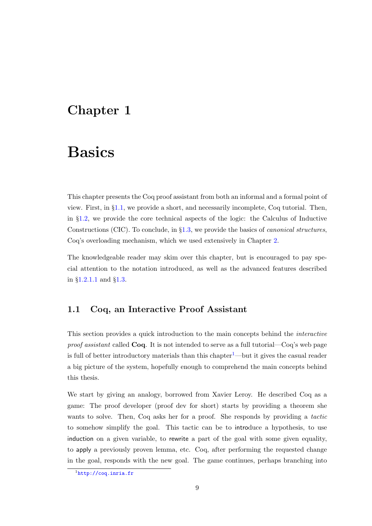## <span id="page-28-0"></span>Chapter 1

# Basics

This chapter presents the Coq proof assistant from both an informal and a formal point of view. First, in §[1.1,](#page-28-1) we provide a short, and necessarily incomplete, Coq tutorial. Then, in §[1.2,](#page-32-0) we provide the core technical aspects of the logic: the Calculus of Inductive Constructions (CIC). To conclude, in §[1.3,](#page-39-0) we provide the basics of canonical structures, Coq's overloading mechanism, which we used extensively in Chapter [2.](#page-46-0)

The knowledgeable reader may skim over this chapter, but is encouraged to pay special attention to the notation introduced, as well as the advanced features described in §[1.2.1.1](#page-35-0) and §[1.3.](#page-39-0)

### <span id="page-28-1"></span>1.1 Coq, an Interactive Proof Assistant

This section provides a quick introduction to the main concepts behind the interactive *proof assistant* called  $Coq$ . It is not intended to serve as a full tutorial— $Coq$ 's web page is full of better introductory materials than this chapter<sup>[1](#page-28-2)</sup>—but it gives the casual reader a big picture of the system, hopefully enough to comprehend the main concepts behind this thesis.

We start by giving an analogy, borrowed from Xavier Leroy. He described Coq as a game: The proof developer (proof dev for short) starts by providing a theorem she wants to solve. Then, Coq asks her for a proof. She responds by providing a *tactic* to somehow simplify the goal. This tactic can be to introduce a hypothesis, to use induction on a given variable, to rewrite a part of the goal with some given equality, to apply a previously proven lemma, etc. Coq, after performing the requested change in the goal, responds with the new goal. The game continues, perhaps branching into

<span id="page-28-2"></span> $\frac{1}{1}$ <http://coq.inria.fr>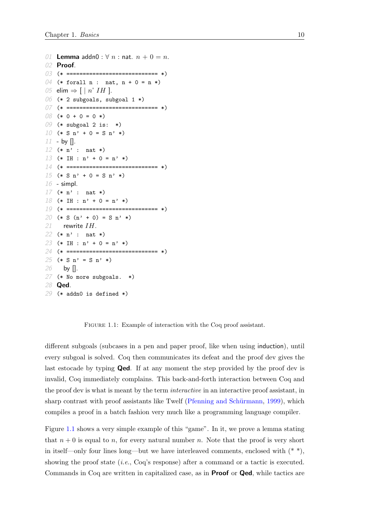```
01 Lemma addn0 : \forall n : nat. n + 0 = n.
02 Proof.
03 (* ============================ *)
04 (* forall n : nat, n + 0 = n *)
05 elim \Rightarrow [ | n' IH ].
06 (* 2 subgoals, subgoal 1 *)
07 (* ============================ *)
08 (* 0 + 0 = 0 *)
09 (* subgoal 2 is: *)
10 (* S n' + 0 = S n' * )11 - by [].
12 (* n' : nat *)
13 (* IH : n' + 0 = n' *)
14 (* ============================ *)
15 (* S n' + 0 = S n' * )16 - simpl.
17 (* n' : nat *)
18 (* IH : n' + 0 = n' *)
19 (* ============================ *)
20 (* S (n' + 0) = S n' *)
21 rewrite IH.
22 (* n' : nat *)
23 (* IH : n' + 0 = n' *)
24 (* ============================ *)
25 (* S n' = S n' *)
26 by [].
27 (* No more subgoals. *)
28 Qed.
29 (* addn0 is defined *)
```
FIGURE 1.1: Example of interaction with the Coq proof assistant.

different subgoals (subcases in a pen and paper proof, like when using induction), until every subgoal is solved. Coq then communicates its defeat and the proof dev gives the last estocade by typing **Qed**. If at any moment the step provided by the proof dev is invalid, Coq immediately complains. This back-and-forth interaction between Coq and the proof dev is what is meant by the term *interactive* in an interactive proof assistant, in sharp contrast with proof assistants like Twelf (Pfenning and Schürmann, [1999\)](#page-214-4), which compiles a proof in a batch fashion very much like a programming language compiler.

Figure [1.1](#page-29-0) shows a very simple example of this "game". In it, we prove a lemma stating that  $n + 0$  is equal to n, for every natural number n. Note that the proof is very short in itself—only four lines long—but we have interleaved comments, enclosed with  $(*^*)$ , showing the proof state (i.e., Coq's response) after a command or a tactic is executed. Commands in Coq are written in capitalized case, as in Proof or Qed, while tactics are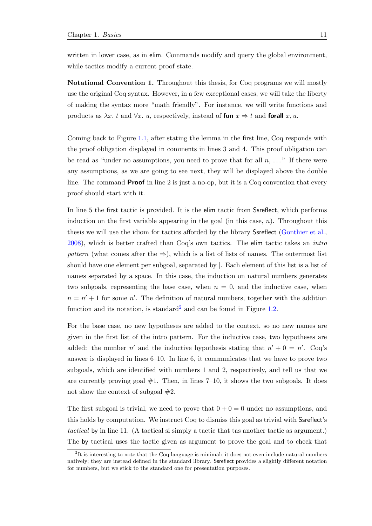written in lower case, as in elim. Commands modify and query the global environment, while tactics modify a current proof state.

Notational Convention 1. Throughout this thesis, for Coq programs we will mostly use the original Coq syntax. However, in a few exceptional cases, we will take the liberty of making the syntax more "math friendly". For instance, we will write functions and products as  $\lambda x$ . t and  $\forall x$ . u, respectively, instead of fun  $x \Rightarrow t$  and forall x, u.

Coming back to Figure [1.1,](#page-29-0) after stating the lemma in the first line, Coq responds with the proof obligation displayed in comments in lines 3 and 4. This proof obligation can be read as "under no assumptions, you need to prove that for all  $n, \ldots$ ." If there were any assumptions, as we are going to see next, they will be displayed above the double line. The command **Proof** in line 2 is just a no-op, but it is a Coq convention that every proof should start with it.

In line 5 the first tactic is provided. It is the elim tactic from Ssreflect, which performs induction on the first variable appearing in the goal (in this case,  $n$ ). Throughout this thesis we will use the idiom for tactics afforded by the library Ssreflect [\(Gonthier et al.,](#page-212-5) [2008\)](#page-212-5), which is better crafted than Coq's own tactics. The elim tactic takes an intro pattern (what comes after the  $\Rightarrow$ ), which is a list of lists of names. The outermost list should have one element per subgoal, separated by |. Each element of this list is a list of names separated by a space. In this case, the induction on natural numbers generates two subgoals, representing the base case, when  $n = 0$ , and the inductive case, when  $n = n' + 1$  for some n'. The definition of natural numbers, together with the addition function and its notation, is standard<sup>[2](#page-30-0)</sup> and can be found in Figure [1.2.](#page-31-1)

For the base case, no new hypotheses are added to the context, so no new names are given in the first list of the intro pattern. For the inductive case, two hypotheses are added: the number n' and the inductive hypothesis stating that  $n' + 0 = n'$ . Coq's answer is displayed in lines 6–10. In line 6, it communicates that we have to prove two subgoals, which are identified with numbers 1 and 2, respectively, and tell us that we are currently proving goal  $#1$ . Then, in lines  $7-10$ , it shows the two subgoals. It does not show the context of subgoal  $#2$ .

The first subgoal is trivial, we need to prove that  $0 + 0 = 0$  under no assumptions, and this holds by computation. We instruct Coq to dismiss this goal as trivial with Ssreflect's tactical by in line 11. (A tactical si simply a tactic that tas another tactic as argument.) The by tactical uses the tactic given as argument to prove the goal and to check that

<span id="page-30-0"></span><sup>&</sup>lt;sup>2</sup>It is interesting to note that the Coq language is minimal: it does not even include natural numbers natively; they are instead defined in the standard library. Ssreflect provides a slightly different notation for numbers, but we stick to the standard one for presentation purposes.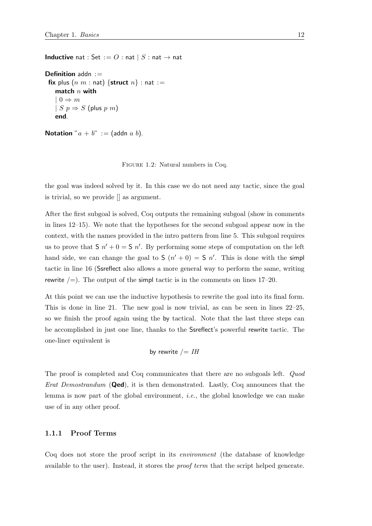<span id="page-31-1"></span>**Inductive** nat : Set :=  $O$  : nat  $|S:$  nat  $\rightarrow$  nat

```
Definition addn :=fix plus (n m : \text{nat}) {struct n} : nat :=
   match n with
    | 0 \Rightarrow m| S p \Rightarrow S (plus p m)
   end.
```

```
Notation "a + b" := (addn a b).
```
Figure 1.2: Natural numbers in Coq.

the goal was indeed solved by it. In this case we do not need any tactic, since the goal is trivial, so we provide [] as argument.

After the first subgoal is solved, Coq outputs the remaining subgoal (show in comments in lines 12–15). We note that the hypotheses for the second subgoal appear now in the context, with the names provided in the intro pattern from line 5. This subgoal requires us to prove that  $S$   $n' + 0 = S$   $n'$ . By performing some steps of computation on the left hand side, we can change the goal to  $S(n'+0) = S(n'.$  This is done with the simple tactic in line 16 (Ssreflect also allows a more general way to perform the same, writing rewrite  $/=$ ). The output of the simpl tactic is in the comments on lines 17–20.

At this point we can use the inductive hypothesis to rewrite the goal into its final form. This is done in line 21. The new goal is now trivial, as can be seen in lines 22–25, so we finish the proof again using the by tactical. Note that the last three steps can be accomplished in just one line, thanks to the Ssreflect's powerful rewrite tactic. The one-liner equivalent is

by rewrite 
$$
/ = IH
$$

The proof is completed and Coq communicates that there are no subgoals left. *Quod Erat Demostrandum* (**Qed**), it is then demonstrated. Lastly, Coq announces that the lemma is now part of the global environment, *i.e.*, the global knowledge we can make use of in any other proof.

### <span id="page-31-0"></span>1.1.1 Proof Terms

Coq does not store the proof script in its environment (the database of knowledge available to the user). Instead, it stores the proof term that the script helped generate.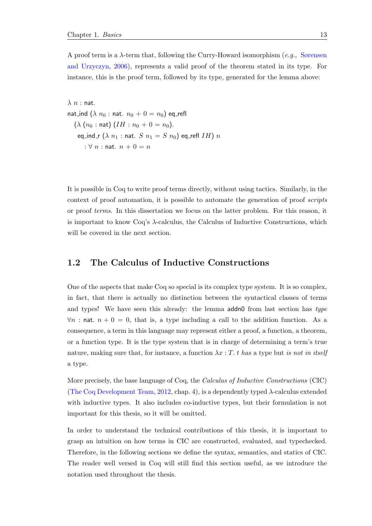A proof term is a  $\lambda$ -term that, following the Curry-Howard isomorphism (e.g., [Sørensen](#page-215-3) [and Urzyczyn,](#page-215-3) [2006\)](#page-215-3), represents a valid proof of the theorem stated in its type. For instance, this is the proof term, followed by its type, generated for the lemma above:

 $\lambda$   $n$  : nat. nat\_ind  $(\lambda n_0 : \text{nat. } n_0 + 0 = n_0)$  eq\_refl  $(\lambda (n_0 : \text{nat}) (IH : n_0 + 0 = n_0).$ eq\_ind\_r  $(\lambda n_1 : \text{nat. } S n_1 = S n_0)$  eq\_refl IH) n :  $\forall n$  : nat.  $n + 0 = n$ 

It is possible in Coq to write proof terms directly, without using tactics. Similarly, in the context of proof automation, it is possible to automate the generation of proof scripts or proof terms. In this dissertation we focus on the latter problem. For this reason, it is important to know Coq's  $\lambda$ -calculus, the Calculus of Inductive Constructions, which will be covered in the next section.

### <span id="page-32-0"></span>1.2 The Calculus of Inductive Constructions

One of the aspects that make Coq so special is its complex type system. It is so complex, in fact, that there is actually no distinction between the syntactical classes of terms and types! We have seen this already: the lemma addn0 from last section has type  $\forall n$ : nat.  $n + 0 = 0$ , that is, a type including a call to the addition function. As a consequence, a term in this language may represent either a proof, a function, a theorem, or a function type. It is the type system that is in charge of determining a term's true nature, making sure that, for instance, a function  $\lambda x : T$ . t has a type but is not in itself a type.

More precisely, the base language of Coq, the Calculus of Inductive Constructions (CIC) [\(The Coq Development Team,](#page-216-0) [2012,](#page-216-0) chap. 4), is a dependently typed  $\lambda$ -calculus extended with inductive types. It also includes co-inductive types, but their formulation is not important for this thesis, so it will be omitted.

In order to understand the technical contributions of this thesis, it is important to grasp an intuition on how terms in CIC are constructed, evaluated, and typechecked. Therefore, in the following sections we define the syntax, semantics, and statics of CIC. The reader well versed in Coq will still find this section useful, as we introduce the notation used throughout the thesis.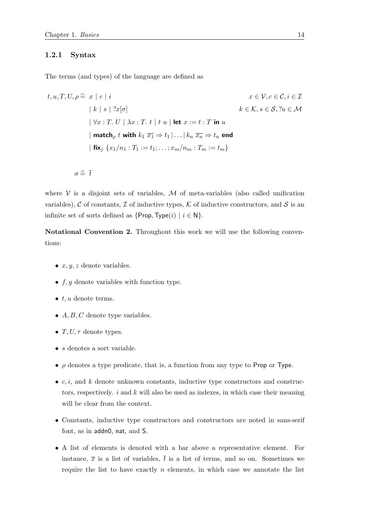### <span id="page-33-0"></span>1.2.1 Syntax

The terms (and types) of the language are defined as

$$
t, u, T, U, \rho \cong x \mid c \mid i
$$
\n
$$
k \mid s \mid ?x[\sigma]
$$
\n
$$
k \in \mathcal{K}, s \in \mathcal{S}, ?u \in \mathcal{M}
$$
\n
$$
|\nabla x : T. U \mid \lambda x : T. t \mid t u \mid \text{let } x := t : T \text{ in } u
$$
\n
$$
|\text{ match}_{\rho} t \text{ with } k_1 \overline{x_1} \Rightarrow t_1 | \dots | k_n \overline{x_n} \Rightarrow t_n \text{ end}
$$
\n
$$
|\text{ fix}_{j} \{x_1/n_1 : T_1 := t_1; \dots; x_m/n_m : T_m := t_m\}
$$

$$
\sigma \mathrel{\widehat{=}} \bar{t}
$$

where  $V$  is a disjoint sets of variables,  $M$  of meta-variables (also called unification variables), C of constants, T of inductive types, K of inductive constructors, and S is an infinite set of sorts defined as  $\{\text{Prop}, \text{Type}(i) \mid i \in \mathbb{N}\}.$ 

Notational Convention 2. Throughout this work we will use the following conventions:

- $x, y, z$  denote variables.
- $f, g$  denote variables with function type.
- $\bullet$  t, u denote terms.
- $A, B, C$  denote type variables.
- $T, U, \tau$  denote types.
- *s* denotes a sort variable.
- $\rho$  denotes a type predicate, that is, a function from any type to Prop or Type.
- $c, i$ , and k denote unknown constants, inductive type constructors and constructors, respectively.  $i$  and  $k$  will also be used as indexes, in which case their meaning will be clear from the context.
- Constants, inductive type constructors and constructors are noted in sans-serif font, as in addn0, nat, and S.
- A list of elements is denoted with a bar above a representative element. For instance,  $\bar{x}$  is a list of variables,  $\bar{t}$  is a list of terms, and so on. Sometimes we require the list to have exactly  $n$  elements, in which case we annotate the list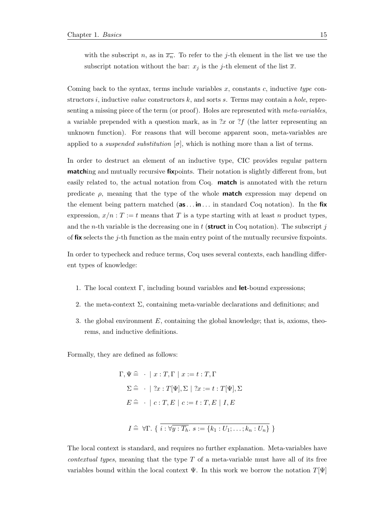with the subscript n, as in  $\overline{x_n}$ . To refer to the j-th element in the list we use the subscript notation without the bar:  $x_j$  is the j-th element of the list  $\overline{x}$ .

Coming back to the syntax, terms include variables  $x$ , constants  $c$ , inductive type constructors i, inductive *value* constructors  $k$ , and sorts s. Terms may contain a *hole*, representing a missing piece of the term (or proof). Holes are represented with *meta-variables*, a variable prepended with a question mark, as in  $x$  or  $x$  (the latter representing an unknown function). For reasons that will become apparent soon, meta-variables are applied to a *suspended substitution*  $[\sigma]$ , which is nothing more than a list of terms.

In order to destruct an element of an inductive type, CIC provides regular pattern **matching** and mutually recursive **fix**points. Their notation is slightly different from, but easily related to, the actual notation from Coq. match is annotated with the return predicate  $\rho$ , meaning that the type of the whole **match** expression may depend on the element being pattern matched  $(a\mathbf{s} \dots \mathbf{in} \dots$  in standard Coq notation). In the fix expression,  $x/n$  : T := t means that T is a type starting with at least n product types, and the *n*-th variable is the decreasing one in  $t$  (**struct** in Coq notation). The subscript  $j$ of fix selects the j-th function as the main entry point of the mutually recursive fixpoints.

In order to typecheck and reduce terms, Coq uses several contexts, each handling different types of knowledge:

- 1. The local context  $\Gamma$ , including bound variables and **let**-bound expressions;
- 2. the meta-context  $\Sigma$ , containing meta-variable declarations and definitions; and
- 3. the global environment  $E$ , containing the global knowledge; that is, axioms, theorems, and inductive definitions.

Formally, they are defined as follows:

$$
\Gamma, \Psi \cong \cdot \mid x : T, \Gamma \mid x := t : T, \Gamma
$$
  
\n
$$
\Sigma \cong \cdot \mid ?x : T[\Psi], \Sigma \mid ?x := t : T[\Psi], \Sigma
$$
  
\n
$$
E \cong \cdot \mid c : T, E \mid c := t : T, E \mid I, E
$$
  
\n
$$
I \cong \forall \Gamma. \{ i : \forall \overline{y : T_h}. s := \{k_1 : U_1; \dots; k_n : U_n \} \}
$$

The local context is standard, and requires no further explanation. Meta-variables have *contextual types*, meaning that the type  $T$  of a meta-variable must have all of its free variables bound within the local context  $\Psi$ . In this work we borrow the notation  $T[\Psi]$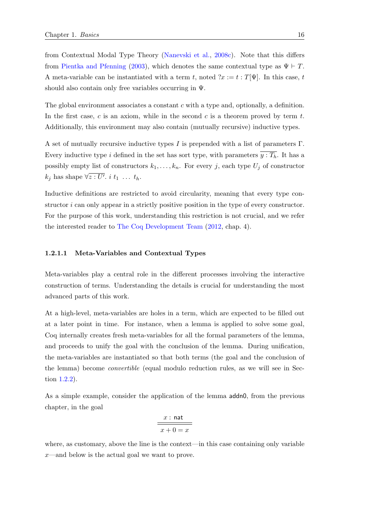from Contextual Modal Type Theory [\(Nanevski et al.,](#page-214-3) [2008c\)](#page-214-3). Note that this differs from [Pientka and Pfenning](#page-214-5) [\(2003\)](#page-214-5), which denotes the same contextual type as  $\Psi \vdash T$ . A meta-variable can be instantiated with a term t, noted  $?x := t : T[\Psi]$ . In this case, t should also contain only free variables occurring in Ψ.

The global environment associates a constant c with a type and, optionally, a definition. In the first case,  $c$  is an axiom, while in the second  $c$  is a theorem proved by term  $t$ . Additionally, this environment may also contain (mutually recursive) inductive types.

A set of mutually recursive inductive types I is prepended with a list of parameters  $\Gamma$ . Every inductive type i defined in the set has sort type, with parameters  $\overline{y : T_h}$ . It has a possibly empty list of constructors  $k_1, \ldots, k_n$ . For every j, each type  $U_j$  of constructor  $k_j$  has shape  $\forall \overline{z} : \overline{U'}$ ,  $i \; t_1 \; \ldots \; t_h$ .

Inductive definitions are restricted to avoid circularity, meaning that every type constructor i can only appear in a strictly positive position in the type of every constructor. For the purpose of this work, understanding this restriction is not crucial, and we refer the interested reader to [The Coq Development Team](#page-216-0) [\(2012,](#page-216-0) chap. 4).

#### <span id="page-35-0"></span>1.2.1.1 Meta-Variables and Contextual Types

Meta-variables play a central role in the different processes involving the interactive construction of terms. Understanding the details is crucial for understanding the most advanced parts of this work.

At a high-level, meta-variables are holes in a term, which are expected to be filled out at a later point in time. For instance, when a lemma is applied to solve some goal, Coq internally creates fresh meta-variables for all the formal parameters of the lemma, and proceeds to unify the goal with the conclusion of the lemma. During unification, the meta-variables are instantiated so that both terms (the goal and the conclusion of the lemma) become convertible (equal modulo reduction rules, as we will see in Section [1.2.2\)](#page-37-0).

As a simple example, consider the application of the lemma addn0, from the previous chapter, in the goal

$$
\cfrac{x:\, \text{nat}}{x+0=x}
$$

where, as customary, above the line is the context—in this case containing only variable x—and below is the actual goal we want to prove.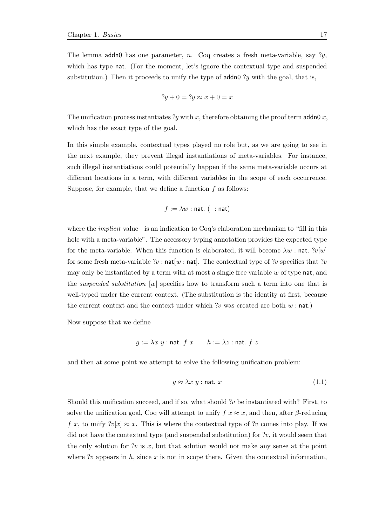The lemma addn0 has one parameter, n. Coq creates a fresh meta-variable, say  $?y$ , which has type nat. (For the moment, let's ignore the contextual type and suspended substitution.) Then it proceeds to unify the type of  $\alpha$  addn0 ?y with the goal, that is,

$$
?y + 0 = ?y \approx x + 0 = x
$$

The unification process instantiates ?y with x, therefore obtaining the proof term addn0 x, which has the exact type of the goal.

In this simple example, contextual types played no role but, as we are going to see in the next example, they prevent illegal instantiations of meta-variables. For instance, such illegal instantiations could potentially happen if the same meta-variable occurs at different locations in a term, with different variables in the scope of each occurrence. Suppose, for example, that we define a function  $f$  as follows:

$$
f := \lambda w : \text{nat. } (\_\cdot : \text{nat})
$$

where the *implicit* value  $\overline{\ }$  is an indication to Coq's elaboration mechanism to "fill in this hole with a meta-variable". The accessory typing annotation provides the expected type for the meta-variable. When this function is elaborated, it will become  $\lambda w$ : nat. ?v[w] for some fresh meta-variable ?v :  $nat[w : nat]$ . The contextual type of ?v specifies that ?v may only be instantiated by a term with at most a single free variable  $w$  of type nat, and the *suspended substitution*  $[w]$  specifies how to transform such a term into one that is well-typed under the current context. (The substitution is the identity at first, because the current context and the context under which ?v was created are both  $w : \text{nat.}$ )

Now suppose that we define

$$
g := \lambda x \ y : \text{nat. } f \ x \qquad h := \lambda z : \text{nat. } f \ z
$$

and then at some point we attempt to solve the following unification problem:

$$
g \approx \lambda x \ y : \text{nat. } x \tag{1.1}
$$

Should this unification succeed, and if so, what should ? $v$  be instantiated with? First, to solve the unification goal, Coq will attempt to unify  $f \nvert x \approx x$ , and then, after  $\beta$ -reducing f x, to unify  $\lceil v \rceil \geq x$ . This is where the contextual type of ?v comes into play. If we did not have the contextual type (and suspended substitution) for  $v$ , it would seem that the only solution for ?v is  $x$ , but that solution would not make any sense at the point where  $\n$ :  $\n v$  appears in  $h$ , since  $x$  is not in scope there. Given the contextual information,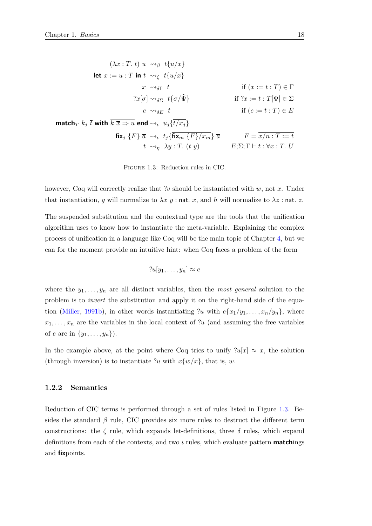<span id="page-37-0"></span>
$$
(\lambda x : T. t) u \rightsquigarrow_{\beta} t \{u/x\}
$$
  
\nlet  $x := u : T$  in  $t \rightsquigarrow_{\zeta} t \{u/x\}$   
\n $x \rightsquigarrow_{\delta\Gamma} t$  if  $(x := t : T) \in \Gamma$   
\n $2x[\sigma] \rightsquigarrow_{\delta\Sigma} t \{\sigma/\hat{\Psi}\}$  if  $2x := t : T[\Psi] \in \Sigma$   
\n $c \rightsquigarrow_{\delta E} t$  if  $(c := t : T) \in E$   
\n $\text{match}_T k_j \overline{t} \text{ with } \overline{k} \overline{x} \Rightarrow u \text{ end } \rightsquigarrow_t u_j \{\overline{t}/x_j\}$   
\n $\text{fix}_j \{F\} \overline{a} \rightsquigarrow_t t_j \{\overline{\text{fix}}_m \{F\}/x_m\} \overline{a}$   $F = \overline{x/n} : T := t$   
\n $t \rightsquigarrow_{\eta} \lambda y : T. (t y)$   $E; \Sigma; \Gamma \vdash t : \forall x : T. U$ 

Figure 1.3: Reduction rules in CIC.

however, Coq will correctly realize that ?v should be instantiated with  $w$ , not x. Under that instantiation, g will normalize to  $\lambda x$  y : nat. x, and h will normalize to  $\lambda z$  : nat. z.

The suspended substitution and the contextual type are the tools that the unification algorithm uses to know how to instantiate the meta-variable. Explaining the complex process of unification in a language like Coq will be the main topic of Chapter [4,](#page-160-0) but we can for the moment provide an intuitive hint: when Coq faces a problem of the form

$$
?u[y_1,\ldots,y_n] \approx e
$$

where the  $y_1, \ldots, y_n$  are all distinct variables, then the most general solution to the problem is to invert the substitution and apply it on the right-hand side of the equa-tion [\(Miller,](#page-214-0) [1991b\)](#page-214-0), in other words instantiating ?u with  $e\{x_1/y_1, \ldots, x_n/y_n\}$ , where  $x_1, \ldots, x_n$  are the variables in the local context of ?u (and assuming the free variables of e are in  $\{y_1, \ldots, y_n\}$ .

In the example above, at the point where Coq tries to unify  $2u[x] \approx x$ , the solution (through inversion) is to instantiate ?u with  $x\{w/x\}$ , that is, w.

#### 1.2.2 Semantics

Reduction of CIC terms is performed through a set of rules listed in Figure [1.3.](#page-37-0) Besides the standard  $\beta$  rule, CIC provides six more rules to destruct the different term constructions: the  $\zeta$  rule, which expands let-definitions, three  $\delta$  rules, which expand definitions from each of the contexts, and two  $\iota$  rules, which evaluate pattern **match**ings and fixpoints.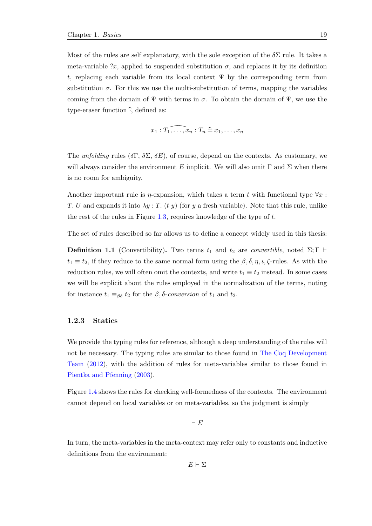Most of the rules are self explanatory, with the sole exception of the  $\delta\Sigma$  rule. It takes a meta-variable ?x, applied to suspended substitution  $\sigma$ , and replaces it by its definition t, replacing each variable from its local context  $\Psi$  by the corresponding term from substitution  $\sigma$ . For this we use the multi-substitution of terms, mapping the variables coming from the domain of  $\Psi$  with terms in  $\sigma$ . To obtain the domain of  $\Psi$ , we use the type-eraser function  $\hat{\cdot}$ , defined as:

$$
x_1: \widehat{T_1, \ldots, x_n} : T_n \widehat{=} x_1, \ldots, x_n
$$

The unfolding rules  $(\delta \Gamma, \delta \Sigma, \delta E)$ , of course, depend on the contexts. As customary, we will always consider the environment E implicit. We will also omit  $\Gamma$  and  $\Sigma$  when there is no room for ambiguity.

Another important rule is  $\eta$ -expansion, which takes a term t with functional type  $\forall x$ : T. U and expands it into  $\lambda y$ : T. (t y) (for y a fresh variable). Note that this rule, unlike the rest of the rules in Figure [1.3,](#page-37-0) requires knowledge of the type of  $t$ .

The set of rules described so far allows us to define a concept widely used in this thesis:

**Definition 1.1** (Convertibility). Two terms  $t_1$  and  $t_2$  are *convertible*, noted  $\Sigma; \Gamma \vdash$  $t_1 \equiv t_2$ , if they reduce to the same normal form using the  $\beta$ ,  $\delta$ ,  $\eta$ ,  $\iota$ ,  $\zeta$ -rules. As with the reduction rules, we will often omit the contexts, and write  $t_1 \equiv t_2$  instead. In some cases we will be explicit about the rules employed in the normalization of the terms, noting for instance  $t_1 \equiv_{\beta\delta} t_2$  for the  $\beta$ ,  $\delta$ -conversion of  $t_1$  and  $t_2$ .

#### 1.2.3 Statics

We provide the typing rules for reference, although a deep understanding of the rules will not be necessary. The typing rules are similar to those found in [The Coq Development](#page-216-0) [Team](#page-216-0) [\(2012\)](#page-216-0), with the addition of rules for meta-variables similar to those found in [Pientka and Pfenning](#page-214-1) [\(2003\)](#page-214-1).

Figure [1.4](#page-39-0) shows the rules for checking well-formedness of the contexts. The environment cannot depend on local variables or on meta-variables, so the judgment is simply

 $\vdash E$ 

In turn, the meta-variables in the meta-context may refer only to constants and inductive definitions from the environment:

 $E \vdash \Sigma$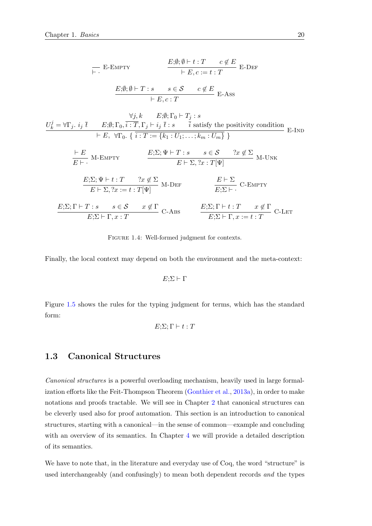<span id="page-39-0"></span>
$$
\begin{array}{ll}\n & E: \emptyset; \emptyset \mapsto t : T \quad c \notin E \\
 & \mapsto E, c := t : T \n\end{array}
$$
\n
$$
\begin{array}{ll}\nE: \emptyset; \emptyset \mapsto T : s \quad s \in S \quad c \notin E \\
 & \mapsto E, c : T\n\end{array}
$$
\n
$$
\begin{array}{ll}\nU_k^j = \forall \Gamma_j. \ i_j \overline{t} \quad E; \emptyset; \Gamma_0, \overline{i} : T, \Gamma_j \mapsto i_j \overline{t} : s \quad \overline{i} \text{ satisfy the positivity condition} \\
 & \mapsto E, \ \forall \Gamma_0. \{\overline{i} : T := \{k_1 : U_1; \dots; k_m : U_m\} \} \n\end{array}
$$
\n
$$
\begin{array}{ll}\n\frac{\vdash E}{E \mapsto} & M \text{-EMPTY} \quad E: \Sigma; \Psi \mapsto T : s \quad s \in S \quad 2x \notin \Sigma \\
& E \mapsto \Sigma, 2x : T[\Psi] \quad E \mapsto \Sigma, 2x : T[\Psi] \n\end{array}
$$
\n
$$
\begin{array}{ll}\nE: \Sigma; \Psi \mapsto t : T \quad 2x \notin \Sigma \\
E \mapsto \Sigma, 2x := t : T[\Psi] \quad M \text{-DEF} \quad E: \Sigma \mapsto \overline{E \mapsto \Sigma}, C \text{-EMPTY} \\
& E: \Sigma; \Gamma \mapsto T : s \quad s \in S \quad x \notin \Gamma \\
& E: \Sigma \mapsto \Gamma, x : T \quad E: \Sigma \mapsto \Gamma, x := t : T \quad x \notin \Gamma \\
& E: \Sigma \mapsto \Gamma, x : T \quad C \text{-LBT}\n\end{array}
$$

FIGURE 1.4: Well-formed judgment for contexts.

Finally, the local context may depend on both the environment and the meta-context:

 $E:\Sigma \vdash \Gamma$ 

Figure [1.5](#page-40-0) shows the rules for the typing judgment for terms, which has the standard form:

$$
E;\Sigma;\Gamma \vdash t:T
$$

### <span id="page-39-1"></span>1.3 Canonical Structures

Canonical structures is a powerful overloading mechanism, heavily used in large formalization efforts like the Feit-Thompson Theorem [\(Gonthier et al.,](#page-212-0) [2013a\)](#page-212-0), in order to make notations and proofs tractable. We will see in Chapter [2](#page-46-0) that canonical structures can be cleverly used also for proof automation. This section is an introduction to canonical structures, starting with a canonical—in the sense of common—example and concluding with an overview of its semantics. In Chapter [4](#page-160-0) we will provide a detailed description of its semantics.

We have to note that, in the literature and everyday use of Coq, the word "structure" is used interchangeably (and confusingly) to mean both dependent records and the types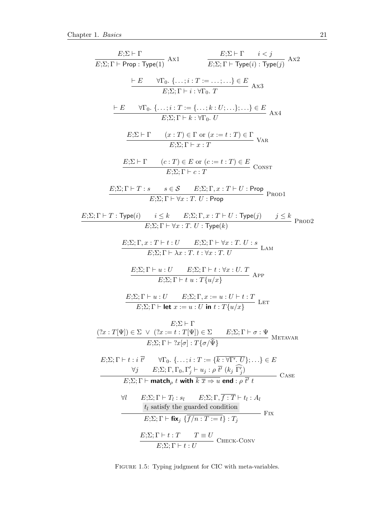<span id="page-40-0"></span>

| $\frac{E;\Sigma\vdash\Gamma}{E;\Sigma;\Gamma\vdash \mathsf{Prop}:\mathsf{Type}(1)}\;\mathrm{Ax1}$                                                                                                                                                                                                                                                                                                  | $\frac{E;\Sigma\vdash\Gamma\qquad i < j}{E;\Sigma\vdots\Gamma\vdash\mathsf{Type}(i):\mathsf{Type}(j)}\text{ Ax2}$ |
|----------------------------------------------------------------------------------------------------------------------------------------------------------------------------------------------------------------------------------------------------------------------------------------------------------------------------------------------------------------------------------------------------|-------------------------------------------------------------------------------------------------------------------|
| $\frac{\vdash E \qquad \forall \Gamma_0. \ \{\ldots, i : T := \ldots, \ldots\} \in E}{E;\Sigma; \Gamma \vdash i : \forall \Gamma_0. \ T}$ Ax3                                                                                                                                                                                                                                                      |                                                                                                                   |
| $\vdash E \qquad \forall \Gamma_0. \ \{\ldots; i : T := \{\ldots; k : U; \ldots\}; \ldots\} \in E$ Ax4<br>$E:\Sigma:\Gamma \vdash k:\forall \Gamma_0, U$                                                                                                                                                                                                                                           |                                                                                                                   |
| $\frac{E;\Sigma\vdash\Gamma\qquad(x:T)\in\Gamma\text{ or }(x:=t:T)\in\Gamma}{E;\Sigma\vdots\Gamma\vdash x:T}\text{ }\text{Var}$                                                                                                                                                                                                                                                                    |                                                                                                                   |
| $E;\Sigma \vdash \Gamma$ $(c:T) \in E$ or $(c:=t:T) \in E$<br>$E;\Sigma; \Gamma \vdash c:T$ CONST                                                                                                                                                                                                                                                                                                  |                                                                                                                   |
| $E;\Sigma;\Gamma\vdash T:s \qquad s\in\mathcal{S} \qquad E;\Sigma;\Gamma,x:T\vdash U:\mathsf{Prop}\ \mathsf{Prop}$<br>$E:\Sigma$ : $\Gamma \vdash \forall x : T. U$ : Prop                                                                                                                                                                                                                         |                                                                                                                   |
| $E:\Sigma; \Gamma \vdash T : \mathsf{Type}(i) \qquad i \leq k \qquad E:\Sigma; \Gamma, x : T \vdash U : \mathsf{Type}(j) \qquad j \leq k$ PROD2<br>$E:\Sigma$ : $\Gamma \vdash \forall x : T. U : Type(k)$                                                                                                                                                                                         |                                                                                                                   |
| $E;\Sigma;\Gamma,x:T\vdash t:U$ $E;\Sigma;\Gamma\vdash \forall x:T. U:s$ LAM<br>$E:\Sigma: \Gamma \vdash \lambda x : T. t : \forall x : T. U$                                                                                                                                                                                                                                                      |                                                                                                                   |
| $\frac{E;\Sigma;\Gamma\vdash u:U\qquad E;\Sigma;\Gamma\vdash t:\forall x:U.\ T}{E;\Sigma;\Gamma\vdash t\:u:T\{u/x\}} \text{ App}$                                                                                                                                                                                                                                                                  |                                                                                                                   |
| $\frac{E;\!\Sigma;\Gamma\vdash u:U\qquad E;\!\Sigma;\Gamma,x:=u:U\vdash t:T}{E;\!\Sigma;\Gamma\vdash \mathrm{let}\ x:=u:U\;\mathrm{in}\ t:T\{u/x\}}\;\;\mathrm{LET}\;$                                                                                                                                                                                                                             |                                                                                                                   |
| $E:\Sigma\vdash\Gamma$<br>$(?x : T[\Psi]) \in \Sigma \ \lor \ (?x := t : T[\Psi]) \in \Sigma \qquad E; \Sigma; \Gamma \vdash \sigma : \Psi$ METAVAR<br>$E:\Sigma$ : $\Gamma \vdash ?x[\sigma]$ : $T\{\sigma/\widehat{\Psi}\}\$                                                                                                                                                                     |                                                                                                                   |
| $E;\Sigma;\Gamma\vdash t:i\ \overline{t'} \qquad \forall \Gamma_0.\ \{\ldots;i:T:=\{\overline{k}:\forall \Gamma',\ \overline{U}\};\ldots\}\in E$<br>$\forall j \qquad E;\Sigma;\Gamma,\Gamma_0,\Gamma'_j\vdash u_j:\rho\ \overline{t'}\ (k_j\ \Gamma'_j)$<br>CASE<br>$E:\Sigma; \Gamma \vdash \textbf{match}_{\rho} t$ with $\overline{k} \overline{x} \Rightarrow u$ end : $\rho \overline{t'} t$ |                                                                                                                   |
| $E:\Sigma;\Gamma\vdash T_l:s_l$ $E:\Sigma;\Gamma,\overline{f:T}\vdash t_l:A_l$<br>Aſ<br>$t_l$ satisfy the guarded condition<br>$E:\Sigma; \Gamma \vdash$ fix <sub>i</sub> $\{f/n : T := t\} : T_i$                                                                                                                                                                                                 | Fix                                                                                                               |
| $\frac{E;\Sigma;\Gamma\vdash t:T \hspace{0.3cm} T\equiv U}{E;\Sigma;\Gamma\vdash t:U} \hspace{0.2cm}\textnormal{CHECK-CONV}$                                                                                                                                                                                                                                                                       |                                                                                                                   |

FIGURE 1.5: Typing judgment for CIC with meta-variables.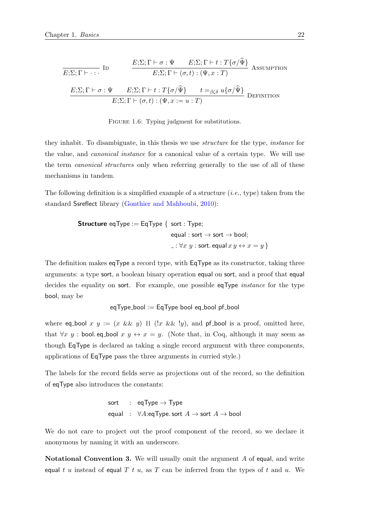$$
\frac{E;\Sigma;\Gamma\vdash\sigma:\Psi\qquad E;\Sigma;\Gamma\vdash t:T\{\sigma/\widehat{\Psi}\}}{E;\Sigma;\Gamma\vdash(\sigma,t):(\Psi,x:T)} \text{ Assumption}
$$
\n
$$
\frac{E;\Sigma;\Gamma\vdash\sigma:\Psi\qquad E;\Sigma;\Gamma\vdash t:T\{\sigma/\widehat{\Psi}\}\qquad t=_{\beta\zeta\delta}u\{\sigma/\widehat{\Psi}\}}{E;\Sigma;\Gamma\vdash(\sigma,t):(\Psi,x:=u:T)} \text{DEFINITION}
$$

FIGURE 1.6: Typing judgment for substitutions.

they inhabit. To disambiguate, in this thesis we use structure for the type, instance for the value, and canonical instance for a canonical value of a certain type. We will use the term canonical structures only when referring generally to the use of all of these mechanisms in tandem.

The following definition is a simplified example of a structure (i.e., type) taken from the standard Ssreflect library [\(Gonthier and Mahboubi,](#page-212-1) [2010\)](#page-212-1):

**Structure** eqType := EqType { 
$$
sort : Type;
$$

\n
$$
equal : sort \rightarrow sort \rightarrow bool;
$$

\n
$$
- : \forall x \ y : sort.\text{ equal } x \ y \leftrightarrow x = y \}
$$

The definition makes eqType a record type, with EqType as its constructor, taking three arguments: a type sort, a boolean binary operation equal on sort, and a proof that equal decides the equality on sort. For example, one possible eqType *instance* for the type bool, may be

 $eqType\_bool := EqType$  bool  $eq\_bool$  pf bool

where eq bool x  $y := (x \&& y)$  ||  $(x \&& y)$ , and pf bool is a proof, omitted here, that  $\forall x \ y$ : bool. eq\_bool  $x \ y \leftrightarrow x = y$ . (Note that, in Coq, although it may seem as though EqType is declared as taking a single record argument with three components, applications of EqType pass the three arguments in curried style.)

The labels for the record fields serve as projections out of the record, so the definition of eqType also introduces the constants:

$$
sort : eqType \rightarrow Type
$$
  
equal :  $\forall A:eqType.sort A \rightarrow sort A \rightarrow bool$ 

We do not care to project out the proof component of the record, so we declare it anonymous by naming it with an underscore.

Notational Convention 3. We will usually omit the argument A of equal, and write equal t u instead of equal T t u, as T can be inferred from the types of t and u. We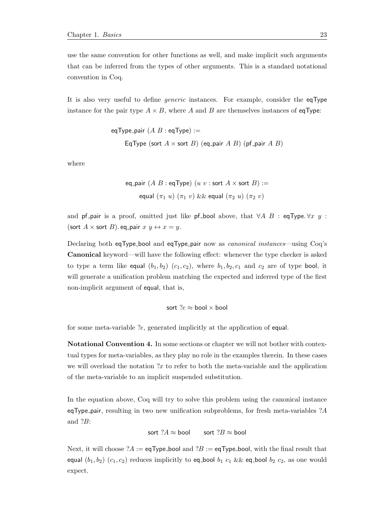use the same convention for other functions as well, and make implicit such arguments that can be inferred from the types of other arguments. This is a standard notational convention in Coq.

It is also very useful to define generic instances. For example, consider the eqType instance for the pair type  $A \times B$ , where A and B are themselves instances of eqType:

eqType-pair (
$$
A B
$$
: eqType) :=  
EqType (sort  $A \times$ sort  $B$ ) (eq-pair  $A B$ ) (pf-pair  $A B$ )

where

eq-pair 
$$
(A B : \text{eqType})
$$
  $(u v : \text{sort } A \times \text{sort } B) :=$   
equal  $(\pi_1 u) (\pi_1 v) \& \& \text{equal } (\pi_2 u) (\pi_2 v)$ 

and pf pair is a proof, omitted just like pf bool above, that  $\forall A \ B$  : eqType.  $\forall x \ y$  : (sort  $A \times$  sort  $B$ ). eq\_pair  $x, y \leftrightarrow x = y$ .

Declaring both eqType bool and eqType pair now as canonical instances—using Coq's Canonical keyword—will have the following effect: whenever the type checker is asked to type a term like equal  $(b_1, b_2)$   $(c_1, c_2)$ , where  $b_1, b_2, c_1$  and  $c_2$  are of type bool, it will generate a unification problem matching the expected and inferred type of the first non-implicit argument of equal, that is,

$$
\text{sort } ?e \approx \text{bool} \times \text{bool}
$$

for some meta-variable ?e, generated implicitly at the application of equal.

Notational Convention 4. In some sections or chapter we will not bother with contextual types for meta-variables, as they play no role in the examples therein. In these cases we will overload the notation  $x$  to refer to both the meta-variable and the application of the meta-variable to an implicit suspended substitution.

In the equation above, Coq will try to solve this problem using the canonical instance eqType pair, resulting in two new unification subproblems, for fresh meta-variables  $?A$ and ?B:

sort  $?A \approx$  bool sort  $?B \approx$  bool

Next, it will choose  $?A := eq$ Type\_bool and  $?B := eq$ Type\_bool, with the final result that equal  $(b_1, b_2)$   $(c_1, c_2)$  reduces implicitly to eq-bool  $b_1$   $c_1$  && eq-bool  $b_2$   $c_2$ , as one would expect.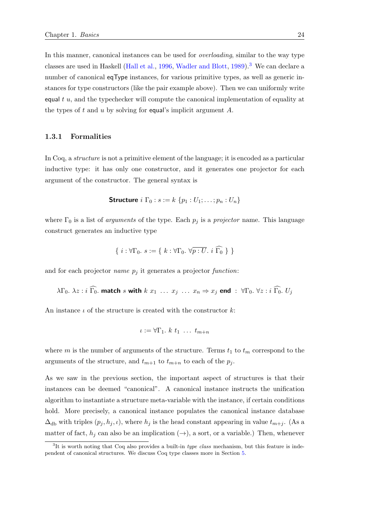In this manner, canonical instances can be used for overloading, similar to the way type classes are used in Haskell [\(Hall et al.,](#page-212-2) [1996,](#page-212-2) [Wadler and Blott,](#page-216-1) [1989\)](#page-216-1).<sup>[3](#page-43-0)</sup> We can declare a number of canonical eqType instances, for various primitive types, as well as generic instances for type constructors (like the pair example above). Then we can uniformly write equal  $t$  u, and the typechecker will compute the canonical implementation of equality at the types of t and u by solving for equal's implicit argument  $A$ .

#### 1.3.1 Formalities

In Coq, a structure is not a primitive element of the language; it is encoded as a particular inductive type: it has only one constructor, and it generates one projector for each argument of the constructor. The general syntax is

$$
\textbf{Structure } i \Gamma_0 : s := k \{p_1 : U_1; \ldots; p_n : U_n\}
$$

where  $\Gamma_0$  is a list of *arguments* of the type. Each  $p_j$  is a *projector* name. This language construct generates an inductive type

$$
\{ i : \forall \Gamma_0. s := \{ k : \forall \Gamma_0. \ \forall p : \overline{U}. \ i \ \widehat{\Gamma_0} \ \}
$$

and for each projector *name*  $p_j$  it generates a projector *function*:

$$
\lambda \Gamma_0
$$
.  $\lambda z : i \widehat{\Gamma_0}$ . **match** s with  $k x_1 \ldots x_j \ldots x_n \Rightarrow x_j$  **end** :  $\forall \Gamma_0, \forall z : i \widehat{\Gamma_0}.$   $U_j$ 

An instance  $\iota$  of the structure is created with the constructor k:

$$
\iota := \forall \Gamma_1. \ k \ t_1 \ \ldots \ t_{m+n}
$$

where m is the number of arguments of the structure. Terms  $t_1$  to  $t_m$  correspond to the arguments of the structure, and  $t_{m+1}$  to  $t_{m+n}$  to each of the  $p_j$ .

As we saw in the previous section, the important aspect of structures is that their instances can be deemed "canonical". A canonical instance instructs the unification algorithm to instantiate a structure meta-variable with the instance, if certain conditions hold. More precisely, a canonical instance populates the canonical instance database  $\Delta_{\rm db}$  with triples  $(p_j, h_j, \iota)$ , where  $h_j$  is the head constant appearing in value  $t_{m+j}$ . (As a matter of fact,  $h_j$  can also be an implication  $(\rightarrow)$ , a sort, or a variable.) Then, whenever

<span id="page-43-0"></span><sup>&</sup>lt;sup>3</sup>It is worth noting that Coq also provides a built-in *type class* mechanism, but this feature is independent of canonical structures. We discuss Coq type classes more in Section [5.](#page-196-0)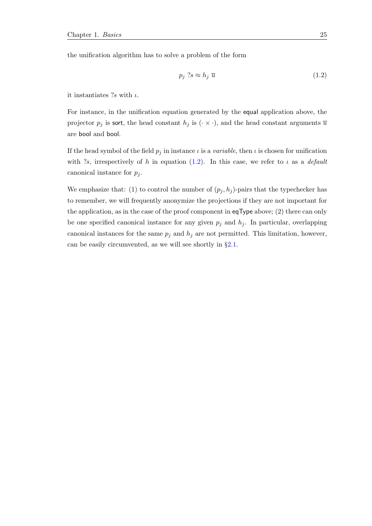the unification algorithm has to solve a problem of the form

<span id="page-44-0"></span>
$$
p_j \; ?s \approx h_j \; \overline{u} \tag{1.2}
$$

it instantiates  $?s$  with  $\iota$ .

For instance, in the unification equation generated by the equal application above, the projector  $p_j$  is sort, the head constant  $h_j$  is  $(\cdot \times \cdot)$ , and the head constant arguments  $\overline{u}$ are bool and bool.

If the head symbol of the field  $p_j$  in instance  $\iota$  is a variable, then  $\iota$  is chosen for unification with ?s, irrespectively of h in equation [\(1.2\)](#page-44-0). In this case, we refer to  $\iota$  as a *default* canonical instance for  $p_i$ .

We emphasize that: (1) to control the number of  $(p_j, h_j)$ -pairs that the typechecker has to remember, we will frequently anonymize the projections if they are not important for the application, as in the case of the proof component in eqType above; (2) there can only be one specified canonical instance for any given  $p_j$  and  $h_j$ . In particular, overlapping canonical instances for the same  $p_j$  and  $h_j$  are not permitted. This limitation, however, can be easily circumvented, as we will see shortly in §[2.1.](#page-46-1)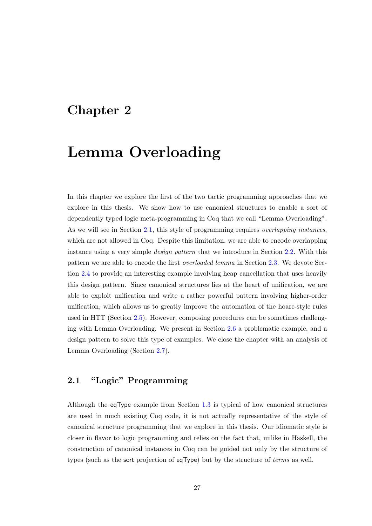## <span id="page-46-0"></span>Chapter 2

# Lemma Overloading

In this chapter we explore the first of the two tactic programming approaches that we explore in this thesis. We show how to use canonical structures to enable a sort of dependently typed logic meta-programming in Coq that we call "Lemma Overloading". As we will see in Section [2.1,](#page-46-1) this style of programming requires *overlapping instances*, which are not allowed in Coq. Despite this limitation, we are able to encode overlapping instance using a very simple *design pattern* that we introduce in Section [2.2.](#page-49-0) With this pattern we are able to encode the first overloaded lemma in Section [2.3.](#page-51-0) We devote Section [2.4](#page-56-0) to provide an interesting example involving heap cancellation that uses heavily this design pattern. Since canonical structures lies at the heart of unification, we are able to exploit unification and write a rather powerful pattern involving higher-order unification, which allows us to greatly improve the automation of the hoare-style rules used in HTT (Section [2.5\)](#page-66-0). However, composing procedures can be sometimes challenging with Lemma Overloading. We present in Section [2.6](#page-77-0) a problematic example, and a design pattern to solve this type of examples. We close the chapter with an analysis of Lemma Overloading (Section [2.7\)](#page-89-0).

## <span id="page-46-1"></span>2.1 "Logic" Programming

Although the eqType example from Section [1.3](#page-39-1) is typical of how canonical structures are used in much existing Coq code, it is not actually representative of the style of canonical structure programming that we explore in this thesis. Our idiomatic style is closer in flavor to logic programming and relies on the fact that, unlike in Haskell, the construction of canonical instances in Coq can be guided not only by the structure of types (such as the sort projection of eqType) but by the structure of terms as well.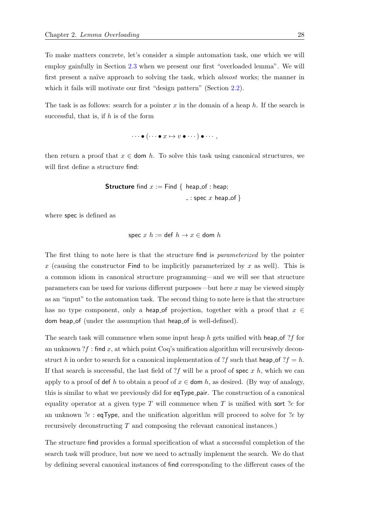To make matters concrete, let's consider a simple automation task, one which we will employ gainfully in Section [2.3](#page-51-0) when we present our first "overloaded lemma". We will first present a naïve approach to solving the task, which *almost* works; the manner in which it fails will motivate our first "design pattern" (Section [2.2\)](#page-49-0).

The task is as follows: search for a pointer x in the domain of a heap  $h$ . If the search is successful, that is, if  $h$  is of the form

 $\cdots \bullet (\cdots \bullet x \mapsto v \bullet \cdots) \bullet \cdots,$ 

then return a proof that  $x \in$  dom h. To solve this task using canonical structures, we will first define a structure find:

**Structure** find 
$$
x :=
$$
 Find { heap\_of : heap;  
  $\_\_\_\$  : spec  $x$  heap\_of }

where spec is defined as

$$
spec x h := def h \rightarrow x \in dom h
$$

The first thing to note here is that the structure find is *parameterized* by the pointer x (causing the constructor Find to be implicitly parameterized by x as well). This is a common idiom in canonical structure programming—and we will see that structure parameters can be used for various different purposes—but here x may be viewed simply as an "input" to the automation task. The second thing to note here is that the structure has no type component, only a heap of projection, together with a proof that  $x \in$ dom heap of (under the assumption that heap of is well-defined).

The search task will commence when some input heap h gets unified with heap of ?f for an unknown  $?f:$  find x, at which point Coq's unification algorithm will recursively deconstruct h in order to search for a canonical implementation of ?f such that heap of ?f = h. If that search is successful, the last field of ?f will be a proof of spec x h, which we can apply to a proof of def h to obtain a proof of  $x \in$  dom h, as desired. (By way of analogy, this is similar to what we previously did for eqType pair. The construction of a canonical equality operator at a given type  $T$  will commence when  $T$  is unified with sort ?e for an unknown ?e : eqType, and the unification algorithm will proceed to solve for ?e by recursively deconstructing T and composing the relevant canonical instances.)

The structure find provides a formal specification of what a successful completion of the search task will produce, but now we need to actually implement the search. We do that by defining several canonical instances of find corresponding to the different cases of the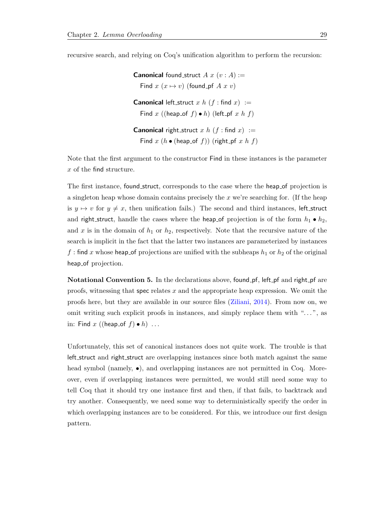recursive search, and relying on Coq's unification algorithm to perform the recursion:

**Canonical** found struct  $A x (v : A) :=$ Find  $x(x \mapsto v)$  (found pf A x v) **Canonical** left\_struct x h ( $f$  : find x) := Find x ((heap of f) • h) (left pf x h f) **Canonical** right\_struct x h (f: find x) := Find  $x (h \bullet (heap_of f)) (right_p f x h f)$ 

Note that the first argument to the constructor Find in these instances is the parameter x of the find structure.

The first instance, found struct, corresponds to the case where the heap of projection is a singleton heap whose domain contains precisely the  $x$  we're searching for. (If the heap is  $y \mapsto v$  for  $y \neq x$ , then unification fails.) The second and third instances, left\_struct and right struct, handle the cases where the heap of projection is of the form  $h_1 \bullet h_2$ , and x is in the domain of  $h_1$  or  $h_2$ , respectively. Note that the recursive nature of the search is implicit in the fact that the latter two instances are parameterized by instances f: find x whose heap of projections are unified with the subheaps  $h_1$  or  $h_2$  of the original heap of projection.

Notational Convention 5. In the declarations above, found pf, left pf and right pf are proofs, witnessing that spec relates  $x$  and the appropriate heap expression. We omit the proofs here, but they are available in our source files [\(Ziliani,](#page-216-2) [2014\)](#page-216-2). From now on, we omit writing such explicit proofs in instances, and simply replace them with ". . . ", as in: Find x ((heap of  $f$ )  $\bullet$  h) ...

Unfortunately, this set of canonical instances does not quite work. The trouble is that left struct and right struct are overlapping instances since both match against the same head symbol (namely,  $\bullet$ ), and overlapping instances are not permitted in Coq. Moreover, even if overlapping instances were permitted, we would still need some way to tell Coq that it should try one instance first and then, if that fails, to backtrack and try another. Consequently, we need some way to deterministically specify the order in which overlapping instances are to be considered. For this, we introduce our first design pattern.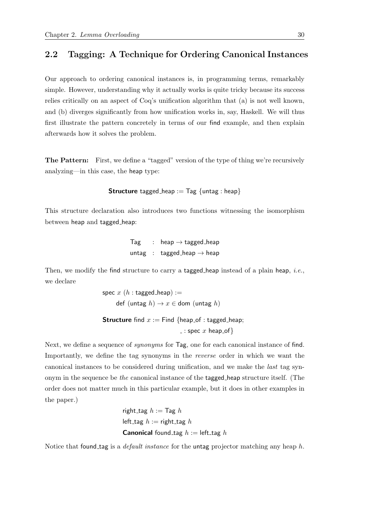## <span id="page-49-0"></span>2.2 Tagging: A Technique for Ordering Canonical Instances

Our approach to ordering canonical instances is, in programming terms, remarkably simple. However, understanding why it actually works is quite tricky because its success relies critically on an aspect of Coq's unification algorithm that (a) is not well known, and (b) diverges significantly from how unification works in, say, Haskell. We will thus first illustrate the pattern concretely in terms of our find example, and then explain afterwards how it solves the problem.

The Pattern: First, we define a "tagged" version of the type of thing we're recursively analyzing—in this case, the heap type:

**Structure** tagged heap :=  $\text{Tag } \{$  untag : heap

This structure declaration also introduces two functions witnessing the isomorphism between heap and tagged heap:

> Tag : heap  $\rightarrow$  tagged heap untag : tagged heap  $\rightarrow$  heap

Then, we modify the find structure to carry a tagged heap instead of a plain heap, *i.e.*, we declare

> spec  $x(h:$  tagged heap) := def (untag  $h$ )  $\rightarrow$   $x \in$  dom (untag  $h$ )

**Structure** find  $x :=$  Find {heap\_of : tagged\_heap;

 $=$ : spec  $x$  heap of  $\}$ 

Next, we define a sequence of *synonyms* for  $\text{Tag}$ , one for each canonical instance of find. Importantly, we define the tag synonyms in the reverse order in which we want the canonical instances to be considered during unification, and we make the last tag synonym in the sequence be the canonical instance of the tagged heap structure itself. (The order does not matter much in this particular example, but it does in other examples in the paper.)

```
right_tag h := \text{Tag } hleft_tag h := \text{right\_tag } hCanonical found tag h := left tag h
```
Notice that found tag is a *default instance* for the untag projector matching any heap  $h$ .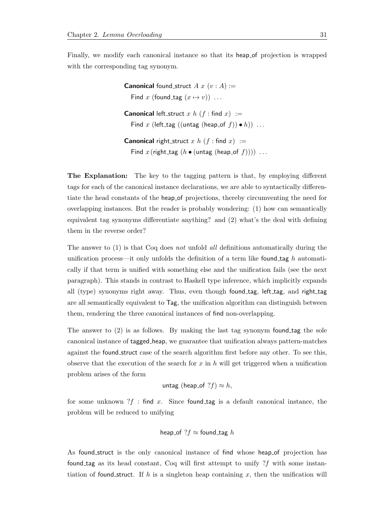Finally, we modify each canonical instance so that its heap of projection is wrapped with the corresponding tag synonym.

> **Canonical** found struct  $A x (v : A) :=$ Find x (found\_tag  $(x \mapsto v)$ ) ... **Canonical** left\_struct x h  $(f : \text{find } x) :=$ Find x (left\_tag ((untag (heap\_of f))  $\bullet$  h)) ... **Canonical** right struct x h  $(f : \text{find } x) :=$ Find x (right\_tag ( $h \bullet$  (untag (heap\_of f)))) ...

The Explanation: The key to the tagging pattern is that, by employing different tags for each of the canonical instance declarations, we are able to syntactically differentiate the head constants of the heap of projections, thereby circumventing the need for overlapping instances. But the reader is probably wondering: (1) how can semantically equivalent tag synonyms differentiate anything? and (2) what's the deal with defining them in the reverse order?

The answer to (1) is that Coq does not unfold all definitions automatically during the unification process—it only unfolds the definition of a term like found tag h automatically if that term is unified with something else and the unification fails (see the next paragraph). This stands in contrast to Haskell type inference, which implicitly expands all (type) synonyms right away. Thus, even though found tag, left tag, and right tag are all semantically equivalent to Tag, the unification algorithm can distinguish between them, rendering the three canonical instances of find non-overlapping.

The answer to (2) is as follows. By making the last tag synonym found tag the sole canonical instance of tagged heap, we guarantee that unification always pattern-matches against the found struct case of the search algorithm first before any other. To see this, observe that the execution of the search for  $x$  in  $h$  will get triggered when a unification problem arises of the form

untag (heap\_of 
$$
?f) \approx h
$$
,

for some unknown  $?f$ : find x. Since found tag is a default canonical instance, the problem will be reduced to unifying

heap\_of 
$$
?f \approx
$$
 found-tag h

As found struct is the only canonical instance of find whose heap of projection has found tag as its head constant, Coq will first attempt to unify  $?f$  with some instantiation of found struct. If h is a singleton heap containing x, then the unification will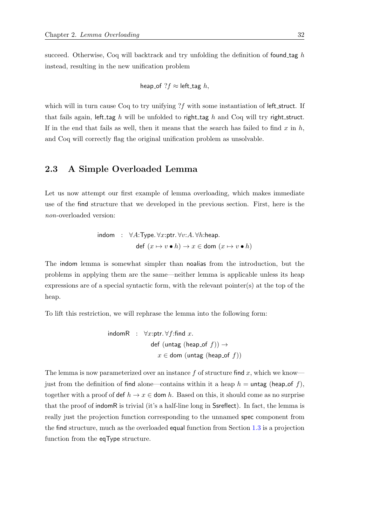succeed. Otherwise, Coq will backtrack and try unfolding the definition of found  $\text{tag } h$ instead, resulting in the new unification problem

heap\_of 
$$
?f \approx
$$
 left-tag h,

which will in turn cause Coq to try unifying ?f with some instantiation of left\_struct. If that fails again, left tag h will be unfolded to right tag h and Coq will try right struct. If in the end that fails as well, then it means that the search has failed to find  $x$  in  $h$ , and Coq will correctly flag the original unification problem as unsolvable.

## <span id="page-51-0"></span>2.3 A Simple Overloaded Lemma

Let us now attempt our first example of lemma overloading, which makes immediate use of the find structure that we developed in the previous section. First, here is the non-overloaded version:

$$
\begin{array}{lcl}\n\text{indom} & : & \forall A \colon \text{Type.} \ \forall x \colon \text{ptr.} \ \forall v \colon A. \ \forall h \colon \text{heap.} \\
& \text{def} \ (x \mapsto v \bullet h) \to x \in \text{dom} \ (x \mapsto v \bullet h)\n\end{array}
$$

The indom lemma is somewhat simpler than noalias from the introduction, but the problems in applying them are the same—neither lemma is applicable unless its heap expressions are of a special syntactic form, with the relevant pointer(s) at the top of the heap.

To lift this restriction, we will rephrase the lemma into the following form:

$$
\begin{array}{rl}\text{indomR} & : \ \forall x \text{:ptr.} \, \forall f \text{:find } x.\\ & \mathrm{def}\ (\text{untag}\ (\text{heap_of}\ f)) \rightarrow \\ & x \in \mathrm{dom}\ (\text{untag}\ (\text{heap_of}\ f))\end{array}
$$

The lemma is now parameterized over an instance  $f$  of structure find  $x$ , which we know just from the definition of find alone—contains within it a heap  $h = \text{untag}$  (heap of f), together with a proof of def  $h \to x \in$  dom h. Based on this, it should come as no surprise that the proof of indomR is trivial (it's a half-line long in Ssreflect). In fact, the lemma is really just the projection function corresponding to the unnamed spec component from the find structure, much as the overloaded equal function from Section [1.3](#page-39-1) is a projection function from the eqType structure.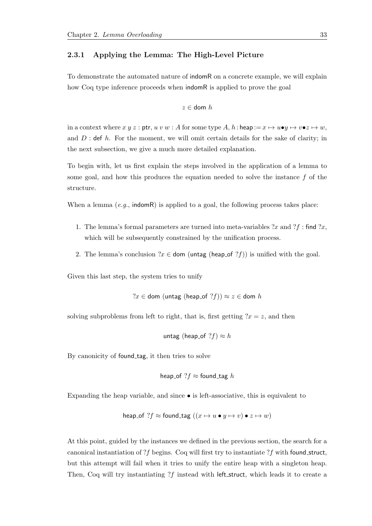#### <span id="page-52-0"></span>2.3.1 Applying the Lemma: The High-Level Picture

To demonstrate the automated nature of indomR on a concrete example, we will explain how Coq type inference proceeds when indomR is applied to prove the goal

$$
z\in\text{dom }h
$$

in a context where  $x y z$ : ptr,  $u v w$ : A for some type  $A, h$ : heap  $:= x \mapsto u \bullet y \mapsto v \bullet z \mapsto w$ , and  $D$ : def h. For the moment, we will omit certain details for the sake of clarity; in the next subsection, we give a much more detailed explanation.

To begin with, let us first explain the steps involved in the application of a lemma to some goal, and how this produces the equation needed to solve the instance  $f$  of the structure.

When a lemma  $(e,q)$ , indomR) is applied to a goal, the following process takes place:

- 1. The lemma's formal parameters are turned into meta-variables  $2x$  and  $2f$  : find  $2x$ , which will be subsequently constrained by the unification process.
- 2. The lemma's conclusion  $x \in$  dom (untag (heap of  $?f$ ) is unified with the goal.

Given this last step, the system tries to unify

 $?x \in$  dom (untag (heap\_of  $?f$ ))  $\approx$  z  $\in$  dom h

solving subproblems from left to right, that is, first getting  $2x = z$ , and then

untag (heap\_of 
$$
?f) \approx h
$$

By canonicity of found tag, it then tries to solve

heap\_of 
$$
?f \approx
$$
 found-tag h

Expanding the heap variable, and since • is left-associative, this is equivalent to

$$
\mathsf{heap\_of}\ ?f \approx \mathsf{found\_tag}\ (\ (x \mapsto u \bullet y \mapsto v) \bullet z \mapsto w)
$$

At this point, guided by the instances we defined in the previous section, the search for a canonical instantiation of ?f begins. Coq will first try to instantiate ?f with found struct, but this attempt will fail when it tries to unify the entire heap with a singleton heap. Then, Coq will try instantiating  $?f$  instead with left\_struct, which leads it to create a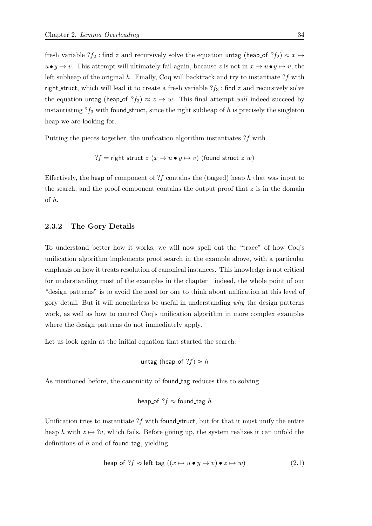fresh variable  $?f_2$ : find z and recursively solve the equation untag (heap of  $?f_2$ )  $\approx x \mapsto$  $u\bullet y \mapsto v$ . This attempt will ultimately fail again, because z is not in  $x \mapsto u\bullet y \mapsto v$ , the left subheap of the original  $h$ . Finally, Coq will backtrack and try to instantiate  $?f$  with right\_struct, which will lead it to create a fresh variable  $?f_3$ : find z and recursively solve the equation untag (heap of  $?f_3$ )  $\approx z \mapsto w$ . This final attempt will indeed succeed by instantiating  $?f_3$  with found struct, since the right subheap of h is precisely the singleton heap we are looking for.

Putting the pieces together, the unification algorithm instantiates ?f with

?f = right\_struct  $z(x \mapsto u \bullet y \mapsto v)$  (found\_struct  $z(w)$ )

Effectively, the heap of component of ?f contains the (tagged) heap h that was input to the search, and the proof component contains the output proof that  $z$  is in the domain of h.

#### <span id="page-53-1"></span>2.3.2 The Gory Details

To understand better how it works, we will now spell out the "trace" of how Coq's unification algorithm implements proof search in the example above, with a particular emphasis on how it treats resolution of canonical instances. This knowledge is not critical for understanding most of the examples in the chapter—indeed, the whole point of our "design patterns" is to avoid the need for one to think about unification at this level of gory detail. But it will nonetheless be useful in understanding why the design patterns work, as well as how to control Coq's unification algorithm in more complex examples where the design patterns do not immediately apply.

Let us look again at the initial equation that started the search:

untag (heap\_of 
$$
?f) \approx h
$$

As mentioned before, the canonicity of found tag reduces this to solving

heap\_of 
$$
?f \approx
$$
 found-tag h

Unification tries to instantiate  $?f$  with found struct, but for that it must unify the entire heap h with  $z \mapsto ?v$ , which fails. Before giving up, the system realizes it can unfold the definitions of  $h$  and of found tag, yielding

<span id="page-53-0"></span>
$$
\text{heap_of } ?f \approx \text{left\_tag } ((x \mapsto u \bullet y \mapsto v) \bullet z \mapsto w) \tag{2.1}
$$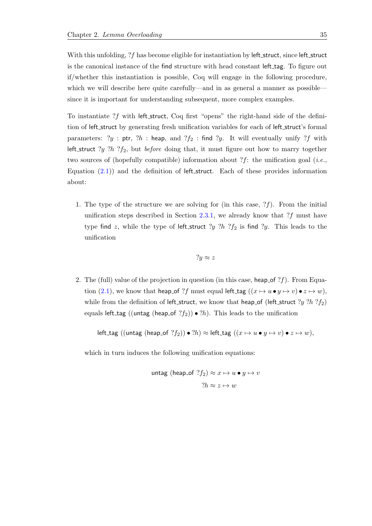With this unfolding,  $?f$  has become eligible for instantiation by left\_struct, since left\_struct is the canonical instance of the find structure with head constant left tag. To figure out if/whether this instantiation is possible, Coq will engage in the following procedure, which we will describe here quite carefully—and in as general a manner as possible since it is important for understanding subsequent, more complex examples.

To instantiate  $?f$  with left\_struct, Coq first "opens" the right-hand side of the definition of left struct by generating fresh unification variables for each of left struct's formal parameters:  $?y$  : ptr,  $?h$  : heap, and  $?f_2$  : find  $?y$ . It will eventually unify  $?f$  with left\_struct ?y ?h ? $f_2$ , but *before* doing that, it must figure out how to marry together two sources of (hopefully compatible) information about ?f: the unification goal (*i.e.*, Equation  $(2.1)$  and the definition of left struct. Each of these provides information about:

1. The type of the structure we are solving for (in this case,  $?f$ ). From the initial unification steps described in Section [2.3.1,](#page-52-0) we already know that  $?f$  must have type find z, while the type of left\_struct  $?y ?h ?f_2$  is find  $?y$ . This leads to the unification

$$
?y \approx z
$$

2. The (full) value of the projection in question (in this case, heap of  $?f$ ). From Equa-tion [\(2.1\)](#page-53-0), we know that heap of ?f must equal left tag  $((x \mapsto u \bullet y \mapsto v) \bullet z \mapsto w)$ , while from the definition of left\_struct, we know that heap\_of (left\_struct ?y ?h ? $f_2$ ) equals left\_tag ((untag (heap\_of  $?f_2$ )) •  $?h$ ). This leads to the unification

left\_tag ((untag (heap\_of  $?f_2$ )) •  $?h$ )  $\approx$  left\_tag ( $(x \mapsto u \bullet y \mapsto v) \bullet z \mapsto w$ ),

which in turn induces the following unification equations:

$$
\begin{aligned} \text{untag (heap_of } ?f_2) &\approx x \mapsto u \bullet y \mapsto v \\ &\quad ?h \approx z \mapsto w \end{aligned}
$$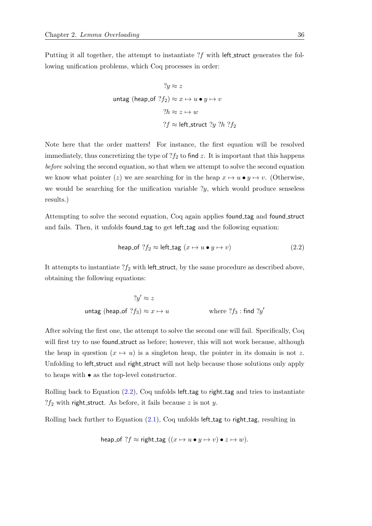Putting it all together, the attempt to instantiate  $?f$  with left\_struct generates the following unification problems, which Coq processes in order:

$$
?y \approx z
$$
  
untag (heap\_of  $?f_2$ )  $\approx x \mapsto u \bullet y \mapsto v$   
 $?h \approx z \mapsto w$   
 $?f \approx$  left\_struct  $?y ?h ?f_2$ 

Note here that the order matters! For instance, the first equation will be resolved immediately, thus concretizing the type of  $?f_2$  to find z. It is important that this happens before solving the second equation, so that when we attempt to solve the second equation we know what pointer (z) we are searching for in the heap  $x \mapsto u \bullet y \mapsto v$ . (Otherwise, we would be searching for the unification variable  $y$ , which would produce senseless results.)

Attempting to solve the second equation, Coq again applies found tag and found struct and fails. Then, it unfolds found tag to get left tag and the following equation:

<span id="page-55-0"></span>
$$
\text{heap_of } ?f_2 \approx \text{left\_tag } (x \mapsto u \bullet y \mapsto v) \tag{2.2}
$$

It attempts to instantiate  $?f_2$  with left\_struct, by the same procedure as described above, obtaining the following equations:

$$
?y' \approx z
$$
\n
$$
\text{untag (heap_of } ?f_3) \approx x \mapsto u \qquad \qquad \text{where } ?f_3: \text{find } ?y'
$$

After solving the first one, the attempt to solve the second one will fail. Specifically, Coq will first try to use found\_struct as before; however, this will not work because, although the heap in question  $(x \mapsto u)$  is a singleton heap, the pointer in its domain is not z. Unfolding to left struct and right struct will not help because those solutions only apply to heaps with • as the top-level constructor.

Rolling back to Equation  $(2.2)$ , Coq unfolds left tag to right tag and tries to instantiate  $?f_2$  with right\_struct. As before, it fails because z is not y.

Rolling back further to Equation  $(2.1)$ , Coq unfolds left tag to right tag, resulting in

heap\_of ?
$$
f
$$
 ≈ right-tag  $((x \mapsto u \bullet y \mapsto v) \bullet z \mapsto w)$ .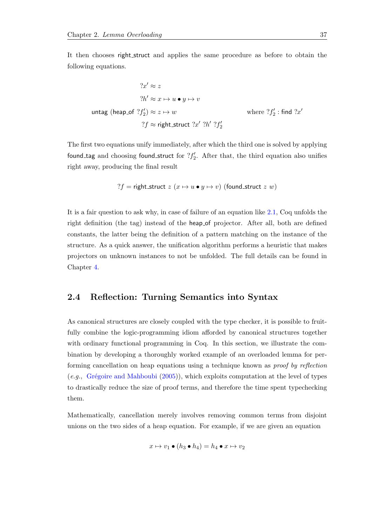It then chooses right struct and applies the same procedure as before to obtain the following equations.

$$
?x' \approx z
$$
  
\n
$$
?h' \approx x \mapsto u \bullet y \mapsto v
$$
  
\n
$$
u \mapsto u \bullet y \mapsto v
$$
  
\n
$$
?f_2' \approx z \mapsto w
$$
  
\n
$$
?f \approx \text{right\_struct } ?x' ?h' ?f_2'
$$
  
\nwhere  $?f_2'$ : find  $?x'$ 

The first two equations unify immediately, after which the third one is solved by applying found tag and choosing found struct for  $?f'_{2}$ . After that, the third equation also unifies right away, producing the final result

? 
$$
f
$$
 = right-struct  $z$  ( $x \mapsto u \bullet y \mapsto v$ ) (found-struct  $z$   $w$ )

It is a fair question to ask why, in case of failure of an equation like [2.1,](#page-53-0) Coq unfolds the right definition (the tag) instead of the heap of projector. After all, both are defined constants, the latter being the definition of a pattern matching on the instance of the structure. As a quick answer, the unification algorithm performs a heuristic that makes projectors on unknown instances to not be unfolded. The full details can be found in Chapter [4.](#page-160-0)

## <span id="page-56-0"></span>2.4 Reflection: Turning Semantics into Syntax

As canonical structures are closely coupled with the type checker, it is possible to fruitfully combine the logic-programming idiom afforded by canonical structures together with ordinary functional programming in Coq. In this section, we illustrate the combination by developing a thoroughly worked example of an overloaded lemma for performing cancellation on heap equations using a technique known as proof by reflection (e.g., Grégoire and Mahboubi  $(2005)$ ), which exploits computation at the level of types to drastically reduce the size of proof terms, and therefore the time spent typechecking them.

Mathematically, cancellation merely involves removing common terms from disjoint unions on the two sides of a heap equation. For example, if we are given an equation

$$
x \mapsto v_1 \bullet (h_3 \bullet h_4) = h_4 \bullet x \mapsto v_2
$$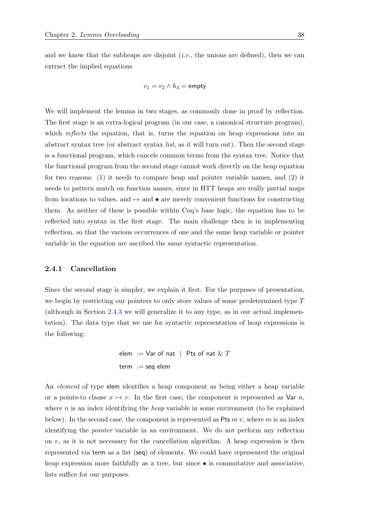and we know that the subheaps are disjoint  $(i.e.,$  the unions are defined), then we can extract the implied equations

$$
v_1 = v_2 \wedge h_3 = \text{empty}
$$

We will implement the lemma in two stages, as commonly done in proof by reflection. The first stage is an extra-logical program (in our case, a canonical structure program), which *reflects* the equation, that is, turns the equation on heap expressions into an abstract syntax tree (or abstract syntax list, as it will turn out). Then the second stage is a functional program, which cancels common terms from the syntax tree. Notice that the functional program from the second stage cannot work directly on the heap equation for two reasons: (1) it needs to compare heap and pointer variable names, and (2) it needs to pattern match on function names, since in HTT heaps are really partial maps from locations to values, and  $\rightarrow$  and  $\bullet$  are merely convenient functions for constructing them. As neither of these is possible within Coq's base logic, the equation has to be reflected into syntax in the first stage. The main challenge then is in implementing reflection, so that the various occurrences of one and the same heap variable or pointer variable in the equation are ascribed the same syntactic representation.

#### 2.4.1 Cancellation

Since the second stage is simpler, we explain it first. For the purposes of presentation, we begin by restricting our pointers to only store values of some predetermined type T (although in Section [2.4.3](#page-64-0) we will generalize it to any type, as in our actual implementation). The data type that we use for syntactic representation of heap expressions is the following:

$$
elem := Var of nat \mid \text{Pts of nat} \& T
$$
\n
$$
term := seq \text{ elem}
$$

An element of type elem identifies a heap component as being either a heap variable or a points-to clause  $x \mapsto v$ . In the first case, the component is represented as Var n, where  $n$  is an index identifying the *heap* variable in some environment (to be explained below). In the second case, the component is represented as Pts  $m v$ , where m is an index identifying the pointer variable in an environment. We do not perform any reflection on  $v$ , as it is not necessary for the cancellation algorithm. A heap expression is then represented via term as a list (seq) of elements. We could have represented the original heap expression more faithfully as a tree, but since  $\bullet$  is commutative and associative, lists suffice for our purposes.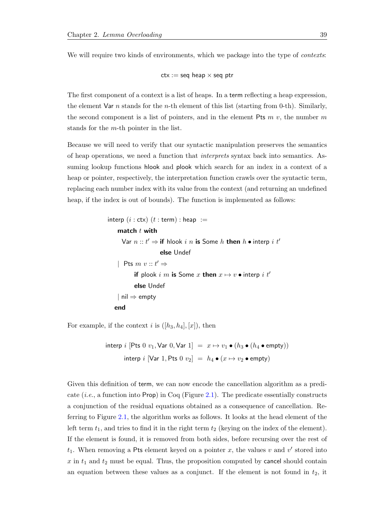We will require two kinds of environments, which we package into the type of *contexts*:

$$
ctx := seq \text{ heap} \times seq \text{ptr}
$$

The first component of a context is a list of heaps. In a term reflecting a heap expression, the element Var *n* stands for the *n*-th element of this list (starting from 0-th). Similarly, the second component is a list of pointers, and in the element Pts  $m\,v$ , the number  $m$ stands for the m-th pointer in the list.

Because we will need to verify that our syntactic manipulation preserves the semantics of heap operations, we need a function that interprets syntax back into semantics. Assuming lookup functions hlook and plook which search for an index in a context of a heap or pointer, respectively, the interpretation function crawls over the syntactic term, replacing each number index with its value from the context (and returning an undefined heap, if the index is out of bounds). The function is implemented as follows:

```
interp (i : \text{ctx}) (t : \text{term}) : \text{heap} :=match t with
      Var n :: t' \Rightarrow if hlook i \; n is Some h then h \bullet interp i \; t'else Undef
    | Pts m v :: t' \Rightarrowif plook i m is Some x then x \mapsto v \bullet interp i t'
            else Undef
    | nil ⇒ empty
   end
```
For example, if the context i is  $([h_3, h_4], [x])$ , then

$$
\begin{array}{rcl}\n\text{interp } i \; [\text{Pts } 0 \; v_1, \text{Var } 0, \text{Var } 1] & = & x \mapsto v_1 \bullet (h_3 \bullet (h_4 \bullet \text{empty})) \\
\text{interp } i \; [\text{Var } 1, \text{Pts } 0 \; v_2] & = & h_4 \bullet (x \mapsto v_2 \bullet \text{empty})\n\end{array}
$$

Given this definition of term, we can now encode the cancellation algorithm as a predicate (*i.e.*, a function into Prop) in Coq (Figure [2.1\)](#page-59-0). The predicate essentially constructs a conjunction of the residual equations obtained as a consequence of cancellation. Referring to Figure [2.1,](#page-59-0) the algorithm works as follows. It looks at the head element of the left term  $t_1$ , and tries to find it in the right term  $t_2$  (keying on the index of the element). If the element is found, it is removed from both sides, before recursing over the rest of  $t_1$ . When removing a Pts element keyed on a pointer x, the values v and v' stored into  $x$  in  $t_1$  and  $t_2$  must be equal. Thus, the proposition computed by cancel should contain an equation between these values as a conjunct. If the element is not found in  $t_2$ , it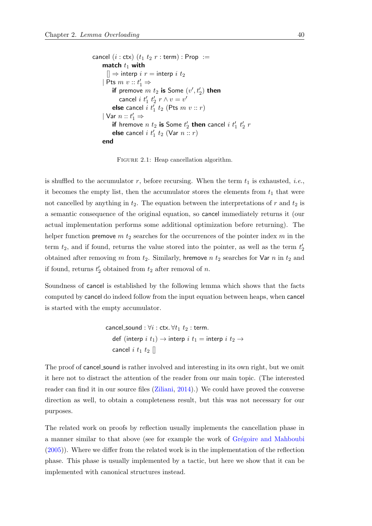```
cancel (i : \text{ctx}) (t_1 t_2 r : \text{term}) : \text{Prop} :=match t_1 with
       [] \Rightarrow interp i r = interp i t_2| Pts m\ v :: t'_1 \Rightarrowif premove m t_2 is Some (v^\prime, t_2^\prime) then
              cancel i \; t'_1 \; t'_2 \; r \wedge v = v'else cancel i \, t'_1 \, t_2 (Pts m \, v :: r)
     | Var n :: t'_1 \Rightarrowif hremove n \; t_2 is Some t_2' then cancel i \; t_1' \; t_2' \; relse cancel i \; t'_1 \; t_2 \; (\textsf{Var} \; n :: r)end
```
FIGURE 2.1: Heap cancellation algorithm.

is shuffled to the accumulator r, before recursing. When the term  $t_1$  is exhausted, *i.e.*, it becomes the empty list, then the accumulator stores the elements from  $t_1$  that were not cancelled by anything in  $t_2$ . The equation between the interpretations of r and  $t_2$  is a semantic consequence of the original equation, so cancel immediately returns it (our actual implementation performs some additional optimization before returning). The helper function premove  $m t_2$  searches for the occurrences of the pointer index  $m$  in the term  $t_2$ , and if found, returns the value stored into the pointer, as well as the term  $t_2$ obtained after removing m from  $t_2$ . Similarly, hremove n  $t_2$  searches for Var n in  $t_2$  and if found, returns  $t'_2$  obtained from  $t_2$  after removal of n.

Soundness of cancel is established by the following lemma which shows that the facts computed by cancel do indeed follow from the input equation between heaps, when cancel is started with the empty accumulator.

```
cancel_sound : \forall i : ctx. \forall t_1 \, t_2 : term.
   def (interp i \t t_1) \rightarrow interp i \t t_1 = interp i \t t_2 \rightarrowcancel i t_1 t_2 \parallel
```
The proof of cancel sound is rather involved and interesting in its own right, but we omit it here not to distract the attention of the reader from our main topic. (The interested reader can find it in our source files [\(Ziliani,](#page-216-2) [2014\)](#page-216-2).) We could have proved the converse direction as well, to obtain a completeness result, but this was not necessary for our purposes.

The related work on proofs by reflection usually implements the cancellation phase in a manner similar to that above (see for example the work of Grégoire and Mahboubi [\(2005\)](#page-212-3)). Where we differ from the related work is in the implementation of the reflection phase. This phase is usually implemented by a tactic, but here we show that it can be implemented with canonical structures instead.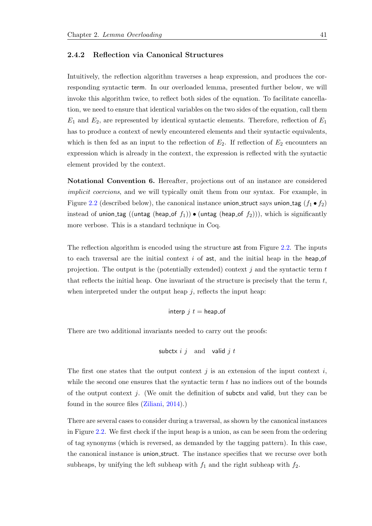#### 2.4.2 Reflection via Canonical Structures

Intuitively, the reflection algorithm traverses a heap expression, and produces the corresponding syntactic term. In our overloaded lemma, presented further below, we will invoke this algorithm twice, to reflect both sides of the equation. To facilitate cancellation, we need to ensure that identical variables on the two sides of the equation, call them  $E_1$  and  $E_2$ , are represented by identical syntactic elements. Therefore, reflection of  $E_1$ has to produce a context of newly encountered elements and their syntactic equivalents, which is then fed as an input to the reflection of  $E_2$ . If reflection of  $E_2$  encounters an expression which is already in the context, the expression is reflected with the syntactic element provided by the context.

<span id="page-60-0"></span>Notational Convention 6. Hereafter, projections out of an instance are considered implicit coercions, and we will typically omit them from our syntax. For example, in Figure [2.2](#page-61-0) (described below), the canonical instance union struct says union tag  $(f_1 \bullet f_2)$ instead of union\_tag ((untag (heap\_of  $f_1$ ))  $\bullet$  (untag (heap\_of  $f_2$ ))), which is significantly more verbose. This is a standard technique in Coq.

The reflection algorithm is encoded using the structure ast from Figure [2.2.](#page-61-0) The inputs to each traversal are the initial context  $i$  of ast, and the initial heap in the heap of projection. The output is the (potentially extended) context  $j$  and the syntactic term  $t$ that reflects the initial heap. One invariant of the structure is precisely that the term  $t$ , when interpreted under the output heap  $j$ , reflects the input heap:

$$
interp j t = \text{heap_of}
$$

There are two additional invariants needed to carry out the proofs:

$$
\mathsf{subctx} \text{ } i \text{ } j \quad \text{and} \quad \mathsf{valid} \text{ } j \text{ } t
$$

The first one states that the output context  $j$  is an extension of the input context  $i$ , while the second one ensures that the syntactic term  $t$  has no indices out of the bounds of the output context  $j$ . (We omit the definition of subctx and valid, but they can be found in the source files [\(Ziliani,](#page-216-2) [2014\)](#page-216-2).)

There are several cases to consider during a traversal, as shown by the canonical instances in Figure [2.2.](#page-61-0) We first check if the input heap is a union, as can be seen from the ordering of tag synonyms (which is reversed, as demanded by the tagging pattern). In this case, the canonical instance is union struct. The instance specifies that we recurse over both subheaps, by unifying the left subheap with  $f_1$  and the right subheap with  $f_2$ .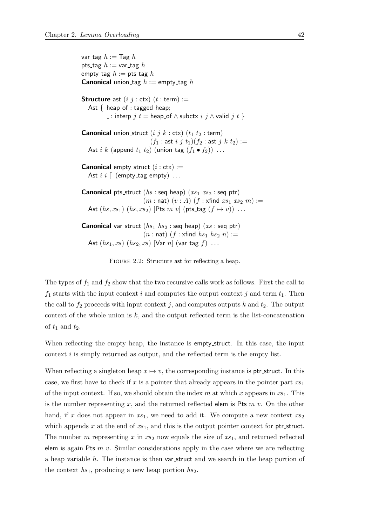<span id="page-61-0"></span>var tag  $h := \textsf{Tag } h$ pts\_tag  $h := \text{var\_tag } h$ empty\_tag  $h :=$  pts\_tag  $h$ **Canonical** union\_tag  $h :=$  empty\_tag  $h$ **Structure** ast  $(i \ j : \text{ctx}) \ (t : \text{term}) :=$ Ast { heap\_of : tagged\_heap;  $\Box$ : interp  $j$  t = heap\_of  $\land$  subctx  $i$   $j \land$  valid  $j$  t  $\}$ **Canonical** union struct  $(i \, j \, k : \text{ctx})$   $(t_1 \, t_2 : \text{term})$  $(f_1 : \textsf{ast} \, i \, j \, t_1)(f_2 : \textsf{ast} \, j \, k \, t_2) :=$ Ast i k (append  $t_1$   $t_2$ ) (union\_tag  $(f_1 \bullet f_2)$ ) ... **Canonical** empty\_struct  $(i : \text{ctx}) :=$ Ast  $i \ i$   $\lbrack$  (empty\_tag empty)  $\ldots$ **Canonical** pts\_struct  $(hs : \text{seq heap})$   $(xs_1 \, xs_2 : \text{seq phr})$  $(m : \textsf{nat})$   $(v : A)$   $(f : \textsf{xfind } xs_1 xs_2 m) :=$ Ast  $(hs, xs_1)$   $(hs, xs_2)$  [Pts  $m v$ ] (pts\_tag  $(f \mapsto v)$ ) ... **Canonical** var\_struct  $(hs_1, hs_2$  : seq heap)  $(xs : seq ptr)$  $(n : \textsf{nat})$   $(f : \textsf{xfind}$   $hs_1$   $hs_2$   $n) :=$ Ast  $(hs_1, xs)$   $(hs_2, xs)$   $[Var\ n]$   $(var\_tag\ f)$  ...

FIGURE 2.2: Structure ast for reflecting a heap.

The types of  $f_1$  and  $f_2$  show that the two recursive calls work as follows. First the call to  $f_1$  starts with the input context i and computes the output context j and term  $t_1$ . Then the call to  $f_2$  proceeds with input context j, and computes outputs k and  $t_2$ . The output context of the whole union is  $k$ , and the output reflected term is the list-concatenation of  $t_1$  and  $t_2$ .

When reflecting the empty heap, the instance is **empty** struct. In this case, the input context  $i$  is simply returned as output, and the reflected term is the empty list.

When reflecting a singleton heap  $x \mapsto v$ , the corresponding instance is ptr\_struct. In this case, we first have to check if x is a pointer that already appears in the pointer part  $xs_1$ of the input context. If so, we should obtain the index m at which x appears in  $xs_1$ . This is the number representing x, and the returned reflected elem is Pts  $m\,v$ . On the other hand, if x does not appear in  $xs_1$ , we need to add it. We compute a new context  $xs_2$ which appends  $x$  at the end of  $xs_1$ , and this is the output pointer context for ptr\_struct. The number m representing x in  $xs_2$  now equals the size of  $xs_1$ , and returned reflected elem is again Pts  $m$  v. Similar considerations apply in the case where we are reflecting a heap variable h. The instance is then var struct and we search in the heap portion of the context  $hs_1$ , producing a new heap portion  $hs_2$ .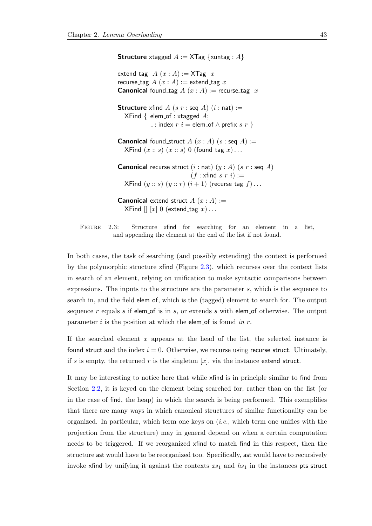<span id="page-62-0"></span>**Structure** xtagged  $A := \text{XTag} \ \{xuntag : A\}$ extend\_tag  $A(x : A) := \mathsf{XTag} x$ recurse\_tag  $A(x:A) :=$  extend\_tag x **Canonical** found\_tag  $A(x:A) :=$  recurse\_tag x **Structure** xfind A (s r : seq A)  $(i : nat) :=$  $XFind \{ elem_of : xtagged A;$  $\lbrack$  : index  $r$  *i* = elem\_of  $\land$  prefix  $s$   $r$  } **Canonical** found struct  $A(x:A)$   $(s:seq A) :=$  $XFind(x:: s)(x:: s) 0 (found\_tag x)...$ **Canonical** recurse\_struct  $(i : nat)$   $(y : A)$   $(s r : \text{seq } A)$  $(f : x$ find s r i) := XFind  $(y:: s)$   $(y:: r)$   $(i + 1)$  (recurse\_tag  $f$ )... **Canonical** extend struct  $A(x : A) :=$  $XFind [ ] [x] 0 (extend\_tag x) \dots$ 

FIGURE 2.3: Structure xfind for searching for an element in a list, and appending the element at the end of the list if not found.

In both cases, the task of searching (and possibly extending) the context is performed by the polymorphic structure xfind (Figure [2.3\)](#page-62-0), which recurses over the context lists in search of an element, relying on unification to make syntactic comparisons between expressions. The inputs to the structure are the parameter s, which is the sequence to search in, and the field elem of, which is the (tagged) element to search for. The output sequence  $r$  equals  $s$  if elem of is in  $s$ , or extends  $s$  with elem of otherwise. The output parameter i is the position at which the elem of is found in  $r$ .

If the searched element  $x$  appears at the head of the list, the selected instance is found struct and the index  $i = 0$ . Otherwise, we recurse using recurse struct. Ultimately, if s is empty, the returned r is the singleton  $[x]$ , via the instance extend struct.

It may be interesting to notice here that while xfind is in principle similar to find from Section [2.2,](#page-49-0) it is keyed on the element being searched for, rather than on the list (or in the case of find, the heap) in which the search is being performed. This exemplifies that there are many ways in which canonical structures of similar functionality can be organized. In particular, which term one keys on  $(i.e.,$  which term one unifies with the projection from the structure) may in general depend on when a certain computation needs to be triggered. If we reorganized xfind to match find in this respect, then the structure ast would have to be reorganized too. Specifically, ast would have to recursively invoke xfind by unifying it against the contexts  $xs_1$  and  $hs_1$  in the instances pts struct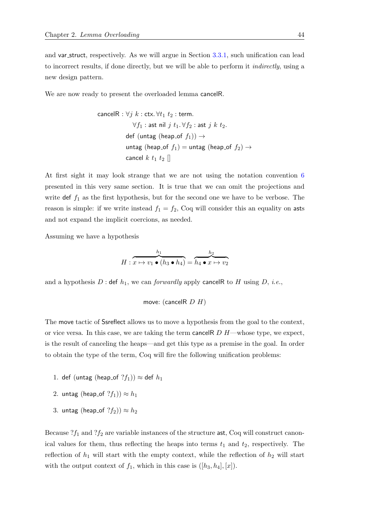and var struct, respectively. As we will argue in Section [3.3.1,](#page-103-0) such unification can lead to incorrect results, if done directly, but we will be able to perform it *indirectly*, using a new design pattern.

We are now ready to present the overloaded lemma cancelR.

$$
\begin{aligned}\n\text{cancelR}: \forall j \ k: \text{ctx.} \ \forall t_1 \ t_2: \text{term.} \\
\forall f_1: \text{ast nil } j \ t_1. \forall f_2: \text{ast } j \ k \ t_2. \\
\text{def} (\text{untag (heap_of } f_1)) \rightarrow \\
\text{untag (heap_of } f_1) = \text{untag (heap_of } f_2) \rightarrow \\
\text{cancel } k \ t_1 \ t_2 \ []\n\end{aligned}
$$

At first sight it may look strange that we are not using the notation convention [6](#page-60-0) presented in this very same section. It is true that we can omit the projections and write def  $f_1$  as the first hypothesis, but for the second one we have to be verbose. The reason is simple: if we write instead  $f_1 = f_2$ , Coq will consider this an equality on asts and not expand the implicit coercions, as needed.

Assuming we have a hypothesis

$$
H: \overbrace{x \mapsto v_1 \bullet (h_3 \bullet h_4)}^{h_1} = \overbrace{h_4 \bullet x \mapsto v_2}^{h_2}
$$

and a hypothesis  $D$ : def  $h_1$ , we can *forwardly* apply cancelR to H using  $D$ , *i.e.*,

move: (cancelR  $D$  H)

The move tactic of Ssreflect allows us to move a hypothesis from the goal to the context, or vice versa. In this case, we are taking the term cancel  $D H$ —whose type, we expect, is the result of canceling the heaps—and get this type as a premise in the goal. In order to obtain the type of the term, Coq will fire the following unification problems:

- 1. def (untag (heap\_of  $?f_1$ ))  $\approx$  def  $h_1$
- 2. untag (heap of  $?f_1$ ))  $\approx h_1$
- 3. untag (heap\_of  $?f_2$ ))  $\approx h_2$

Because  $?f_1$  and  $?f_2$  are variable instances of the structure ast, Coq will construct canonical values for them, thus reflecting the heaps into terms  $t_1$  and  $t_2$ , respectively. The reflection of  $h_1$  will start with the empty context, while the reflection of  $h_2$  will start with the output context of  $f_1$ , which in this case is  $([h_3, h_4], [x])$ .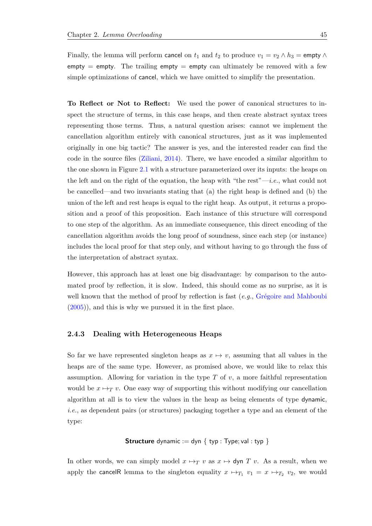Finally, the lemma will perform cancel on  $t_1$  and  $t_2$  to produce  $v_1 = v_2 \wedge h_3 =$  empty  $\wedge$  $empty = empty$ . The trailing empty  $=$  empty can ultimately be removed with a few simple optimizations of cancel, which we have omitted to simplify the presentation.

To Reflect or Not to Reflect: We used the power of canonical structures to inspect the structure of terms, in this case heaps, and then create abstract syntax trees representing those terms. Thus, a natural question arises: cannot we implement the cancellation algorithm entirely with canonical structures, just as it was implemented originally in one big tactic? The answer is yes, and the interested reader can find the code in the source files [\(Ziliani,](#page-216-2) [2014\)](#page-216-2). There, we have encoded a similar algorithm to the one shown in Figure [2.1](#page-59-0) with a structure parameterized over its inputs: the heaps on the left and on the right of the equation, the heap with "the rest"—i.e., what could not be cancelled—and two invariants stating that (a) the right heap is defined and (b) the union of the left and rest heaps is equal to the right heap. As output, it returns a proposition and a proof of this proposition. Each instance of this structure will correspond to one step of the algorithm. As an immediate consequence, this direct encoding of the cancellation algorithm avoids the long proof of soundness, since each step (or instance) includes the local proof for that step only, and without having to go through the fuss of the interpretation of abstract syntax.

However, this approach has at least one big disadvantage: by comparison to the automated proof by reflection, it is slow. Indeed, this should come as no surprise, as it is well known that the method of proof by reflection is fast  $(e.g., Gr\acute{e}g\acute{o}ire$  and Mahboubi [\(2005\)](#page-212-3)), and this is why we pursued it in the first place.

#### <span id="page-64-0"></span>2.4.3 Dealing with Heterogeneous Heaps

So far we have represented singleton heaps as  $x \mapsto v$ , assuming that all values in the heaps are of the same type. However, as promised above, we would like to relax this assumption. Allowing for variation in the type  $T$  of  $v$ , a more faithful representation would be  $x \mapsto_T v$ . One easy way of supporting this without modifying our cancellation algorithm at all is to view the values in the heap as being elements of type dynamic, i.e., as dependent pairs (or structures) packaging together a type and an element of the type:

#### **Structure** dynamic := dyn { typ : Type; val : typ }

In other words, we can simply model  $x \mapsto_T v$  as  $x \mapsto$  dyn T v. As a result, when we apply the cancelR lemma to the singleton equality  $x \mapsto_{T_1} v_1 = x \mapsto_{T_2} v_2$ , we would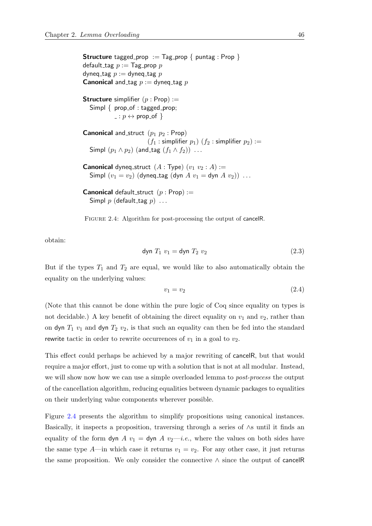<span id="page-65-0"></span>**Structure** tagged prop := Tag prop { puntag : Prop } default\_tag  $p := \text{Tag\_prop } p$ dyneq\_tag  $p :=$  dyneq\_tag  $p$ **Canonical** and tag  $p :=$  dyneq tag p **Structure** simplifier  $(p : Prop) :=$ Simpl  $\{$  prop\_of : tagged\_prop;  $\Box : p \leftrightarrow \text{prop_of}$ **Canonical** and struct  $(p_1 \ p_2 : \text{Prop})$  $(f_1 :$  simplifier  $p_1)$   $(f_2 :$  simplifier  $p_2) :=$ Simpl  $(p_1 \wedge p_2)$  (and\_tag  $(f_1 \wedge f_2)$ ) ... **Canonical** dyneq\_struct  $(A : Type)$   $(v_1 v_2 : A) :=$ Simpl  $(v_1 = v_2)$  (dyneq\_tag (dyn  $A v_1 =$  dyn  $A v_2$ )) ... **Canonical** default\_struct  $(p : Prop) :=$ Simpl p (default\_tag  $p$ ) ...

FIGURE 2.4: Algorithm for post-processing the output of cancelR.

obtain:

$$
\text{dyn } T_1 \ v_1 = \text{dyn } T_2 \ v_2 \tag{2.3}
$$

But if the types  $T_1$  and  $T_2$  are equal, we would like to also automatically obtain the equality on the underlying values:

$$
v_1 = v_2 \tag{2.4}
$$

(Note that this cannot be done within the pure logic of Coq since equality on types is not decidable.) A key benefit of obtaining the direct equality on  $v_1$  and  $v_2$ , rather than on dyn  $T_1$   $v_1$  and dyn  $T_2$   $v_2$ , is that such an equality can then be fed into the standard rewrite tactic in order to rewrite occurrences of  $v_1$  in a goal to  $v_2$ .

This effect could perhaps be achieved by a major rewriting of cancelR, but that would require a major effort, just to come up with a solution that is not at all modular. Instead, we will show now how we can use a simple overloaded lemma to post-process the output of the cancellation algorithm, reducing equalities between dynamic packages to equalities on their underlying value components wherever possible.

Figure [2.4](#page-65-0) presents the algorithm to simplify propositions using canonical instances. Basically, it inspects a proposition, traversing through a series of ∧s until it finds an equality of the form dyn A  $v_1 =$  dyn A  $v_2$ —*i.e.*, where the values on both sides have the same type A—in which case it returns  $v_1 = v_2$ . For any other case, it just returns the same proposition. We only consider the connective ∧ since the output of cancelR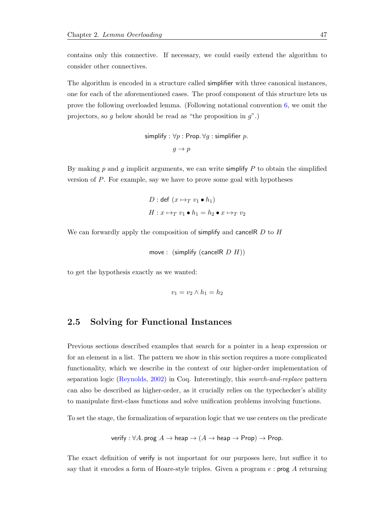contains only this connective. If necessary, we could easily extend the algorithm to consider other connectives.

The algorithm is encoded in a structure called simplifier with three canonical instances, one for each of the aforementioned cases. The proof component of this structure lets us prove the following overloaded lemma. (Following notational convention [6,](#page-60-0) we omit the projectors, so g below should be read as "the proposition in  $g$ ".)

```
simplify : \forall p : Prop. \forall q : simplifier p.
```

```
g \to p
```
By making  $p$  and  $g$  implicit arguments, we can write simplify  $P$  to obtain the simplified version of P. For example, say we have to prove some goal with hypotheses

$$
D: \text{def}(x \mapsto_T v_1 \bullet h_1)
$$

$$
H: x \mapsto_T v_1 \bullet h_1 = h_2 \bullet x \mapsto_T v_2
$$

We can forwardly apply the composition of simplify and cancelR  $D$  to  $H$ 

```
move : (simplify (cancelR D H))
```
to get the hypothesis exactly as we wanted:

$$
v_1 = v_2 \wedge h_1 = h_2
$$

## <span id="page-66-0"></span>2.5 Solving for Functional Instances

Previous sections described examples that search for a pointer in a heap expression or for an element in a list. The pattern we show in this section requires a more complicated functionality, which we describe in the context of our higher-order implementation of separation logic [\(Reynolds,](#page-215-0) [2002\)](#page-215-0) in Coq. Interestingly, this search-and-replace pattern can also be described as higher-order, as it crucially relies on the typechecker's ability to manipulate first-class functions and solve unification problems involving functions.

To set the stage, the formalization of separation logic that we use centers on the predicate

verify : 
$$
\forall A
$$
. prog  $A \rightarrow$  heap  $\rightarrow$   $(A \rightarrow$  heap  $\rightarrow$  Prop)  $\rightarrow$  Prop.

The exact definition of verify is not important for our purposes here, but suffice it to say that it encodes a form of Hoare-style triples. Given a program  $e$ : prog  $\ddot{A}$  returning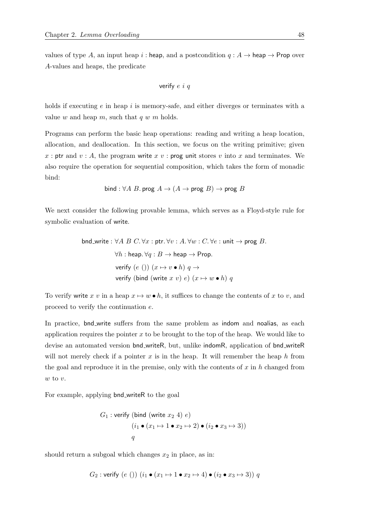values of type A, an input heap i : heap, and a postcondition  $q : A \rightarrow$  heap  $\rightarrow$  Prop over A-values and heaps, the predicate

verify 
$$
e
$$
 i  $q$ 

holds if executing  $e$  in heap i is memory-safe, and either diverges or terminates with a value w and heap m, such that  $q w m$  holds.

Programs can perform the basic heap operations: reading and writing a heap location, allocation, and deallocation. In this section, we focus on the writing primitive; given x : ptr and  $v : A$ , the program write x v : prog unit stores v into x and terminates. We also require the operation for sequential composition, which takes the form of monadic bind:

bind : 
$$
\forall A
$$
 *B*. prog  $A \rightarrow (A \rightarrow \text{prog } B) \rightarrow \text{prog } B$ 

We next consider the following provable lemma, which serves as a Floyd-style rule for symbolic evaluation of write.

End-write: 
$$
\forall A \ B \ C. \forall x : \text{ptr. } \forall v : A. \forall w : C. \forall e : \text{unit} \rightarrow \text{prog } B.
$$

\n $\forall h : \text{heap. } \forall q : B \rightarrow \text{heap} \rightarrow \text{Prop.}$ 

\nverify (e())  $(x \mapsto v \bullet h) \ q \rightarrow$ 

\nverify (bind (write  $x \ v)$  e)  $(x \mapsto w \bullet h) \ q$ 

To verify write x v in a heap  $x \mapsto w \bullet h$ , it suffices to change the contents of x to v, and proceed to verify the continuation e.

In practice, bnd write suffers from the same problem as indom and noalias, as each application requires the pointer  $x$  to be brought to the top of the heap. We would like to devise an automated version bnd writeR, but, unlike indomR, application of bnd writeR will not merely check if a pointer  $x$  is in the heap. It will remember the heap  $h$  from the goal and reproduce it in the premise, only with the contents of  $x$  in  $h$  changed from  $w$  to  $v$ .

For example, applying bnd writeR to the goal

$$
G_1: \text{verify (bind (write } x_2 \ 4) \ e)
$$
\n
$$
(i_1 \bullet (x_1 \mapsto 1 \bullet x_2 \mapsto 2) \bullet (i_2 \bullet x_3 \mapsto 3))
$$
\n
$$
q
$$

should return a subgoal which changes  $x_2$  in place, as in:

$$
G_2
$$
: verify (e())  $(i_1 \bullet (x_1 \mapsto 1 \bullet x_2 \mapsto 4) \bullet (i_2 \bullet x_3 \mapsto 3)) q$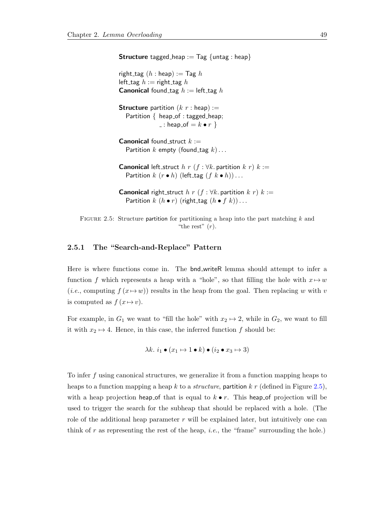<span id="page-68-0"></span>**Structure** tagged heap :=  $\text{Tag } \{$  untag : heap $\}$ 

right tag  $(h : \text{heap}) := \text{Tag } h$ left\_tag  $h := \text{right\_tag } h$ **Canonical** found tag  $h :=$  left tag  $h$ 

**Structure** partition  $(k r : \text{heap}) :=$ Partition  $\{$  heap of : tagged heap;  $\Box$ : heap\_of =  $k \bullet r$  }

**Canonical** found struct  $k :=$ Partition  $k$  empty (found tag  $k$ )...

**Canonical** left\_struct h r (f :  $\forall k$ . partition k r) k := Partition  $k$   $(r \cdot h)$  (left\_tag  $(f \cdot k \cdot h)) \dots$ 

**Canonical** right\_struct h r (f :  $\forall k$ . partition k r) k := Partition  $k(h \bullet r)$  (right\_tag  $(h \bullet f k)) \dots$ 

FIGURE 2.5: Structure partition for partitioning a heap into the part matching  $k$  and "the rest"  $(r)$ .

#### 2.5.1 The "Search-and-Replace" Pattern

Here is where functions come in. The bnd writeR lemma should attempt to infer a function f which represents a heap with a "hole", so that filling the hole with  $x \mapsto w$ (*i.e.*, computing  $f(x \rightarrow w)$ ) results in the heap from the goal. Then replacing w with v is computed as  $f(x \mapsto v)$ .

For example, in  $G_1$  we want to "fill the hole" with  $x_2 \mapsto 2$ , while in  $G_2$ , we want to fill it with  $x_2 \mapsto 4$ . Hence, in this case, the inferred function f should be:

$$
\lambda k. \ i_1 \bullet (x_1 \mapsto 1 \bullet k) \bullet (i_2 \bullet x_3 \mapsto 3)
$$

To infer f using canonical structures, we generalize it from a function mapping heaps to heaps to a function mapping a heap k to a *structure*, partition k r (defined in Figure [2.5\)](#page-68-0), with a heap projection heap of that is equal to  $k \bullet r$ . This heap of projection will be used to trigger the search for the subheap that should be replaced with a hole. (The role of the additional heap parameter  $r$  will be explained later, but intuitively one can think of r as representing the rest of the heap, *i.e.*, the "frame" surrounding the hole.)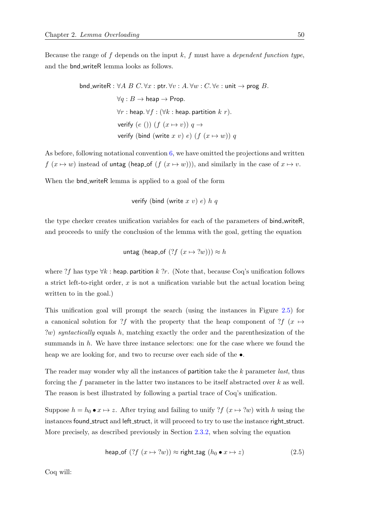Because the range of f depends on the input  $k$ , f must have a *dependent function type*, and the bnd writeR lemma looks as follows.

> bnd\_writeR :  $\forall A \ B \ C.\forall x : \text{ptr.} \forall v : A.\forall w : C.\forall e : \text{unit} \rightarrow \text{prog } B.$  $\forall q : B \rightarrow \text{heap} \rightarrow \text{Prop}.$  $\forall r$  : heap.  $\forall f : (\forall k : \text{heap. partition } k r)$ . verify  $(e)$ )  $(f (x \mapsto v)) q \rightarrow$ verify (bind (write x v) e)  $(f (x \mapsto w)) q$

As before, following notational convention [6,](#page-60-0) we have omitted the projections and written  $f(x \mapsto w)$  instead of untag (heap of  $(f(x \mapsto w))$ ), and similarly in the case of  $x \mapsto v$ .

When the **bnd\_writeR** lemma is applied to a goal of the form

verify (bind (write  $x$  v) e)  $h$  q

the type checker creates unification variables for each of the parameters of bind writeR, and proceeds to unify the conclusion of the lemma with the goal, getting the equation

untag (heap\_of  $(?f (x \mapsto ?w)) \approx h$ 

where ?f has type  $\forall k$ : heap. partition k ?r. (Note that, because Coq's unification follows a strict left-to-right order, x is not a unification variable but the actual location being written to in the goal.)

This unification goal will prompt the search (using the instances in Figure [2.5\)](#page-68-0) for a canonical solution for ?f with the property that the heap component of ?f (x  $\mapsto$ ?w) syntactically equals h, matching exactly the order and the parenthesization of the summands in h. We have three instance selectors: one for the case where we found the heap we are looking for, and two to recurse over each side of the  $\bullet$ .

The reader may wonder why all the instances of **partition** take the k parameter *last*, thus forcing the f parameter in the latter two instances to be itself abstracted over  $k$  as well. The reason is best illustrated by following a partial trace of Coq's unification.

Suppose  $h = h_0 \bullet x \mapsto z$ . After trying and failing to unify ?f  $(x \mapsto ?w)$  with h using the instances found\_struct and left\_struct, it will proceed to try to use the instance right\_struct. More precisely, as described previously in Section [2.3.2,](#page-53-1) when solving the equation

<span id="page-69-0"></span>
$$
\text{heap_of }(?f(x \mapsto ?w)) \approx \text{right\_tag } (h_0 \bullet x \mapsto z) \tag{2.5}
$$

Coq will: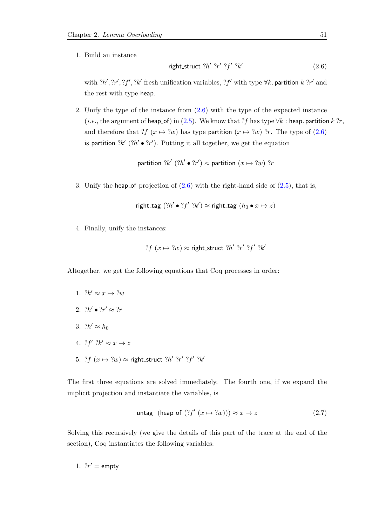1. Build an instance

<span id="page-70-0"></span>
$$
right\_struct ?h' ?r' ?f' ?k'
$$
 (2.6)

with  $2h', 2r', 2f', 2k'$  fresh unification variables,  $2f'$  with type  $\forall k$ . partition k  $2r'$  and the rest with type heap.

2. Unify the type of the instance from [\(2.6\)](#page-70-0) with the type of the expected instance (*i.e.*, the argument of heap of) in [\(2.5\)](#page-69-0). We know that ?f has type  $\forall k$  : heap. partition k ?r, and therefore that ?f  $(x \mapsto ?w)$  has type partition  $(x \mapsto ?w)$  ?r. The type of [\(2.6\)](#page-70-0) is partition  $2k'$  ( $2h' \bullet 2r'$ ). Putting it all together, we get the equation

partition 
$$
?k' (?h' \bullet ?r') \approx
$$
 partition  $(x \mapsto ?w)$  ?r

3. Unify the heap of projection of  $(2.6)$  with the right-hand side of  $(2.5)$ , that is,

$$
\mathsf{right\_tag} (?h' \bullet ?f' ?k') \approx \mathsf{right\_tag} (h_0 \bullet x \mapsto z)
$$

4. Finally, unify the instances:

? 
$$
f(x \mapsto ?w) \approx \text{right} \cdot \text{struct } ?h' ?r' ?f' ?k'
$$

Altogether, we get the following equations that Coq processes in order:

- 1.  $?k' \approx x \mapsto ?w$
- 2.  $?h' \bullet ?r' \approx ?r$
- 3.  $2h' \approx h_0$
- 4.  $?f' ?k' \approx x \mapsto z$
- 5. ? $f(x \mapsto 2w) \approx$  right\_struct  $2h'$   $2r'$   $2f'$   $2k'$

The first three equations are solved immediately. The fourth one, if we expand the implicit projection and instantiate the variables, is

$$
\text{untag (heap_of }(?f'(x \mapsto ?w))) \approx x \mapsto z \tag{2.7}
$$

Solving this recursively (we give the details of this part of the trace at the end of the section), Coq instantiates the following variables:

1.  $?r' = \text{empty}$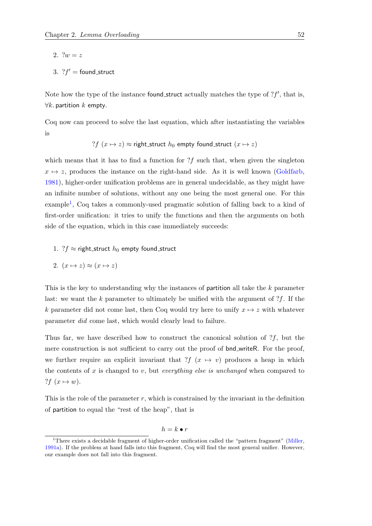2.  $?w = z$ 

3. 
$$
?f' = \text{found\_struct}
$$

Note how the type of the instance found struct actually matches the type of  $?f'$ , that is,  $\forall k$ . partition  $k$  empty.

Coq now can proceed to solve the last equation, which after instantiating the variables is

?f 
$$
(x \mapsto z) \approx
$$
 right-struct  $h_0$  empty found-struct  $(x \mapsto z)$ 

which means that it has to find a function for  $?f$  such that, when given the singleton  $x \mapsto z$ , produces the instance on the right-hand side. As it is well known [\(Goldfarb,](#page-212-4) [1981\)](#page-212-4), higher-order unification problems are in general undecidable, as they might have an infinite number of solutions, without any one being the most general one. For this example<sup>[1](#page-71-0)</sup>, Coq takes a commonly-used pragmatic solution of falling back to a kind of first-order unification: it tries to unify the functions and then the arguments on both side of the equation, which in this case immediately succeeds:

1. ? $f \approx$  right\_struct  $h_0$  empty found\_struct

2. 
$$
(x \mapsto z) \approx (x \mapsto z)
$$

This is the key to understanding why the instances of partition all take the  $k$  parameter last: we want the k parameter to ultimately be unified with the argument of  $?f$ . If the k parameter did not come last, then Coq would try here to unify  $x \mapsto z$  with whatever parameter did come last, which would clearly lead to failure.

Thus far, we have described how to construct the canonical solution of  $?f$ , but the mere construction is not sufficient to carry out the proof of bnd writeR. For the proof, we further require an explicit invariant that  $?f(x \mapsto v)$  produces a heap in which the contents of  $x$  is changed to  $v$ , but *everything else is unchanged* when compared to ?f  $(x \mapsto w)$ .

This is the role of the parameter  $r$ , which is constrained by the invariant in the definition of partition to equal the "rest of the heap", that is

$$
h=k\bullet r
$$

<span id="page-71-0"></span><sup>&</sup>lt;sup>1</sup>There exists a decidable fragment of higher-order unification called the "pattern fragment" [\(Miller,](#page-214-2) [1991a\)](#page-214-2). If the problem at hand falls into this fragment, Coq will find the most general unifier. However, our example does not fall into this fragment.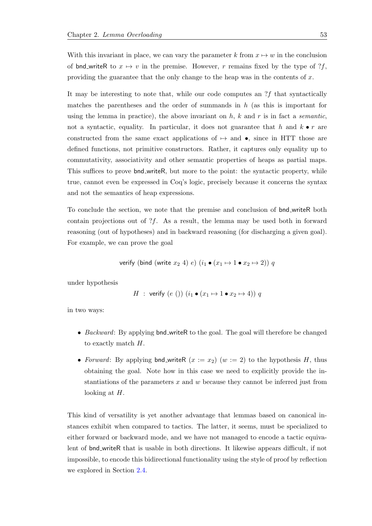With this invariant in place, we can vary the parameter k from  $x \mapsto w$  in the conclusion of bnd writeR to  $x \mapsto v$  in the premise. However, r remains fixed by the type of ?f, providing the guarantee that the only change to the heap was in the contents of  $x$ .

It may be interesting to note that, while our code computes an ?f that syntactically matches the parentheses and the order of summands in  $h$  (as this is important for using the lemma in practice), the above invariant on  $h$ ,  $k$  and  $r$  is in fact a *semantic*, not a syntactic, equality. In particular, it does not guarantee that h and  $k \bullet r$  are constructed from the same exact applications of  $\mapsto$  and  $\bullet$ , since in HTT those are defined functions, not primitive constructors. Rather, it captures only equality up to commutativity, associativity and other semantic properties of heaps as partial maps. This suffices to prove **bnd** writeR, but more to the point: the syntactic property, while true, cannot even be expressed in Coq's logic, precisely because it concerns the syntax and not the semantics of heap expressions.

To conclude the section, we note that the premise and conclusion of bnd writeR both contain projections out of  $?f$ . As a result, the lemma may be used both in forward reasoning (out of hypotheses) and in backward reasoning (for discharging a given goal). For example, we can prove the goal

verify (bind (write 
$$
x_2
$$
 4)  $e$ )  $(i_1 \bullet (x_1 \mapsto 1 \bullet x_2 \mapsto 2)) q$ 

under hypothesis

$$
H : \text{verify } (e ())(i_1 \bullet (x_1 \mapsto 1 \bullet x_2 \mapsto 4)) q
$$

in two ways:

- *Backward*: By applying bnd\_writeR to the goal. The goal will therefore be changed to exactly match H.
- Forward: By applying bnd\_writeR  $(x := x_2)$   $(w := 2)$  to the hypothesis H, thus obtaining the goal. Note how in this case we need to explicitly provide the instantiations of the parameters  $x$  and  $w$  because they cannot be inferred just from looking at H.

This kind of versatility is yet another advantage that lemmas based on canonical instances exhibit when compared to tactics. The latter, it seems, must be specialized to either forward or backward mode, and we have not managed to encode a tactic equivalent of bnd writeR that is usable in both directions. It likewise appears difficult, if not impossible, to encode this bidirectional functionality using the style of proof by reflection we explored in Section [2.4.](#page-56-0)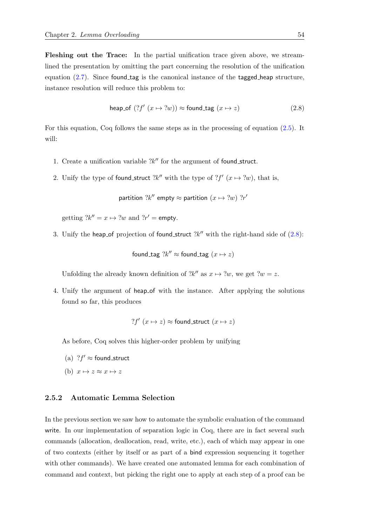Fleshing out the Trace: In the partial unification trace given above, we streamlined the presentation by omitting the part concerning the resolution of the unification equation  $(2.7)$ . Since found tag is the canonical instance of the tagged heap structure, instance resolution will reduce this problem to:

<span id="page-73-0"></span>
$$
\text{heap_of } (?f'(x \mapsto ?w)) \approx \text{found\_tag } (x \mapsto z) \tag{2.8}
$$

For this equation, Coq follows the same steps as in the processing of equation [\(2.5\)](#page-69-0). It will:

- 1. Create a unification variable  $2k''$  for the argument of found\_struct.
- 2. Unify the type of found\_struct  $?k''$  with the type of  $?f'(x \mapsto ?w)$ , that is,

partition  $?k''$  empty  $\approx$  partition  $(x \mapsto ?w)$   $?r'$ 

getting  $?k'' = x \mapsto ?w$  and  $?r' =$  empty.

3. Unify the heap of projection of found struct  $?k''$  with the right-hand side of  $(2.8)$ :

found\_tag  $?k'' \approx$  found\_tag  $(x \mapsto z)$ 

Unfolding the already known definition of  $?k''$  as  $x \mapsto ?w$ , we get  $?w = z$ .

4. Unify the argument of heap of with the instance. After applying the solutions found so far, this produces

$$
?f'(x \mapsto z) \approx \text{found\_struct } (x \mapsto z)
$$

As before, Coq solves this higher-order problem by unifying

- (a)  $?f' \approx$  found\_struct
- (b)  $x \mapsto z \approx x \mapsto z$

#### <span id="page-73-1"></span>2.5.2 Automatic Lemma Selection

In the previous section we saw how to automate the symbolic evaluation of the command write. In our implementation of separation logic in Coq, there are in fact several such commands (allocation, deallocation, read, write, etc.), each of which may appear in one of two contexts (either by itself or as part of a bind expression sequencing it together with other commands). We have created one automated lemma for each combination of command and context, but picking the right one to apply at each step of a proof can be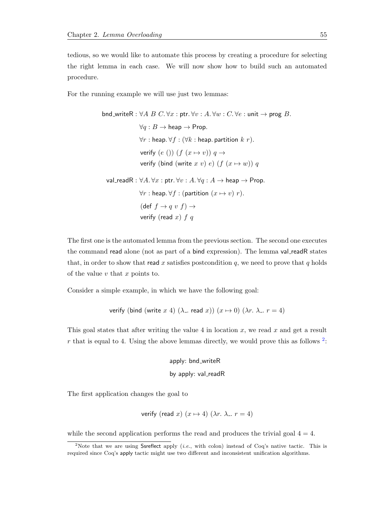tedious, so we would like to automate this process by creating a procedure for selecting the right lemma in each case. We will now show how to build such an automated procedure.

For the running example we will use just two lemmas:

find\_writeR: ∀A B C. ∀x: ptr. ∀v: A. ∀w: C. ∀e: unit → prog B.

\n
$$
\forall q: B \rightarrow \text{heap} \rightarrow \text{Prop}.
$$
\n
$$
\forall r: \text{heap. } \forall f: (\forall k: \text{heap. partition } k \ r).
$$
\n
$$
\text{verify } (e ()) \ (f (x \rightarrow v)) \ q \rightarrow
$$
\n
$$
\text{verify } (\text{bind (write } x \ v) \ e) \ (f (x \rightarrow w)) \ q
$$
\n
$$
\text{val\_readR}: \forall A. \forall x: \text{ptr. } \forall v: A. \forall q: A \rightarrow \text{heap} \rightarrow \text{Prop}.
$$
\n
$$
\forall r: \text{heap. } \forall f: (\text{partition } (x \mapsto v) \ r).
$$
\n
$$
(\text{def } f \rightarrow q \ v \ f) \rightarrow
$$
\n
$$
\text{verify } (\text{read } x) \ f \ q
$$

The first one is the automated lemma from the previous section. The second one executes the command read alone (not as part of a bind expression). The lemma val-readR states that, in order to show that read x satisfies postcondition  $q$ , we need to prove that q holds of the value  $v$  that  $x$  points to.

Consider a simple example, in which we have the following goal:

verify (bind (write x 4) ( $\lambda$ . read x))  $(x \mapsto 0)$  ( $\lambda r$ .  $\lambda$ .  $r = 4$ )

This goal states that after writing the value 4 in location  $x$ , we read  $x$  and get a result r that is equal to 4. Using the above lemmas directly, we would prove this as follows  $2$ :

> apply: bnd\_writeR by apply: val\_readR

The first application changes the goal to

verify (read x) 
$$
(x \mapsto 4)
$$
  $(\lambda r. \lambda_-, r = 4)$ 

while the second application performs the read and produces the trivial goal  $4 = 4$ .

<span id="page-74-0"></span><sup>&</sup>lt;sup>2</sup>Note that we are using Ssreflect apply (*i.e.*, with colon) instead of Coq's native tactic. This is required since Coq's apply tactic might use two different and inconsistent unification algorithms.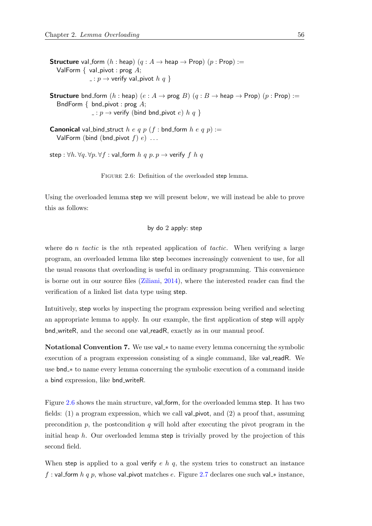<span id="page-75-0"></span>**Structure** val\_form  $(h : \text{heap})$   $(q : A \rightarrow \text{heap} \rightarrow \text{Prop})$   $(p : \text{Prop}) :=$ ValForm  $\{$  val\_pivot : prog  $A$ ;  $\Box : p \rightarrow$  verify val\_pivot  $h \ q$  }

**Structure** bnd form  $(h : \text{heap})$   $(e : A \rightarrow \text{prog } B)$   $(q : B \rightarrow \text{heap} \rightarrow \text{Prop})$   $(p : \text{Prop}) :=$ BndForm  $\{$  bnd\_pivot : prog  $A$ ;  $: p \rightarrow$  verify (bind bnd\_pivot e) h q }

**Canonical** val bind struct h e q p (f : bnd form h e q p) := ValForm (bind (bnd\_pivot  $f$ )  $e$ ) ...

step :  $\forall h. \forall q. \forall p. \forall f : \text{val-form } h \ q \ p. \ p \rightarrow \text{verify } f \ h \ q$ 

FIGURE 2.6: Definition of the overloaded step lemma.

Using the overloaded lemma step we will present below, we will instead be able to prove this as follows:

#### by do 2 apply: step

where  $\phi$  *n* tactic is the *n*th repeated application of tactic. When verifying a large program, an overloaded lemma like step becomes increasingly convenient to use, for all the usual reasons that overloading is useful in ordinary programming. This convenience is borne out in our source files [\(Ziliani,](#page-216-0) [2014\)](#page-216-0), where the interested reader can find the verification of a linked list data type using step.

Intuitively, step works by inspecting the program expression being verified and selecting an appropriate lemma to apply. In our example, the first application of step will apply bnd writeR, and the second one val readR, exactly as in our manual proof.

Notational Convention 7. We use val ∗ to name every lemma concerning the symbolic execution of a program expression consisting of a single command, like val readR. We use bnd ∗ to name every lemma concerning the symbolic execution of a command inside a bind expression, like bnd writeR.

Figure [2.6](#page-75-0) shows the main structure, val form, for the overloaded lemma step. It has two fields:  $(1)$  a program expression, which we call val pivot, and  $(2)$  a proof that, assuming precondition  $p$ , the postcondition  $q$  will hold after executing the pivot program in the initial heap  $h$ . Our overloaded lemma step is trivially proved by the projection of this second field.

When step is applied to a goal verify  $e \, h \, q$ , the system tries to construct an instance f : val form h q p, whose val pivot matches e. Figure [2.7](#page-76-0) declares one such val  $*$  instance,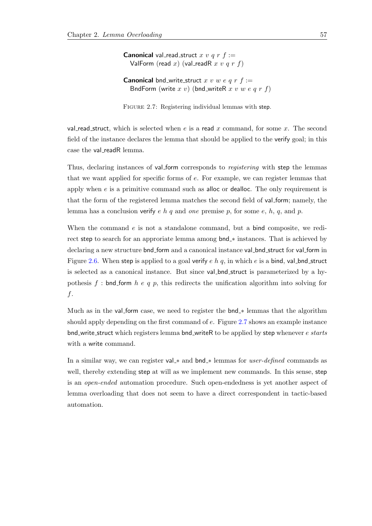<span id="page-76-0"></span>**Canonical** val\_read\_struct x v q r  $f :=$ ValForm (read x) (val\_readR x v q r f)

**Canonical** bnd write struct x v w e q r  $f :=$ BndForm (write  $x \, v$ ) (bnd\_writeR  $x \, v \, w \, e \, q \, r \, f$ )

FIGURE 2.7: Registering individual lemmas with step.

val read struct, which is selected when e is a read x command, for some x. The second field of the instance declares the lemma that should be applied to the verify goal; in this case the val readR lemma.

Thus, declaring instances of val-form corresponds to *registering* with step the lemmas that we want applied for specific forms of e. For example, we can register lemmas that apply when  $e$  is a primitive command such as alloc or dealloc. The only requirement is that the form of the registered lemma matches the second field of val form; namely, the lemma has a conclusion verify e h q and one premise p, for some e, h, q, and p.

When the command e is not a standalone command, but a bind composite, we redirect step to search for an approriate lemma among bnd\_\* instances. That is achieved by declaring a new structure bnd\_form and a canonical instance val\_bnd\_struct for val\_form in Figure [2.6.](#page-75-0) When step is applied to a goal verify  $e \, h \, q$ , in which  $e$  is a bind, val-bnd-struct is selected as a canonical instance. But since val bnd struct is parameterized by a hypothesis f : bnd form h e q p, this redirects the unification algorithm into solving for f.

Much as in the val form case, we need to register the  $bnd_*$  lemmas that the algorithm should apply depending on the first command of e. Figure [2.7](#page-76-0) shows an example instance bnd write struct which registers lemma bnd writeR to be applied by step whenever *e starts* with a write command.

In a similar way, we can register val\_\* and bnd\_\* lemmas for *user-defined* commands as well, thereby extending step at will as we implement new commands. In this sense, step is an open-ended automation procedure. Such open-endedness is yet another aspect of lemma overloading that does not seem to have a direct correspondent in tactic-based automation.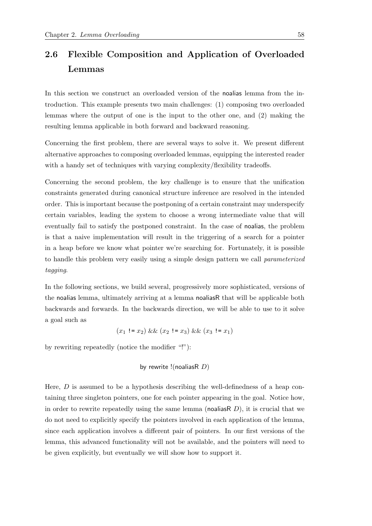# <span id="page-77-0"></span>2.6 Flexible Composition and Application of Overloaded Lemmas

In this section we construct an overloaded version of the noalias lemma from the introduction. This example presents two main challenges: (1) composing two overloaded lemmas where the output of one is the input to the other one, and (2) making the resulting lemma applicable in both forward and backward reasoning.

Concerning the first problem, there are several ways to solve it. We present different alternative approaches to composing overloaded lemmas, equipping the interested reader with a handy set of techniques with varying complexity/flexibility tradeoffs.

Concerning the second problem, the key challenge is to ensure that the unification constraints generated during canonical structure inference are resolved in the intended order. This is important because the postponing of a certain constraint may underspecify certain variables, leading the system to choose a wrong intermediate value that will eventually fail to satisfy the postponed constraint. In the case of noalias, the problem is that a naive implementation will result in the triggering of a search for a pointer in a heap before we know what pointer we're searching for. Fortunately, it is possible to handle this problem very easily using a simple design pattern we call parameterized tagging.

In the following sections, we build several, progressively more sophisticated, versions of the noalias lemma, ultimately arriving at a lemma noaliasR that will be applicable both backwards and forwards. In the backwards direction, we will be able to use to it solve a goal such as

$$
(x_1 := x_2) \&& (x_2 := x_3) \&& (x_3 := x_1)
$$

by rewriting repeatedly (notice the modifier "!"):

by rewrite  $!($  noalias $R$   $D)$ 

Here,  $D$  is assumed to be a hypothesis describing the well-definedness of a heap containing three singleton pointers, one for each pointer appearing in the goal. Notice how, in order to rewrite repeatedly using the same lemma (noalias R $D$ ), it is crucial that we do not need to explicitly specify the pointers involved in each application of the lemma, since each application involves a different pair of pointers. In our first versions of the lemma, this advanced functionality will not be available, and the pointers will need to be given explicitly, but eventually we will show how to support it.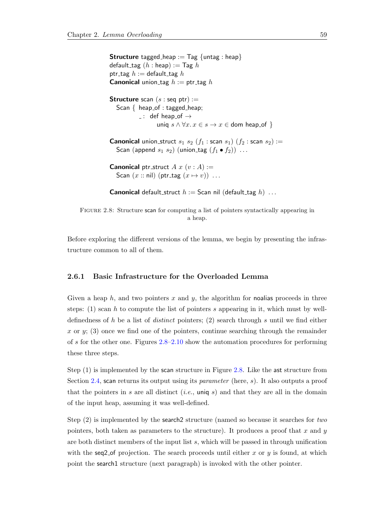```
Structure tagged heap := Tag \{ untag : heap\}default_tag (h : \text{heap}) := \text{Tag } hptr_tag h := default_tag hCanonical union tag h := \text{ptr}\text{-tag } hStructure scan (s: seq ptr) :=
  Scan { heap_of : tagged_heap;
            -: def heap_of \rightarrowuniq s \wedge \forall x \ldotp x \in s \rightarrow x \in dom heap of }
Canonical union_struct s_1 s_2 (f_1 : scan s_1) (f_2 : scan s_2) :=
  Scan (append s_1 s_2) (union_tag (f_1 \bullet f_2)) ...
Canonical ptr_struct A x (v : A) :=Scan (x:: nil) (ptr_tag (x \mapsto v)) ...
Canonical default_struct h := Scan nil (default_tag h) ...
```
FIGURE 2.8: Structure scan for computing a list of pointers syntactically appearing in a heap.

Before exploring the different versions of the lemma, we begin by presenting the infrastructure common to all of them.

#### 2.6.1 Basic Infrastructure for the Overloaded Lemma

Given a heap  $h$ , and two pointers x and y, the algorithm for noalias proceeds in three steps:  $(1)$  scan h to compute the list of pointers s appearing in it, which must by welldefinedness of h be a list of *distinct* pointers;  $(2)$  search through s until we find either x or y; (3) once we find one of the pointers, continue searching through the remainder of s for the other one. Figures [2.8–](#page-78-0)[2.10](#page-79-0) show the automation procedures for performing these three steps.

Step (1) is implemented by the scan structure in Figure [2.8.](#page-78-0) Like the ast structure from Section [2.4,](#page-56-0) scan returns its output using its *parameter* (here, s). It also outputs a proof that the pointers in s are all distinct (*i.e.*, uniq s) and that they are all in the domain of the input heap, assuming it was well-defined.

Step  $(2)$  is implemented by the search 2 structure (named so because it searches for two pointers, both taken as parameters to the structure). It produces a proof that x and y are both distinct members of the input list  $s$ , which will be passed in through unification with the seq2 of projection. The search proceeds until either x or  $y$  is found, at which point the search1 structure (next paragraph) is invoked with the other pointer.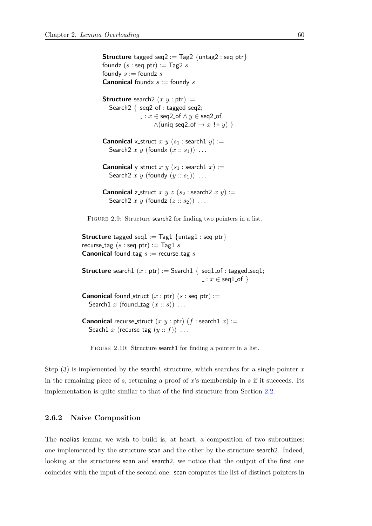<span id="page-79-1"></span>**Structure** tagged\_seq2 :=  $Tag2 \{untag2 : seq \, pt\}$ foundz  $(s : \text{seq ptr}) := \text{Tag2 } s$ foundy  $s :=$  foundz  $s$ **Canonical** foundx  $s :=$  foundy  $s$ **Structure** search  $(x, y : \text{ptr}) :=$ Search2  $\{$  seq2\_of : tagged\_seq2;  $\ldots$   $x \in$  seq2\_of  $\land$   $y \in$  seq2\_of  $\wedge$ (uniq seq2\_of  $\rightarrow$  x != y) } **Canonical** x struct x y  $(s_1 : \text{search1 } y) :=$ Search  $2 x y$  (found  $x : s_1$ ) ... **Canonical** y\_struct x y ( $s_1$ : search1 x) := Search  $2 x y$  (foundy  $(y :: s_1)$ ) ... **Canonical** z\_struct x y z ( $s_2$ : search2 x y) := Search  $2 x y$  (foundz  $(z :: s_2)$ ) ... FIGURE 2.9: Structure search 2 for finding two pointers in a list. **Structure** tagged\_seq1 := Tag1  $\{$  untag1 : seq ptr $\}$ recurse\_tag  $(s : \text{seq ptr}) := \text{Tag1 } s$ **Canonical** found tag  $s :=$  recurse tag s

<span id="page-79-0"></span>**Structure** search1  $(x : \text{ptr}) :=$  Search1  $\{$  seq1\_of : tagged\_seq1;  $\ldots$   $x \in \text{seq1_of}$ 

**Canonical** found struct  $(x : \text{ptr})$   $(s : \text{seq} \text{ptr}) :=$ Search1 x (found tag  $(x:: s)$ ) ...

```
Canonical recurse_struct (x, y : \text{ptr}) (f : \text{search1 } x) :=Seach1 x (recurse_tag (y:: f)) ...
```
FIGURE 2.10: Structure search1 for finding a pointer in a list.

Step  $(3)$  is implemented by the search1 structure, which searches for a single pointer x in the remaining piece of s, returning a proof of  $x$ 's membership in s if it succeeds. Its implementation is quite similar to that of the find structure from Section [2.2.](#page-49-0)

#### 2.6.2 Naive Composition

The noalias lemma we wish to build is, at heart, a composition of two subroutines: one implemented by the structure scan and the other by the structure search2. Indeed, looking at the structures scan and search2, we notice that the output of the first one coincides with the input of the second one: scan computes the list of distinct pointers in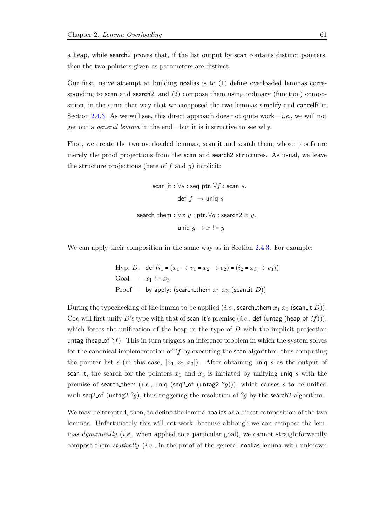a heap, while search2 proves that, if the list output by scan contains distinct pointers, then the two pointers given as parameters are distinct.

Our first, naive attempt at building noalias is to (1) define overloaded lemmas corresponding to scan and search2, and (2) compose them using ordinary (function) composition, in the same that way that we composed the two lemmas simplify and cancelR in Section [2.4.3.](#page-64-0) As we will see, this direct approach does not quite work—*i.e.*, we will not get out a general lemma in the end—but it is instructive to see why.

First, we create the two overloaded lemmas, scan it and search them, whose proofs are merely the proof projections from the scan and search2 structures. As usual, we leave the structure projections (here of  $f$  and  $g$ ) implicit:

> scan\_it :  $\forall s$  : seq ptr.  $\forall f$  : scan s. def  $f \rightarrow$  uniq s search\_them :  $\forall x \ y : \text{ptr.} \ \forall g : \text{search2} \ x \ y.$ uniq  $q \rightarrow x$ != y

We can apply their composition in the same way as in Section [2.4.3.](#page-64-0) For example:

Hyper. 
$$
D
$$
: def  $(i_1 \bullet (x_1 \mapsto v_1 \bullet x_2 \mapsto v_2) \bullet (i_2 \bullet x_3 \mapsto v_3))$ 

\nGoal:  $x_1 := x_3$ 

\nProof: by apply: (search<sub>them</sub>  $x_1$   $x_3$  (scan<sub>it</sub>  $D$ ))

During the typechecking of the lemma to be applied (*i.e.*, search them  $x_1 x_3$  (scan it D)), Coq will first unify D's type with that of scan it's premise (*i.e.*, def (untag (heap of ?f))), which forces the unification of the heap in the type of  $D$  with the implicit projection untag (heap of  $?f$ ). This in turn triggers an inference problem in which the system solves for the canonical implementation of  $?f$  by executing the scan algorithm, thus computing the pointer list s (in this case,  $[x_1, x_2, x_3]$ ). After obtaining uniq s as the output of scan it, the search for the pointers  $x_1$  and  $x_3$  is initiated by unifying uniq s with the premise of search\_them (i.e., uniq (seq2\_of (untag2  $?g$ ))), which causes s to be unified with seq2 of (untag2 ?g), thus triggering the resolution of ?g by the search2 algorithm.

We may be tempted, then, to define the lemma noalias as a direct composition of the two lemmas. Unfortunately this will not work, because although we can compose the lemmas *dynamically* (*i.e.*, when applied to a particular goal), we cannot straightforwardly compose them *statically* (*i.e.*, in the proof of the general noalias lemma with unknown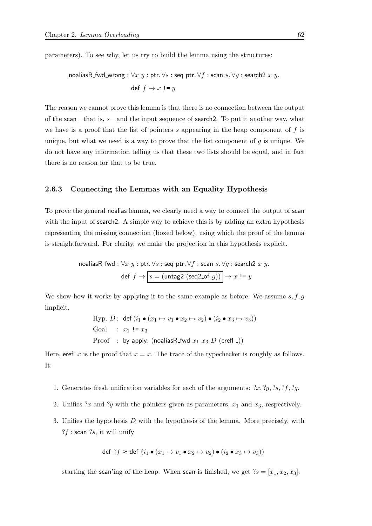parameters). To see why, let us try to build the lemma using the structures:

$$
\text{noaliasR.fwd\_wrong}: \forall x \ y: \text{ptr.} \ \forall s: \text{seq \ } \text{ptr.} \ \forall f: \text{scan } s. \ \forall g: \text{search2 } x \ y.
$$
\n
$$
\text{def } f \to x \ \mathrel{!=} y
$$

The reason we cannot prove this lemma is that there is no connection between the output of the scan—that is, s—and the input sequence of search2. To put it another way, what we have is a proof that the list of pointers s appearing in the heap component of  $f$  is unique, but what we need is a way to prove that the list component of  $g$  is unique. We do not have any information telling us that these two lists should be equal, and in fact there is no reason for that to be true.

### 2.6.3 Connecting the Lemmas with an Equality Hypothesis

To prove the general noalias lemma, we clearly need a way to connect the output of scan with the input of search 2. A simple way to achieve this is by adding an extra hypothesis representing the missing connection (boxed below), using which the proof of the lemma is straightforward. For clarity, we make the projection in this hypothesis explicit.

$$
\text{noaliasR.fwd}: \forall x \ y : \text{ptr.} \forall s : \text{seq \text{ptr.}} \forall f : \text{scan } s. \forall g : \text{search2 } x \ y.
$$
\n
$$
\text{def } f \to \boxed{s = (\text{untag2 } (\text{seq2_of } g))} \to x := y
$$

We show how it works by applying it to the same example as before. We assume  $s, f, g$ implicit.

```
Hyp. D: def (i_1 \bullet (x_1 \mapsto v_1 \bullet x_2 \mapsto v_2) \bullet (i_2 \bullet x_3 \mapsto v_3))Goal : x_1 := x_3Proof : by apply: (noaliasR_fwd x_1 x_3 D (erefl =))
```
Here, erefl x is the proof that  $x = x$ . The trace of the typechecker is roughly as follows. It:

- 1. Generates fresh unification variables for each of the arguments:  $x, y, z_s, z_f, z_g$ .
- 2. Unifies  $x$  and  $y$  with the pointers given as parameters,  $x_1$  and  $x_3$ , respectively.
- 3. Unifies the hypothesis D with the hypothesis of the lemma. More precisely, with  $?f$  : scan  $?s$ , it will unify

$$
\text{def } ?f \approx \text{def } (i_1 \bullet (x_1 \mapsto v_1 \bullet x_2 \mapsto v_2) \bullet (i_2 \bullet x_3 \mapsto v_3))
$$

starting the scan'ing of the heap. When scan is finished, we get  $?s = [x_1, x_2, x_3]$ .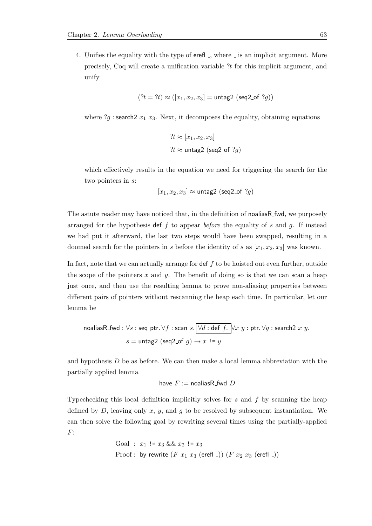4. Unifies the equality with the type of erefl , where is an implicit argument. More precisely, Coq will create a unification variable ?t for this implicit argument, and unify

$$
(?t = ?t) \approx ([x_1, x_2, x_3] = \text{untag2 (seq2_of } ?g))
$$

where  $?g$  : search  $2x_1 x_3$ . Next, it decomposes the equality, obtaining equations

$$
?t \approx [x_1, x_2, x_3]
$$
  

$$
?t \approx \text{untag2 (seq2_of } ?g)
$$

which effectively results in the equation we need for triggering the search for the two pointers in s:

$$
[x_1, x_2, x_3] \approx \text{untag2 (seq2_of } ?g)
$$

The astute reader may have noticed that, in the definition of noaliasR\_fwd, we purposely arranged for the hypothesis def f to appear before the equality of s and g. If instead we had put it afterward, the last two steps would have been swapped, resulting in a doomed search for the pointers in s before the identity of s as  $[x_1, x_2, x_3]$  was known.

In fact, note that we can actually arrange for def  $f$  to be hoisted out even further, outside the scope of the pointers x and y. The benefit of doing so is that we can scan a heap just once, and then use the resulting lemma to prove non-aliasing properties between different pairs of pointers without rescanning the heap each time. In particular, let our lemma be

$$
\text{noaliasR\_fwd}: \forall s: \text{seq ptr. } \forall f: \text{scan } s. \boxed{\forall d: \text{def } f. \quad} \forall x \ y: \text{ptr. } \forall g: \text{search2 } x \ y.
$$
\n
$$
s = \text{untag2 (seq2_of } g) \rightarrow x := y
$$

and hypothesis D be as before. We can then make a local lemma abbreviation with the partially applied lemma

have 
$$
F :=
$$
 noaliasR\_fwd D

Typechecking this local definition implicitly solves for  $s$  and  $f$  by scanning the heap defined by  $D$ , leaving only  $x$ ,  $y$ , and  $g$  to be resolved by subsequent instantiation. We can then solve the following goal by rewriting several times using the partially-applied F:

Goal : 
$$
x_1 := x_3 \&& x_2 := x_3
$$
  
Proof: by rewrite  $(F x_1 x_3 (erefl -)) (F x_2 x_3 (erefl -))$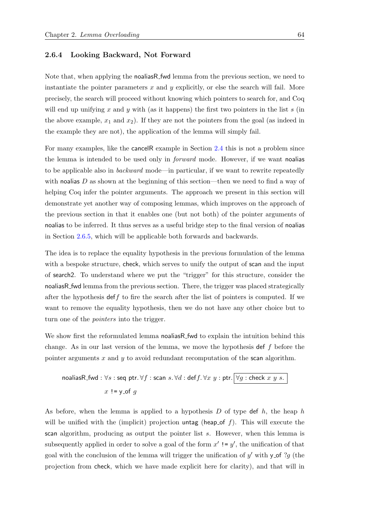#### 2.6.4 Looking Backward, Not Forward

Note that, when applying the noaliasR fwd lemma from the previous section, we need to instantiate the pointer parameters  $x$  and  $y$  explicitly, or else the search will fail. More precisely, the search will proceed without knowing which pointers to search for, and Coq will end up unifying x and y with (as it happens) the first two pointers in the list s (in the above example,  $x_1$  and  $x_2$ ). If they are not the pointers from the goal (as indeed in the example they are not), the application of the lemma will simply fail.

For many examples, like the cancelR example in Section [2.4](#page-56-0) this is not a problem since the lemma is intended to be used only in *forward* mode. However, if we want noalias to be applicable also in backward mode—in particular, if we want to rewrite repeatedly with noalias D as shown at the beginning of this section—then we need to find a way of helping Coq infer the pointer arguments. The approach we present in this section will demonstrate yet another way of composing lemmas, which improves on the approach of the previous section in that it enables one (but not both) of the pointer arguments of noalias to be inferred. It thus serves as a useful bridge step to the final version of noalias in Section [2.6.5,](#page-86-0) which will be applicable both forwards and backwards.

The idea is to replace the equality hypothesis in the previous formulation of the lemma with a bespoke structure, check, which serves to unify the output of scan and the input of search2. To understand where we put the "trigger" for this structure, consider the noaliasR fwd lemma from the previous section. There, the trigger was placed strategically after the hypothesis deff to fire the search after the list of pointers is computed. If we want to remove the equality hypothesis, then we do not have any other choice but to turn one of the pointers into the trigger.

We show first the reformulated lemma noaliasR fwd to explain the intuition behind this change. As in our last version of the lemma, we move the hypothesis def  $f$  before the pointer arguments x and y to avoid redundant recomputation of the scan algorithm.

noglias R\_fwd : 
$$
\forall s
$$
 : seq ptr.  $\forall f$  : scan  $s$ .  $\forall d$  : def  $f$ .  $\forall x \ y$  : ptr.  $\boxed{\forall g$  : check  $x \ y \ s$ .  
 $x := y$  of  $g$ 

As before, when the lemma is applied to a hypothesis  $D$  of type def  $h$ , the heap  $h$ will be unified with the (implicit) projection untag (heap of f). This will execute the scan algorithm, producing as output the pointer list s. However, when this lemma is subsequently applied in order to solve a goal of the form  $x' := y'$ , the unification of that goal with the conclusion of the lemma will trigger the unification of  $y'$  with y\_of ?g (the projection from check, which we have made explicit here for clarity), and that will in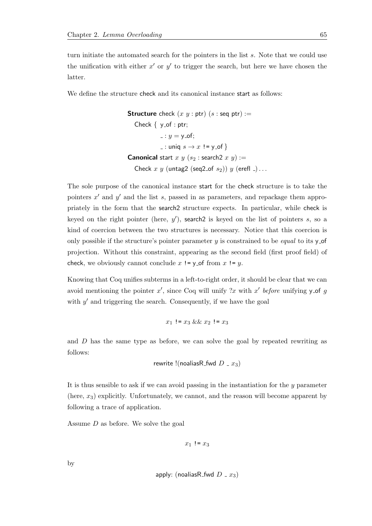turn initiate the automated search for the pointers in the list s. Note that we could use the unification with either  $x'$  or  $y'$  to trigger the search, but here we have chosen the latter.

We define the structure check and its canonical instance start as follows:

```
Structure check (x, y : \text{ptr}) (s : \text{seqptr}) :=Check \{ y_of : ptr;\lnot: y = y \lnotof;
               \Box: uniq s \rightarrow x! = y_of }
Canonical start x \, y \, (s_2 : \text{search2 } x \, y) :=Check x \, y (untag2 (seq2_of s_2)) y (erefl -)...
```
The sole purpose of the canonical instance start for the check structure is to take the pointers  $x'$  and  $y'$  and the list s, passed in as parameters, and repackage them appropriately in the form that the search2 structure expects. In particular, while check is keyed on the right pointer (here,  $y'$ ), search 2 is keyed on the list of pointers s, so a kind of coercion between the two structures is necessary. Notice that this coercion is only possible if the structure's pointer parameter  $y$  is constrained to be *equal* to its  $y$ -of projection. Without this constraint, appearing as the second field (first proof field) of check, we obviously cannot conclude x  $!=$  y of from x  $!=$  y.

Knowing that Coq unifies subterms in a left-to-right order, it should be clear that we can avoid mentioning the pointer  $x'$ , since Coq will unify ?x with  $x'$  before unifying y\_of g with  $y'$  and triggering the search. Consequently, if we have the goal

$$
x_1 \mathrel{!}\mathrel{\mathop:}= x_3 \ \&\& \ x_2 \mathrel{!}\mathrel{\mathop:}= x_3
$$

and D has the same type as before, we can solve the goal by repeated rewriting as follows:

$$
rewrite!(noaliasR_fwd D_x x_3)
$$

It is thus sensible to ask if we can avoid passing in the instantiation for the y parameter (here,  $x_3$ ) explicitly. Unfortunately, we cannot, and the reason will become apparent by following a trace of application.

Assume D as before. We solve the goal

 $x_1$ ! =  $x_3$ 

by

$$
\mathsf{apply: (noulias R_fwd} \ D = x_3)
$$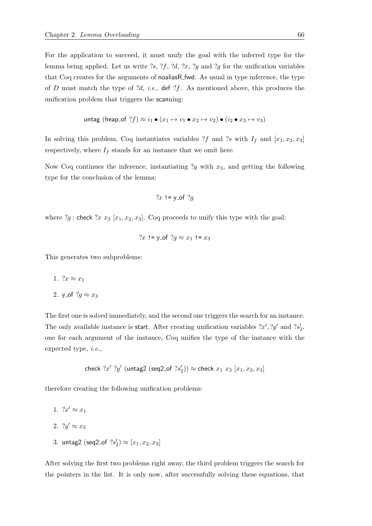For the application to succeed, it must unify the goal with the inferred type for the lemma being applied. Let us write  $?s, ?f, ?d, ?x, ?y$  and  $?g$  for the unification variables that Coq creates for the arguments of noaliasR fwd. As usual in type inference, the type of D must match the type of  $d, i.e.,$  def  $\gamma f$ . As mentioned above, this produces the unification problem that triggers the scanning:

$$
\mathsf{untag}\;(\mathsf{heap\_of}\;?f) \approx i_1 \bullet (x_1 \mapsto v_1 \bullet x_2 \mapsto v_2) \bullet (i_2 \bullet x_3 \mapsto v_3)
$$

In solving this problem, Coq instantiates variables ?f and ?s with  $I_f$  and  $[x_1, x_2, x_3]$ respectively, where  $I_f$  stands for an instance that we omit here.

Now Coq continues the inference, instantiating  $y$  with  $x_3$ , and getting the following type for the conclusion of the lemma:

$$
?x != y_of ?g
$$

where ?g : check ?x  $x_3$  [ $x_1, x_2, x_3$ ]. Coq proceeds to unify this type with the goal:

?x != y\_of ?
$$
g \approx x_1
$$
 !=  $x_3$ 

This generates two subproblems:

- 1.  $?x \approx x_1$
- 2. y\_of  $?q \approx x_3$

The first one is solved immediately, and the second one triggers the search for an instance. The only available instance is start. After creating unification variables  $x', y'$  and  $3s'_2$ , one for each argument of the instance, Coq unifies the type of the instance with the expected type, i.e.,

$$
\mathsf{check}\,\,\mathit{?x}'\,\,\mathit{?y}'\,\,(\mathsf{untag2}\,\,(\mathsf{seq2\_of}\,\,\mathit{?s}'_2)) \approx \mathsf{check}\,\,x_1\,\,x_3\,\,[x_1,x_2,x_3]
$$

therefore creating the following unification problems:

- 1.  $2x' \approx x_1$
- 2.  $?y' \approx x_3$
- 3. untag2 (seq2\_of  $?s'_2$ )  $\approx [x_1, x_2, x_3]$

After solving the first two problems right away, the third problem triggers the search for the pointers in the list. It is only now, after successfully solving these equations, that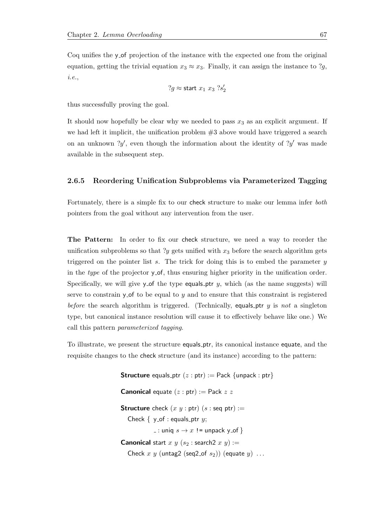Coq unifies the y of projection of the instance with the expected one from the original equation, getting the trivial equation  $x_3 \approx x_3$ . Finally, it can assign the instance to ?g, i.e.,

$$
?g \approx \text{start } x_1 \ x_3 \ ?s'_2
$$

thus successfully proving the goal.

It should now hopefully be clear why we needed to pass  $x_3$  as an explicit argument. If we had left it implicit, the unification problem  $#3$  above would have triggered a search on an unknown  $y'$ , even though the information about the identity of  $y'$  was made available in the subsequent step.

#### <span id="page-86-0"></span>2.6.5 Reordering Unification Subproblems via Parameterized Tagging

Fortunately, there is a simple fix to our check structure to make our lemma infer both pointers from the goal without any intervention from the user.

The Pattern: In order to fix our check structure, we need a way to reorder the unification subproblems so that ?y gets unified with  $x_3$  before the search algorithm gets triggered on the pointer list  $s$ . The trick for doing this is to embed the parameter  $y$ in the type of the projector y\_of, thus ensuring higher priority in the unification order. Specifically, we will give y of the type equals ptr y, which (as the name suggests) will serve to constrain  $y$ -of to be equal to y and to ensure that this constraint is registered before the search algorithm is triggered. (Technically, equals ptr  $y$  is not a singleton type, but canonical instance resolution will cause it to effectively behave like one.) We call this pattern parameterized tagging.

To illustrate, we present the structure equals ptr, its canonical instance equate, and the requisite changes to the check structure (and its instance) according to the pattern:

> **Structure** equals\_ptr  $(z : ptr) :=$  Pack {unpack : ptr} **Canonical** equate  $(z : ptr) :=$  Pack  $z z$ **Structure** check  $(x, y : \text{ptr})$   $(s : \text{seqptr}) :=$ Check  $\{ y_0$ -of : equals\_ptr y;  $\Box$ : uniq  $s \rightarrow x$ ! = unpack y\_of } **Canonical** start  $x \, y \, (s_2 : \text{search2 } x \, y) :=$ Check x y (untag2 (seq2\_of  $s_2$ )) (equate  $y$ ) ...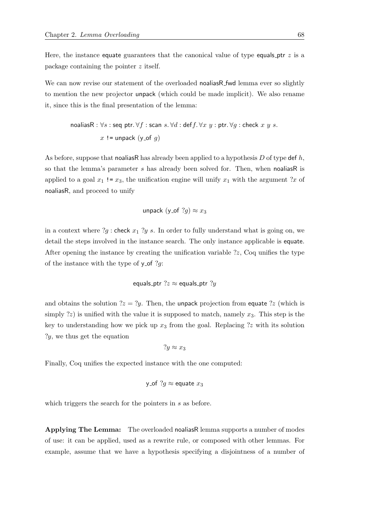Here, the instance equate guarantees that the canonical value of type equals  $ptr z$  is a package containing the pointer z itself.

We can now revise our statement of the overloaded noaliasR\_fwd lemma ever so slightly to mention the new projector unpack (which could be made implicit). We also rename it, since this is the final presentation of the lemma:

noaliasR : 
$$
\forall s
$$
 : seq  $\text{ptr}$ .  $\forall f$  : scan  $s$ .  $\forall d$  : def  $f$ .  $\forall x \ y$  :  $\text{ptr}$ .  $\forall g$  : check  $x \ y \ s$ .  
 $x := \text{unpack}(y \text{ of } g)$ 

As before, suppose that nonlinear has already been applied to a hypothesis  $D$  of type def  $h$ , so that the lemma's parameter  $s$  has already been solved for. Then, when noaliasR is applied to a goal  $x_1$  !=  $x_3$ , the unification engine will unify  $x_1$  with the argument ?x of noaliasR, and proceed to unify

unpack (y\_of 
$$
?g
$$
)  $\approx x_3$ 

in a context where  $?g$  : check  $x_1 ?y s$ . In order to fully understand what is going on, we detail the steps involved in the instance search. The only instance applicable is equate. After opening the instance by creating the unification variable ?z, Coq unifies the type of the instance with the type of  $y_{\text{-}}$  of ?g:

equals\_ptr 
$$
?z \approx
$$
 equals\_ptr  $?y$ 

and obtains the solution  $2z = 2y$ . Then, the unpack projection from equate  $2z$  (which is simply  $\langle z \rangle$  is unified with the value it is supposed to match, namely  $x_3$ . This step is the key to understanding how we pick up  $x_3$  from the goal. Replacing ?z with its solution ?y, we thus get the equation

$$
?y \approx x_3
$$

Finally, Coq unifies the expected instance with the one computed:

y\_of 
$$
?g \approx
$$
equate  $x_3$ 

which triggers the search for the pointers in s as before.

Applying The Lemma: The overloaded noaliasR lemma supports a number of modes of use: it can be applied, used as a rewrite rule, or composed with other lemmas. For example, assume that we have a hypothesis specifying a disjointness of a number of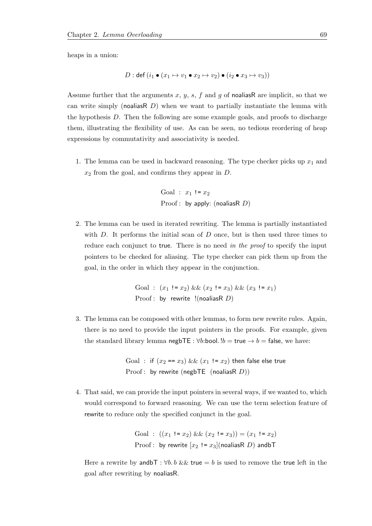heaps in a union:

$$
D: \text{def } (i_1 \bullet (x_1 \mapsto v_1 \bullet x_2 \mapsto v_2) \bullet (i_2 \bullet x_3 \mapsto v_3))
$$

Assume further that the arguments  $x, y, s, f$  and g of noaliasR are implicit, so that we can write simply (noalias R $D$ ) when we want to partially instantiate the lemma with the hypothesis D. Then the following are some example goals, and proofs to discharge them, illustrating the flexibility of use. As can be seen, no tedious reordering of heap expressions by commutativity and associativity is needed.

1. The lemma can be used in backward reasoning. The type checker picks up  $x_1$  and  $x_2$  from the goal, and confirms they appear in  $D$ .

Goal : 
$$
x_1 := x_2
$$
  
Proof: by apply: (nouliasR D)

2. The lemma can be used in iterated rewriting. The lemma is partially instantiated with  $D$ . It performs the initial scan of  $D$  once, but is then used three times to reduce each conjunct to true. There is no need in the proof to specify the input pointers to be checked for aliasing. The type checker can pick them up from the goal, in the order in which they appear in the conjunction.

> Goal :  $(x_1 := x_2) \&\& (x_2 := x_3) \&\& (x_3 := x_1)$ Proof : by rewrite !(noaliasR  $D$ )

3. The lemma can be composed with other lemmas, to form new rewrite rules. Again, there is no need to provide the input pointers in the proofs. For example, given the standard library lemma negbTE :  $\forall b$ :bool.  $!b = \text{true} \rightarrow b = \text{false}$ , we have:

> Goal : if  $(x_2 == x_3)$  &&  $(x_1 != x_2)$  then false else true Proof : by rewrite (negbTE (noaliasR  $D$ ))

4. That said, we can provide the input pointers in several ways, if we wanted to, which would correspond to forward reasoning. We can use the term selection feature of rewrite to reduce only the specified conjunct in the goal.

Goal : 
$$
((x_1 ! = x_2) \& \& (x_2 ! = x_3)) = (x_1 ! = x_2)
$$
  
Proof: by rewrite  $[x_2 ! = x_3]$ (nodiasR *D*) andbT

Here a rewrite by and  $\mathsf{b}\mathsf{T}$  :  $\forall b$ . b && true = b is used to remove the true left in the goal after rewriting by noaliasR.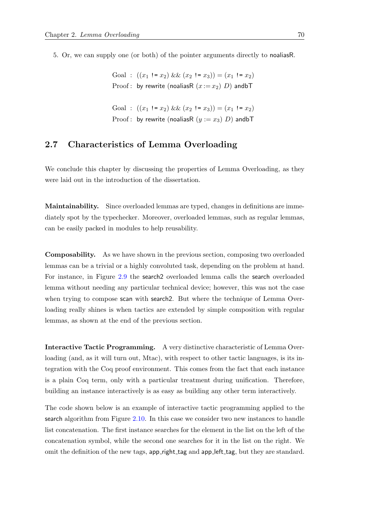5. Or, we can supply one (or both) of the pointer arguments directly to noaliasR.

Goal :  $((x_1 \cdot x_2) \& (x_2 \cdot x_3)) = (x_1 \cdot x_2)$ Proof : by rewrite (noaliasR  $(x := x_2)$  D) andbT

Goal :  $((x_1 := x_2) \& (x_2 := x_3)) = (x_1 := x_2)$ Proof : by rewrite (noaliasR  $(y := x_3)$  D) andbT

## 2.7 Characteristics of Lemma Overloading

We conclude this chapter by discussing the properties of Lemma Overloading, as they were laid out in the introduction of the dissertation.

Maintainability. Since overloaded lemmas are typed, changes in definitions are immediately spot by the typechecker. Moreover, overloaded lemmas, such as regular lemmas, can be easily packed in modules to help reusability.

Composability. As we have shown in the previous section, composing two overloaded lemmas can be a trivial or a highly convoluted task, depending on the problem at hand. For instance, in Figure [2.9](#page-79-1) the search2 overloaded lemma calls the search overloaded lemma without needing any particular technical device; however, this was not the case when trying to compose scan with search2. But where the technique of Lemma Overloading really shines is when tactics are extended by simple composition with regular lemmas, as shown at the end of the previous section.

Interactive Tactic Programming. A very distinctive characteristic of Lemma Overloading (and, as it will turn out, Mtac), with respect to other tactic languages, is its integration with the Coq proof environment. This comes from the fact that each instance is a plain Coq term, only with a particular treatment during unification. Therefore, building an instance interactively is as easy as building any other term interactively.

The code shown below is an example of interactive tactic programming applied to the search algorithm from Figure [2.10.](#page-79-0) In this case we consider two new instances to handle list concatenation. The first instance searches for the element in the list on the left of the concatenation symbol, while the second one searches for it in the list on the right. We omit the definition of the new tags, app right tag and app left tag, but they are standard.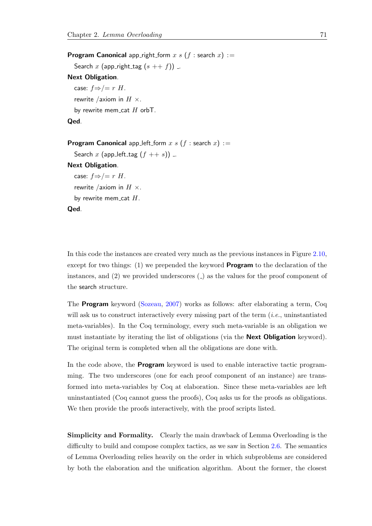**Program Canonical** app\_right\_form x s (f: search x) := Search x (app\_right\_tag  $(s + f)$ ) ... Next Obligation. case:  $f \Rightarrow/- r$  H. rewrite /axiom in  $H \times$ . by rewrite mem\_cat  $H$  orbT. Qed. **Program Canonical** app left form x s (f : search x) := Search x (app\_left\_tag  $(f + s)$ ) ...

Next Obligation.

case:  $f \Rightarrow/- r$  H.

rewrite /axiom in  $H \times$ .

by rewrite mem\_cat  $H$ .

#### Qed.

In this code the instances are created very much as the previous instances in Figure [2.10,](#page-79-0) except for two things:  $(1)$  we prepended the keyword **Program** to the declaration of the instances, and  $(2)$  we provided underscores  $($ ) as the values for the proof component of the search structure.

The Program keyword [\(Sozeau,](#page-215-0) [2007\)](#page-215-0) works as follows: after elaborating a term, Coq will ask us to construct interactively every missing part of the term  $(i.e.,$  uninstantiated meta-variables). In the Coq terminology, every such meta-variable is an obligation we must instantiate by iterating the list of obligations (via the **Next Obligation** keyword). The original term is completed when all the obligations are done with.

In the code above, the **Program** keyword is used to enable interactive tactic programming. The two underscores (one for each proof component of an instance) are transformed into meta-variables by Coq at elaboration. Since these meta-variables are left uninstantiated (Coq cannot guess the proofs), Coq asks us for the proofs as obligations. We then provide the proofs interactively, with the proof scripts listed.

Simplicity and Formality. Clearly the main drawback of Lemma Overloading is the difficulty to build and compose complex tactics, as we saw in Section [2.6.](#page-77-0) The semantics of Lemma Overloading relies heavily on the order in which subproblems are considered by both the elaboration and the unification algorithm. About the former, the closest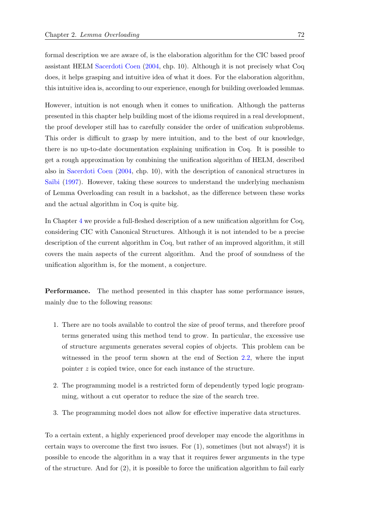formal description we are aware of, is the elaboration algorithm for the CIC based proof assistant HELM [Sacerdoti Coen](#page-215-1) [\(2004,](#page-215-1) chp. 10). Although it is not precisely what Coq does, it helps grasping and intuitive idea of what it does. For the elaboration algorithm, this intuitive idea is, according to our experience, enough for building overloaded lemmas.

However, intuition is not enough when it comes to unification. Although the patterns presented in this chapter help building most of the idioms required in a real development, the proof developer still has to carefully consider the order of unification subproblems. This order is difficult to grasp by mere intuition, and to the best of our knowledge, there is no up-to-date documentation explaining unification in Coq. It is possible to get a rough approximation by combining the unification algorithm of HELM, described also in [Sacerdoti Coen](#page-215-1) [\(2004,](#page-215-1) chp. 10), with the description of canonical structures in Saïbi [\(1997\)](#page-215-2). However, taking these sources to understand the underlying mechanism of Lemma Overloading can result in a backshot, as the difference between these works and the actual algorithm in Coq is quite big.

In Chapter [4](#page-160-0) we provide a full-fleshed description of a new unification algorithm for Coq, considering CIC with Canonical Structures. Although it is not intended to be a precise description of the current algorithm in Coq, but rather of an improved algorithm, it still covers the main aspects of the current algorithm. And the proof of soundness of the unification algorithm is, for the moment, a conjecture.

Performance. The method presented in this chapter has some performance issues, mainly due to the following reasons:

- 1. There are no tools available to control the size of proof terms, and therefore proof terms generated using this method tend to grow. In particular, the excessive use of structure arguments generates several copies of objects. This problem can be witnessed in the proof term shown at the end of Section [2.2,](#page-49-0) where the input pointer z is copied twice, once for each instance of the structure.
- 2. The programming model is a restricted form of dependently typed logic programming, without a cut operator to reduce the size of the search tree.
- 3. The programming model does not allow for effective imperative data structures.

To a certain extent, a highly experienced proof developer may encode the algorithms in certain ways to overcome the first two issues. For (1), sometimes (but not always!) it is possible to encode the algorithm in a way that it requires fewer arguments in the type of the structure. And for (2), it is possible to force the unification algorithm to fail early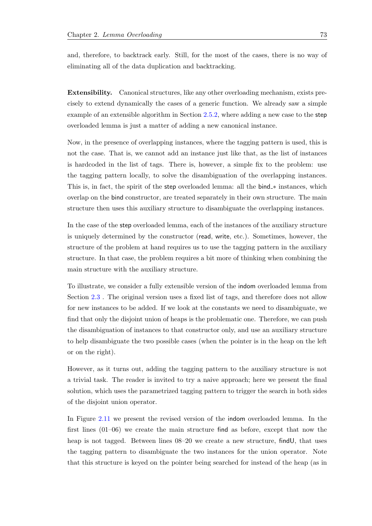and, therefore, to backtrack early. Still, for the most of the cases, there is no way of eliminating all of the data duplication and backtracking.

Extensibility. Canonical structures, like any other overloading mechanism, exists precisely to extend dynamically the cases of a generic function. We already saw a simple example of an extensible algorithm in Section [2.5.2,](#page-73-1) where adding a new case to the step overloaded lemma is just a matter of adding a new canonical instance.

Now, in the presence of overlapping instances, where the tagging pattern is used, this is not the case. That is, we cannot add an instance just like that, as the list of instances is hardcoded in the list of tags. There is, however, a simple fix to the problem: use the tagging pattern locally, to solve the disambiguation of the overlapping instances. This is, in fact, the spirit of the step overloaded lemma: all the bind ∗ instances, which overlap on the bind constructor, are treated separately in their own structure. The main structure then uses this auxiliary structure to disambiguate the overlapping instances.

In the case of the step overloaded lemma, each of the instances of the auxiliary structure is uniquely determined by the constructor (read, write, etc.). Sometimes, however, the structure of the problem at hand requires us to use the tagging pattern in the auxiliary structure. In that case, the problem requires a bit more of thinking when combining the main structure with the auxiliary structure.

To illustrate, we consider a fully extensible version of the indom overloaded lemma from Section [2.3](#page-51-0) . The original version uses a fixed list of tags, and therefore does not allow for new instances to be added. If we look at the constants we need to disambiguate, we find that only the disjoint union of heaps is the problematic one. Therefore, we can push the disambiguation of instances to that constructor only, and use an auxiliary structure to help disambiguate the two possible cases (when the pointer is in the heap on the left or on the right).

However, as it turns out, adding the tagging pattern to the auxiliary structure is not a trivial task. The reader is invited to try a naive approach; here we present the final solution, which uses the parametrized tagging pattern to trigger the search in both sides of the disjoint union operator.

In Figure [2.11](#page-94-0) we present the revised version of the indom overloaded lemma. In the first lines (01–06) we create the main structure find as before, except that now the heap is not tagged. Between lines  $08-20$  we create a new structure, find U, that uses the tagging pattern to disambiguate the two instances for the union operator. Note that this structure is keyed on the pointer being searched for instead of the heap (as in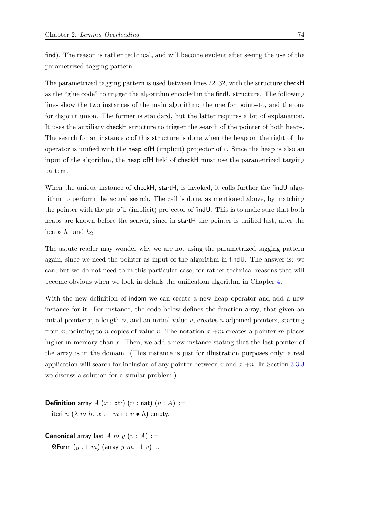The parametrized tagging pattern is used between lines 22–32, with the structure checkH as the "glue code" to trigger the algorithm encoded in the findU structure. The following lines show the two instances of the main algorithm: the one for points-to, and the one for disjoint union. The former is standard, but the latter requires a bit of explanation. It uses the auxiliary checkH structure to trigger the search of the pointer of both heaps. The search for an instance c of this structure is done when the heap on the right of the operator is unified with the heap of H (implicit) projector of  $c$ . Since the heap is also an input of the algorithm, the heap ofH field of checkH must use the parametrized tagging pattern.

When the unique instance of checkH, startH, is invoked, it calls further the findU algorithm to perform the actual search. The call is done, as mentioned above, by matching the pointer with the ptr ofU (implicit) projector of findU. This is to make sure that both heaps are known before the search, since in startH the pointer is unified last, after the heaps  $h_1$  and  $h_2$ .

The astute reader may wonder why we are not using the parametrized tagging pattern again, since we need the pointer as input of the algorithm in findU. The answer is: we can, but we do not need to in this particular case, for rather technical reasons that will become obvious when we look in details the unification algorithm in Chapter [4.](#page-160-0)

With the new definition of indom we can create a new heap operator and add a new instance for it. For instance, the code below defines the function array, that given an initial pointer x, a length n, and an initial value v, creates n adjoined pointers, starting from x, pointing to n copies of value v. The notation  $x+m$  creates a pointer m places higher in memory than x. Then, we add a new instance stating that the last pointer of the array is in the domain. (This instance is just for illustration purposes only; a real application will search for inclusion of any pointer between x and  $x+n$ . In Section [3.3.3](#page-112-0) we discuss a solution for a similar problem.)

**Definition** array A  $(x : ptr)$   $(n : nat)$   $(v : A) :=$ iteri  $n (\lambda m h. x + m \mapsto v \bullet h)$  empty.

**Canonical** array last A m y  $(v : A) :=$ **@Form**  $(y + m)$  (array  $y$   $m+1$   $v$ ) ...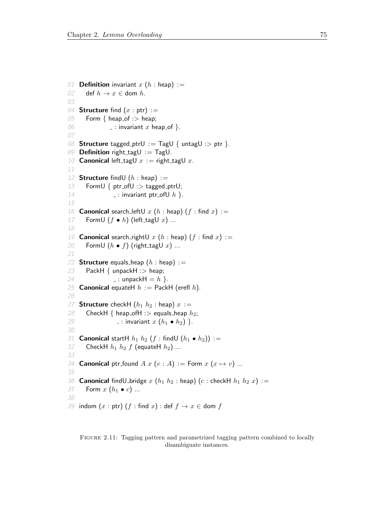```
01 Definition invariant x(h : \text{heap}) :=02 def h \to x \in dom h.
03
04 Structure find (x : ptr) :=05 Form { heap_of : > heap;
06 \Box: invariant x heap of \}.
07
08 Structure tagged_ptrU := TagU { untagU :> ptr }.
09 Definition right_tagU := TagU.
10 Canonical left_tagU x := right_tagU x.
11
12 Structure find (h : \text{heap}) :=13 FormU \{ \text{ptr\_ofU} : \text{~tagged\_ptrU}; \}14 \qquad \qquad = : invariant ptr_ofU h }.
15
16 Canonical search_leftU x (h : \text{heap}) (f : \text{find } x) :=17 FormU (f \bullet h) (left_tagU x) ...
18
19 Canonical search_rightU x (h : \text{heap}) (f : \text{find } x) :=20 FormU (h \bullet f) (right_tagU x) ...
21
22 Structure equals heap (h : \text{heap}) :=23 PackH \{ unpackH : > heap;
24 : unpackH = h }.
25 Canonical equateH h := PackH (erefl h).
26
27 Structure checkH (h_1 h_2 : \text{heap}) x :=28 CheckH { heap_ofH :> equals_heap h_2;
29 \ldots : invariant x(h_1 \bullet h_2) }.
30
31 Canonical startH h_1 h_2 (f: findU (h_1 \bullet h_2)) :=32 CheckH h_1 h_2 f (equateH h_2) ...
33
34 Canonical ptr_found A x (v : A) := Form x (x \mapsto v) ...
35
36 Canonical find U bridge x(h_1 h_2 : \text{heap}) (c : \text{checkH} h_1 h_2 x) :=37 Form x(h_1 \bullet c) ...
38
39 indom (x : ptr) (f : find x) : def f \rightarrow x \in dom f
```
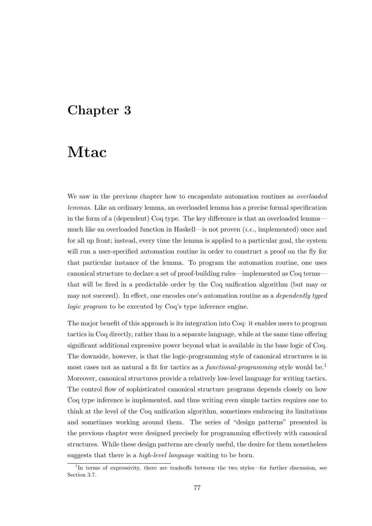# Chapter 3

# Mtac

We saw in the previous chapter how to encapsulate automation routines as *overloaded* lemmas. Like an ordinary lemma, an overloaded lemma has a precise formal specification in the form of a (dependent) Coq type. The key difference is that an overloaded lemma much like an overloaded function in Haskell—is not proven (i.e., implemented) once and for all up front; instead, every time the lemma is applied to a particular goal, the system will run a user-specified automation routine in order to construct a proof on the fly for that particular instance of the lemma. To program the automation routine, one uses canonical structure to declare a set of proof-building rules—implemented as Coq terms that will be fired in a predictable order by the Coq unification algorithm (but may or may not succeed). In effect, one encodes one's automation routine as a dependently typed logic program to be executed by Coq's type inference engine.

The major benefit of this approach is its integration into Coq: it enables users to program tactics in Coq directly, rather than in a separate language, while at the same time offering significant additional expressive power beyond what is available in the base logic of Coq. The downside, however, is that the logic-programming style of canonical structures is in most cases not as natural a fit for tactics as a *functional-programming* style would be.<sup>[1](#page-96-0)</sup> Moreover, canonical structures provide a relatively low-level language for writing tactics. The control flow of sophisticated canonical structure programs depends closely on how Coq type inference is implemented, and thus writing even simple tactics requires one to think at the level of the Coq unification algorithm, sometimes embracing its limitations and sometimes working around them. The series of "design patterns" presented in the previous chapter were designed precisely for programming effectively with canonical structures. While these design patterns are clearly useful, the desire for them nonetheless suggests that there is a high-level language waiting to be born.

<span id="page-96-0"></span><sup>&</sup>lt;sup>1</sup>In terms of expressivity, there are tradeoffs between the two styles—for further discussion, see Section [3.7.](#page-154-0)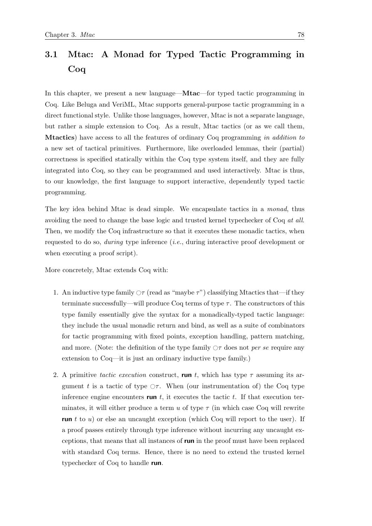# <span id="page-97-0"></span>3.1 Mtac: A Monad for Typed Tactic Programming in Coq

In this chapter, we present a new language—Mtac—for typed tactic programming in Coq. Like Beluga and VeriML, Mtac supports general-purpose tactic programming in a direct functional style. Unlike those languages, however, Mtac is not a separate language, but rather a simple extension to Coq. As a result, Mtac tactics (or as we call them, Mtactics) have access to all the features of ordinary Coq programming in addition to a new set of tactical primitives. Furthermore, like overloaded lemmas, their (partial) correctness is specified statically within the Coq type system itself, and they are fully integrated into Coq, so they can be programmed and used interactively. Mtac is thus, to our knowledge, the first language to support interactive, dependently typed tactic programming.

The key idea behind Mtac is dead simple. We encapsulate tactics in a monad, thus avoiding the need to change the base logic and trusted kernel typechecker of Coq at all. Then, we modify the Coq infrastructure so that it executes these monadic tactics, when requested to do so, during type inference (i.e., during interactive proof development or when executing a proof script).

More concretely, Mtac extends Coq with:

- 1. An inductive type family  $\circ \tau$  (read as "maybe  $\tau$ ") classifying Mtactics that—if they terminate successfully—will produce Coq terms of type  $\tau$ . The constructors of this type family essentially give the syntax for a monadically-typed tactic language: they include the usual monadic return and bind, as well as a suite of combinators for tactic programming with fixed points, exception handling, pattern matching, and more. (Note: the definition of the type family  $\Diamond \tau$  does not per se require any extension to Coq—it is just an ordinary inductive type family.)
- 2. A primitive tactic execution construct, run t, which has type  $\tau$  assuming its argument t is a tactic of type  $\circ$  . When (our instrumentation of) the Coq type inference engine encounters run  $t$ , it executes the tactic  $t$ . If that execution terminates, it will either produce a term u of type  $\tau$  (in which case Coq will rewrite run t to  $u$ ) or else an uncaught exception (which Coq will report to the user). If a proof passes entirely through type inference without incurring any uncaught exceptions, that means that all instances of run in the proof must have been replaced with standard Coq terms. Hence, there is no need to extend the trusted kernel typechecker of Coq to handle run.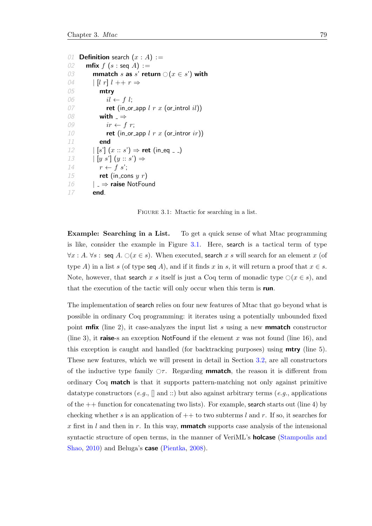```
01 Definition search (x : A) :=02 mfix f(s : \text{seq } A) :=03 mmatch s as s' return \bigcirc (x \in s') with<br>04 \bigcup l \bigcup l + r \Rightarrow\left| \begin{array}{c} l \end{array} r \right| l + r \Rightarrow05 mtry
06 il \leftarrow f \, l;07 ret (in or app l r x (or introl il))
08 with \Rightarrow09 ir \leftarrow f r;10 ret (in or app l r x (or intror ir))
11 end
12 |\space{1em} [s'] (x :: s') \Rightarrow \text{ret (in_eq } \_ )13 [y s'] (y :: s') \Rightarrow14 r \leftarrow f s';
15 ret (in_cons y r)
16 | \Rightarrow raise NotFound
17 end.
```
FIGURE 3.1: Mtactic for searching in a list.

Example: Searching in a List. To get a quick sense of what Mtac programming is like, consider the example in Figure [3.1.](#page-98-0) Here, search is a tactical term of type  $\forall x:A. \forall s: \text{seq } A. \bigcirc (x \in s).$  When executed, search x s will search for an element x (of type A) in a list s (of type seq A), and if it finds x in s, it will return a proof that  $x \in s$ . Note, however, that search x s itself is just a Coq term of monadic type  $\bigcirc (x \in s)$ , and that the execution of the tactic will only occur when this term is run.

The implementation of search relies on four new features of Mtac that go beyond what is possible in ordinary Coq programming: it iterates using a potentially unbounded fixed point **mfix** (line 2), it case-analyzes the input list s using a new **mmatch** constructor (line 3), it raise-s an exception NotFound if the element x was not found (line 16), and this exception is caught and handled (for backtracking purposes) using **mtry** (line 5). These new features, which we will present in detail in Section [3.2,](#page-99-0) are all constructors of the inductive type family  $\sigma \tau$ . Regarding **mmatch**, the reason it is different from ordinary Coq match is that it supports pattern-matching not only against primitive datatype constructors  $(e.g., \parallel \text{and} ::)$  but also against arbitrary terms  $(e.g.,$  applications of the  $++$  function for concatenating two lists). For example, search starts out (line 4) by checking whether s is an application of  $++$  to two subterms l and r. If so, it searches for x first in l and then in r. In this way, **mmatch** supports case analysis of the intensional syntactic structure of open terms, in the manner of VeriML's **holcase** [\(Stampoulis and](#page-215-3) [Shao,](#page-215-3) [2010\)](#page-215-3) and Beluga's **case** [\(Pientka,](#page-214-0) [2008\)](#page-214-0).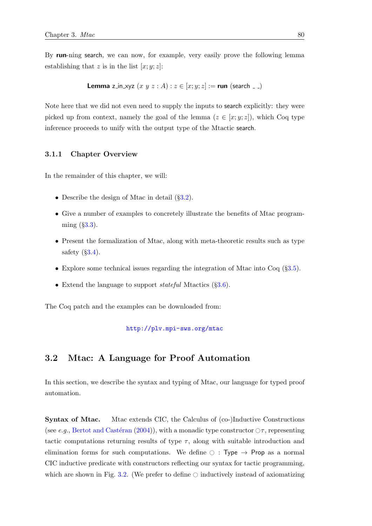By run-ning search, we can now, for example, very easily prove the following lemma establishing that z is in the list  $[x; y; z]$ :

**Lemma** z\_in\_xyz  $(x \ y \ z : A) : z \in [x, y; z] :=$  run (search  $\sqrt{-1}$ )

Note here that we did not even need to supply the inputs to search explicitly: they were picked up from context, namely the goal of the lemma  $(z \in [x; y; z])$ , which Coq type inference proceeds to unify with the output type of the Mtactic search.

#### 3.1.1 Chapter Overview

In the remainder of this chapter, we will:

- Describe the design of Mtac in detail  $(\S3.2)$  $(\S3.2)$ .
- Give a number of examples to concretely illustrate the benefits of Mtac programming  $(\S3.3)$  $(\S3.3)$ .
- Present the formalization of Mtac, along with meta-theoretic results such as type safety  $(\S3.4)$  $(\S3.4)$ .
- Explore some technical issues regarding the integration of Mtac into Coq (§[3.5\)](#page-134-0).
- Extend the language to support *stateful* Mtactics  $(\S3.6)$  $(\S3.6)$ .

The Coq patch and the examples can be downloaded from:

<http://plv.mpi-sws.org/mtac>

## <span id="page-99-0"></span>3.2 Mtac: A Language for Proof Automation

In this section, we describe the syntax and typing of Mtac, our language for typed proof automation.

Syntax of Mtac. Mtac extends CIC, the Calculus of (co-)Inductive Constructions (see e.g., Bertot and Castéran [\(2004\)](#page-211-0)), with a monadic type constructor  $\Diamond \tau$ , representing tactic computations returning results of type  $\tau$ , along with suitable introduction and elimination forms for such computations. We define  $\circ$  : Type  $\rightarrow$  Prop as a normal CIC inductive predicate with constructors reflecting our syntax for tactic programming, which are shown in Fig. [3.2.](#page-100-0) (We prefer to define  $\odot$  inductively instead of axiomatizing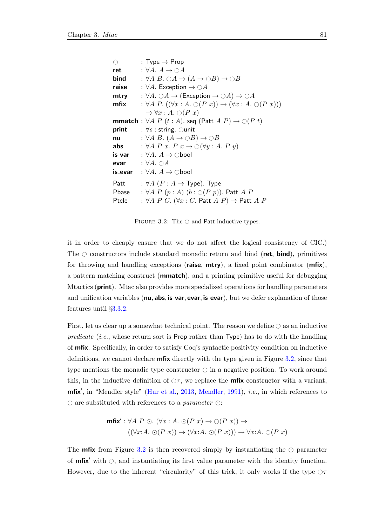<span id="page-100-0"></span>

| $\bigcirc$ | : Type $\rightarrow$ Prop                                                                                     |
|------------|---------------------------------------------------------------------------------------------------------------|
| ret        | : $\forall A. A \rightarrow \bigcirc A$                                                                       |
| bind       | : $\forall A \ B. \ \odot A \rightarrow (A \rightarrow \odot B) \rightarrow \odot B$                          |
| raise      | : $\forall A$ . Exception $\rightarrow \bigcirc A$                                                            |
| mtry       | : $\forall A. \bigcirc A \rightarrow (\mathsf{Exception} \rightarrow \bigcirc A) \rightarrow \bigcirc A$      |
| mfix       | : $\forall A \; P \; ((\forall x : A \; \bigcirc (P \; x)) \rightarrow (\forall x : A \; \bigcirc (P \; x)))$ |
|            | $\rightarrow \forall x:A. \bigcirc (P\ x)$                                                                    |
|            | <b>mmatch</b> : $\forall A \; P \; (t:A)$ . seq $($ Patt $A \; P) \rightarrow \bigcirc (P \; t)$              |
|            | <b>print</b> : $\forall s$ : string. Ounit                                                                    |
| nu         | : $\forall A \ B$ . $(A \rightarrow \bigcirc B) \rightarrow \bigcirc B$                                       |
| abs        | : $\forall A \; P \; x. \; P \; x \rightarrow \bigcirc (\forall y : A. \; P \; y)$                            |
|            | <b>is_var</b> : $\forall A. A \rightarrow \circ$ bool                                                         |
| evar       | : $\forall A. \bigcirc A$                                                                                     |
|            | <b>is_evar</b> : $\forall A. A \rightarrow \bigcirc$ bool                                                     |
| Patt       | : $\forall A \; (P : A \rightarrow Type)$ . Type                                                              |
| Pbase      | : $\forall A \; P \; (p:A) \; (b: \bigcirc (P \; p)).$ Patt A P                                               |
| Ptele      | : $\forall A \; P \; C. \; (\forall x : C.$ Patt $A \; P) \rightarrow$ Patt $A \; P$                          |

FIGURE 3.2: The  $\circ$  and Patt inductive types.

it in order to cheaply ensure that we do not affect the logical consistency of CIC.) The  $\circ$  constructors include standard monadic return and bind (ret, bind), primitives for throwing and handling exceptions (raise,  $mtry$ ), a fixed point combinator  $(mfix)$ , a pattern matching construct (mmatch), and a printing primitive useful for debugging Mtactics (**print**). Mtac also provides more specialized operations for handling parameters and unification variables (**nu**, **abs, is\_var, evar, is\_evar**), but we defer explanation of those features until §[3.3.2.](#page-108-0)

First, let us clear up a somewhat technical point. The reason we define  $\bigcirc$  as an inductive predicate (i.e., whose return sort is Prop rather than Type) has to do with the handling of mfix. Specifically, in order to satisfy Coq's syntactic positivity condition on inductive definitions, we cannot declare mfix directly with the type given in Figure [3.2,](#page-100-0) since that type mentions the monadic type constructor  $\bigcirc$  in a negative position. To work around this, in the inductive definition of  $\circlearrowright$ , we replace the **mfix** constructor with a variant,  $m$ fix', in "Mendler style" [\(Hur et al.,](#page-213-0) [2013,](#page-213-0) [Mendler,](#page-213-1) [1991\)](#page-213-1), *i.e.*, in which references to  $\circlearrowright$  are substituted with references to a parameter  $\circlearrowright$ :

$$
\begin{aligned} \text{mfix}' : \forall A \ P \odot. \ (\forall x : A. \ \odot (P \ x) \rightarrow \odot (P \ x)) \rightarrow \\ (\ (\forall x : A. \ \odot (P \ x)) \rightarrow (\forall x : A. \ \odot (P \ x))) \rightarrow \forall x : A. \ \odot (P \ x) \end{aligned}
$$

The **mfix** from Figure [3.2](#page-100-0) is then recovered simply by instantiating the  $\odot$  parameter of **mfix'** with  $\circ$ , and instantiating its first value parameter with the identity function. However, due to the inherent "circularity" of this trick, it only works if the type  $\circ \tau$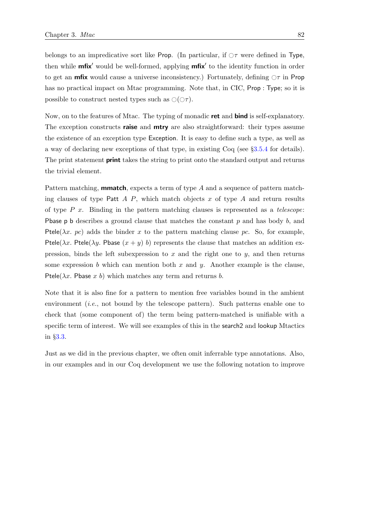belongs to an impredicative sort like Prop. (In particular, if  $\sigma \tau$  were defined in Type, then while **mfix'** would be well-formed, applying **mfix'** to the identity function in order to get an **mfix** would cause a universe inconsistency.) Fortunately, defining  $\circ \tau$  in Prop has no practical impact on Mtac programming. Note that, in CIC, Prop : Type; so it is possible to construct nested types such as  $\circlearrowleft(\circlearrowleft\tau)$ .

Now, on to the features of Mtac. The typing of monadic **ret** and **bind** is self-explanatory. The exception constructs **raise** and **mtry** are also straightforward: their types assume the existence of an exception type Exception. It is easy to define such a type, as well as a way of declaring new exceptions of that type, in existing Coq (see §[3.5.4](#page-138-0) for details). The print statement **print** takes the string to print onto the standard output and returns the trivial element.

Pattern matching, **mmatch**, expects a term of type A and a sequence of pattern matching clauses of type Patt  $A$  P, which match objects  $x$  of type  $A$  and return results of type  $P$  x. Binding in the pattern matching clauses is represented as a telescope: **Pbase p b** describes a ground clause that matches the constant  $p$  and has body  $b$ , and Ptele( $\lambda x$ . pc) adds the binder x to the pattern matching clause pc. So, for example, Ptele( $\lambda x$ . Ptele( $\lambda y$ . Pbase  $(x + y)$  b) represents the clause that matches an addition expression, binds the left subexpression to  $x$  and the right one to  $y$ , and then returns some expression b which can mention both x and y. Another example is the clause, Ptele( $\lambda x$ . Pbase x b) which matches any term and returns b.

Note that it is also fine for a pattern to mention free variables bound in the ambient environment (i.e., not bound by the telescope pattern). Such patterns enable one to check that (some component of) the term being pattern-matched is unifiable with a specific term of interest. We will see examples of this in the **search** and lookup Mtactics in §[3.3.](#page-102-0)

Just as we did in the previous chapter, we often omit inferrable type annotations. Also, in our examples and in our Coq development we use the following notation to improve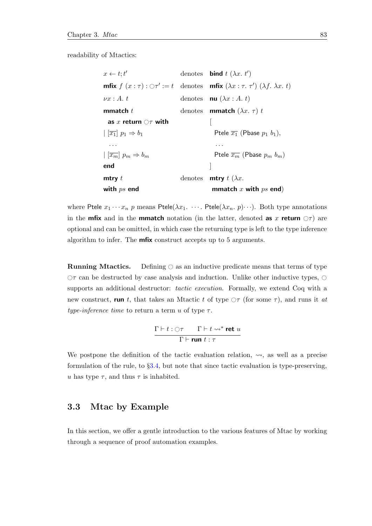readability of Mtactics:

 $x \leftarrow t : t'$  $\mathcal{O}$  denotes **bind**  $t$   $(\lambda x. t')$ **mfix**  $f(x : \tau) : \bigcirc \tau' := t$  denotes **mfix**  $(\lambda x : \tau, \tau') (\lambda f, \lambda x, t)$  $\nu x : A. t$  denotes **nu**  $(\lambda x : A. t)$ **mmatch** t denotes **mmatch** ( $\lambda x$ .  $\tau$ ) t as x return  $\bigcirc$  with  $| \overline{x_1} | p_1 \Rightarrow b_1$  Ptele  $\overline{x_1}$  (Pbase  $p_1$   $b_1$ ), . . . . . .  $| \overline{(x_m)} \ p_m \Rightarrow b_m$  Ptele  $\overline{x_m}$  (Pbase  $p_m \ b_m$ ) end  $\qquad \qquad \qquad \qquad \qquad \qquad$ **mtry** t denotes **mtry** t  $(\lambda x)$ . with  $ps$  end mmatch x with  $ps$  end)

where Ptele  $x_1 \cdots x_n$  p means Ptele( $\lambda x_1 \cdots$ . Ptele( $\lambda x_n$ . p) $\cdots$ ). Both type annotations in the **mfix** and in the **mmatch** notation (in the latter, denoted **as x return**  $\bigcirc \tau$ ) are optional and can be omitted, in which case the returning type is left to the type inference algorithm to infer. The mfix construct accepts up to 5 arguments.

**Running Mtactics.** Defining  $\bigcirc$  as an inductive predicate means that terms of type  $\circ$  can be destructed by case analysis and induction. Unlike other inductive types,  $\circ$ supports an additional destructor: *tactic execution*. Formally, we extend Coq with a new construct, run t, that takes an Mtactic t of type  $\circ \tau$  (for some  $\tau$ ), and runs it at type-inference time to return a term  $u$  of type  $\tau$ .

$$
\frac{\Gamma\vdash t:\bigcirc\tau\qquad \Gamma\vdash t\leadsto^*\mathbf{ret}\ u}{\Gamma\vdash\mathbf{run}\ t:\tau}
$$

We postpone the definition of the tactic evaluation relation,  $\rightsquigarrow$ , as well as a precise formulation of the rule, to §[3.4,](#page-118-0) but note that since tactic evaluation is type-preserving, u has type  $\tau$ , and thus  $\tau$  is inhabited.

## <span id="page-102-0"></span>3.3 Mtac by Example

In this section, we offer a gentle introduction to the various features of Mtac by working through a sequence of proof automation examples.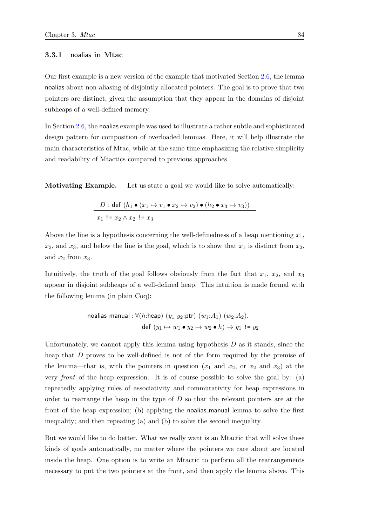#### 3.3.1 noalias in Mtac

Our first example is a new version of the example that motivated Section [2.6,](#page-77-0) the lemma noalias about non-aliasing of disjointly allocated pointers. The goal is to prove that two pointers are distinct, given the assumption that they appear in the domains of disjoint subheaps of a well-defined memory.

In Section [2.6,](#page-77-0) the noalias example was used to illustrate a rather subtle and sophisticated design pattern for composition of overloaded lemmas. Here, it will help illustrate the main characteristics of Mtac, while at the same time emphasizing the relative simplicity and readability of Mtactics compared to previous approaches.

Motivating Example. Let us state a goal we would like to solve automatically:

$$
D: \text{def }(h_1 \bullet (x_1 \mapsto v_1 \bullet x_2 \mapsto v_2) \bullet (h_2 \bullet x_3 \mapsto v_3))
$$
  

$$
x_1 := x_2 \land x_2 := x_3
$$

Above the line is a hypothesis concerning the well-definedness of a heap mentioning  $x_1$ ,  $x_2$ , and  $x_3$ , and below the line is the goal, which is to show that  $x_1$  is distinct from  $x_2$ , and  $x_2$  from  $x_3$ .

Intuitively, the truth of the goal follows obviously from the fact that  $x_1, x_2,$  and  $x_3$ appear in disjoint subheaps of a well-defined heap. This intuition is made formal with the following lemma (in plain Coq):

$$
\text{ noalias\_manual}: \forall (h:\text{heap}) \ (y_1 \ y_2: \text{ptr}) \ (w_1:A_1) \ (w_2:A_2).
$$
\n
$$
\text{def} \ (y_1 \mapsto w_1 \bullet y_2 \mapsto w_2 \bullet h) \to y_1 \ \mathbf{!} = y_2
$$

Unfortunately, we cannot apply this lemma using hypothesis  $D$  as it stands, since the heap that D proves to be well-defined is not of the form required by the premise of the lemma—that is, with the pointers in question  $(x_1 \text{ and } x_2, \text{ or } x_2 \text{ and } x_3)$  at the very front of the heap expression. It is of course possible to solve the goal by: (a) repeatedly applying rules of associativity and commutativity for heap expressions in order to rearrange the heap in the type of  $D$  so that the relevant pointers are at the front of the heap expression; (b) applying the noalias manual lemma to solve the first inequality; and then repeating (a) and (b) to solve the second inequality.

But we would like to do better. What we really want is an Mtactic that will solve these kinds of goals automatically, no matter where the pointers we care about are located inside the heap. One option is to write an Mtactic to perform all the rearrangements necessary to put the two pointers at the front, and then apply the lemma above. This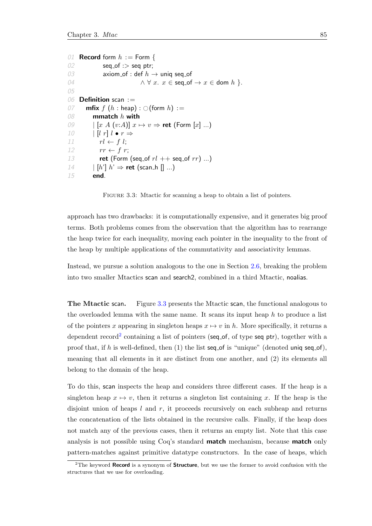```
01 Record form h := Form {
02 seq_of :> seq ptr;
03 axiom_of : def h \to \text{uniq seq_of}04 \wedge \forall x. x \in \text{seq_of} \rightarrow x \in \text{dom } h }.
05
06 Definition scan :=
07 mfix f(h : \text{heap}) : \bigcirc(\text{form } h) :=<br>08 mmatch h with
           mmatch h with
09 \left| \begin{array}{cc} [x \ A \ (v:A)] \ x \mapsto v \Rightarrow \text{ret } (\text{Form } [x] \ ... ) \end{array} \right|10 \left| \begin{array}{c} l \end{array} \right| l \bullet r \Rightarrow11 rl \leftarrow f \, l;12 rr \leftarrow f r;13 ret (Form (seq_of rl ++ seq_of rr) ...)
14 | [h'] h' \Rightarrow \text{ret} (\text{scan\_h} [] ...)15 end.
```
FIGURE 3.3: Mtactic for scanning a heap to obtain a list of pointers.

approach has two drawbacks: it is computationally expensive, and it generates big proof terms. Both problems comes from the observation that the algorithm has to rearrange the heap twice for each inequality, moving each pointer in the inequality to the front of the heap by multiple applications of the commutativity and associativity lemmas.

Instead, we pursue a solution analogous to the one in Section [2.6,](#page-77-0) breaking the problem into two smaller Mtactics scan and search2, combined in a third Mtactic, noalias.

The Mtactic scan. Figure [3.3](#page-104-0) presents the Mtactic scan, the functional analogous to the overloaded lemma with the same name. It scans its input heap  $h$  to produce a list of the pointers x appearing in singleton heaps  $x \mapsto v$  in h. More specifically, it returns a dependent record<sup>[2](#page-104-1)</sup> containing a list of pointers (seq of, of type seq ptr), together with a proof that, if h is well-defined, then  $(1)$  the list seq of is "unique" (denoted uniq seq of), meaning that all elements in it are distinct from one another, and (2) its elements all belong to the domain of the heap.

To do this, scan inspects the heap and considers three different cases. If the heap is a singleton heap  $x \mapsto v$ , then it returns a singleton list containing x. If the heap is the disjoint union of heaps  $l$  and  $r$ , it proceeds recursively on each subheap and returns the concatenation of the lists obtained in the recursive calls. Finally, if the heap does not match any of the previous cases, then it returns an empty list. Note that this case analysis is not possible using Coq's standard **match** mechanism, because **match** only pattern-matches against primitive datatype constructors. In the case of heaps, which

<span id="page-104-1"></span> $2$ The keyword Record is a synonym of Structure, but we use the former to avoid confusion with the structures that we use for overloading.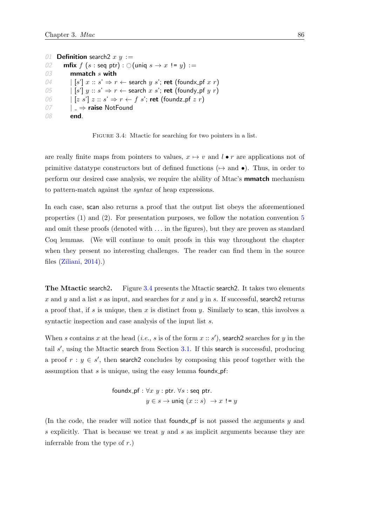```
01 Definition search 2 x y :=
02 mfix f(s : \text{seq} \text{ptr}) : \bigcirc (\text{uniq} \ s \to x \ \text{!=} \ y) :=<br>03 mmatch s with
           mmatch s with
04 |\; [s'] \; x :: s' \Rightarrow r \leftarrow search y s'; ret (foundx_pf x r)
05 | [s'] y :: s' \Rightarrow r \leftarrow search x s'; ret (foundy pf y r)
06 |[z s'] z :: s' \Rightarrow r \leftarrow f s'; ret (foundz_pf z r)
07 \vert \Rightarrow raise NotFound
08 end.
```
FIGURE 3.4: Mtactic for searching for two pointers in a list.

are really finite maps from pointers to values,  $x \mapsto v$  and  $l \bullet r$  are applications not of primitive datatype constructors but of defined functions ( $\mapsto$  and  $\bullet$ ). Thus, in order to perform our desired case analysis, we require the ability of Mtac's mmatch mechanism to pattern-match against the syntax of heap expressions.

In each case, scan also returns a proof that the output list obeys the aforementioned properties (1) and (2). For presentation purposes, we follow the notation convention [5](#page-48-0) and omit these proofs (denoted with ... in the figures), but they are proven as standard Coq lemmas. (We will continue to omit proofs in this way throughout the chapter when they present no interesting challenges. The reader can find them in the source files [\(Ziliani,](#page-216-0) [2014\)](#page-216-0).)

The Mtactic search2. Figure [3.4](#page-105-0) presents the Mtactic search2. It takes two elements x and y and a list s as input, and searches for x and y in s. If successful, search 2 returns a proof that, if s is unique, then x is distinct from y. Similarly to scan, this involves a syntactic inspection and case analysis of the input list s.

When s contains x at the head (*i.e.*, s is of the form  $x :: s'$ ), search2 searches for y in the tail  $s'$ , using the Mtactic search from Section [3.1.](#page-97-0) If this search is successful, producing a proof  $r : y \in s'$ , then search2 concludes by composing this proof together with the assumption that  $s$  is unique, using the easy lemma foundx\_pf:

$$
\begin{aligned}\n\text{foundx\_pf}: \forall x \ y: \text{ptr.} \ \forall s: \text{seq ptr.} \\
y \in s \rightarrow \text{uniq} \ (x :: s) \ \rightarrow x \ \text{!= } y\n\end{aligned}
$$

(In the code, the reader will notice that found  $\mathbf{r}$  pf is not passed the arguments y and s explicitly. That is because we treat  $y$  and  $s$  as implicit arguments because they are inferrable from the type of  $r$ .)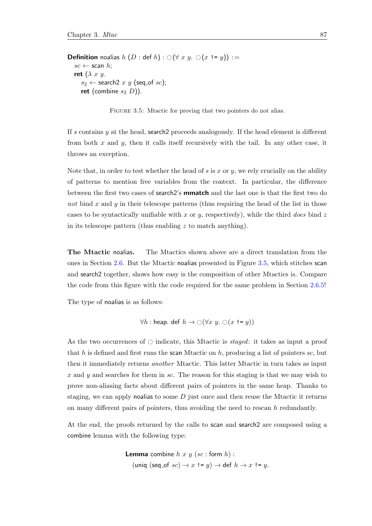<span id="page-106-0"></span>**Definition** noalias  $h(D : \text{def } h) : \bigcirc (\forall x y. \bigcirc (x != y)) :=$  $sc \leftarrow$  scan  $h$ ; ret  $(\lambda x y)$ .  $s_2 \leftarrow$  search2 x y (seq\_of sc); ret (combine  $s_2$  D)).

FIGURE 3.5: Mtactic for proving that two pointers do not alias.

If s contains y at the head, search2 proceeds analogously. If the head element is different from both  $x$  and  $y$ , then it calls itself recursively with the tail. In any other case, it throws an exception.

Note that, in order to test whether the head of s is x or y, we rely crucially on the ability of patterns to mention free variables from the context. In particular, the difference between the first two cases of search2's mmatch and the last one is that the first two do not bind  $x$  and  $y$  in their telescope patterns (thus requiring the head of the list in those cases to be syntactically unifiable with x or y, respectively), while the third does bind z in its telescope pattern (thus enabling  $z$  to match anything).

The Mtactic noalias. The Mtactics shown above are a direct translation from the ones in Section [2.6.](#page-77-0) But the Mtactic noalias presented in Figure [3.5,](#page-106-0) which stitches scan and search2 together, shows how easy is the composition of other Mtactics is. Compare the code from this figure with the code required for the same problem in Section [2.6.5!](#page-86-0)

The type of noalias is as follows:

$$
\forall h: \text{heap. def } h \to \bigcirc (\forall x \ y. \bigcirc (x != y))
$$

As the two occurrences of  $\circlearrowright$  indicate, this Mtactic is staged: it takes as input a proof that h is defined and first runs the scan Mtactic on h, producing a list of pointers sc, but then it immediately returns another Mtactic. This latter Mtactic in turn takes as input x and y and searches for them in sc. The reason for this staging is that we may wish to prove non-aliasing facts about different pairs of pointers in the same heap. Thanks to staging, we can apply notalize to some  $D$  just once and then reuse the Mtactic it returns on many different pairs of pointers, thus avoiding the need to rescan  $h$  redundantly.

At the end, the proofs returned by the calls to scan and search2 are composed using a combine lemma with the following type:

> **Lemma** combine  $h x y (sc : form h)$ : (uniq (seq\_of  $sc$ )  $\rightarrow x$  != y)  $\rightarrow$  def  $h \rightarrow x$  != y.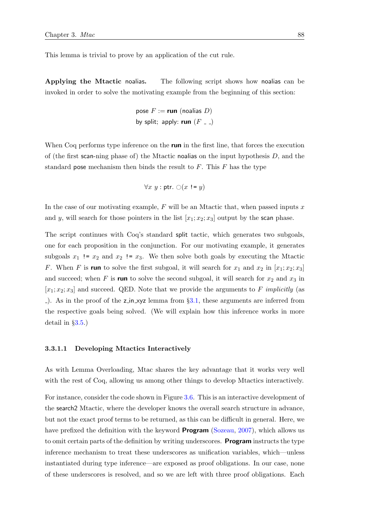This lemma is trivial to prove by an application of the cut rule.

Applying the Mtactic noalias. The following script shows how noalias can be invoked in order to solve the motivating example from the beginning of this section:

pose 
$$
F :=
$$
 run (ncalias  $D$ )  
by split; apply: run ( $F_{--}$ )

When Coq performs type inference on the **run** in the first line, that forces the execution of (the first scan-ning phase of) the Mtactic noalias on the input hypothesis  $D$ , and the standard pose mechanism then binds the result to  $F$ . This  $F$  has the type

$$
\forall x \ y : \mathsf{ptr}.\ \bigcirc(x := y)
$$

In the case of our motivating example,  $F$  will be an Mtactic that, when passed inputs  $x$ and y, will search for those pointers in the list  $[x_1; x_2; x_3]$  output by the scan phase.

The script continues with Coq's standard split tactic, which generates two subgoals, one for each proposition in the conjunction. For our motivating example, it generates subgoals  $x_1$  !=  $x_2$  and  $x_2$  !=  $x_3$ . We then solve both goals by executing the Mtactic F. When F is run to solve the first subgoal, it will search for  $x_1$  and  $x_2$  in  $[x_1; x_2; x_3]$ and succeed; when F is run to solve the second subgoal, it will search for  $x_2$  and  $x_3$  in  $[x_1; x_2; x_3]$  and succeed. QED. Note that we provide the arguments to F implicitly (as  $\Box$ . As in the proof of the z in xyz lemma from §[3.1,](#page-97-0) these arguments are inferred from the respective goals being solved. (We will explain how this inference works in more detail in §[3.5.](#page-134-0))

#### 3.3.1.1 Developing Mtactics Interactively

As with Lemma Overloading, Mtac shares the key advantage that it works very well with the rest of Coq, allowing us among other things to develop Mtactics interactively.

For instance, consider the code shown in Figure [3.6.](#page-108-1) This is an interactive development of the search2 Mtactic, where the developer knows the overall search structure in advance, but not the exact proof terms to be returned, as this can be difficult in general. Here, we have prefixed the definition with the keyword **Program** [\(Sozeau,](#page-215-0) [2007\)](#page-215-0), which allows us to omit certain parts of the definition by writing underscores. **Program** instructs the type inference mechanism to treat these underscores as unification variables, which—unless instantiated during type inference—are exposed as proof obligations. In our case, none of these underscores is resolved, and so we are left with three proof obligations. Each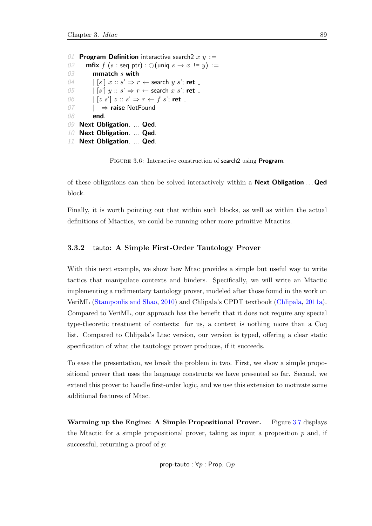```
01 Program Definition interactive search2 x y :=
02 mfix f(s : \text{seq ptr}) : \bigcirc (\text{uniq } s \to x \text{ !} = y) :=<br>03 mmatch s with
             mmatch s with
04 |\;|s'|\;x::s'\Rightarrow r \leftarrow search y s'; ret _
05 \begin{array}{c|c|c|c|c} | & [s'] & y :: s' \Rightarrow r \leftarrow \text{search } x & s'; \text{ret } \end{array}06 \left| \begin{array}{c} \begin{bmatrix} z & s' \end{bmatrix} z :: s' \Rightarrow r \leftarrow f \ s' ; \ \text{ret} \end{array} \right|07 | \Rightarrow raise NotFound
08 end.
09 Next Obligation. ... Qed.
10 Next Obligation. ... Qed.
11 Next Obligation. ... Qed.
```
FIGURE 3.6: Interactive construction of search2 using **Program.** 

of these obligations can then be solved interactively within a **Next Obligation**... **Qed** block.

Finally, it is worth pointing out that within such blocks, as well as within the actual definitions of Mtactics, we could be running other more primitive Mtactics.

# <span id="page-108-0"></span>3.3.2 tauto: A Simple First-Order Tautology Prover

With this next example, we show how Mtac provides a simple but useful way to write tactics that manipulate contexts and binders. Specifically, we will write an Mtactic implementing a rudimentary tautology prover, modeled after those found in the work on VeriML [\(Stampoulis and Shao,](#page-215-0) [2010\)](#page-215-0) and Chlipala's CPDT textbook [\(Chlipala,](#page-211-0) [2011a\)](#page-211-0). Compared to VeriML, our approach has the benefit that it does not require any special type-theoretic treatment of contexts: for us, a context is nothing more than a Coq list. Compared to Chlipala's Ltac version, our version is typed, offering a clear static specification of what the tautology prover produces, if it succeeds.

To ease the presentation, we break the problem in two. First, we show a simple propositional prover that uses the language constructs we have presented so far. Second, we extend this prover to handle first-order logic, and we use this extension to motivate some additional features of Mtac.

Warming up the Engine: A Simple Propositional Prover. Figure [3.7](#page-109-0) displays the Mtactic for a simple propositional prover, taking as input a proposition  $p$  and, if successful, returning a proof of p.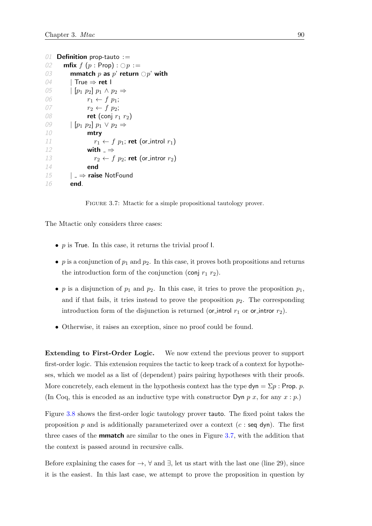```
01 Definition prop-tauto :=02 mfix f(p : Prop) : \bigcirc p :=<br>03 mmatch p as p' return
03 mmatch p as p' return \bigcirc p' with <br>04 True \Rightarrow ret l
           True \Rightarrow ret I
05 [p_1\ p_2]\ p_1\wedge p_2 \Rightarrow06 r_1 \leftarrow f \ p_1;07 r_2 \leftarrow f \, p_2;08 ret (conj r_1 r_2)
09 [p_1\ p_2]\ p_1\ \vee\ p_2 \Rightarrow10 mtry
11 r_1 \leftarrow f \, p_1; ret (or_introl r_1)
12 with = \Rightarrow13 r_2 \leftarrow f \, p_2; ret (or_intror r_2)
14 end
15 \vert \Rightarrow raise NotFound
16 end.
```
FIGURE 3.7: Mtactic for a simple propositional tautology prover.

The Mtactic only considers three cases:

- $p$  is True. In this case, it returns the trivial proof I.
- p is a conjunction of  $p_1$  and  $p_2$ . In this case, it proves both propositions and returns the introduction form of the conjunction (conj  $r_1$   $r_2$ ).
- p is a disjunction of  $p_1$  and  $p_2$ . In this case, it tries to prove the proposition  $p_1$ , and if that fails, it tries instead to prove the proposition  $p_2$ . The corresponding introduction form of the disjunction is returned (or introl  $r_1$  or or intror  $r_2$ ).
- Otherwise, it raises an exception, since no proof could be found.

Extending to First-Order Logic. We now extend the previous prover to support first-order logic. This extension requires the tactic to keep track of a context for hypotheses, which we model as a list of (dependent) pairs pairing hypotheses with their proofs. More concretely, each element in the hypothesis context has the type  $\textsf{dyn} = \Sigma p$ : Prop. p. (In Coq, this is encoded as an inductive type with constructor Dyn  $p\ x$ , for any  $x : p$ .)

Figure [3.8](#page-110-0) shows the first-order logic tautology prover tauto. The fixed point takes the proposition p and is additionally parameterized over a context  $(c : \text{seq } dyn)$ . The first three cases of the mmatch are similar to the ones in Figure [3.7,](#page-109-0) with the addition that the context is passed around in recursive calls.

Before explaining the cases for  $\rightarrow$ ,  $\forall$  and  $\exists$ , let us start with the last one (line 29), since it is the easiest. In this last case, we attempt to prove the proposition in question by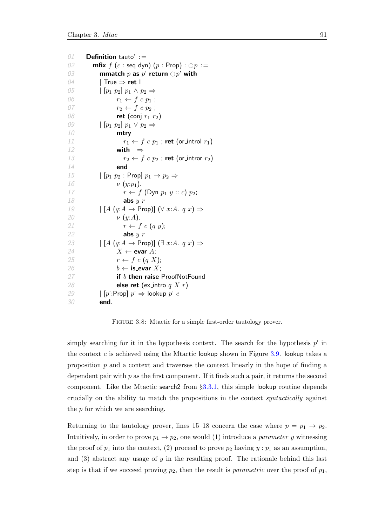```
01 Definition tauto' :=
02 mfix f(c : \text{seq dyn}) (p : \text{Prop}) : \bigcirc p :=<br>03 mmatch p as p' return \bigcirc p' with
03 mmatch p as p' return \bigcirc p' with <br>04 True \Rightarrow ret I
              | True \Rightarrow ret |
05 \left| \begin{array}{cc} [p_1 \ p_2] \ p_1 \wedge p_2 \Rightarrow \end{array} \right.06 r_1 \leftarrow f \ c \ p_1 ;07 r_2 \leftarrow f \ c \ p_2 ;08 ret (conj r_1 r_2)
09 \left[\begin{array}{cc} [p_1 \ p_2] \ p_1 \vee p_2 \Rightarrow \end{array}\right]10 mtry
11 r_1 \leftarrow f \ c \ p_1 ; \text{ret (or-introl } r_1)12 with \Rightarrow13 r_2 \leftarrow f \ c \ p_2 ; \text{ret (or_-intro } r_2)14 end
15 \left| \begin{array}{cc} [p_1 \ p_2 \ \text{:} \ \text{Prop} \end{array} \right] p_1 \rightarrow p_2 \Rightarrow16 \nu (y:p<sub>1</sub>).<br>
17 \tau \leftarrow fr \leftarrow f (Dyn p_1 y :: c) p_2;
18 abs y r19 \left[\begin{array}{c} [A \ (q:A \rightarrow \text{Prop})] \ (\forall \ x:A. \ q \ x) \Rightarrow \end{array}\right]20 \nu (y:A).21 r \leftarrow f \ c \ (q \ y);22 abs y r23 \left[\begin{array}{c} [A (q:A \rightarrow \text{Prop})] \ (\exists x:A. q x) \Rightarrow \end{array}\right]24 X \leftarrow evar A;
25 r \leftarrow f \ c \ (q \ X);26 b ← is_evar X;
27 if b then raise ProofNotFound
28 else ret (ex_intro q X r)
29 | [p':Prop] p' \Rightarrow lookup p' c
30 end.
```
FIGURE 3.8: Mtactic for a simple first-order tautology prover.

simply searching for it in the hypothesis context. The search for the hypothesis  $p'$  in the context c is achieved using the Mtactic lookup shown in Figure  $3.9$ . lookup takes a proposition  $p$  and a context and traverses the context linearly in the hope of finding a dependent pair with  $p$  as the first component. If it finds such a pair, it returns the second component. Like the Mtactic search2 from §[3.3.1,](#page-103-0) this simple lookup routine depends crucially on the ability to match the propositions in the context syntactically against the  $p$  for which we are searching.

Returning to the tautology prover, lines 15–18 concern the case where  $p = p_1 \rightarrow p_2$ . Intuitively, in order to prove  $p_1 \rightarrow p_2$ , one would (1) introduce a *parameter y* witnessing the proof of  $p_1$  into the context, (2) proceed to prove  $p_2$  having  $y : p_1$  as an assumption, and  $(3)$  abstract any usage of y in the resulting proof. The rationale behind this last step is that if we succeed proving  $p_2$ , then the result is *parametric* over the proof of  $p_1$ ,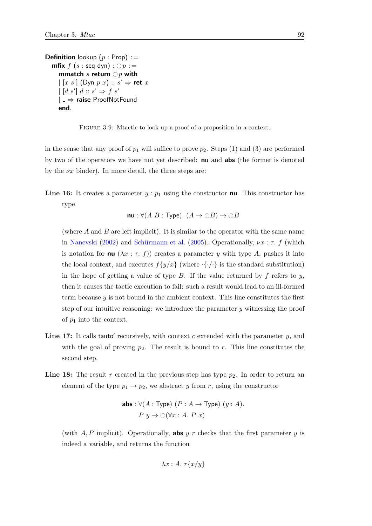<span id="page-111-0"></span>**Definition** lookup  $(p : Prop) :=$ **mfix**  $f(s : \text{seq } \text{dyn}) : \bigcirc p :=$ mmatch s return  $\bigcirc p$  with  $\left| \begin{array}{c} x & s' \end{array} \right|$  (Dyn  $p x) :: s' \Rightarrow$  ret  $x$  $\left| \begin{bmatrix} d & s' \end{bmatrix} d :: s' \Rightarrow f s' \right|$ | ⇒ raise ProofNotFound end.

FIGURE 3.9: Mtactic to look up a proof of a proposition in a context.

in the sense that any proof of  $p_1$  will suffice to prove  $p_2$ . Steps (1) and (3) are performed by two of the operators we have not yet described: nu and abs (the former is denoted by the  $\nu x$  binder). In more detail, the three steps are:

**Line 16:** It creates a parameter  $y : p_1$  using the constructor **nu**. This constructor has type

 $\mathsf{nu}: \forall (A \ B : \mathsf{Type}).$   $(A \to \bigcirc B) \to \bigcirc B$ 

(where  $A$  and  $B$  are left implicit). It is similar to the operator with the same name in [Nanevski](#page-214-0) [\(2002\)](#page-214-0) and Schürmann et al. [\(2005\)](#page-215-1). Operationally,  $\nu x : \tau$ . f (which is notation for **nu**  $(\lambda x : \tau, f)$  creates a parameter y with type A, pushes it into the local context, and executes  $f\{y/x\}$  (where  $\{\cdot/\cdot\}$  is the standard substitution) in the hope of getting a value of type  $B$ . If the value returned by  $f$  refers to  $y$ , then it causes the tactic execution to fail: such a result would lead to an ill-formed term because  $y$  is not bound in the ambient context. This line constitutes the first step of our intuitive reasoning: we introduce the parameter  $y$  witnessing the proof of  $p_1$  into the context.

- Line 17: It calls tauto' recursively, with context  $c$  extended with the parameter  $y$ , and with the goal of proving  $p_2$ . The result is bound to r. This line constitutes the second step.
- **Line 18:** The result r created in the previous step has type  $p_2$ . In order to return an element of the type  $p_1 \rightarrow p_2$ , we abstract y from r, using the constructor

**abs**: 
$$
\forall (A : Type) (P : A \rightarrow Type) (y : A).
$$
  
 $P y \rightarrow \bigcirc (\forall x : A. P x)$ 

(with  $A, P$  implicit). Operationally, **abs** y r checks that the first parameter y is indeed a variable, and returns the function

$$
\lambda x:A.\; r\{x/y\}
$$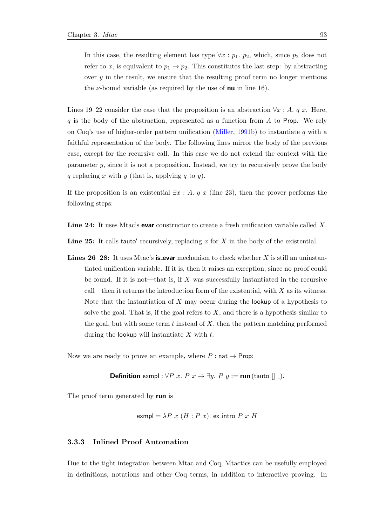In this case, the resulting element has type  $\forall x : p_1, p_2$ , which, since  $p_2$  does not refer to x, is equivalent to  $p_1 \rightarrow p_2$ . This constitutes the last step: by abstracting over  $y$  in the result, we ensure that the resulting proof term no longer mentions the *v*-bound variable (as required by the use of **nu** in line 16).

Lines 19–22 consider the case that the proposition is an abstraction  $\forall x : A, q x$ . Here,  $q$  is the body of the abstraction, represented as a function from  $A$  to Prop. We rely on Coq's use of higher-order pattern unification [\(Miller,](#page-214-1) [1991b\)](#page-214-1) to instantiate q with a faithful representation of the body. The following lines mirror the body of the previous case, except for the recursive call. In this case we do not extend the context with the parameter  $y$ , since it is not a proposition. Instead, we try to recursively prove the body q replacing x with y (that is, applying q to y).

If the proposition is an existential  $\exists x : A. q x$  (line 23), then the prover performs the following steps:

Line 24: It uses Mtac's evar constructor to create a fresh unification variable called X.

Line 25: It calls tauto' recursively, replacing  $x$  for  $X$  in the body of the existential.

**Lines 26–28:** It uses Mtac's **is evar** mechanism to check whether X is still an uninstantiated unification variable. If it is, then it raises an exception, since no proof could be found. If it is not—that is, if  $X$  was successfully instantiated in the recursive call—then it returns the introduction form of the existential, with  $X$  as its witness. Note that the instantiation of  $X$  may occur during the lookup of a hypothesis to solve the goal. That is, if the goal refers to  $X$ , and there is a hypothesis similar to the goal, but with some term  $t$  instead of  $X$ , then the pattern matching performed during the lookup will instantiate  $X$  with  $t$ .

Now we are ready to prove an example, where  $P: \textsf{nat} \to \textsf{Prop}$ :

**Definition** exmpl :  $\forall P \ x. \ P \ x \rightarrow \exists y. \ P \ y := \text{run}(\text{tauto }[]$ .

The proof term generated by run is

$$
exmpl = \lambda P \ x \ (H:P \ x).
$$
ex.intro  $P \ x \ H$ 

## <span id="page-112-0"></span>3.3.3 Inlined Proof Automation

Due to the tight integration between Mtac and Coq, Mtactics can be usefully employed in definitions, notations and other Coq terms, in addition to interactive proving. In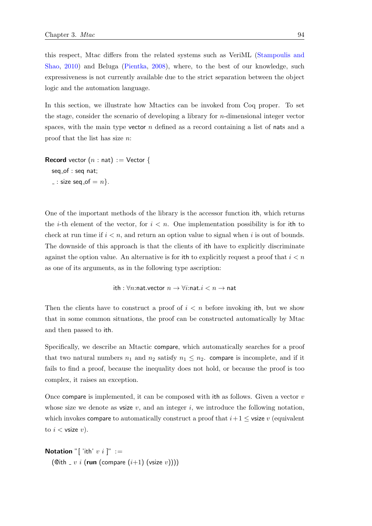this respect, Mtac differs from the related systems such as VeriML [\(Stampoulis and](#page-215-0) [Shao,](#page-215-0) [2010\)](#page-215-0) and Beluga [\(Pientka,](#page-214-2) [2008\)](#page-214-2), where, to the best of our knowledge, such expressiveness is not currently available due to the strict separation between the object logic and the automation language.

In this section, we illustrate how Mtactics can be invoked from Coq proper. To set the stage, consider the scenario of developing a library for n-dimensional integer vector spaces, with the main type vector  $n$  defined as a record containing a list of nats and a proof that the list has size n:

**Record** vector  $(n : nat) := Vector \{$  $seq_of : seq$  nat;  $\overline{\ }$ : size seq of  $\overline{\ }$   $\overline{\ }$  n  $\}$ .

One of the important methods of the library is the accessor function ith, which returns the *i*-th element of the vector, for  $i < n$ . One implementation possibility is for ith to check at run time if  $i < n$ , and return an option value to signal when i is out of bounds. The downside of this approach is that the clients of ith have to explicitly discriminate against the option value. An alternative is for ith to explicitly request a proof that  $i < n$ as one of its arguments, as in the following type ascription:

$$
\mathsf{ith} : \forall n \mathsf{:nat}.\mathsf{vector}\ n \to \forall i \mathsf{:nat}.i < n \to \mathsf{nat}
$$

Then the clients have to construct a proof of  $i < n$  before invoking ith, but we show that in some common situations, the proof can be constructed automatically by Mtac and then passed to ith.

Specifically, we describe an Mtactic compare, which automatically searches for a proof that two natural numbers  $n_1$  and  $n_2$  satisfy  $n_1 \leq n_2$ . compare is incomplete, and if it fails to find a proof, because the inequality does not hold, or because the proof is too complex, it raises an exception.

Once compare is implemented, it can be composed with ith as follows. Given a vector  $v$ whose size we denote as vsize  $v$ , and an integer  $i$ , we introduce the following notation, which invokes compare to automatically construct a proof that  $i+1 \leq$  vsize v (equivalent to  $i <$  vsize  $v$ ).

```
Notation "['ith' v i ]" :=
  (@ith \lrcorner v i (run (compare (i+1) (vsize v))))
```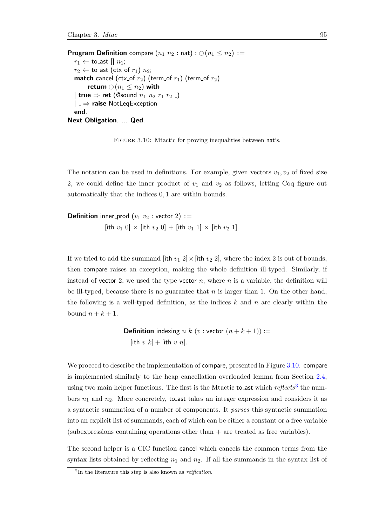<span id="page-114-0"></span>**Program Definition** compare  $(n_1 n_2 : \text{nat}) : \bigcirc (n_1 \leq n_2) :=$  $r_1 \leftarrow \text{to}$  ast  $[] n_1;$  $r_2 \leftarrow$  to ast (ctx of  $r_1$ )  $n_2$ ; **match** cancel (ctx\_of  $r_2$ ) (term\_of  $r_1$ ) (term\_of  $r_2$ ) return  $\bigcirc$   $(n_1 \leq n_2)$  with | true  $\Rightarrow$  ret (@sound  $n_1$   $n_2$   $r_1$   $r_2$   $\Box$ )  $| \Rightarrow$  raise NotLeqException end. Next Obligation. ... Qed.

FIGURE 3.10: Mtactic for proving inequalities between nat's.

The notation can be used in definitions. For example, given vectors  $v_1, v_2$  of fixed size 2, we could define the inner product of  $v_1$  and  $v_2$  as follows, letting Coq figure out automatically that the indices 0, 1 are within bounds.

**Definition** inner-prod  $(v_1 \ v_2 :$  vector 2) := [ith  $v_1$  0]  $\times$  [ith  $v_2$  0] + [ith  $v_1$  1]  $\times$  [ith  $v_2$  1].

If we tried to add the summand [ith  $v_1$  2]  $\times$  [ith  $v_2$  2], where the index 2 is out of bounds, then compare raises an exception, making the whole definition ill-typed. Similarly, if instead of vector 2, we used the type vector  $n$ , where  $n$  is a variable, the definition will be ill-typed, because there is no guarantee that  $n$  is larger than 1. On the other hand, the following is a well-typed definition, as the indices  $k$  and  $n$  are clearly within the bound  $n + k + 1$ .

> **Definition** indexing n k (v : vector  $(n + k + 1)$ ) := [ith v  $k$ ] + [ith v n].

We proceed to describe the implementation of compare, presented in Figure [3.10.](#page-114-0) compare is implemented similarly to the heap cancellation overloaded lemma from Section [2.4,](#page-56-0) using two main helper functions. The first is the Mtactic to ast which  $reflects^3$  $reflects^3$  the numbers  $n_1$  and  $n_2$ . More concretely, to ast takes an integer expression and considers it as a syntactic summation of a number of components. It parses this syntactic summation into an explicit list of summands, each of which can be either a constant or a free variable  $(subexpressions containing operations other than + are treated as free variables).$ 

The second helper is a CIC function cancel which cancels the common terms from the syntax lists obtained by reflecting  $n_1$  and  $n_2$ . If all the summands in the syntax list of

<span id="page-114-1"></span> ${}^{3}$ In the literature this step is also known as *reification*.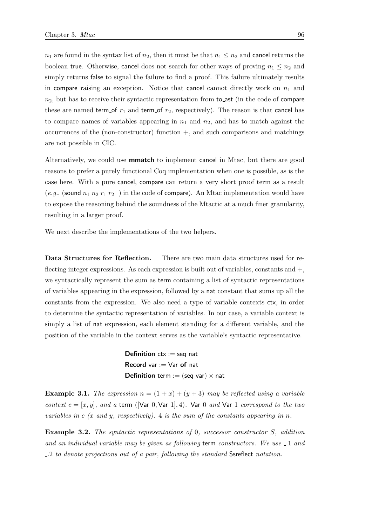$n_1$  are found in the syntax list of  $n_2$ , then it must be that  $n_1 \leq n_2$  and cancel returns the boolean true. Otherwise, cancel does not search for other ways of proving  $n_1 \leq n_2$  and simply returns false to signal the failure to find a proof. This failure ultimately results in compare raising an exception. Notice that cancel cannot directly work on  $n_1$  and  $n_2$ , but has to receive their syntactic representation from to ast (in the code of compare these are named term of  $r_1$  and term of  $r_2$ , respectively). The reason is that cancel has to compare names of variables appearing in  $n_1$  and  $n_2$ , and has to match against the occurrences of the (non-constructor) function  $+$ , and such comparisons and matchings are not possible in CIC.

Alternatively, we could use mmatch to implement cancel in Mtac, but there are good reasons to prefer a purely functional Coq implementation when one is possible, as is the case here. With a pure cancel, compare can return a very short proof term as a result (e.g., (sound  $n_1$   $n_2$   $r_1$   $r_2$   $\ldots$ ) in the code of compare). An Mtac implementation would have to expose the reasoning behind the soundness of the Mtactic at a much finer granularity, resulting in a larger proof.

We next describe the implementations of the two helpers.

Data Structures for Reflection. There are two main data structures used for reflecting integer expressions. As each expression is built out of variables, constants and +, we syntactically represent the sum as term containing a list of syntactic representations of variables appearing in the expression, followed by a nat constant that sums up all the constants from the expression. We also need a type of variable contexts ctx, in order to determine the syntactic representation of variables. In our case, a variable context is simply a list of nat expression, each element standing for a different variable, and the position of the variable in the context serves as the variable's syntactic representative.

> **Definition**  $ctx := seq$  nat **Record** var  $:=$  Var of nat **Definition** term := (seq var)  $\times$  nat

**Example 3.1.** The expression  $n = (1 + x) + (y + 3)$  may be reflected using a variable context  $c = [x, y]$ , and a term ([Var 0, Var 1], 4). Var 0 and Var 1 correspond to the two variables in  $c$  (x and y, respectively). 4 is the sum of the constants appearing in n.

Example 3.2. The syntactic representations of 0, successor constructor S, addition and an individual variable may be given as following term constructors. We use .1 and .2 to denote projections out of a pair, following the standard Ssreflect notation.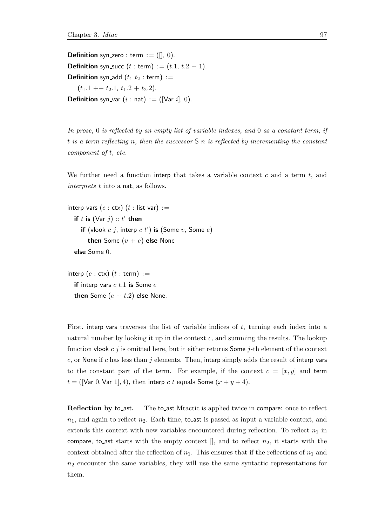**Definition** syn\_zero : term :=  $($ [ $]$ , 0). **Definition** syn\_succ  $(t : \text{term}) := (t.1, t.2 + 1)$ . **Definition** syn\_add  $(t_1 \ t_2 : \text{term}) :=$  $(t_1.1 + t_2.1, t_1.2 + t_2.2).$ **Definition** syn\_var  $(i : nat) := ([Var i], 0)$ .

In prose, 0 is reflected by an empty list of variable indexes, and 0 as a constant term; if t is a term reflecting n, then the successor  $S$  n is reflected by incrementing the constant component of t, etc.

We further need a function interp that takes a variable context  $c$  and a term  $t$ , and interprets t into a nat, as follows.

```
interp_vars (c : \text{ctx}) (t : \text{list var}) :=if t is (\forall a \rvert i) :: t' then
     if (vlook c j, interp c t') is (Some v, Some e)
        then Some (v + e) else None
  else Some 0.
```
interp  $(c : \text{ctx})$   $(t : \text{term}) :=$ if interp\_vars  $c$  t.1 is Some  $e$ then Some  $(e + t.2)$  else None.

First, interp vars traverses the list of variable indices of  $t$ , turning each index into a natural number by looking it up in the context c, and summing the results. The lookup function vlook  $c \, j$  is omitted here, but it either returns Some  $j$ -th element of the context c, or None if c has less than j elements. Then, interp simply adds the result of interp-vars to the constant part of the term. For example, if the context  $c = [x, y]$  and term  $t = ($ [Var 0, Var 1], 4), then interp c t equals Some  $(x + y + 4)$ .

**Reflection by to ast.** The to ast Mtactic is applied twice in compare: once to reflect  $n_1$ , and again to reflect  $n_2$ . Each time, to ast is passed as input a variable context, and extends this context with new variables encountered during reflection. To reflect  $n_1$  in compare, to ast starts with the empty context  $\left\| \right\|$ , and to reflect  $n_2$ , it starts with the context obtained after the reflection of  $n_1$ . This ensures that if the reflections of  $n_1$  and  $n_2$  encounter the same variables, they will use the same syntactic representations for them.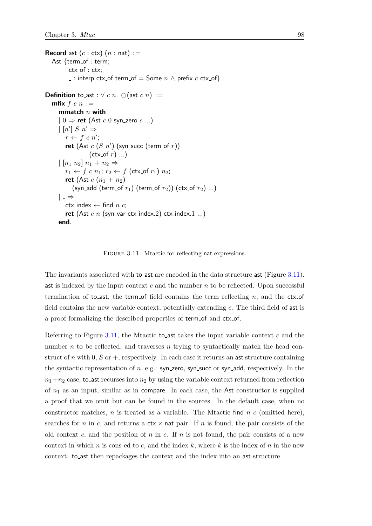```
Record ast (c : \text{ctx}) (n : \text{nat}) :=Ast \{term_of : term;ctx<sub>-of</sub> : ctx;
           \overline{\ } : interp ctx_of term_of = Some n \wedge prefix c ctx_of}
Definition to_ast : \forall c n. \bigcirc (ast c n) :=
   mfix f c n :=mmatch n with
      | 0 \Rightarrow ret (Ast c 0 syn_zero c ...)
      \lfloor n' \rfloor S n' \Rightarrowr \leftarrow f \ c \ n;
         ret (Ast c(S \; n') (syn_succ (term_of r))
                    (\text{ctx_of } r) ...)\mid [n_1 \; n_2] \; n_1 + n_2 \Rightarrowr_1 \leftarrow f \ c \ n_1; r_2 \leftarrow f \ (\textsf{ctx_of} \ r_1) \ n_2;ret (Ast c(n_1+n_2)(syn_add (term_of r_1) (term_of r_2)) (ctx_of r_2) ...)
      | \Rightarrowctx_index \leftarrow find n c;
         ret (Ast c n (syn_var ctx_index.2) ctx_index.1 ...)
      end.
```
FIGURE 3.11: Mtactic for reflecting nat expressions.

The invariants associated with to ast are encoded in the data structure ast (Figure [3.11\)](#page-117-0). ast is indexed by the input context  $c$  and the number  $n$  to be reflected. Upon successful termination of to\_ast, the term of field contains the term reflecting  $n$ , and the ctx of field contains the new variable context, potentially extending c. The third field of ast is a proof formalizing the described properties of term of and ctx of.

Referring to Figure [3.11,](#page-117-0) the Mtactic to ast takes the input variable context  $c$  and the number n to be reflected, and traverses n trying to syntactically match the head construct of n with 0, S or  $+$ , respectively. In each case it returns an ast structure containing the syntactic representation of  $n$ , e.g.: syn\_zero, syn\_succ or syn\_add, respectively. In the  $n_1+n_2$  case, to ast recurses into  $n_2$  by using the variable context returned from reflection of  $n_1$  as an input, similar as in compare. In each case, the Ast constructor is supplied a proof that we omit but can be found in the sources. In the default case, when no constructor matches,  $n$  is treated as a variable. The Mtactic find  $n$  c (omitted here), searches for n in c, and returns a  $\text{ctx} \times \text{nat pair}$ . If n is found, the pair consists of the old context c, and the position of n in c. If n is not found, the pair consists of a new context in which n is cons-ed to c, and the index k, where k is the index of n in the new context. to ast then repackages the context and the index into an ast structure.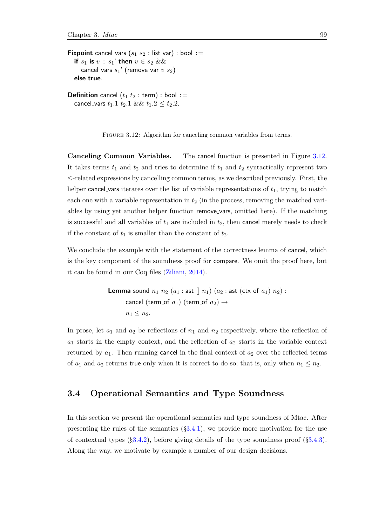<span id="page-118-0"></span>**Fixpoint** cancel\_vars  $(s_1 \ s_2 : \text{list var}) : \text{bool} :=$ if  $s_1$  is  $v :: s_1'$  then  $v \in s_2$  && cancel\_vars  $s_1$ ' (remove\_var  $v$   $s_2$ ) else true.

**Definition** cancel  $(t_1 \ t_2 : \text{term}) : \text{bool} :=$ cancel\_vars  $t_1.1 \ t_2.1 \ \&\& \ t_1.2 \leq t_2.2.$ 

FIGURE 3.12: Algorithm for canceling common variables from terms.

Canceling Common Variables. The cancel function is presented in Figure [3.12.](#page-118-0) It takes terms  $t_1$  and  $t_2$  and tries to determine if  $t_1$  and  $t_2$  syntactically represent two ≤-related expressions by cancelling common terms, as we described previously. First, the helper cancel vars iterates over the list of variable representations of  $t_1$ , trying to match each one with a variable representation in  $t_2$  (in the process, removing the matched variables by using yet another helper function remove vars, omitted here). If the matching is successful and all variables of  $t_1$  are included in  $t_2$ , then cancel merely needs to check if the constant of  $t_1$  is smaller than the constant of  $t_2$ .

We conclude the example with the statement of the correctness lemma of cancel, which is the key component of the soundness proof for compare. We omit the proof here, but it can be found in our Coq files [\(Ziliani,](#page-216-0) [2014\)](#page-216-0).

> **Lemma** sound  $n_1$   $n_2$   $(a_1 :$  ast  $[|n_1|)(a_2 :$  ast  $(\text{ctx_of } a_1) n_2)$ : cancel (term of  $a_1$ ) (term of  $a_2$ )  $\rightarrow$  $n_1 \leq n_2$ .

In prose, let  $a_1$  and  $a_2$  be reflections of  $n_1$  and  $n_2$  respectively, where the reflection of  $a_1$  starts in the empty context, and the reflection of  $a_2$  starts in the variable context returned by  $a_1$ . Then running cancel in the final context of  $a_2$  over the reflected terms of  $a_1$  and  $a_2$  returns true only when it is correct to do so; that is, only when  $n_1 \leq n_2$ .

# 3.4 Operational Semantics and Type Soundness

In this section we present the operational semantics and type soundness of Mtac. After presenting the rules of the semantics  $(\S3.4.1)$  $(\S3.4.1)$ , we provide more motivation for the use of contextual types  $(\S3.4.2)$  $(\S3.4.2)$ , before giving details of the type soundness proof  $(\S3.4.3)$  $(\S3.4.3)$ . Along the way, we motivate by example a number of our design decisions.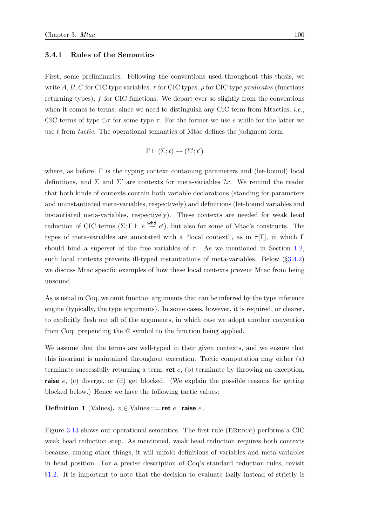#### <span id="page-119-0"></span>3.4.1 Rules of the Semantics

First, some preliminaries. Following the conventions used throughout this thesis, we write A, B, C for CIC type variables,  $\tau$  for CIC types,  $\rho$  for CIC type predicates (functions returning types), f for CIC functions. We depart ever so slightly from the conventions when it comes to terms: since we need to distinguish any CIC term from Mtactics, *i.e.*, CIC terms of type  $\circ$  for some type  $\tau$ . For the former we use e while for the latter we use t from tactic. The operational semantics of Mtac defines the judgment form

$$
\Gamma \vdash (\Sigma; t) \leadsto (\Sigma'; t')
$$

where, as before, Γ is the typing context containing parameters and (let-bound) local definitions, and  $\Sigma$  and  $\Sigma'$  are contexts for meta-variables ?x. We remind the reader that both kinds of contexts contain both variable declarations (standing for parameters and uninstantiated meta-variables, respectively) and definitions (let-bound variables and instantiated meta-variables, respectively). These contexts are needed for weak head reduction of CIC terms  $(\Sigma; \Gamma \vdash e \stackrel{\text{whd}}{\leadsto} e')$ , but also for some of Mtac's constructs. The types of meta-variables are annotated with a "local context", as in  $\tau[\Gamma]$ , in which  $\Gamma$ should bind a superset of the free variables of  $\tau$ . As we mentioned in Section [1.2,](#page-32-0) such local contexts prevents ill-typed instantiations of meta-variables. Below (§[3.4.2\)](#page-124-0) we discuss Mtac specific examples of how these local contexts prevent Mtac from being unsound.

As is usual in Coq, we omit function arguments that can be inferred by the type inference engine (typically, the type arguments). In some cases, however, it is required, or clearer, to explicitly flesh out all of the arguments, in which case we adopt another convention from Coq: prepending the @ symbol to the function being applied.

We assume that the terms are well-typed in their given contexts, and we ensure that this invariant is maintained throughout execution. Tactic computation may either (a) terminate successfully returning a term, **ret**  $e$ , (b) terminate by throwing an exception, **raise**  $e$ , (c) diverge, or (d) get blocked. (We explain the possible reasons for getting blocked below.) Hence we have the following tactic values:

**Definition 1** (Values).  $v \in$  Values ::= **ret** e | **raise** e.

Figure [3.13](#page-121-0) shows our operational semantics. The first rule (EREDUC) performs a CIC weak head reduction step. As mentioned, weak head reduction requires both contexts because, among other things, it will unfold definitions of variables and meta-variables in head position. For a precise description of Coq's standard reduction rules, revisit §[1.2.](#page-32-0) It is important to note that the decision to evaluate lazily instead of strictly is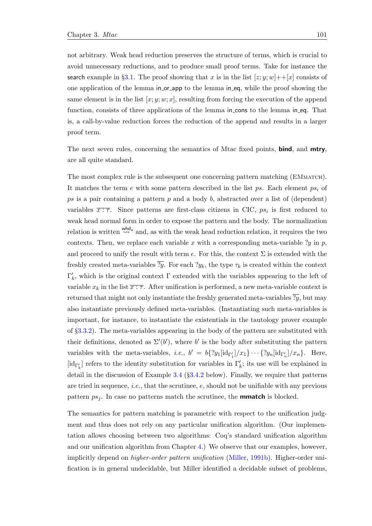not arbitrary. Weak head reduction preserves the structure of terms, which is crucial to avoid unnecessary reductions, and to produce small proof terms. Take for instance the search example in §[3.1.](#page-97-0) The proof showing that x is in the list  $[z; y; w] + \frac{1}{x}$  consists of one application of the lemma in or app to the lemma in eq, while the proof showing the same element is in the list  $[x; y; w; x]$ , resulting from forcing the execution of the append function, consists of three applications of the lemma in cons to the lemma in eq. That is, a call-by-value reduction forces the reduction of the append and results in a larger proof term.

The next seven rules, concerning the semantics of Mtac fixed points, **bind**, and **mtry**, are all quite standard.

The most complex rule is the subsequent one concerning pattern matching (EMmatch). It matches the term e with some pattern described in the list ps. Each element  $ps_i$  of ps is a pair containing a pattern  $p$  and a body  $b$ , abstracted over a list of (dependent) variables  $\overline{x:\tau}$ . Since patterns are first-class citizens in CIC,  $ps_i$  is first reduced to weak head normal form in order to expose the pattern and the body. The normalization relation is written  $\stackrel{\text{whd}}{\leadsto}{}^*$  and, as with the weak head reduction relation, it requires the two contexts. Then, we replace each variable x with a corresponding meta-variable  $y$  in p, and proceed to unify the result with term e. For this, the context  $\Sigma$  is extended with the freshly created meta-variables  $\overline{y}$ . For each  $y_k$ , the type  $\tau_k$  is created within the context  $\Gamma'_k$ , which is the original context Γ extended with the variables appearing to the left of variable  $x_k$  in the list  $\overline{x : \tau}$ . After unification is performed, a new meta-variable context is returned that might not only instantiate the freshly generated meta-variables  $\overline{?y}$ , but may also instantiate previously defined meta-variables. (Instantiating such meta-variables is important, for instance, to instantiate the existentials in the tautology prover example of §[3.3.2\)](#page-108-0). The meta-variables appearing in the body of the pattern are substituted with their definitions, denoted as  $\Sigma'(b')$ , where b' is the body after substituting the pattern variables with the meta-variables, *i.e.*,  $b' = b\{?y_1[\text{id}_{\Gamma'_1}]/x_1\} \cdots \{?y_n[\text{id}_{\Gamma'_n}]/x_n\}$ . Here,  $[\mathrm{id}_{\Gamma_k'}]$  refers to the identity substitution for variables in  $\Gamma_k'$ ; its use will be explained in detail in the discussion of Example [3.4](#page-125-0) (§[3.4.2](#page-124-0) below). Finally, we require that patterns are tried in sequence, *i.e.*, that the scrutinee,  $e$ , should not be unifiable with any previous pattern  $ps_j$ . In case no patterns match the scrutinee, the **mmatch** is blocked.

The semantics for pattern matching is parametric with respect to the unification judgment and thus does not rely on any particular unification algorithm. (Our implementation allows choosing between two algorithms: Coq's standard unification algorithm and our unification algorithm from Chapter [4.](#page-160-0)) We observe that our examples, however, implicitly depend on *higher-order pattern unification* [\(Miller,](#page-214-1) [1991b\)](#page-214-1). Higher-order unification is in general undecidable, but Miller identified a decidable subset of problems,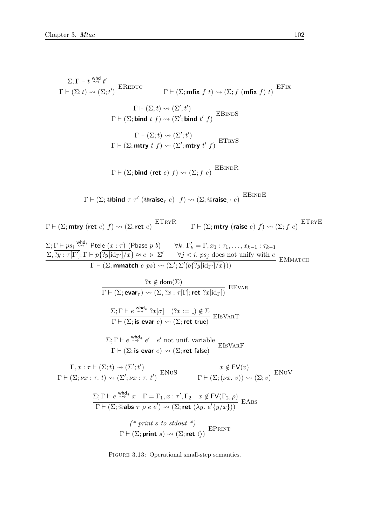<span id="page-121-0"></span>
$$
\frac{\Sigma; \Gamma \vdash t \xrightarrow{\text{whd}} t'}{\Gamma \vdash (\Sigma; t) \rightsquigarrow (\Sigma; t')} \xrightarrow{\text{REDUC}} \frac{\Gamma \vdash (\Sigma; \text{mfix } f t) \rightsquigarrow (\Sigma; f (\text{mfix } f) t)}{\Gamma \vdash (\Sigma; \text{bind } t f) \rightsquigarrow (\Sigma'; t')}\n\frac{\Gamma \vdash (\Sigma; t) \rightsquigarrow (\Sigma'; t')}{\Gamma \vdash (\Sigma; \text{bind } t f) \rightsquigarrow (\Sigma'; \text{thut } t') \cong (\Sigma'; \text{mtry } t' f)} \xrightarrow{\text{E-RWS}}\n\frac{\Gamma \vdash (\Sigma; \text{bind} (\text{ret } e) f) \rightsquigarrow (\Sigma'; \text{mtry } t' f)}{\Gamma \vdash (\Sigma; \text{bind } (\text{ret } e) f) \rightsquigarrow (\Sigma; \text{Graise}_{\tau'} e)} \xrightarrow{\text{EBRDR}}\n\frac{\Gamma \vdash (\Sigma; \text{Gind } \text{ret } e) f) \rightsquigarrow (\Sigma; \text{Graise}_{\tau'} e)}{\Gamma \vdash (\Sigma; \text{mtry } (\text{rate } e) f) \rightsquigarrow (\Sigma; \text{Graise}_{\tau'} e)} \xrightarrow{\text{EBRDE}}\n\frac{\Sigma; \Gamma \vdash p_{8i} \xrightarrow{\text{wdd}} t \text{Ptele } (\overline{x} : \overline{\tau}) \text{ (Pbase } p b)}{\Gamma \vdash (\Sigma; \text{mtry } (\text{raise } e) f) \rightsquigarrow (\Sigma; f e)} \xrightarrow{\text{ETRVE}}\n\frac{\Sigma; \Gamma \vdash p_{8i} \xrightarrow{\text{wdd}} t \text{Ptele } (\overline{x} : \overline{\tau}) \text{ (Pbase } p b)}{\Gamma \vdash (\Sigma; \text{murt } e) \text{ P} \implies (\overline{\tau} \vee \overline{\tau}) \text{ (log} \vee \overline{\tau}) \text{ (log} \vee \overline{\tau}) \text{)}
$$
\n
$$
\frac{\Sigma; \Gamma \vdash p_{8i} \xrightarrow{\text{wdd}} t \text{Ptele } (\overline{x} : \overline{\tau}) \text{ (Pbase } p b)}{\Gamma \vdash (\Sigma; \text{evar } \tau) \rightsquigarrow (\Sigma; \Sigma'; \nabla' (\overline{\tau}) \text{ (log} \vee \overline{\tau}) \text{)}
$$
\n
$$
\frac{\Sigma; \Gamma \vd
$$

FIGURE 3.13: Operational small-step semantics.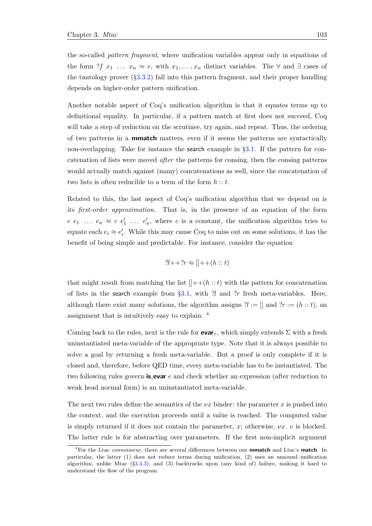the so-called pattern fragment, where unification variables appear only in equations of the form ?f  $x_1 \ldots x_n \approx e$ , with  $x_1, \ldots, x_n$  distinct variables. The  $\forall$  and  $\exists$  cases of the tautology prover  $(\S 3.3.2)$  $(\S 3.3.2)$  fall into this pattern fragment, and their proper handling depends on higher-order pattern unification.

Another notable aspect of Coq's unification algorithm is that it equates terms up to definitional equality. In particular, if a pattern match at first does not succeed, Coq will take a step of reduction on the scrutinee, try again, and repeat. Thus, the ordering of two patterns in a mmatch matters, even if it seems the patterns are syntactically non-overlapping. Take for instance the search example in  $\S 3.1$ . If the pattern for concatenation of lists were moved after the patterns for consing, then the consing patterns would actually match against (many) concatenations as well, since the concatenation of two lists is often reducible to a term of the form  $h :: t$ .

Related to this, the last aspect of Coq's unification algorithm that we depend on is its first-order approximation. That is, in the presence of an equation of the form  $c \ e_1 \ \ldots \ e_n \approx c \ e'_1 \ \ldots \ e'_n$ , where c is a constant, the unification algorithm tries to equate each  $e_i \approx e'_i$ . While this may cause Coq to miss out on some solutions, it has the benefit of being simple and predictable. For instance, consider the equation

$$
?l++?r \approx []++(h::t)
$$

that might result from matching the list  $[$ ++ $(h:: t)$  with the pattern for concatenation of lists in the search example from  $\S 3.1$ , with  $\mathcal{U}$  and  $\mathcal{U}$  fresh meta-variables. Here, although there exist many solutions, the algorithm assigns  $\mathcal{U} := []$  and  $\mathcal{U} := (h :: t)$ , and assignment that is intuitively easy to explain. [4](#page-122-0)

Coming back to the rules, next is the rule for **evar**<sub>*r*</sub>, which simply extends  $\Sigma$  with a fresh uninstantiated meta-variable of the appropriate type. Note that it is always possible to solve a goal by returning a fresh meta-variable. But a proof is only complete if it is closed and, therefore, before QED time, every meta-variable has to be instantiated. The two following rules govern **is evar** e and check whether an expression (after reduction to weak head normal form) is an uninstantiated meta-variable.

The next two rules define the semantics of the  $\nu x$  binder: the parameter x is pushed into the context, and the execution proceeds until a value is reached. The computed value is simply returned if it does not contain the parameter,  $x$ ; otherwise,  $\nu x$ . v is blocked. The latter rule is for abstracting over parameters. If the first non-implicit argument

<span id="page-122-0"></span> $4$ For the Ltac *connoisseur*, there are several differences between our **mmatch** and Ltac's **match**. In particular, the latter (1) does not reduce terms during unification, (2) uses an unsound unification algorithm, unlike Mtac (§[3.4.3\)](#page-127-0), and (3) backtracks upon (any kind of) failure, making it hard to understand the flow of the program.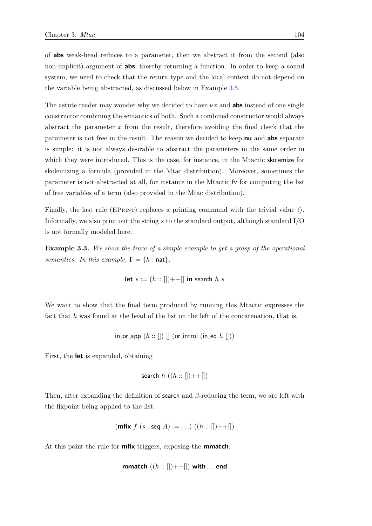of abs weak-head reduces to a parameter, then we abstract it from the second (also non-implicit) argument of **abs**, thereby returning a function. In order to keep a sound system, we need to check that the return type and the local context do not depend on the variable being abstracted, as discussed below in Example [3.5.](#page-126-0)

The astute reader may wonder why we decided to have  $\nu x$  and **abs** instead of one single constructor combining the semantics of both. Such a combined constructor would always abstract the parameter  $x$  from the result, therefore avoiding the final check that the parameter is not free in the result. The reason we decided to keep nu and abs separate is simple: it is not always desirable to abstract the parameters in the same order in which they were introduced. This is the case, for instance, in the Mtactic skolemize for skolemizing a formula (provided in the Mtac distribution). Moreover, sometimes the parameter is not abstracted at all, for instance in the Mtactic fv for computing the list of free variables of a term (also provided in the Mtac distribution).

Finally, the last rule (EPRINT) replaces a printing command with the trivial value  $\langle \rangle$ . Informally, we also print out the string s to the standard output, although standard  $I/O$ is not formally modeled here.

**Example 3.3.** We show the trace of a simple example to get a grasp of the operational semantics. In this example,  $\Gamma = \{h : \text{nat}\}.$ 

let 
$$
s := (h :: [])++[]
$$
 in search  $h$  s

We want to show that the final term produced by running this Mtactic expresses the fact that  $h$  was found at the head of the list on the left of the concatenation, that is,

in-or-app 
$$
(h::[])
$$
 [] (or-introl (in\_eq h []))

First, the let is expanded, obtaining

search 
$$
h((h::[])++[])
$$

Then, after expanding the definition of search and  $\beta$ -reducing the term, we are left with the fixpoint being applied to the list:

(mfix 
$$
f
$$
 ( $s$  : seq  $A$ ) := ...)( $(h$  :: [])++[])

At this point the rule for **mfix** triggers, exposing the **mmatch**:

**mmatch** 
$$
((h::[])++[])
$$
 with ... end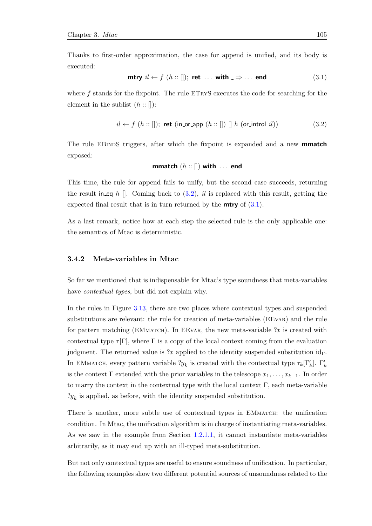Thanks to first-order approximation, the case for append is unified, and its body is executed:

<span id="page-124-2"></span>
$$
\text{mtry } il \leftarrow f \ (h :: []); \text{ ret } \dots \text{ with } \exists \Rightarrow \dots \text{ end} \tag{3.1}
$$

where  $f$  stands for the fixpoint. The rule ETRYS executes the code for searching for the element in the sublist  $(h::[])$ :

<span id="page-124-1"></span>
$$
il \leftarrow f (h::[]); \text{ret (in-or-app } (h::[]) [] h (or-introl il))
$$
 (3.2)

The rule EBINDS triggers, after which the fixpoint is expanded and a new **mmatch** exposed:

$$
\textbf{mmatch}\,\left(h::\left[\right]\right)\,\textbf{with}\;\dots\;\textbf{end}
$$

This time, the rule for append fails to unify, but the second case succeeds, returning the result in eq h []. Coming back to  $(3.2)$ , il is replaced with this result, getting the expected final result that is in turn returned by the **mtry** of  $(3.1)$ .

As a last remark, notice how at each step the selected rule is the only applicable one: the semantics of Mtac is deterministic.

#### <span id="page-124-0"></span>3.4.2 Meta-variables in Mtac

So far we mentioned that is indispensable for Mtac's type soundness that meta-variables have *contextual types*, but did not explain why.

In the rules in Figure [3.13,](#page-121-0) there are two places where contextual types and suspended substitutions are relevant: the rule for creation of meta-variables (EEvar) and the rule for pattern matching (EMMATCH). In EEVAR, the new meta-variable  $x$  is created with contextual type  $\tau[\Gamma]$ , where  $\Gamma$  is a copy of the local context coming from the evaluation judgment. The returned value is ?x applied to the identity suspended substitution  $\mathrm{id}_{\Gamma}$ . In EMMATCH, every pattern variable  $?y_k$  is created with the contextual type  $\tau_k[\Gamma_k']$ .  $\Gamma_k'$ is the context  $\Gamma$  extended with the prior variables in the telescope  $x_1, \ldots, x_{k-1}$ . In order to marry the context in the contextual type with the local context  $\Gamma$ , each meta-variable  $y_k$  is applied, as before, with the identity suspended substitution.

There is another, more subtle use of contextual types in EMMATCH: the unification condition. In Mtac, the unification algorithm is in charge of instantiating meta-variables. As we saw in the example from Section [1.2.1.1,](#page-35-0) it cannot instantiate meta-variables arbitrarily, as it may end up with an ill-typed meta-substitution.

But not only contextual types are useful to ensure soundness of unification. In particular, the following examples show two different potential sources of unsoundness related to the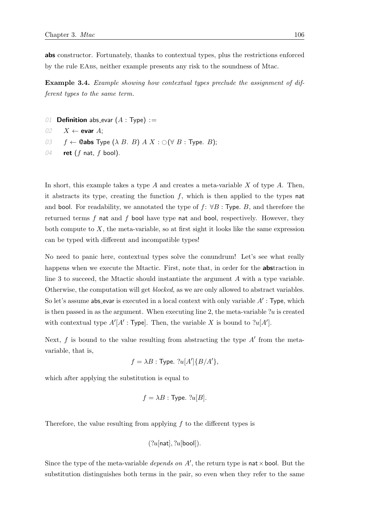abs constructor. Fortunately, thanks to contextual types, plus the restrictions enforced by the rule EAbs, neither example presents any risk to the soundness of Mtac.

<span id="page-125-0"></span>Example 3.4. Example showing how contextual types preclude the assignment of different types to the same term.

- 01 **Definition** abs\_evar  $(A : Type) :=$
- 02  $X \leftarrow$  evar A;
- 03  $f \leftarrow$  **@abs** Type  $(\lambda \ B \ B) \ A \ X : \bigcirc (\forall \ B : \text{Type. } B);$
- 04 ret  $(f \text{ nat}, f \text{ bool})$ .

In short, this example takes a type  $A$  and creates a meta-variable  $X$  of type  $A$ . Then, it abstracts its type, creating the function  $f$ , which is then applied to the types nat and bool. For readability, we annotated the type of  $f: \forall B: \text{Type } B$ , and therefore the returned terms  $f$  nat and  $f$  bool have type nat and bool, respectively. However, they both compute to  $X$ , the meta-variable, so at first sight it looks like the same expression can be typed with different and incompatible types!

No need to panic here, contextual types solve the conundrum! Let's see what really happens when we execute the Mtactic. First, note that, in order for the **abstraction** in line 3 to succeed, the Mtactic should instantiate the argument A with a type variable. Otherwise, the computation will get blocked, as we are only allowed to abstract variables. So let's assume abs\_evar is executed in a local context with only variable  $A'$ : Type, which is then passed in as the argument. When executing line 2, the meta-variable  $?u$  is created with contextual type  $A'[A': \text{Type}].$  Then, the variable X is bound to  $?u[A'].$ 

Next,  $f$  is bound to the value resulting from abstracting the type  $A'$  from the metavariable, that is,

$$
f = \lambda B : \text{Type. } ?u[A'] \{ B/A' \},
$$

which after applying the substitution is equal to

$$
f = \lambda B
$$
: Type.  $?u[B]$ .

Therefore, the value resulting from applying  $f$  to the different types is

$$
(?u[\mathsf{nat}], ?u[\mathsf{bool}]).
$$

Since the type of the meta-variable *depends on*  $A'$ , the return type is nat  $\times$  bool. But the substitution distinguishes both terms in the pair, so even when they refer to the same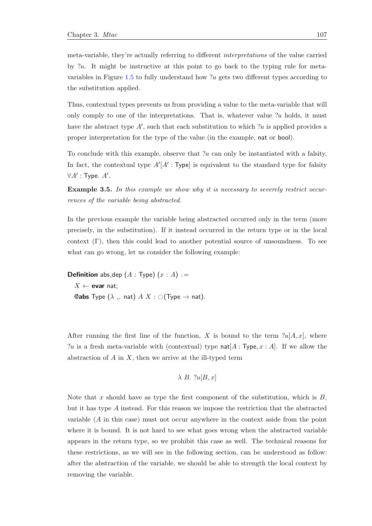meta-variable, they're actually referring to different interpretations of the value carried by  $u$ . It might be instructive at this point to go back to the typing rule for meta-variables in Figure [1.5](#page-40-0) to fully understand how  $u$  gets two different types according to the substitution applied.

Thus, contextual types prevents us from providing a value to the meta-variable that will only comply to one of the interpretations. That is, whatever value  $?u$  holds, it must have the abstract type  $A'$ , such that each substitution to which ?u is applied provides a proper interpretation for the type of the value (in the example, nat or bool).

To conclude with this example, observe that  $?u$  can only be instantiated with a falsity. In fact, the contextual type  $A'[A':\text{Type}]$  is equivalent to the standard type for falsity  $\forall A'$ : Type.  $A'$ .

<span id="page-126-0"></span>**Example 3.5.** In this example we show why it is necessary to severely restrict occurrences of the variable being abstracted.

In the previous example the variable being abstracted occurred only in the term (more precisely, in the substitution). If it instead occurred in the return type or in the local context  $(\Gamma)$ , then this could lead to another potential source of unsoundness. To see what can go wrong, let us consider the following example:

**Definition** abs\_dep  $(A : Type)$   $(x : A) :=$  $X \leftarrow$  evar nat; **@abs** Type  $(\lambda \dots$  nat)  $A X : \bigcirc$  (Type  $\rightarrow$  nat).

After running the first line of the function, X is bound to the term  $?u[A, x]$ , where ?u is a fresh meta-variable with (contextual) type  $\text{nat}[A : \text{Type}, x : A]$ . If we allow the abstraction of  $A$  in  $X$ , then we arrive at the ill-typed term

$$
\lambda
$$
 B.  $2u[B,x]$ 

Note that x should have as type the first component of the substitution, which is  $B$ , but it has type A instead. For this reason we impose the restriction that the abstracted variable (A in this case) must not occur anywhere in the context aside from the point where it is bound. It is not hard to see what goes wrong when the abstracted variable appears in the return type, so we prohibit this case as well. The technical reasons for these restrictions, as we will see in the following section, can be understood as follow: after the abstraction of the variable, we should be able to strength the local context by removing the variable.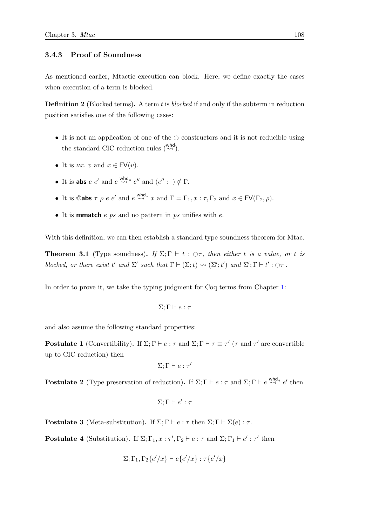# <span id="page-127-0"></span>3.4.3 Proof of Soundness

As mentioned earlier, Mtactic execution can block. Here, we define exactly the cases when execution of a term is blocked.

**Definition 2** (Blocked terms). A term t is blocked if and only if the subterm in reduction position satisfies one of the following cases:

- It is not an application of one of the  $\circ$  constructors and it is not reducible using the standard CIC reduction rules  $\begin{pmatrix} \omega h d \\ \omega \end{pmatrix}$ .
- It is  $\nu x. v$  and  $x \in \text{FV}(v)$ .
- It is abs  $e e'$  and  $e \stackrel{\text{whd}}{\leadsto} e''$  and  $(e'': \_) \notin \Gamma$ .
- It is **@abs**  $\tau \rho e e'$  and  $e \stackrel{\text{whd}}{\leadsto} x$  and  $\Gamma = \Gamma_1, x : \tau, \Gamma_2$  and  $x \in \text{FV}(\Gamma_2, \rho)$ .
- It is **mmatch** e ps and no pattern in ps unifies with e.

With this definition, we can then establish a standard type soundness theorem for Mtac.

<span id="page-127-4"></span>**Theorem 3.1** (Type soundness). If  $\Sigma$ ;  $\Gamma \vdash t : \bigcirc \tau$ , then either t is a value, or t is blocked, or there exist t' and  $\Sigma'$  such that  $\Gamma \vdash (\Sigma; t) \leadsto (\Sigma'; t')$  and  $\Sigma'; \Gamma \vdash t' : \bigcirc \tau$ .

In order to prove it, we take the typing judgment for Coq terms from Chapter [1:](#page-28-0)

$$
\Sigma;\Gamma\vdash e:\tau
$$

and also assume the following standard properties:

**Postulate 1** (Convertibility). If  $\Sigma; \Gamma \vdash e : \tau$  and  $\Sigma; \Gamma \vdash \tau \equiv \tau'$  ( $\tau$  and  $\tau'$  are convertible up to CIC reduction) then

$$
\Sigma;\Gamma\vdash e:\tau'
$$

<span id="page-127-1"></span>**Postulate 2** (Type preservation of reduction). If  $\Sigma; \Gamma \vdash e : \tau$  and  $\Sigma; \Gamma \vdash e \stackrel{\text{whd}}{\leadsto} e'$  then

$$
\Sigma;\Gamma\vdash e':\tau
$$

<span id="page-127-3"></span>**Postulate 3** (Meta-substitution). If  $\Sigma; \Gamma \vdash e : \tau$  then  $\Sigma; \Gamma \vdash \Sigma(e) : \tau$ .

<span id="page-127-2"></span>**Postulate 4** (Substitution). If  $\Sigma; \Gamma_1, x : \tau', \Gamma_2 \vdash e : \tau$  and  $\Sigma; \Gamma_1 \vdash e' : \tau'$  then

$$
\Sigma;\Gamma_1,\Gamma_2\{e'/x\} \vdash e\{e'/x\} : \tau\{e'/x\}
$$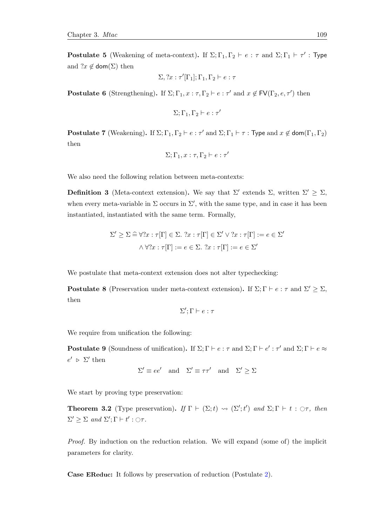**Postulate 5** (Weakening of meta-context). If  $\Sigma; \Gamma_1, \Gamma_2 \vdash e : \tau$  and  $\Sigma; \Gamma_1 \vdash \tau' : \text{Type }$ and  $?x \notin \text{dom}(\Sigma)$  then

$$
\Sigma, ?x : \tau'[\Gamma_1]; \Gamma_1, \Gamma_2 \vdash e : \tau
$$

<span id="page-128-2"></span>**Postulate 6** (Strengthening). If  $\Sigma; \Gamma_1, x : \tau, \Gamma_2 \vdash e : \tau'$  and  $x \notin \mathsf{FV}(\Gamma_2, e, \tau')$  then

$$
\Sigma;\Gamma_1,\Gamma_2 \vdash e:\tau'
$$

<span id="page-128-3"></span>**Postulate 7** (Weakening). If  $\Sigma; \Gamma_1, \Gamma_2 \vdash e : \tau'$  and  $\Sigma; \Gamma_1 \vdash \tau : \text{Type and } x \notin \text{dom}(\Gamma_1, \Gamma_2)$ then

$$
\Sigma;\Gamma_1,x:\tau,\Gamma_2\vdash e:\tau'
$$

We also need the following relation between meta-contexts:

**Definition 3** (Meta-context extension). We say that  $\Sigma'$  extends  $\Sigma$ , written  $\Sigma' \geq \Sigma$ , when every meta-variable in  $\Sigma$  occurs in  $\Sigma'$ , with the same type, and in case it has been instantiated, instantiated with the same term. Formally,

$$
\Sigma' \geq \Sigma \widehat{=} \forall ?x : \tau[\Gamma] \in \Sigma. \; ?x : \tau[\Gamma] \in \Sigma' \lor ?x : \tau[\Gamma] := e \in \Sigma'
$$

$$
\land \forall ?x : \tau[\Gamma] := e \in \Sigma. \; ?x : \tau[\Gamma] := e \in \Sigma'
$$

We postulate that meta-context extension does not alter typechecking:

<span id="page-128-0"></span>**Postulate 8** (Preservation under meta-context extension). If  $\Sigma; \Gamma \vdash e : \tau$  and  $\Sigma' \geq \Sigma$ , then

$$
\Sigma';\Gamma \vdash e : \tau
$$

We require from unification the following:

<span id="page-128-1"></span>**Postulate 9** (Soundness of unification). If  $\Sigma; \Gamma \vdash e : \tau$  and  $\Sigma; \Gamma \vdash e' : \tau'$  and  $\Sigma; \Gamma \vdash e \approx$  $e' \geq \sum'$  then

$$
\Sigma' \equiv ee'
$$
 and  $\Sigma' \equiv \tau \tau'$  and  $\Sigma' \geq \Sigma$ 

We start by proving type preservation:

<span id="page-128-4"></span>**Theorem 3.2** (Type preservation). If  $\Gamma \vdash (\Sigma; t) \leadsto (\Sigma'; t')$  and  $\Sigma; \Gamma \vdash t : \bigcirc \tau$ , then  $\Sigma' \geq \Sigma$  and  $\Sigma'; \Gamma \vdash t' : \bigcirc \tau.$ 

Proof. By induction on the reduction relation. We will expand (some of) the implicit parameters for clarity.

Case EReduc: It follows by preservation of reduction (Postulate [2\)](#page-127-1).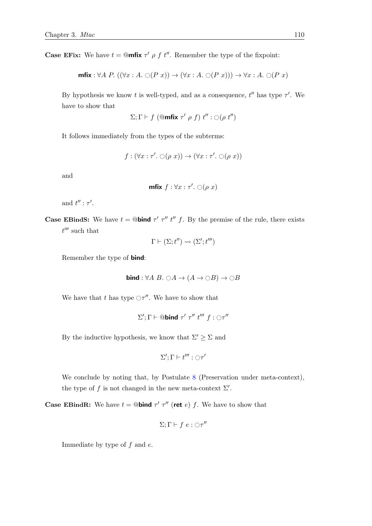**Case EFix:** We have  $t = \mathbb{Q}$ **mfix**  $\tau' \rho f t''$ . Remember the type of the fixpoint:

$$
\text{mfix}: \forall A \ P. \ ((\forall x:A. \bigcirc (P\ x)) \to (\forall x:A. \bigcirc (P\ x))) \to \forall x:A. \bigcirc (P\ x)
$$

By hypothesis we know t is well-typed, and as a consequence,  $t''$  has type  $\tau'$ . We have to show that

$$
\Sigma;\Gamma\vdash f\;(\mathbf{Qmitix}\;\tau'\;\rho\;f)\;t'':\bigcirc(\rho\;t'')
$$

It follows immediately from the types of the subterms:

$$
f: (\forall x: \tau'. \bigcirc (\rho x)) \to (\forall x: \tau'. \bigcirc (\rho x))
$$

and

$$
\text{mfix } f: \forall x: \tau'. \bigcirc (\rho \ x)
$$

and  $t'': \tau'.$ 

**Case EBindS:** We have  $t = \mathbb{Q}$ **bind**  $\tau'$   $\tau''$   $t''$   $f$ . By the premise of the rule, there exists  $t^{\prime\prime\prime}$  such that

$$
\Gamma \vdash (\Sigma; t'') \leadsto (\Sigma'; t''')
$$

Remember the type of bind:

$$
bind: \forall A \ B. \ \bigcirc A \to (A \to \bigcirc B) \to \bigcirc B
$$

We have that t has type  $\bigcirc \tau''$ . We have to show that

$$
\Sigma'; \Gamma \vdash \textcircled{abind } \tau' \ \tau'' \ t''' \ f : \bigcirc \tau''
$$

By the inductive hypothesis, we know that  $\Sigma' \geq \Sigma$  and

$$
\Sigma';\Gamma\vdash t''':\bigcirc\tau'
$$

We conclude by noting that, by Postulate [8](#page-128-0) (Preservation under meta-context), the type of f is not changed in the new meta-context  $\Sigma'$ .

**Case EBindR:** We have  $t = \mathbb{Q}$ **bind**  $\tau'$   $\tau''$  (ret e) f. We have to show that

$$
\Sigma;\Gamma\vdash f\ e:\bigcirc\tau''
$$

Immediate by type of  $f$  and  $e$ .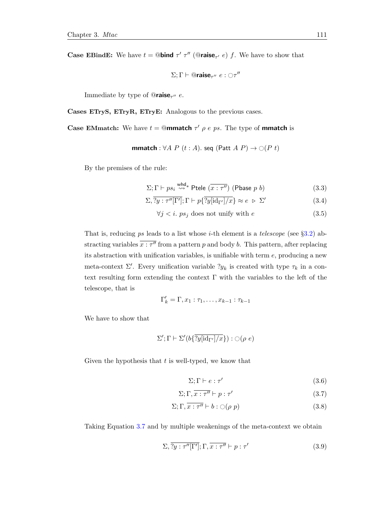**Case EBindE:** We have  $t = \mathbb{Q}$ **bind**  $\tau'$   $\tau''$  ( $\mathbb{Q}$ **raise**<sub> $\tau'$ </sub> e) f. We have to show that

$$
\Sigma;\Gamma\vdash @{\mathsf{raise}}_{\tau''}\;e:\bigcirc\tau''
$$

Immediate by type of  $@{\mathsf{raise}}_{\tau''}$  e.

Cases ETryS, ETryR, ETryE: Analogous to the previous cases.

**Case EMmatch:** We have  $t = \mathbb{Q}$ **mmatch**  $\tau'$   $\rho$  e ps. The type of **mmatch** is

**mmatch** : 
$$
\forall A \ P \ (t : A)
$$
. seq (Patt  $A \ P)$   $\rightarrow \bigcirc (P \ t)$ 

By the premises of the rule:

$$
\Sigma; \Gamma \vdash ps_i \stackrel{\text{whd}}{\leadsto} \text{Ptele } (\overline{x : \tau''}) \text{ (Phase } p \ b)
$$
 (3.3)

<span id="page-130-1"></span>
$$
\Sigma, \overline{\gamma y : \tau''[\Gamma']}; \Gamma \vdash p\{\overline{\gamma y[\text{id}_{\Gamma'}]/x}\} \approx e \; \triangleright \; \Sigma'
$$
\n(3.4)

$$
\forall j < i. \text{ } ps_j \text{ does not unify with } e \tag{3.5}
$$

That is, reducing ps leads to a list whose *i*-th element is a *telescope* (see  $\S 3.2$ ) abstracting variables  $\overline{x}$ :  $\tau''$  from a pattern p and body b. This pattern, after replacing its abstraction with unification variables, is unifiable with term  $e$ , producing a new meta-context  $\Sigma'$ . Every unification variable  $?y_k$  is created with type  $\tau_k$  in a context resulting form extending the context  $\Gamma$  with the variables to the left of the telescope, that is

$$
\Gamma'_k = \Gamma, x_1 : \tau_1, \dots, x_{k-1} : \tau_{k-1}
$$

We have to show that

$$
\Sigma';\Gamma\vdash\Sigma'(b\{\overline{?y[\operatorname{id}_{\Gamma'}]/x}\}):{\bigcirc}(\rho\;e)
$$

Given the hypothesis that  $t$  is well-typed, we know that

$$
\Sigma; \Gamma \vdash e : \tau' \tag{3.6}
$$

<span id="page-130-0"></span>
$$
\Sigma; \Gamma, \overline{x:\tau''} \vdash p:\tau' \tag{3.7}
$$

$$
\Sigma; \Gamma, \overline{x:\tau''} \vdash b: \bigcirc (\rho \ p) \tag{3.8}
$$

Taking Equation [3.7](#page-130-0) and by multiple weakenings of the meta-context we obtain

$$
\Sigma, \overline{?y : \tau''[\Gamma']}; \Gamma, \overline{x : \tau'' \vdash p : \tau'}
$$
\n(3.9)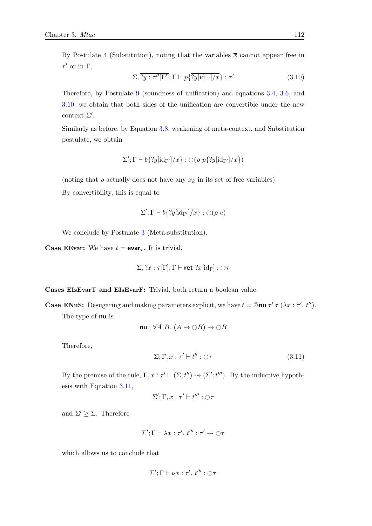By Postulate [4](#page-127-2) (Substitution), noting that the variables  $\bar{x}$  cannot appear free in  $\tau'$  or in  $\Gamma$ ,

<span id="page-131-0"></span>
$$
\Sigma, \overline{\gamma y : \tau''[\Gamma']}; \Gamma \vdash p\{\overline{\gamma y[\text{id}_{\Gamma'}]/x}\} : \tau'
$$
\n(3.10)

Therefore, by Postulate [9](#page-128-1) (soundness of unification) and equations [3.4,](#page-130-1) [3.6,](#page-130-0) and [3.10,](#page-131-0) we obtain that both sides of the unification are convertible under the new context  $\Sigma'$ .

Similarly as before, by Equation [3.8,](#page-130-0) weakening of meta-context, and Substitution postulate, we obtain

$$
\Sigma';\Gamma \vdash b\{\overline{\exists y[\mathsf{id}_{\Gamma'}]/x}\} : \bigcirc (\rho \ p\{\overline{\exists y[\mathsf{id}_{\Gamma'}]/x}\})
$$

(noting that  $\rho$  actually does not have any  $x_k$  in its set of free variables).

By convertibility, this is equal to

$$
\Sigma'; \Gamma \vdash b\{\overline{\exists y[\mathrm{id}_{\Gamma'}]/x}\} : \bigcirc (\rho \ e)
$$

We conclude by Postulate [3](#page-127-3) (Meta-substitution).

**Case EEvar:** We have  $t = \text{evar}_{\tau}$ . It is trivial,

$$
\Sigma, ?x : \tau[\Gamma]; \Gamma \vdash \mathsf{ret} \ ?x[\mathrm{id}_{\Gamma}] : \bigcirc \tau
$$

Cases EIsEvarT and EIsEvarF: Trivial, both return a boolean value.

**Case ENuS:** Desugaring and making parameters explicit, we have  $t = \mathbf{0}$ nu  $\tau'$   $\tau(\lambda x : \tau'. t'')$ . The type of **nu** is

$$
nu: \forall A B. (A \to \bigcirc B) \to \bigcirc B
$$

Therefore,

<span id="page-131-1"></span>
$$
\Sigma; \Gamma, x: \tau' \vdash t'' : \bigcirc \tau \tag{3.11}
$$

By the premise of the rule,  $\Gamma, x : \tau' \vdash (\Sigma; t'') \leadsto (\Sigma'; t''')$ . By the inductive hypothesis with Equation [3.11,](#page-131-1)

$$
\Sigma';\Gamma,x:\tau'\vdash t''':\bigcirc\tau
$$

and  $\Sigma' \geq \Sigma$ . Therefore

$$
\Sigma'; \Gamma \vdash \lambda x : \tau'. t''': \tau' \to \bigcirc \tau
$$

which allows us to conclude that

$$
\Sigma';\Gamma \vdash \nu x : \tau'. t''' : \bigcirc \tau
$$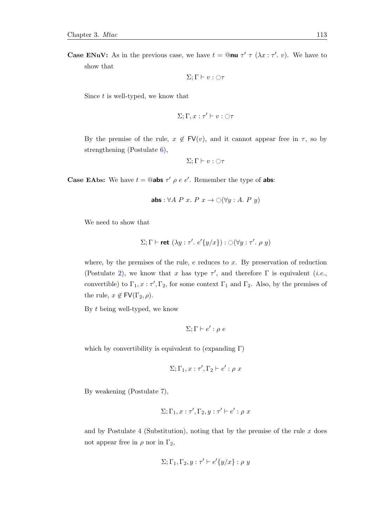**Case ENuV:** As in the previous case, we have  $t = \mathbb{Q}$ **nu**  $\tau'$   $\tau$  ( $\lambda x : \tau'$ . v). We have to show that

$$
\Sigma;\Gamma \vdash v : \bigcirc \tau
$$

Since  $t$  is well-typed, we know that

$$
\Sigma;\Gamma,x:\tau'\vdash v:\bigcirc\tau
$$

By the premise of the rule,  $x \notin \mathsf{FV}(v)$ , and it cannot appear free in  $\tau$ , so by strengthening (Postulate [6\)](#page-128-2),

$$
\Sigma;\Gamma \vdash v : \bigcirc \tau
$$

**Case EAbs:** We have  $t = \mathbb{Q}$ **abs**  $\tau' \rho e e'$ . Remember the type of **abs**:

$$
abs: \forall A \ P \ x. \ P \ x \rightarrow \bigcirc (\forall y: A. \ P \ y)
$$

We need to show that

$$
\Sigma; \Gamma \vdash \mathbf{ret} \; (\lambda y: \tau'.\; e'\{y/x\}) : \bigcirc (\forall y: \tau'. \; \rho \; y)
$$

where, by the premises of the rule,  $e$  reduces to  $x$ . By preservation of reduction (Postulate [2\)](#page-127-1), we know that x has type  $\tau'$ , and therefore  $\Gamma$  is equivalent (*i.e.*, convertible) to  $\Gamma_1, x : \tau', \Gamma_2$ , for some context  $\Gamma_1$  and  $\Gamma_2$ . Also, by the premises of the rule,  $x \notin \text{FV}(\Gamma_2, \rho)$ .

By t being well-typed, we know

$$
\Sigma; \Gamma \vdash e' : \rho \ e
$$

which by convertibility is equivalent to (expanding  $\Gamma$ )

$$
\Sigma;\Gamma_1,x:\tau',\Gamma_2\vdash e':\rho\ x
$$

By weakening (Postulate [7\)](#page-128-3),

$$
\Sigma;\Gamma_1,x:\tau',\Gamma_2,y:\tau'\vdash e':\rho\ x
$$

and by Postulate  $4$  (Substitution), noting that by the premise of the rule  $x$  does not appear free in  $\rho$  nor in  $\Gamma_2$ ,

$$
\Sigma;\Gamma_1,\Gamma_2,y:\tau'\vdash e'\{y/x\}:\rho\ y
$$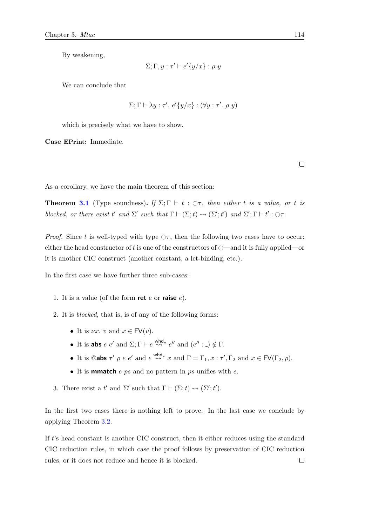By weakening,

$$
\Sigma; \Gamma, y : \tau' \vdash e'\{y/x\} : \rho y
$$

We can conclude that

$$
\Sigma; \Gamma \vdash \lambda y : \tau'. e'\{y/x\} : (\forall y : \tau'. \rho y)
$$

which is precisely what we have to show.

Case EPrint: Immediate.

 $\Box$ 

As a corollary, we have the main theorem of this section:

**Theorem [3.1](#page-127-4)** (Type soundness). If  $\Sigma$ ;  $\Gamma \vdash t : \bigcirc \tau$ , then either t is a value, or t is blocked, or there exist t' and  $\Sigma'$  such that  $\Gamma \vdash (\Sigma; t) \leadsto (\Sigma'; t')$  and  $\Sigma'; \Gamma \vdash t' : \bigcirc \tau$ .

*Proof.* Since t is well-typed with type  $\circ$ , then the following two cases have to occur: either the head constructor of t is one of the constructors of  $\bigcirc$ —and it is fully applied—or it is another CIC construct (another constant, a let-binding, etc.).

In the first case we have further three sub-cases:

- 1. It is a value (of the form ret  $e$  or raise  $e$ ).
- 2. It is blocked, that is, is of any of the following forms:
	- It is  $\nu x. v$  and  $x \in FV(v)$ .
	- It is abs  $e \cdot e'$  and  $\Sigma; \Gamma \vdash e \stackrel{\text{whd}}{\leadsto} e''$  and  $(e'': \square) \notin \Gamma$ .
	- It is **@abs**  $\tau' \rho e e'$  and  $e \stackrel{\text{whd}}{\leadsto} x$  and  $\Gamma = \Gamma_1, x : \tau', \Gamma_2$  and  $x \in \text{FV}(\Gamma_2, \rho)$ .
	- It is **mmatch**  $e$  *ps* and no pattern in *ps* unifies with  $e$ .
- 3. There exist a t' and  $\Sigma'$  such that  $\Gamma \vdash (\Sigma; t) \leadsto (\Sigma'; t').$

In the first two cases there is nothing left to prove. In the last case we conclude by applying Theorem [3.2.](#page-128-4)

If t's head constant is another CIC construct, then it either reduces using the standard CIC reduction rules, in which case the proof follows by preservation of CIC reduction  $\Box$ rules, or it does not reduce and hence it is blocked.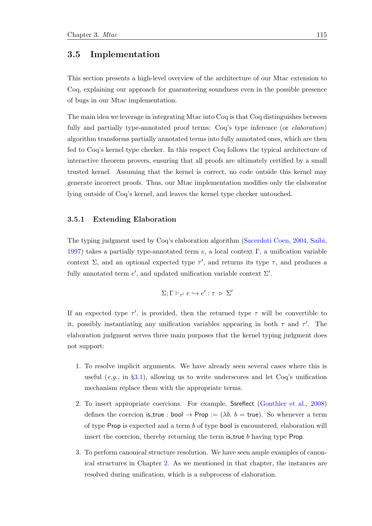# 3.5 Implementation

This section presents a high-level overview of the architecture of our Mtac extension to Coq, explaining our approach for guaranteeing soundness even in the possible presence of bugs in our Mtac implementation.

The main idea we leverage in integrating Mtac into Coq is that Coq distinguishes between fully and partially type-annotated proof terms: Coq's type inference (or *elaboration*) algorithm transforms partially annotated terms into fully annotated ones, which are then fed to Coq's kernel type checker. In this respect Coq follows the typical architecture of interactive theorem provers, ensuring that all proofs are ultimately certified by a small trusted kernel. Assuming that the kernel is correct, no code outside this kernel may generate incorrect proofs. Thus, our Mtac implementation modifies only the elaborator lying outside of Coq's kernel, and leaves the kernel type checker untouched.

### 3.5.1 Extending Elaboration

The typing judgment used by Coq's elaboration algorithm [\(Sacerdoti Coen,](#page-215-2) [2004,](#page-215-2) Saïbi, [1997\)](#page-215-3) takes a partially type-annotated term e, a local context  $\Gamma$ , a unification variable context  $\Sigma$ , and an optional expected type  $\tau'$ , and returns its type  $\tau$ , and produces a fully annotated term  $e'$ , and updated unification variable context  $\Sigma'$ .

$$
\Sigma;\Gamma\vdash_{\tau'} e\hookrightarrow e':\tau\;\mathrel{\triangleright}\; \Sigma'
$$

If an expected type  $\tau'$ , is provided, then the returned type  $\tau$  will be convertible to it, possibly instantiating any unification variables appearing in both  $\tau$  and  $\tau'$ . The elaboration judgment serves three main purposes that the kernel typing judgment does not support:

- 1. To resolve implicit arguments. We have already seen several cases where this is useful  $(e.g., in §3.1)$  $(e.g., in §3.1)$ , allowing us to write underscores and let Coq's unification mechanism replace them with the appropriate terms.
- 2. To insert appropriate coercions. For example, Ssreflect [\(Gonthier et al.,](#page-212-0) [2008\)](#page-212-0) defines the coercion is true : bool  $\rightarrow$  Prop := ( $\lambda b$ .  $b$  = true). So whenever a term of type Prop is expected and a term b of type bool is encountered, elaboration will insert the coercion, thereby returning the term is true  $b$  having type Prop.
- 3. To perform canonical structure resolution. We have seen ample examples of canonical structures in Chapter [2.](#page-46-0) As we mentioned in that chapter, the instances are resolved during unification, which is a subprocess of elaboration.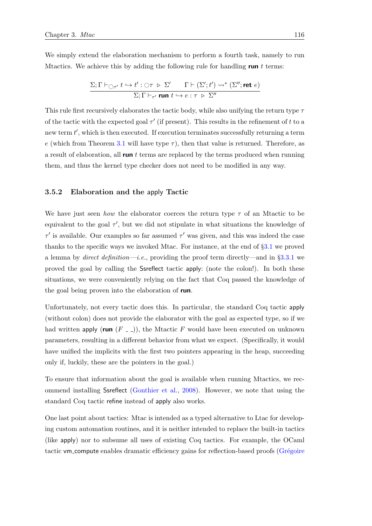We simply extend the elaboration mechanism to perform a fourth task, namely to run Mtactics. We achieve this by adding the following rule for handling run  $t$  terms:

$$
\frac{\Sigma;\Gamma\vdash_{\bigcirc\tau'}t\hookrightarrow t':\bigcirc\tau\;\rhd\;\Sigma'}{\Sigma;\Gamma\vdash_{\tau'}\mathop{\hbox{\rm run}} t\hookrightarrow e:\tau\;\rhd\;\Sigma''}\frac{\Gamma\vdash(\Sigma';t')\leadsto^*(\Sigma'';\mathop{\hbox{\rm ret}} e)}{\Sigma;\Gamma\vdash_{\tau'}\mathop{\hbox{\rm run}} t\hookrightarrow e:\tau\;\rhd\;\Sigma''}
$$

This rule first recursively elaborates the tactic body, while also unifying the return type  $\tau$ of the tactic with the expected goal  $\tau'$  (if present). This results in the refinement of t to a new term  $t'$ , which is then executed. If execution terminates successfully returning a term e (which from Theorem [3.1](#page-127-4) will have type  $\tau$ ), then that value is returned. Therefore, as a result of elaboration, all run  $t$  terms are replaced by the terms produced when running them, and thus the kernel type checker does not need to be modified in any way.

#### 3.5.2 Elaboration and the apply Tactic

We have just seen how the elaborator coerces the return type  $\tau$  of an Mtactic to be equivalent to the goal  $\tau'$ , but we did not stipulate in what situations the knowledge of  $\tau'$  is available. Our examples so far assumed  $\tau'$  was given, and this was indeed the case thanks to the specific ways we invoked Mtac. For instance, at the end of §[3.1](#page-97-0) we proved a lemma by *direct definition—i.e.*, providing the proof term directly—and in  $\S 3.3.1$  $\S 3.3.1$  we proved the goal by calling the Ssreflect tactic apply: (note the colon!). In both these situations, we were conveniently relying on the fact that Coq passed the knowledge of the goal being proven into the elaboration of **run**.

Unfortunately, not every tactic does this. In particular, the standard Coq tactic apply (without colon) does not provide the elaborator with the goal as expected type, so if we had written apply (run  $(F_-\)$ ), the Mtactic F would have been executed on unknown parameters, resulting in a different behavior from what we expect. (Specifically, it would have unified the implicits with the first two pointers appearing in the heap, succeeding only if, luckily, these are the pointers in the goal.)

To ensure that information about the goal is available when running Mtactics, we recommend installing Ssreflect [\(Gonthier et al.,](#page-212-0) [2008\)](#page-212-0). However, we note that using the standard Coq tactic refine instead of apply also works.

One last point about tactics: Mtac is intended as a typed alternative to Ltac for developing custom automation routines, and it is neither intended to replace the built-in tactics (like apply) nor to subsume all uses of existing Coq tactics. For example, the OCaml tactic vm compute enables dramatic efficiency gains for reflection-based proofs (Grégoire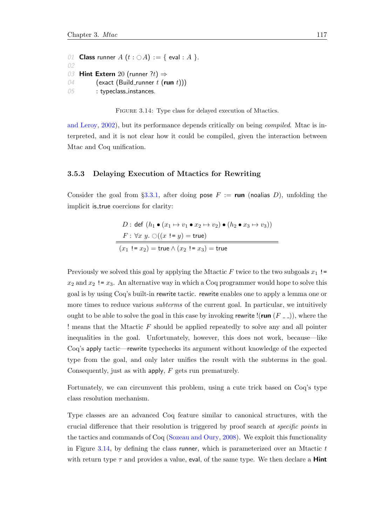<span id="page-136-0"></span>01 Class runner  $A(t : \bigcirc A) := \{$  eval : A  $\}.$ 02 03 Hint Extern 20 (runner ?t)  $\Rightarrow$ 04 (exact (Build\_runner  $t$  (run  $t$ )) 05 : typeclass\_instances.

FIGURE 3.14: Type class for delayed execution of Mtactics.

[and Leroy,](#page-212-1) [2002\)](#page-212-1), but its performance depends critically on being *compiled*. Mtac is interpreted, and it is not clear how it could be compiled, given the interaction between Mtac and Coq unification.

### 3.5.3 Delaying Execution of Mtactics for Rewriting

Consider the goal from §[3.3.1,](#page-103-0) after doing pose  $F := \text{run}$  (noalias D), unfolding the implicit is true coercions for clarity:

$$
D: \text{def } (h_1 \bullet (x_1 \mapsto v_1 \bullet x_2 \mapsto v_2) \bullet (h_2 \bullet x_3 \mapsto v_3))
$$
\n
$$
F: \forall x \ y. \bigcirc ((x != y) = \text{true})
$$
\n
$$
(x_1 != x_2) = \text{true} \land (x_2 != x_3) = \text{true}
$$

Previously we solved this goal by applying the Mtactic F twice to the two subgoals  $x_1$ !  $x_2$  and  $x_2$ ! =  $x_3$ . An alternative way in which a Coq programmer would hope to solve this goal is by using Coq's built-in rewrite tactic. rewrite enables one to apply a lemma one or more times to reduce various *subterms* of the current goal. In particular, we intuitively ought to be able to solve the goal in this case by invoking rewrite !(run  $(F_-\)$ ), where the ! means that the Mtactic F should be applied repeatedly to solve any and all pointer inequalities in the goal. Unfortunately, however, this does not work, because—like Coq's apply tactic—rewrite typechecks its argument without knowledge of the expected type from the goal, and only later unifies the result with the subterms in the goal. Consequently, just as with apply, F gets run prematurely.

Fortunately, we can circumvent this problem, using a cute trick based on Coq's type class resolution mechanism.

Type classes are an advanced Coq feature similar to canonical structures, with the crucial difference that their resolution is triggered by proof search at specific points in the tactics and commands of Coq [\(Sozeau and Oury,](#page-215-4) [2008\)](#page-215-4). We exploit this functionality in Figure [3.14,](#page-136-0) by defining the class runner, which is parameterized over an Mtactic  $t$ with return type  $\tau$  and provides a value, eval, of the same type. We then declare a **Hint**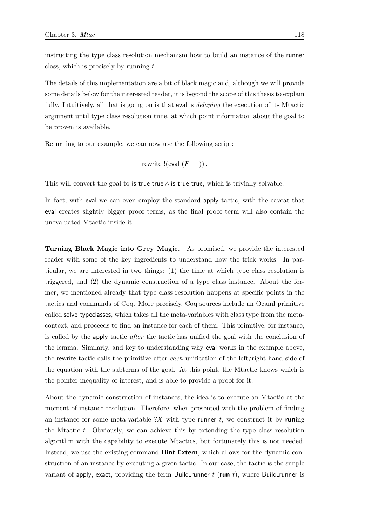instructing the type class resolution mechanism how to build an instance of the runner class, which is precisely by running  $t$ .

The details of this implementation are a bit of black magic and, although we will provide some details below for the interested reader, it is beyond the scope of this thesis to explain fully. Intuitively, all that is going on is that eval is *delaying* the execution of its Mtactic argument until type class resolution time, at which point information about the goal to be proven is available.

Returning to our example, we can now use the following script:

$$
rewrite \text{!} (eval (F \_ -))
$$

This will convert the goal to is true true  $\wedge$  is true true, which is trivially solvable.

In fact, with eval we can even employ the standard apply tactic, with the caveat that eval creates slightly bigger proof terms, as the final proof term will also contain the unevaluated Mtactic inside it.

Turning Black Magic into Grey Magic. As promised, we provide the interested reader with some of the key ingredients to understand how the trick works. In particular, we are interested in two things: (1) the time at which type class resolution is triggered, and (2) the dynamic construction of a type class instance. About the former, we mentioned already that type class resolution happens at specific points in the tactics and commands of Coq. More precisely, Coq sources include an Ocaml primitive called solve typeclasses, which takes all the meta-variables with class type from the metacontext, and proceeds to find an instance for each of them. This primitive, for instance, is called by the apply tactic after the tactic has unified the goal with the conclusion of the lemma. Similarly, and key to understanding why eval works in the example above, the rewrite tactic calls the primitive after each unification of the left/right hand side of the equation with the subterms of the goal. At this point, the Mtactic knows which is the pointer inequality of interest, and is able to provide a proof for it.

About the dynamic construction of instances, the idea is to execute an Mtactic at the moment of instance resolution. Therefore, when presented with the problem of finding an instance for some meta-variable  $?X$  with type runner t, we construct it by runing the Mtactic  $t$ . Obviously, we can achieve this by extending the type class resolution algorithm with the capability to execute Mtactics, but fortunately this is not needed. Instead, we use the existing command **Hint Extern**, which allows for the dynamic construction of an instance by executing a given tactic. In our case, the tactic is the simple variant of apply, exact, providing the term Build runner t (run t), where Build runner is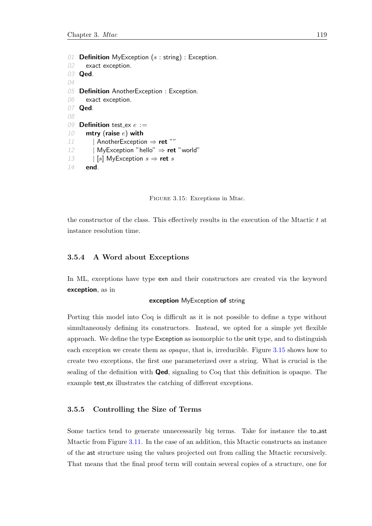```
01 Definition MyException (s : string) : Exception.02 exact exception.
03 Qed.
04
05 Definition AnotherException : Exception.
06 exact exception.
07 Qed.
08
09 Definition test_ex e :=10 mtry (raise e) with
11 | AnotherException \Rightarrow ret ""
12 | MyException "hello" \Rightarrow ret "world"
13 | [s] MyException s \Rightarrow ret s
14 end.
```


the constructor of the class. This effectively results in the execution of the Mtactic  $t$  at instance resolution time.

### 3.5.4 A Word about Exceptions

In ML, exceptions have type exn and their constructors are created via the keyword exception, as in

### exception MyException of string

Porting this model into Coq is difficult as it is not possible to define a type without simultaneously defining its constructors. Instead, we opted for a simple yet flexible approach. We define the type Exception as isomorphic to the unit type, and to distinguish each exception we create them as *opaque*, that is, irreducible. Figure [3.15](#page-138-0) shows how to create two exceptions, the first one parameterized over a string. What is crucial is the sealing of the definition with Qed, signaling to Coq that this definition is opaque. The example test ex illustrates the catching of different exceptions.

#### 3.5.5 Controlling the Size of Terms

Some tactics tend to generate unnecessarily big terms. Take for instance the to ast Mtactic from Figure [3.11.](#page-117-0) In the case of an addition, this Mtactic constructs an instance of the ast structure using the values projected out from calling the Mtactic recursively. That means that the final proof term will contain several copies of a structure, one for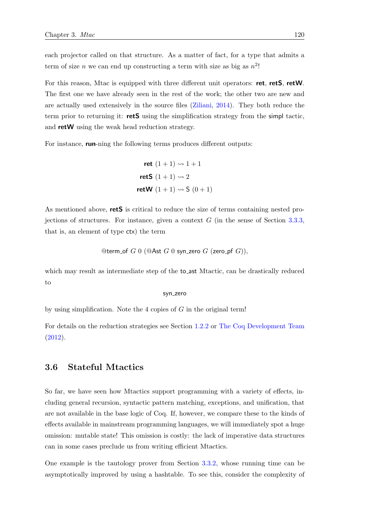each projector called on that structure. As a matter of fact, for a type that admits a term of size *n* we can end up constructing a term with size as big as  $n^2$ !

For this reason, Mtac is equipped with three different unit operators: ret, retS, retW. The first one we have already seen in the rest of the work; the other two are new and are actually used extensively in the source files [\(Ziliani,](#page-216-0) [2014\)](#page-216-0). They both reduce the term prior to returning it: **retS** using the simplification strategy from the simpl tactic, and retW using the weak head reduction strategy.

For instance, **run**-ning the following terms produces different outputs:

$$
ret (1 + 1) \rightsquigarrow 1 + 1
$$
  
retS (1 + 1)  $\rightsquigarrow 2$   
retW (1 + 1)  $\rightsquigarrow$  S (0 + 1)

As mentioned above, **retS** is critical to reduce the size of terms containing nested projections of structures. For instance, given a context  $G$  (in the sense of Section [3.3.3,](#page-112-0) that is, an element of type ctx) the term

$$
@term{\_} of\ G\ 0\ (\text{@Ast}\ G\ 0\ {\sf syn\_zero}\ G\ ({\sf zero\_pf}\ G)),
$$

which may result as intermediate step of the to\_ast Mtactic, can be drastically reduced to

#### syn zero

by using simplification. Note the 4 copies of  $G$  in the original term!

For details on the reduction strategies see Section [1.2.2](#page-37-0) or [The Coq Development Team](#page-216-1) [\(2012\)](#page-216-1).

# 3.6 Stateful Mtactics

So far, we have seen how Mtactics support programming with a variety of effects, including general recursion, syntactic pattern matching, exceptions, and unification, that are not available in the base logic of Coq. If, however, we compare these to the kinds of effects available in mainstream programming languages, we will immediately spot a huge omission: mutable state! This omission is costly: the lack of imperative data structures can in some cases preclude us from writing efficient Mtactics.

One example is the tautology prover from Section [3.3.2,](#page-108-0) whose running time can be asymptotically improved by using a hashtable. To see this, consider the complexity of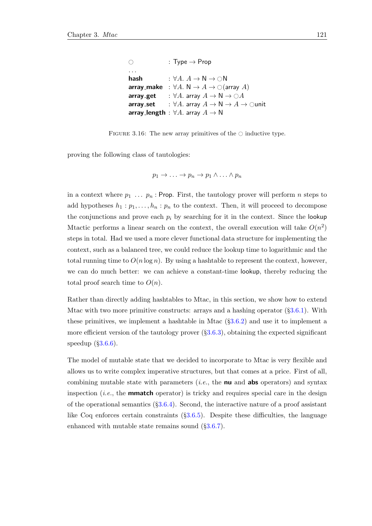```
\bigcirc : Type \rightarrow Prop
. . .
hash : \forall A. A \rightarrow N \rightarrow \bigcirc Narray_make : \forall A. \mathsf{N} \rightarrow A \rightarrow \bigcirc(array A)<br>array_get : \forall A. array A \rightarrow \mathsf{N} \rightarrow \bigcirc Aarray_get : ∀A. array A \to N \to \bigcirc A<br>array_set : ∀A. array A \to N \to A: ∀A. array A \to \mathsf{N} \to A \to \mathsf{Qunit}array_length : \forall A. array A \rightarrow N
```
FIGURE 3.16: The new array primitives of the  $\circ$  inductive type.

proving the following class of tautologies:

$$
p_1 \to \ldots \to p_n \to p_1 \land \ldots \land p_n
$$

in a context where  $p_1 \ldots p_n$ : Prop. First, the tautology prover will perform n steps to add hypotheses  $h_1 : p_1, \ldots, h_n : p_n$  to the context. Then, it will proceed to decompose the conjunctions and prove each  $p_i$  by searching for it in the context. Since the lookup Mtactic performs a linear search on the context, the overall execution will take  $O(n^2)$ steps in total. Had we used a more clever functional data structure for implementing the context, such as a balanced tree, we could reduce the lookup time to logarithmic and the total running time to  $O(n \log n)$ . By using a hashtable to represent the context, however, we can do much better: we can achieve a constant-time lookup, thereby reducing the total proof search time to  $O(n)$ .

Rather than directly adding hashtables to Mtac, in this section, we show how to extend Mtac with two more primitive constructs: arrays and a hashing operator (§[3.6.1\)](#page-141-0). With these primitives, we implement a hashtable in Mtac (§[3.6.2\)](#page-141-1) and use it to implement a more efficient version of the tautology prover (§[3.6.3\)](#page-144-0), obtaining the expected significant speedup  $(\S3.6.6)$  $(\S3.6.6)$ .

The model of mutable state that we decided to incorporate to Mtac is very flexible and allows us to write complex imperative structures, but that comes at a price. First of all, combining mutable state with parameters (*i.e.*, the **nu** and **abs** operators) and syntax inspection (*i.e.*, the **mmatch** operator) is tricky and requires special care in the design of the operational semantics  $(\S3.6.4)$  $(\S3.6.4)$ . Second, the interactive nature of a proof assistant like Coq enforces certain constraints  $(\S3.6.5)$  $(\S3.6.5)$ . Despite these difficulties, the language enhanced with mutable state remains sound  $(\S3.6.7)$  $(\S3.6.7)$ .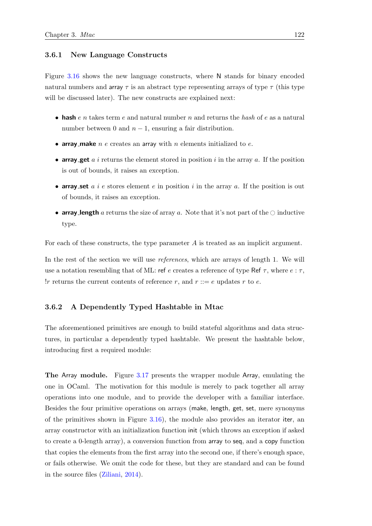### <span id="page-141-0"></span>3.6.1 New Language Constructs

Figure [3.16](#page-140-0) shows the new language constructs, where N stands for binary encoded natural numbers and array  $\tau$  is an abstract type representing arrays of type  $\tau$  (this type will be discussed later). The new constructs are explained next:

- hash  $e \, n$  takes term  $e$  and natural number  $n$  and returns the hash of  $e$  as a natural number between 0 and  $n-1$ , ensuring a fair distribution.
- array make  $n \in \mathbb{R}$  creates an array with  $n$  elements initialized to  $e$ .
- array get a i returns the element stored in position i in the array a. If the position is out of bounds, it raises an exception.
- array set a i e stores element e in position i in the array a. If the position is out of bounds, it raises an exception.
- array length a returns the size of array a. Note that it's not part of the  $\circlearrowright$  inductive type.

For each of these constructs, the type parameter A is treated as an implicit argument.

In the rest of the section we will use *references*, which are arrays of length 1. We will use a notation resembling that of ML: ref e creates a reference of type Ref  $\tau$ , where  $e : \tau$ , ! r returns the current contents of reference r, and  $r ::= e$  updates r to e.

# <span id="page-141-1"></span>3.6.2 A Dependently Typed Hashtable in Mtac

The aforementioned primitives are enough to build stateful algorithms and data structures, in particular a dependently typed hashtable. We present the hashtable below, introducing first a required module:

The Array module. Figure [3.17](#page-142-0) presents the wrapper module Array, emulating the one in OCaml. The motivation for this module is merely to pack together all array operations into one module, and to provide the developer with a familiar interface. Besides the four primitive operations on arrays (make, length, get, set, mere synonyms of the primitives shown in Figure [3.16\)](#page-140-0), the module also provides an iterator iter, an array constructor with an initialization function init (which throws an exception if asked to create a 0-length array), a conversion function from array to seq, and a copy function that copies the elements from the first array into the second one, if there's enough space, or fails otherwise. We omit the code for these, but they are standard and can be found in the source files [\(Ziliani,](#page-216-0) [2014\)](#page-216-0).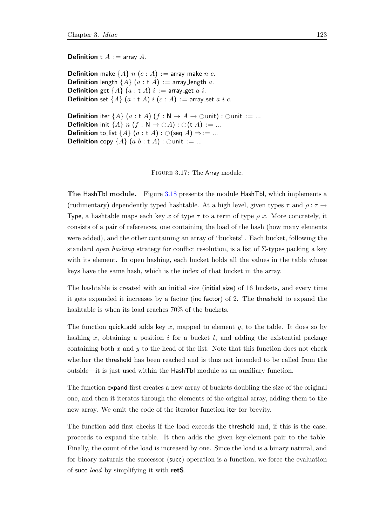#### <span id="page-142-0"></span>**Definition** t  $A := \text{array } A$ .

**Definition** make  $\{A\}$  n  $(c : A) :=$  array\_make n c. **Definition** length  $\{A\}$  (a : t A) := array\_length a. **Definition** get  $\{A\}$   $(a : t A)$   $i :=$  array get  $a$   $i$ . **Definition** set  $\{A\}$   $(a : t A)$   $i$   $(c : A) :=$  array set  $a$   $i$   $c$ .

**Definition** iter  $\{A\}$   $(a : t A)$   $(f : N \rightarrow A \rightarrow \text{Qunit})$  :  $\text{Qunit} := ...$ **Definition** init  $\{A\}$  n  $(f : N \to \bigcirc A) : \bigcirc(t A) := ...$ **Definition** to list  $\{A\}$   $(a : t A) : \bigcirc$  (seq  $A$ )  $\Rightarrow$  : = ... **Definition** copy  $\{A\}$   $(a \, b : t \, A) : \bigcirc$ unit := ...

Figure 3.17: The Array module.

The HashTbl module. Figure [3.18](#page-143-0) presents the module HashTbl, which implements a (rudimentary) dependently typed hashtable. At a high level, given types  $\tau$  and  $\rho : \tau \rightarrow$ Type, a hashtable maps each key x of type  $\tau$  to a term of type  $\rho$  x. More concretely, it consists of a pair of references, one containing the load of the hash (how many elements were added), and the other containing an array of "buckets". Each bucket, following the standard open hashing strategy for conflict resolution, is a list of  $\Sigma$ -types packing a key with its element. In open hashing, each bucket holds all the values in the table whose keys have the same hash, which is the index of that bucket in the array.

The hashtable is created with an initial size (initial size) of 16 buckets, and every time it gets expanded it increases by a factor (inc factor) of 2. The threshold to expand the hashtable is when its load reaches 70% of the buckets.

The function quick add adds key x, mapped to element y, to the table. It does so by hashing x, obtaining a position i for a bucket  $l$ , and adding the existential package containing both  $x$  and  $y$  to the head of the list. Note that this function does not check whether the threshold has been reached and is thus not intended to be called from the outside—it is just used within the HashTbl module as an auxiliary function.

The function expand first creates a new array of buckets doubling the size of the original one, and then it iterates through the elements of the original array, adding them to the new array. We omit the code of the iterator function iter for brevity.

The function add first checks if the load exceeds the threshold and, if this is the case, proceeds to expand the table. It then adds the given key-element pair to the table. Finally, the count of the load is increased by one. Since the load is a binary natural, and for binary naturals the successor (succ) operation is a function, we force the evaluation of succ load by simplifying it with retS.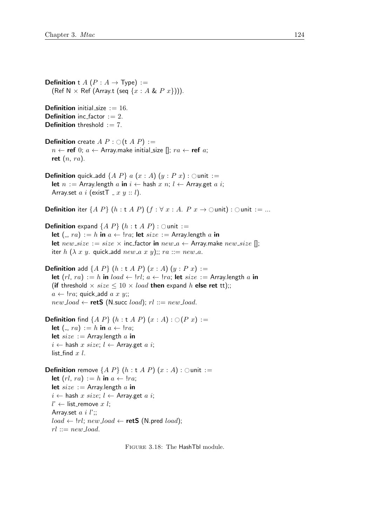<span id="page-143-0"></span>**Definition** t A ( $P: A \rightarrow Type$ ) := (Ref N  $\times$  Ref (Array.t (seq  $\{x : A \& P x\}\)$ ).

**Definition** initial size  $:= 16$ . **Definition** inc factor  $:= 2$ . **Definition** threshold  $:= 7$ .

**Definition** create  $A P : \bigcirc (t A P) :=$  $n \leftarrow$  ref 0;  $a \leftarrow$  Array.make initial\_size [];  $ra \leftarrow$  ref a; ret  $(n, ra)$ .

**Definition** quick add  $\{A \ P\} \ a \ (x : A) \ (y : P \ x) : \bigcirc$ unit := let  $n :=$  Array.length  $a$  in  $i \leftarrow$  hash  $x$   $n; l \leftarrow$  Array.get  $a$   $i;$ Array.set  $a \, i$  (exist  $\top x \, y :: l$ ).

**Definition** iter  $\{A \ P\}$   $(h : t \ A \ P)$   $(f : \forall x : A \ P \ x \rightarrow \Diamond$ unit :  $\Diamond$ unit : = ...

**Definition** expand  $\{A \ P\}$   $(h : t \ A \ P)$  :  $\bigcirc$  unit := let  $\left(\frac{1}{2}, ra\right) := h$  in  $a \leftarrow \frac{1}{ra}$ ; let  $size :=$  Array.length a in let  $new\_size := size \times inc\_factor$  in  $new\_a \leftarrow$  Array make  $new\_size$  []; iter h ( $\lambda$  x y. quick add new a x y);; ra ::= new a.

**Definition** add  $\{A \ P\}$   $(h : t \ A \ P)$   $(x : A)$   $(y : P \ x) :=$ let  $(rl, ra) := h$  in  $load \leftarrow \text{!}ri; a \leftarrow \text{!}ra;$  let  $size :=$  Array.length a in (if threshold  $\times size \leq 10 \times load$  then expand h else ret tt);;  $a \leftarrow \text{!}ra$ ; quick\_add  $a \text{ } x \text{ } y$ ;;  $new\_load \leftarrow \mathsf{retS}$  (N.succ *load*);  $rl ::= new\_load$ .

**Definition** find  $\{A \ P\}$   $(h : t \ A \ P)$   $(x : A) : \bigcirc (P \ x) :=$ let  $($ ,  $ra) := h$  in  $a \leftarrow ! ra;$ let  $size :=$  Array.length a in  $i \leftarrow$  hash  $x \text{ size}$ ;  $l \leftarrow$  Array.get  $a \text{ } i$ ; list\_find  $x$   $l$ .

**Definition** remove  $\{A \ P\}$   $(h : t \ A \ P)$   $(x : A) :$   $\bigcirc$  unit := let  $(rl, ra) := h$  in  $a \leftarrow \text{!} ra;$ let  $size :=$  Array.length a in  $i \leftarrow$  hash x size;  $l \leftarrow$  Array.get a i;  $l'$  ← list\_remove x l; Array.set  $a i l';$  $load \leftarrow \text{!}ri; \text{new\_load} \leftarrow \text{retS}$  (N.pred *load*);  $rl ::= new\_load$ .

Figure 3.18: The HashTbl module.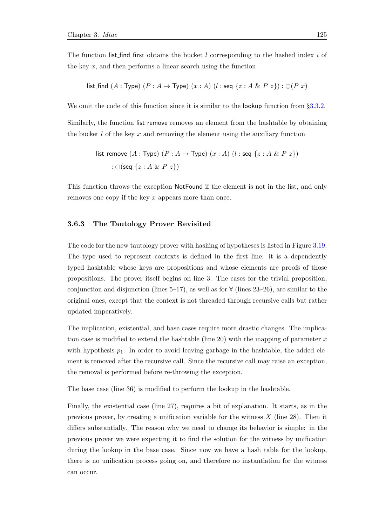The function list find first obtains the bucket l corresponding to the hashed index i of the key  $x$ , and then performs a linear search using the function

list.find 
$$
(A : Type) (P : A \rightarrow Type) (x : A) (l : seq \{z : A \& P z\}) : \bigcirc (P x)
$$

We omit the code of this function since it is similar to the **lookup** function from §[3.3.2.](#page-108-0) Similarly, the function list remove removes an element from the hashtable by obtaining the bucket  $l$  of the key  $x$  and removing the element using the auxiliary function

list\_remove 
$$
(A : Type) (P : A \rightarrow Type) (x : A) (l : seq \{z : A \& P z\})
$$
  

$$
: \bigcirc (\text{seq} \{z : A \& P z\})
$$

This function throws the exception NotFound if the element is not in the list, and only removes one copy if the key x appears more than once.

### 3.6.3 The Tautology Prover Revisited

The code for the new tautology prover with hashing of hypotheses is listed in Figure [3.19.](#page-146-0) The type used to represent contexts is defined in the first line: it is a dependently typed hashtable whose keys are propositions and whose elements are proofs of those propositions. The prover itself begins on line 3. The cases for the trivial proposition, conjunction and disjunction (lines 5–17), as well as for  $\forall$  (lines 23–26), are similar to the original ones, except that the context is not threaded through recursive calls but rather updated imperatively.

The implication, existential, and base cases require more drastic changes. The implication case is modified to extend the hashtable (line 20) with the mapping of parameter  $x$ with hypothesis  $p_1$ . In order to avoid leaving garbage in the hashtable, the added element is removed after the recursive call. Since the recursive call may raise an exception, the removal is performed before re-throwing the exception.

The base case (line 36) is modified to perform the lookup in the hashtable.

Finally, the existential case (line 27), requires a bit of explanation. It starts, as in the previous prover, by creating a unification variable for the witness  $X$  (line 28). Then it differs substantially. The reason why we need to change its behavior is simple: in the previous prover we were expecting it to find the solution for the witness by unification during the lookup in the base case. Since now we have a hash table for the lookup, there is no unification process going on, and therefore no instantiation for the witness can occur.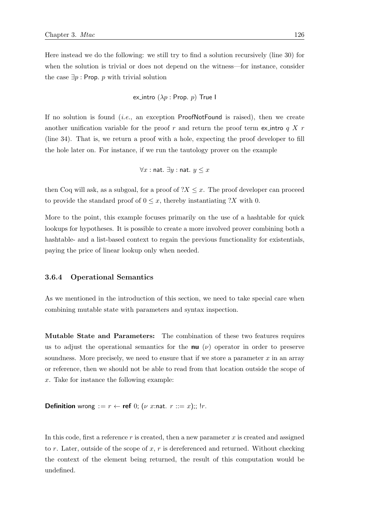Here instead we do the following: we still try to find a solution recursively (line 30) for when the solution is trivial or does not depend on the witness—for instance, consider the case  $\exists p : \text{Prop. } p \text{ with trivial solution}$ 

ex.intro 
$$
(\lambda p : \text{Prop. } p)
$$
 True I

If no solution is found  $(i.e.,$  an exception ProofNotFound is raised), then we create another unification variable for the proof r and return the proof term ex-intro  $q X r$ (line 34). That is, we return a proof with a hole, expecting the proof developer to fill the hole later on. For instance, if we run the tautology prover on the example

$$
\forall x : \texttt{nat. } \exists y : \texttt{nat. } y \leq x
$$

then Coq will ask, as a subgoal, for a proof of  $?X \leq x$ . The proof developer can proceed to provide the standard proof of  $0 \leq x$ , thereby instantiating ?X with 0.

More to the point, this example focuses primarily on the use of a hashtable for quick lookups for hypotheses. It is possible to create a more involved prover combining both a hashtable- and a list-based context to regain the previous functionality for existentials, paying the price of linear lookup only when needed.

#### 3.6.4 Operational Semantics

As we mentioned in the introduction of this section, we need to take special care when combining mutable state with parameters and syntax inspection.

Mutable State and Parameters: The combination of these two features requires us to adjust the operational semantics for the **nu**  $(\nu)$  operator in order to preserve soundness. More precisely, we need to ensure that if we store a parameter  $x$  in an array or reference, then we should not be able to read from that location outside the scope of x. Take for instance the following example:

**Definition** wrong :=  $r \leftarrow$  ref 0; ( $\nu$  x:nat.  $r ::= x$ );; !r.

In this code, first a reference  $r$  is created, then a new parameter  $x$  is created and assigned to r. Later, outside of the scope of x, r is dereferenced and returned. Without checking the context of the element being returned, the result of this computation would be undefined.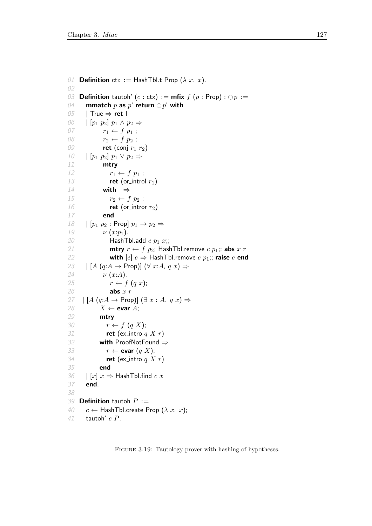```
01 Definition ctx := HashTbl.t Prop (\lambda x. x).
02
03 Definition tautoh' (c : ctx) := mfix f(p : Prop) : \bigcirc p :=<br>04 mmatch p as p' return \bigcirc p' with
04 mmatch p as p' return \bigcirc p' with<br>05 | True \Rightarrow ret l
       05 | True ⇒ ret I
06 \mid [p_1 \ p_2] \ p_1 \wedge p_2 \Rightarrow07 r_1 \leftarrow f \ p_1 ;08 r_2 \leftarrow f \ p_2 ;09 ret (conj r_1 r_2)
10 \left[\begin{array}{cc} p_1 & p_2 \end{array}\right] p_1 \vee p_2 \Rightarrow<br>11 mtry
              mtry
12 r_1 \leftarrow f \ p_1 ;13 ret (or_introl r_1)
14 with \Rightarrow15 r_2 \leftarrow f \ p_2 ;16 ret (or intror r_2)
17 end
18 \mid [p_1 \ p_2 : \text{Prop} \mid p_1 \rightarrow p_2 \Rightarrow19 \nu (x:p_1).
20 HashTbl.add c p_1 x;;
21 mtry r \leftarrow f \, p_2; HashTbl.remove c \, p_1;; abs x \, r22 with [e] e \Rightarrow HashTbl.remove c p_1;; raise e end
23 \left| \begin{array}{c} [A (q:A \rightarrow \text{Prop})] \ (\forall x:A, q \ x) \Rightarrow \end{array} \right|24 \nu (x:A).25 r \leftarrow f (q x);26 abs x r27 | [A (q:A \rightarrow Prop)] (\exists x:A. q x) \Rightarrow28 X \leftarrow evar A;
29 mtry
30 r \leftarrow f (q X);31 ret (ex_intro q X r)
32 with ProofNotFound ⇒
33 r \leftarrow evar (q X);
34 ret (ex_intro q X r)
35 end
36 \left| \begin{array}{c} [x] \ x \Rightarrow \text{HashTbl.find } c \ x \end{array} \right|37 end.
38
39 Definition tautoh P :=40 c \leftarrow HashTbl.create Prop (\lambda x. x);
41 tautoh' c P.
```
FIGURE 3.19: Tautology prover with hashing of hypotheses.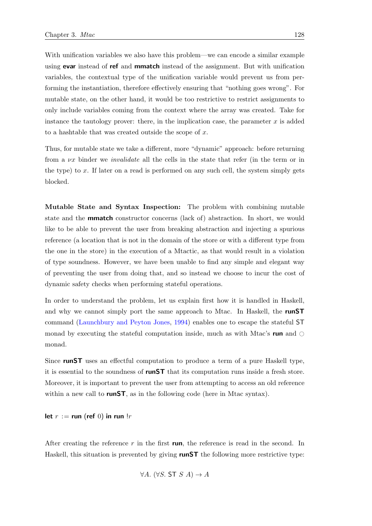With unification variables we also have this problem—we can encode a similar example using **evar** instead of **ref** and **mmatch** instead of the assignment. But with unification variables, the contextual type of the unification variable would prevent us from performing the instantiation, therefore effectively ensuring that "nothing goes wrong". For mutable state, on the other hand, it would be too restrictive to restrict assignments to only include variables coming from the context where the array was created. Take for instance the tautology prover: there, in the implication case, the parameter  $x$  is added to a hashtable that was created outside the scope of x.

Thus, for mutable state we take a different, more "dynamic" approach: before returning from a  $\nu x$  binder we *invalidate* all the cells in the state that refer (in the term or in the type) to  $x$ . If later on a read is performed on any such cell, the system simply gets blocked.

Mutable State and Syntax Inspection: The problem with combining mutable state and the **mmatch** constructor concerns (lack of) abstraction. In short, we would like to be able to prevent the user from breaking abstraction and injecting a spurious reference (a location that is not in the domain of the store or with a different type from the one in the store) in the execution of a Mtactic, as that would result in a violation of type soundness. However, we have been unable to find any simple and elegant way of preventing the user from doing that, and so instead we choose to incur the cost of dynamic safety checks when performing stateful operations.

In order to understand the problem, let us explain first how it is handled in Haskell, and why we cannot simply port the same approach to Mtac. In Haskell, the **runST** command [\(Launchbury and Peyton Jones,](#page-213-0) [1994\)](#page-213-0) enables one to escape the stateful ST monad by executing the stateful computation inside, much as with Mtac's run and  $\circ$ monad.

Since runST uses an effectful computation to produce a term of a pure Haskell type, it is essential to the soundness of **runST** that its computation runs inside a fresh store. Moreover, it is important to prevent the user from attempting to access an old reference within a new call to **runST**, as in the following code (here in Mtac syntax).

let  $r := \text{run}$  (ref 0) in run  $lr$ 

After creating the reference r in the first run, the reference is read in the second. In Haskell, this situation is prevented by giving **runST** the following more restrictive type:

 $\forall A. (\forall S. ST S A) \rightarrow A$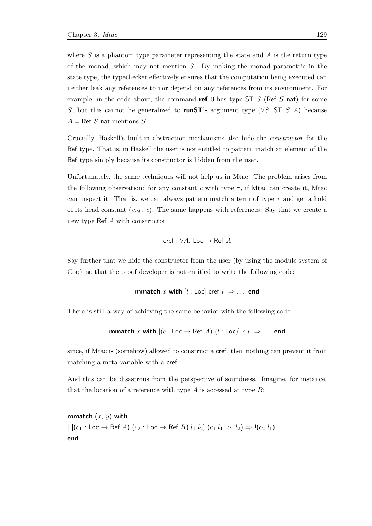where  $S$  is a phantom type parameter representing the state and  $A$  is the return type of the monad, which may not mention  $S$ . By making the monad parametric in the state type, the typechecker effectively ensures that the computation being executed can neither leak any references to nor depend on any references from its environment. For example, in the code above, the command ref 0 has type  $ST S$  (Ref S nat) for some S, but this cannot be generalized to runST's argument type ( $\forall S$ . ST S A) because  $A = \text{Ref } S$  nat mentions S.

Crucially, Haskell's built-in abstraction mechanisms also hide the constructor for the Ref type. That is, in Haskell the user is not entitled to pattern match an element of the Ref type simply because its constructor is hidden from the user.

Unfortunately, the same techniques will not help us in Mtac. The problem arises from the following observation: for any constant c with type  $\tau$ , if Mtac can create it, Mtac can inspect it. That is, we can always pattern match a term of type  $\tau$  and get a hold of its head constant  $(e,q, c)$ . The same happens with references. Say that we create a new type Ref A with constructor

$$
\mathsf{cref} : \forall A. \; \mathsf{Loc} \to \mathsf{Ref} \; A
$$

Say further that we hide the constructor from the user (by using the module system of Coq), so that the proof developer is not entitled to write the following code:

**mmatch** x with 
$$
[l : Loc]
$$
  $cref$   $l \Rightarrow \ldots$  **end**

There is still a way of achieving the same behavior with the following code:

**mmatch** x with 
$$
[(c : Loc \rightarrow Ref A) (l : Loc)] c l \Rightarrow ...
$$
 end

since, if Mtac is (somehow) allowed to construct a cref, then nothing can prevent it from matching a meta-variable with a cref.

And this can be disastrous from the perspective of soundness. Imagine, for instance, that the location of a reference with type  $A$  is accessed at type  $B$ :

mmatch  $(x, y)$  with  $\left| \right. \left[ \left( c_1 : \textsf{Loc} \rightarrow \textsf{Ref } A \right) \left( c_2 : \textsf{Loc} \rightarrow \textsf{Ref } B \right) \, l_1 \, l_2 \right] \, \left( c_1 \, l_1, \, c_2 \, l_2 \right) \Rightarrow \cdot \left( c_2 \, l_1 \right)$ end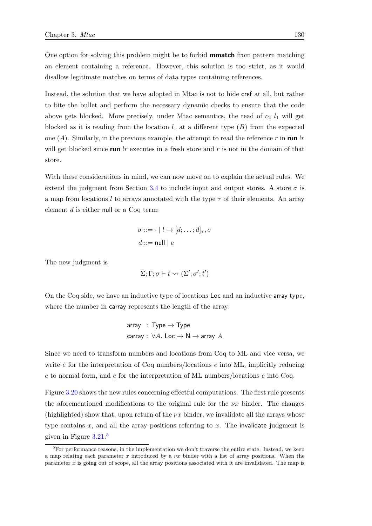One option for solving this problem might be to forbid **mmatch** from pattern matching an element containing a reference. However, this solution is too strict, as it would disallow legitimate matches on terms of data types containing references.

Instead, the solution that we have adopted in Mtac is not to hide cref at all, but rather to bite the bullet and perform the necessary dynamic checks to ensure that the code above gets blocked. More precisely, under Mtac semantics, the read of  $c_2$   $l_1$  will get blocked as it is reading from the location  $l_1$  at a different type  $(B)$  from the expected one  $(A)$ . Similarly, in the previous example, the attempt to read the reference r in run !r will get blocked since run  $\lfloor r \rfloor$  executes in a fresh store and r is not in the domain of that store.

With these considerations in mind, we can now move on to explain the actual rules. We extend the judgment from Section [3.4](#page-118-0) to include input and output stores. A store  $\sigma$  is a map from locations l to arrays annotated with the type  $\tau$  of their elements. An array element d is either null or a Coq term:

$$
\sigma ::= \cdot \mid l \mapsto [d; \dots; d]_{\tau}, \sigma
$$

$$
d ::= \text{null} \mid e
$$

The new judgment is

$$
\Sigma; \Gamma; \sigma \vdash t \leadsto (\Sigma'; \sigma'; t')
$$

On the Coq side, we have an inductive type of locations Loc and an inductive array type, where the number in carray represents the length of the array:

array : Type 
$$
\rightarrow
$$
 Type  
carry :  $\forall A$ . Loc  $\rightarrow$  N  $\rightarrow$  array A

Since we need to transform numbers and locations from Coq to ML and vice versa, we write  $\bar{e}$  for the interpretation of Coq numbers/locations e into ML, implicitly reducing e to normal form, and  $\underline{e}$  for the interpretation of ML numbers/locations e into Coq.

Figure [3.20](#page-150-0) shows the new rules concerning effectful computations. The first rule presents the aforementioned modifications to the original rule for the  $\nu x$  binder. The changes (highlighted) show that, upon return of the  $\nu x$  binder, we invalidate all the arrays whose type contains  $x$ , and all the array positions referring to  $x$ . The invalidate judgment is given in Figure [3.21.](#page-151-0) [5](#page-149-0)

<span id="page-149-0"></span><sup>&</sup>lt;sup>5</sup>For performance reasons, in the implementation we don't traverse the entire state. Instead, we keep a map relating each parameter x introduced by a  $\nu x$  binder with a list of array positions. When the parameter x is going out of scope, all the array positions associated with it are invalidated. The map is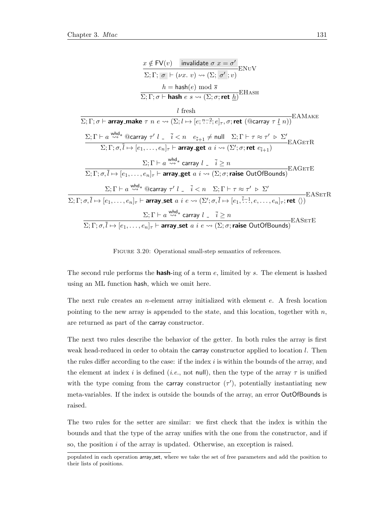<span id="page-150-0"></span>

FIGURE 3.20: Operational small-step semantics of references.

The second rule performs the **hash**-ing of a term  $e$ , limited by  $s$ . The element is hashed using an ML function hash, which we omit here.

The next rule creates an *n*-element array initialized with element  $e$ . A fresh location pointing to the new array is appended to the state, and this location, together with  $n$ , are returned as part of the carray constructor.

The next two rules describe the behavior of the getter. In both rules the array is first weak head-reduced in order to obtain the carray constructor applied to location l. Then the rules differ according to the case: if the index  $i$  is within the bounds of the array, and the element at index i is defined (i.e., not null), then the type of the array  $\tau$  is unified with the type coming from the carray constructor  $(\tau')$ , potentially instantiating new meta-variables. If the index is outside the bounds of the array, an error OutOfBounds is raised.

The two rules for the setter are similar: we first check that the index is within the bounds and that the type of the array unifies with the one from the constructor, and if so, the position i of the array is updated. Otherwise, an exception is raised.

populated in each operation array set, where we take the set of free parameters and add the position to their lists of positions.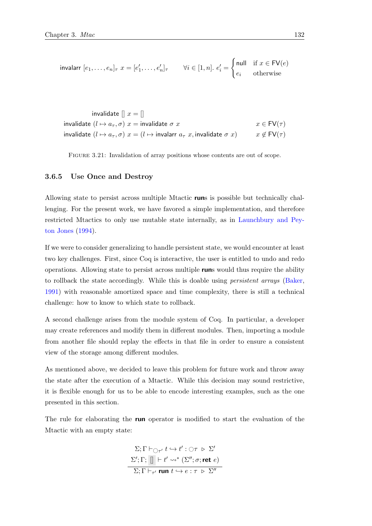<span id="page-151-0"></span>
$$
\text{invalarr } [e_1, \dots, e_n]_{\tau} \ x = [e'_1, \dots, e'_n]_{\tau} \qquad \forall i \in [1, n]. \ e'_i = \begin{cases} \text{null} & \text{if } x \in \text{FV}(e) \\ e_i & \text{otherwise} \end{cases}
$$

invalidate  $[| x = |]$ invalidate  $(l \mapsto a_{\tau}, \sigma)$   $x =$  invalidate  $\sigma$  x  $x \in FV(\tau)$ invalidate  $(l \mapsto a_{\tau}, \sigma)$   $x = (l \mapsto \text{invalar } a_{\tau} x, \text{invalidate } \sigma x)$   $x \notin FV(\tau)$ 

FIGURE 3.21: Invalidation of array positions whose contents are out of scope.

# <span id="page-151-1"></span>3.6.5 Use Once and Destroy

Allowing state to persist across multiple Mtactic runs is possible but technically challenging. For the present work, we have favored a simple implementation, and therefore restricted Mtactics to only use mutable state internally, as in [Launchbury and Pey](#page-213-0)[ton Jones](#page-213-0) [\(1994\)](#page-213-0).

If we were to consider generalizing to handle persistent state, we would encounter at least two key challenges. First, since Coq is interactive, the user is entitled to undo and redo operations. Allowing state to persist across multiple runs would thus require the ability to rollback the state accordingly. While this is doable using persistent arrays [\(Baker,](#page-210-0) [1991\)](#page-210-0) with reasonable amortized space and time complexity, there is still a technical challenge: how to know to which state to rollback.

A second challenge arises from the module system of Coq. In particular, a developer may create references and modify them in different modules. Then, importing a module from another file should replay the effects in that file in order to ensure a consistent view of the storage among different modules.

As mentioned above, we decided to leave this problem for future work and throw away the state after the execution of a Mtactic. While this decision may sound restrictive, it is flexible enough for us to be able to encode interesting examples, such as the one presented in this section.

The rule for elaborating the **run** operator is modified to start the evaluation of the Mtactic with an empty state:

> $\Sigma; \Gamma \vdash_{\bigcirc \tau'} t \hookrightarrow t' : \bigcirc \tau \supset \Sigma'$  $\Sigma'; \Gamma; \|\ | \vdash t' \leadsto^* (\Sigma''; \sigma; \text{ret } e)$  $\Sigma; \Gamma \vdash_{\tau'} \mathsf{run} \ t \hookrightarrow e : \tau \ \triangleright \ \Sigma''$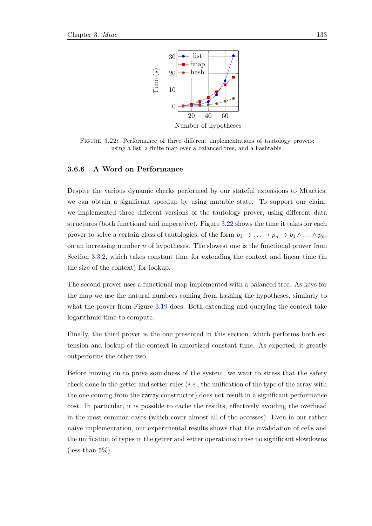<span id="page-152-0"></span>

Figure 3.22: Performance of three different implementations of tautology provers: using a list, a finite map over a balanced tree, and a hashtable.

# 3.6.6 A Word on Performance

Despite the various dynamic checks performed by our stateful extensions to Mtactics, we can obtain a significant speedup by using mutable state. To support our claim, we implemented three different versions of the tautology prover, using different data structures (both functional and imperative). Figure [3.22](#page-152-0) shows the time it takes for each prover to solve a certain class of tautologies, of the form  $p_1 \to \ldots \to p_n \to p_1 \wedge \ldots \wedge p_n$ , on an increasing number  $n$  of hypotheses. The slowest one is the functional prover from Section [3.3.2,](#page-108-0) which takes constant time for extending the context and linear time (in the size of the context) for lookup.

The second prover uses a functional map implemented with a balanced tree. As keys for the map we use the natural numbers coming from hashing the hypotheses, similarly to what the prover from Figure [3.19](#page-146-0) does. Both extending and querying the context take logarithmic time to compute.

Finally, the third prover is the one presented in this section, which performs both extension and lookup of the context in amortized constant time. As expected, it greatly outperforms the other two.

Before moving on to prove soundness of the system, we want to stress that the safety check done in the getter and setter rules (i.e., the unification of the type of the array with the one coming from the carray constructor) does not result in a significant performance cost. In particular, it is possible to cache the results, effectively avoiding the overhead in the most common cases (which cover almost all of the accesses). Even in our rather naive implementation, our experimental results shows that the invalidation of cells and the unification of types in the getter and setter operations cause no significant slowdowns (less than 5%).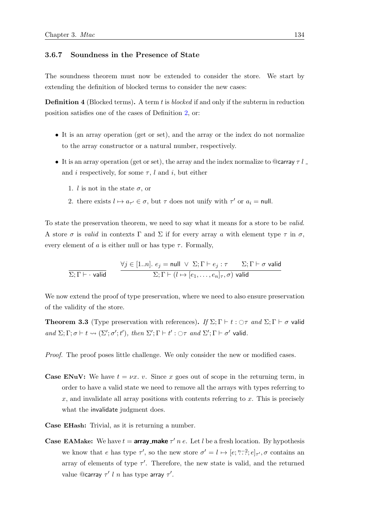# <span id="page-153-0"></span>3.6.7 Soundness in the Presence of State

The soundness theorem must now be extended to consider the store. We start by extending the definition of blocked terms to consider the new cases:

**Definition 4** (Blocked terms). A term t is blocked if and only if the subterm in reduction position satisfies one of the cases of Definition [2,](#page-127-0) or:

- It is an array operation (get or set), and the array or the index do not normalize to the array constructor or a natural number, respectively.
- It is an array operation (get or set), the array and the index normalize to @carray  $\tau l$ . and i respectively, for some  $\tau$ , l and i, but either
	- 1. l is not in the state  $\sigma$ , or
	- 2. there exists  $l \mapsto a_{\tau'} \in \sigma$ , but  $\tau$  does not unify with  $\tau'$  or  $a_i = \text{null}$ .

To state the preservation theorem, we need to say what it means for a store to be valid. A store  $\sigma$  is valid in contexts  $\Gamma$  and  $\Sigma$  if for every array a with element type  $\tau$  in  $\sigma$ , every element of a is either null or has type  $\tau$ . Formally,

$$
\frac{\forall j \in [1..n]. \ e_j = \text{null} \ \lor \ \Sigma; \Gamma \vdash e_j : \tau \qquad \Sigma; \Gamma \vdash \sigma \text{ valid}}{\Sigma; \Gamma \vdash (l \mapsto [e_1, \dots, e_n]_{\tau}, \sigma) \text{ valid}}
$$

We now extend the proof of type preservation, where we need to also ensure preservation of the validity of the store.

**Theorem 3.3** (Type preservation with references). If  $\Sigma$ ;  $\Gamma \vdash t : \bigcirc \tau$  and  $\Sigma$ ;  $\Gamma \vdash \sigma$  valid and  $\Sigma; \Gamma; \sigma \vdash t \leadsto (\Sigma'; \sigma'; t'), \text{ then } \Sigma'; \Gamma \vdash t': \bigcirc \tau \text{ and } \Sigma'; \Gamma \vdash \sigma' \text{ valid.}$ 

Proof. The proof poses little challenge. We only consider the new or modified cases.

- **Case ENuV:** We have  $t = \nu x$ . v. Since x goes out of scope in the returning term, in order to have a valid state we need to remove all the arrays with types referring to  $x$ , and invalidate all array positions with contents referring to  $x$ . This is precisely what the invalidate judgment does.
- Case EHash: Trivial, as it is returning a number.
- **Case EAMake:** We have  $t = \ar{ray\_make}\ \tau' n e$ . Let l be a fresh location. By hypothesis we know that e has type  $\tau'$ , so the new store  $\sigma' = l \mapsto [e; \dots, e]_{\tau'}, \sigma$  contains an array of elements of type  $\tau'$ . Therefore, the new state is valid, and the returned value @carray  $\tau'$  l n has type array  $\tau'$ .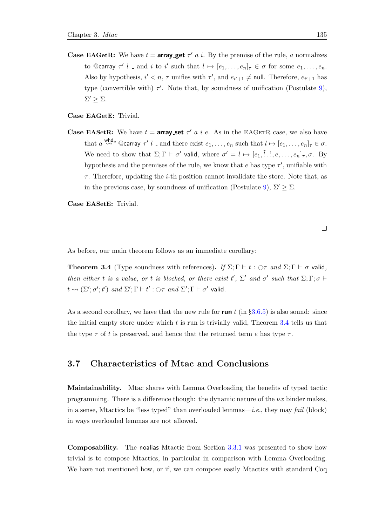**Case EAGetR:** We have  $t = \text{array.get } \tau'$  a i. By the premise of the rule, a normalizes to @carray  $\tau'$  l \_ and i to i' such that  $l \mapsto [e_1, \ldots, e_n]_{\tau} \in \sigma$  for some  $e_1, \ldots, e_n$ . Also by hypothesis,  $i' < n$ ,  $\tau$  unifies with  $\tau'$ , and  $e_{i'+1} \neq \text{null}$ . Therefore,  $e_{i'+1}$  has type (convertible with)  $\tau'$ . Note that, by soundness of unification (Postulate [9\)](#page-128-0),  $\Sigma' \geq \Sigma$ .

Case EAGetE: Trivial.

**Case EASetR:** We have  $t = \text{array}\text{-set }\tau'$  a i e. As in the EAGETR case, we also have that  $a \stackrel{\text{whd}}{\leadsto} a \otimes a$  carray  $\tau' l$  and there exist  $e_1, \ldots, e_n$  such that  $l \mapsto [e_1, \ldots, e_n]_{\tau} \in \sigma$ . We need to show that  $\Sigma; \Gamma \vdash \sigma'$  valid, where  $\sigma' = l \mapsto [e_1, \overline{i} \cdot l, e, \ldots, e_n]_{\tau}, \sigma$ . By hypothesis and the premises of the rule, we know that  $e$  has type  $\tau'$ , unifiable with  $\tau$ . Therefore, updating the *i*-th position cannot invalidate the store. Note that, as in the previous case, by soundness of unification (Postulate [9\)](#page-128-0),  $\Sigma' \geq \Sigma$ .

Case EASetE: Trivial.

 $\Box$ 

As before, our main theorem follows as an immediate corollary:

<span id="page-154-0"></span>**Theorem 3.4** (Type soundness with references). If  $\Sigma; \Gamma \vdash t : \bigcirc \tau$  and  $\Sigma; \Gamma \vdash \sigma$  valid, then either t is a value, or t is blocked, or there exist t',  $\Sigma'$  and  $\sigma'$  such that  $\Sigma; \Gamma; \sigma \vdash$  $t \leadsto (\Sigma'; \sigma'; t')$  and  $\Sigma'; \Gamma \vdash t' : \bigcirc \tau$  and  $\Sigma'; \Gamma \vdash \sigma'$  valid.

As a second corollary, we have that the new rule for run t (in  $\S 3.6.5$ ) is also sound: since the initial empty store under which t is run is trivially valid, Theorem [3.4](#page-154-0) tells us that the type  $\tau$  of t is preserved, and hence that the returned term e has type  $\tau$ .

# 3.7 Characteristics of Mtac and Conclusions

Maintainability. Mtac shares with Lemma Overloading the benefits of typed tactic programming. There is a difference though: the dynamic nature of the  $\nu x$  binder makes, in a sense, Mtactics be "less typed" than overloaded lemmas—i.e., they may fail (block) in ways overloaded lemmas are not allowed.

Composability. The noalias Mtactic from Section [3.3.1](#page-103-0) was presented to show how trivial is to compose Mtactics, in particular in comparison with Lemma Overloading. We have not mentioned how, or if, we can compose easily Mtactics with standard Coq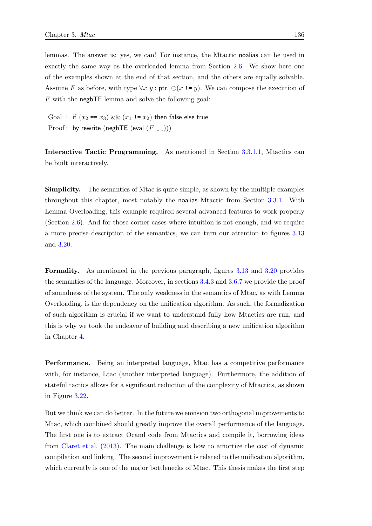lemmas. The answer is: yes, we can! For instance, the Mtactic noalias can be used in exactly the same way as the overloaded lemma from Section [2.6.](#page-77-0) We show here one of the examples shown at the end of that section, and the others are equally solvable. Assume F as before, with type  $\forall x \ y : \text{ptr. } \bigcirc (x := y)$ . We can compose the execution of F with the negbTE lemma and solve the following goal:

Goal : if  $(x_2 == x_3)$  &&  $(x_1 != x_2)$  then false else true Proof : by rewrite (negbTE (eval  $(F - )$ ))

Interactive Tactic Programming. As mentioned in Section [3.3.1.1,](#page-107-0) Mtactics can be built interactively.

Simplicity. The semantics of Mtac is quite simple, as shown by the multiple examples throughout this chapter, most notably the noalias Mtactic from Section [3.3.1.](#page-103-0) With Lemma Overloading, this example required several advanced features to work properly (Section [2.6\)](#page-77-0). And for those corner cases where intuition is not enough, and we require a more precise description of the semantics, we can turn our attention to figures [3.13](#page-121-0) and [3.20.](#page-150-0)

Formality. As mentioned in the previous paragraph, figures [3.13](#page-121-0) and [3.20](#page-150-0) provides the semantics of the language. Moreover, in sections [3.4.3](#page-127-1) and [3.6.7](#page-153-0) we provide the proof of soundness of the system. The only weakness in the semantics of Mtac, as with Lemma Overloading, is the dependency on the unification algorithm. As such, the formalization of such algorithm is crucial if we want to understand fully how Mtactics are run, and this is why we took the endeavor of building and describing a new unification algorithm in Chapter [4.](#page-160-0)

Performance. Being an interpreted language, Mtac has a competitive performance with, for instance, Ltac (another interpreted language). Furthermore, the addition of stateful tactics allows for a significant reduction of the complexity of Mtactics, as shown in Figure [3.22.](#page-152-0)

But we think we can do better. In the future we envision two orthogonal improvements to Mtac, which combined should greatly improve the overall performance of the language. The first one is to extract Ocaml code from Mtactics and compile it, borrowing ideas from [Claret et al.](#page-211-0) [\(2013\)](#page-211-0). The main challenge is how to amortize the cost of dynamic compilation and linking. The second improvement is related to the unification algorithm, which currently is one of the major bottlenecks of Mtac. This thesis makes the first step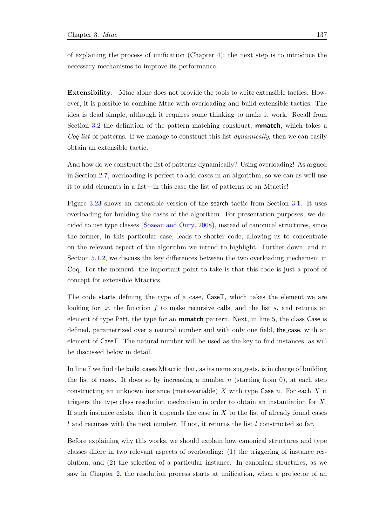of explaining the process of unification (Chapter [4\)](#page-160-0); the next step is to introduce the necessary mechanisms to improve its performance.

Extensibility. Mtac alone does not provide the tools to write extensible tactics. However, it is possible to combine Mtac with overloading and build extensible tactics. The idea is dead simple, although it requires some thinking to make it work. Recall from Section [3.2](#page-99-0) the definition of the pattern matching construct, **mmatch**, which takes a Coq list of patterns. If we manage to construct this list *dynamically*, then we can easily obtain an extensible tactic.

And how do we construct the list of patterns dynamically? Using overloading! As argued in Section [2.7,](#page-89-0) overloading is perfect to add cases in an algorithm, so we can as well use it to add elements in a list—in this case the list of patterns of an Mtactic!

Figure [3.23](#page-157-0) shows an extensible version of the search tactic from Section [3.1.](#page-97-0) It uses overloading for building the cases of the algorithm. For presentation purposes, we decided to use type classes [\(Sozeau and Oury,](#page-215-0) [2008\)](#page-215-0), instead of canonical structures, since the former, in this particular case, leads to shorter code, allowing us to concentrate on the relevant aspect of the algorithm we intend to highlight. Further down, and in Section [5.1.2,](#page-197-0) we discuss the key differences between the two overloading mechanism in Coq. For the moment, the important point to take is that this code is just a proof of concept for extensible Mtactics.

The code starts defining the type of a case, CaseT, which takes the element we are looking for,  $x$ , the function  $f$  to make recursive calls, and the list  $s$ , and returns an element of type Patt, the type for an **mmatch** pattern. Next, in line 5, the class Case is defined, parametrized over a natural number and with only one field, the case, with an element of CaseT. The natural number will be used as the key to find instances, as will be discussed below in detail.

In line 7 we find the build cases Mtactic that, as its name suggests, is in charge of building the list of cases. It does so by increasing a number  $n$  (starting from 0), at each step constructing an unknown instance (meta-variable)  $X$  with type Case  $n$ . For each  $X$  it triggers the type class resolution mechanism in order to obtain an instantiation for X. If such instance exists, then it appends the case in  $X$  to the list of already found cases  $l$  and recurses with the next number. If not, it returns the list  $l$  constructed so far.

Before explaining why this works, we should explain how canonical structures and type classes difere in two relevant aspects of overloading: (1) the triggering of instance resolution, and (2) the selection of a particular instance. In canonical structures, as we saw in Chapter [2,](#page-46-0) the resolution process starts at unification, when a projector of an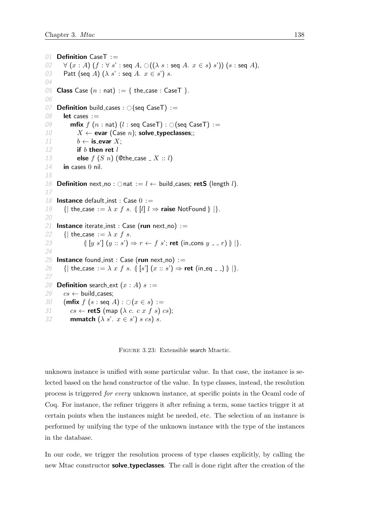```
01 Definition CaseT :=
02 \forall (x : A) (f : \forall s' : \text{seq } A, \bigcirc ((\lambda s : \text{seq } A, x \in s) s'))(s : \text{seq } A),<br>03 Patt (seq A) (\lambda s' : \text{seq } A, x \in s') s.
         Patt (seq A) (\lambda s' : seq A. x \in s') s.
04
05 Class Case (n : nat) := \{ the_case : CaseT \}.
06
07 Definition build_cases : \bigcirc (seq CaseT) := 08 let cases :=
         let cases :=09 mfix f(n : nat) (l : seq \text{ Case } T) : \bigcirc(\text{seq} \text{ Case } T) :=<br>10 X \leftarrow \text{evar} (\text{Case } n): \text{solve\_twoeclasses::}X \leftarrow evar (Case n); solve_typeclasses;;
11 b \leftarrow is evar X;
12 if b then ret l13 else f(S \ n) (Othe_case \_ X :: l)
14 in cases 0 nil.
15
16 Definition next no : \bigcirc nat := l \leftarrow build cases; retS (length l).
17
18 Instance default_inst : Case 0 :=19 \{ \mid \text{the\_case} := \lambda \; x \; f \; s. \; \{ \mid l \mid l \Rightarrow \text{raise NotFound} \} \}.
20
21 Instance iterate_inst : Case (run next_no) :=
22 {| the_case := \lambda x f s.
23 \left(\left[y s'\right] (y :: s') \Rightarrow r \leftarrow f s'; ret (in cons y = r) \right) \right) \right\}.
24
25 Instance found inst : Case (run next no) :=26 {| the_case := \lambda x f s. \left[ s' \right] (x :: s') \Rightarrow ret (in_eq _ _) \left[ \right] \left[ \right].27
28 Definition search_ext (x : A) s :=29 cs \leftarrow build_cases;
30 (mfix f(s : \text{seq } A) : \bigcirc (x \in s) :=<br>31 cs \leftarrow \text{retS} (map (\lambda c. c. x f s)
            cs \leftarrow retS (map (\lambda c. c x f s) cs);
32 mmatch (\lambda s'. x \in s') s cs) s.
```
Figure 3.23: Extensible search Mtactic.

unknown instance is unified with some particular value. In that case, the instance is selected based on the head constructor of the value. In type classes, instead, the resolution process is triggered for every unknown instance, at specific points in the Ocaml code of Coq. For instance, the refiner triggers it after refining a term, some tactics trigger it at certain points when the instances might be needed, etc. The selection of an instance is performed by unifying the type of the unknown instance with the type of the instances in the database.

In our code, we trigger the resolution process of type classes explicitly, by calling the new Mtac constructor **solve\_typeclasses**. The call is done right after the creation of the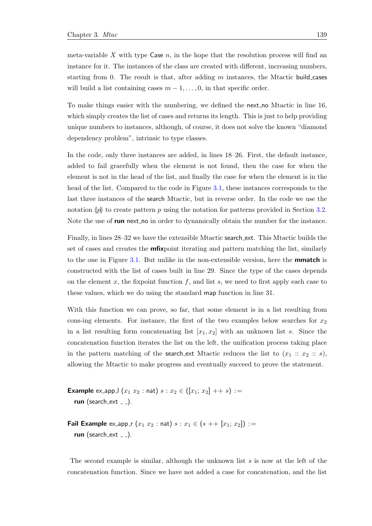meta-variable X with type Case  $n$ , in the hope that the resolution process will find an instance for it. The instances of the class are created with different, increasing numbers, starting from 0. The result is that, after adding  $m$  instances, the Mtactic build cases will build a list containing cases  $m-1, \ldots, 0$ , in that specific order.

To make things easier with the numbering, we defined the next no Mtactic in line 16, which simply creates the list of cases and returns its length. This is just to help providing unique numbers to instances, although, of course, it does not solve the known "diamond dependency problem", intrinsic to type classes.

In the code, only three instances are added, in lines 18–26. First, the default instance, added to fail gracefully when the element is not found, then the case for when the element is not in the head of the list, and finally the case for when the element is in the head of the list. Compared to the code in Figure [3.1,](#page-98-0) these instances corresponds to the last three instances of the search Mtactic, but in reverse order. In the code we use the notation  $\llbracket p \rrbracket$  to create pattern p using the notation for patterns provided in Section [3.2.](#page-99-0) Note the use of **run** next no in order to dynamically obtain the number for the instance.

Finally, in lines 28–32 we have the extensible Mtactic search ext. This Mtactic builds the set of cases and creates the **mfix**point iterating and pattern matching the list, similarly to the one in Figure [3.1.](#page-98-0) But unlike in the non-extensible version, here the mmatch is constructed with the list of cases built in line 29. Since the type of the cases depends on the element x, the fixpoint function  $f$ , and list s, we need to first apply each case to these values, which we do using the standard map function in line 31.

With this function we can prove, so far, that some element is in a list resulting from cons-ing elements. For instance, the first of the two examples below searches for  $x_2$ in a list resulting form concatenating list  $[x_1, x_2]$  with an unknown list s. Since the concatenation function iterates the list on the left, the unification process taking place in the pattern matching of the search ext Mtactic reduces the list to  $(x_1 :: x_2 :: s)$ , allowing the Mtactic to make progress and eventually succeed to prove the statement.

**Example** ex\_app\_ $(x_1 x_2 : \text{nat}) s : x_2 \in ([x_1; x_2] + + s) :=$ run (search  $ext = -$ ).

Fail Example ex\_app\_r  $(x_1 x_2 : \text{nat}) s : x_1 \in (s + |x_1; x_2|) :=$ run (search  $ext -$ ).

The second example is similar, although the unknown list  $s$  is now at the left of the concatenation function. Since we have not added a case for concatenation, and the list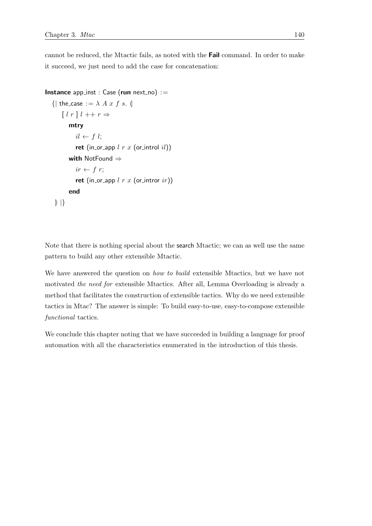cannot be reduced, the Mtactic fails, as noted with the Fail command. In order to make it succeed, we just need to add the case for concatenation:

```
Instance app_inst : Case (run next_no) :=
   {| the_case := \lambda A x f s. (
       \left[ l \; r \; \right] l \; ++ \; r \Rightarrowmtry
             il \leftarrow f l;
             ret (in_or_app l r x (or_introl il))
          with NotFound ⇒
             ir \leftarrow f r;ret (in_or_app l r x (or_intror ir))
          end
    | | }
```
Note that there is nothing special about the search Mtactic; we can as well use the same pattern to build any other extensible Mtactic.

We have answered the question on *how to build* extensible Mtactics, but we have not motivated the need for extensible Mtactics. After all, Lemma Overloading is already a method that facilitates the construction of extensible tactics. Why do we need extensible tactics in Mtac? The answer is simple: To build easy-to-use, easy-to-compose extensible functional tactics.

We conclude this chapter noting that we have succeeded in building a language for proof automation with all the characteristics enumerated in the introduction of this thesis.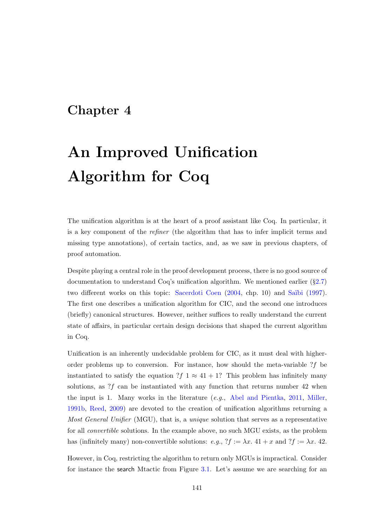# <span id="page-160-0"></span>Chapter 4

# An Improved Unification Algorithm for Coq

The unification algorithm is at the heart of a proof assistant like Coq. In particular, it is a key component of the refiner (the algorithm that has to infer implicit terms and missing type annotations), of certain tactics, and, as we saw in previous chapters, of proof automation.

Despite playing a central role in the proof development process, there is no good source of documentation to understand Coq's unification algorithm. We mentioned earlier (§[2.7\)](#page-89-0) two different works on this topic: [Sacerdoti Coen](#page-215-1) [\(2004,](#page-215-1) chp. 10) and Saïbi [\(1997\)](#page-215-2). The first one describes a unification algorithm for CIC, and the second one introduces (briefly) canonical structures. However, neither suffices to really understand the current state of affairs, in particular certain design decisions that shaped the current algorithm in Coq.

Unification is an inherently undecidable problem for CIC, as it must deal with higherorder problems up to conversion. For instance, how should the meta-variable  $?f$  be instantiated to satisfy the equation  $?f \times 41 + 1?$  This problem has infinitely many solutions, as  $\mathcal{F}_f$  can be instantiated with any function that returns number 42 when the input is 1. Many works in the literature  $(e.g.,$  [Abel and Pientka,](#page-210-1) [2011,](#page-210-1) [Miller,](#page-214-0) [1991b,](#page-214-0) [Reed,](#page-215-3) [2009\)](#page-215-3) are devoted to the creation of unification algorithms returning a Most General Unifier (MGU), that is, a *unique* solution that serves as a representative for all convertible solutions. In the example above, no such MGU exists, as the problem has (infinitely many) non-convertible solutions:  $e.g., ?f := \lambda x. 41 + x$  and  $?f := \lambda x. 42$ .

However, in Coq, restricting the algorithm to return only MGUs is impractical. Consider for instance the search Mtactic from Figure [3.1.](#page-98-0) Let's assume we are searching for an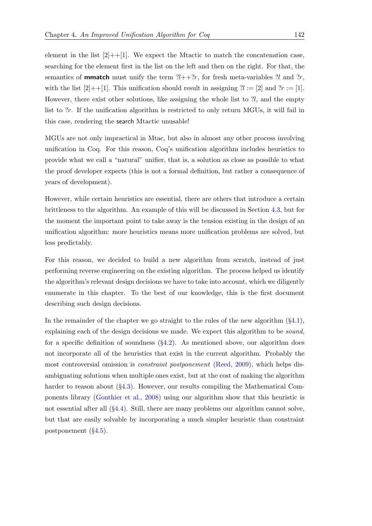element in the list  $[2]+[1]$ . We expect the Mtactic to match the concatenation case, searching for the element first in the list on the left and then on the right. For that, the semantics of **mmatch** must unify the term  $2l+2r$ , for fresh meta-variables  $2l$  and  $2r$ , with the list  $[2]+[1]$ . This unification should result in assigning  $\mathcal{U} := [2]$  and  $\mathcal{U} := [1]$ . However, there exist other solutions, like assigning the whole list to  $\mathcal{U}$ , and the empty list to ?r. If the unification algorithm is restricted to only return MGUs, it will fail in this case, rendering the search Mtactic unusable!

MGUs are not only impractical in Mtac, but also in almost any other process involving unification in Coq. For this reason, Coq's unification algorithm includes heuristics to provide what we call a "natural" unifier, that is, a solution as close as possible to what the proof developer expects (this is not a formal definition, but rather a consequence of years of development).

However, while certain heuristics are essential, there are others that introduce a certain brittleness to the algorithm. An example of this will be discussed in Section [4.3,](#page-186-0) but for the moment the important point to take away is the tension existing in the design of an unification algorithm: more heuristics means more unification problems are solved, but less predictably.

For this reason, we decided to build a new algorithm from scratch, instead of just performing reverse engineering on the existing algorithm. The process helped us identify the algorithm's relevant design decisions we have to take into account, which we diligently enumerate in this chapter. To the best of our knowledge, this is the first document describing such design decisions.

In the remainder of the chapter we go straight to the rules of the new algorithm  $(\S 4.1)$  $(\S 4.1)$ , explaining each of the design decisions we made. We expect this algorithm to be *sound*, for a specific definition of soundness  $(\S4.2)$  $(\S4.2)$ . As mentioned above, our algorithm does not incorporate all of the heuristics that exist in the current algorithm. Probably the most controversial omission is constraint postponement [\(Reed,](#page-215-3) [2009\)](#page-215-3), which helps disambiguating solutions when multiple ones exist, but at the cost of making the algorithm harder to reason about  $(\S4.3)$  $(\S4.3)$ . However, our results compiling the Mathematical Components library [\(Gonthier et al.,](#page-212-0) [2008\)](#page-212-0) using our algorithm show that this heuristic is not essential after all (§[4.4\)](#page-188-0). Still, there are many problems our algorithm cannot solve, but that are easily solvable by incorporating a much simpler heuristic than constraint postponement (§[4.5\)](#page-191-0).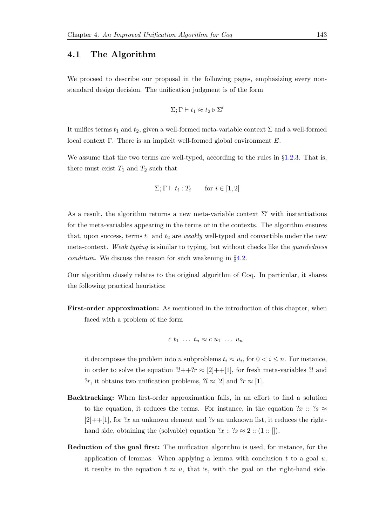# <span id="page-162-0"></span>4.1 The Algorithm

We proceed to describe our proposal in the following pages, emphasizing every nonstandard design decision. The unification judgment is of the form

$$
\Sigma;\Gamma\vdash t_1\approx t_2\triangleright\Sigma'
$$

It unifies terms  $t_1$  and  $t_2$ , given a well-formed meta-variable context  $\Sigma$  and a well-formed local context Γ. There is an implicit well-formed global environment  $E$ .

We assume that the two terms are well-typed, according to the rules in  $\S1.2.3$ . That is, there must exist  $T_1$  and  $T_2$  such that

$$
\Sigma; \Gamma \vdash t_i : T_i \qquad \text{for } i \in [1, 2]
$$

As a result, the algorithm returns a new meta-variable context  $\Sigma'$  with instantiations for the meta-variables appearing in the terms or in the contexts. The algorithm ensures that, upon success, terms  $t_1$  and  $t_2$  are *weakly* well-typed and convertible under the new meta-context. Weak typing is similar to typing, but without checks like the *guardedness* condition. We discuss the reason for such weakening in §[4.2.](#page-182-0)

Our algorithm closely relates to the original algorithm of Coq. In particular, it shares the following practical heuristics:

First-order approximation: As mentioned in the introduction of this chapter, when faced with a problem of the form

$$
c t_1 \ldots t_n \approx c u_1 \ldots u_n
$$

it decomposes the problem into n subproblems  $t_i \approx u_i$ , for  $0 < i \leq n$ . For instance, in order to solve the equation  $?l++?r \approx [2]++[1]$ , for fresh meta-variables  $?l$  and ?r, it obtains two unification problems,  $2l \approx [2]$  and  $2r \approx [1]$ .

- Backtracking: When first-order approximation fails, in an effort to find a solution to the equation, it reduces the terms. For instance, in the equation  $?x :: ?s \approx$  $[2]+[1]$ , for ?x an unknown element and ?s an unknown list, it reduces the righthand side, obtaining the (solvable) equation  $?x :: ?s \approx 2 :: (1 :: []).$
- Reduction of the goal first: The unification algorithm is used, for instance, for the application of lemmas. When applying a lemma with conclusion  $t$  to a goal  $u$ , it results in the equation  $t \approx u$ , that is, with the goal on the right-hand side.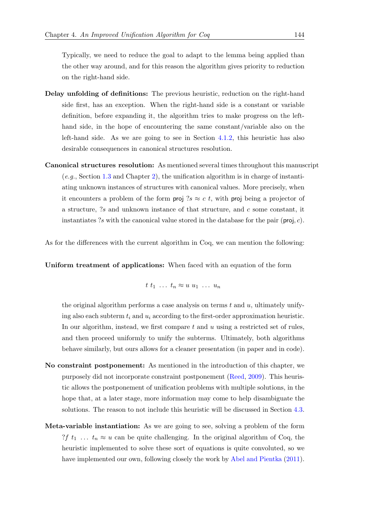Typically, we need to reduce the goal to adapt to the lemma being applied than the other way around, and for this reason the algorithm gives priority to reduction on the right-hand side.

- Delay unfolding of definitions: The previous heuristic, reduction on the right-hand side first, has an exception. When the right-hand side is a constant or variable definition, before expanding it, the algorithm tries to make progress on the lefthand side, in the hope of encountering the same constant/variable also on the left-hand side. As we are going to see in Section [4.1.2,](#page-165-0) this heuristic has also desirable consequences in canonical structures resolution.
- Canonical structures resolution: As mentioned several times throughout this manuscript (e.g., Section [1.3](#page-39-0) and Chapter [2\)](#page-46-0), the unification algorithm is in charge of instantiating unknown instances of structures with canonical values. More precisely, when it encounters a problem of the form proj ?s  $\approx c$  t, with proj being a projector of a structure,  $?s$  and unknown instance of that structure, and  $c$  some constant, it instantiates ?s with the canonical value stored in the database for the pair ( $proj, c$ ).

As for the differences with the current algorithm in Coq, we can mention the following:

Uniform treatment of applications: When faced with an equation of the form

$$
t\ t_1\ \ldots\ t_n \approx u\ u_1\ \ldots\ u_n
$$

the original algorithm performs a case analysis on terms  $t$  and  $u$ , ultimately unifying also each subterm  $t_i$  and  $u_i$  according to the first-order approximation heuristic. In our algorithm, instead, we first compare t and u using a restricted set of rules, and then proceed uniformly to unify the subterms. Ultimately, both algorithms behave similarly, but ours allows for a cleaner presentation (in paper and in code).

- No constraint postponement: As mentioned in the introduction of this chapter, we purposely did not incorporate constraint postponement [\(Reed,](#page-215-3) [2009\)](#page-215-3). This heuristic allows the postponement of unification problems with multiple solutions, in the hope that, at a later stage, more information may come to help disambiguate the solutions. The reason to not include this heuristic will be discussed in Section [4.3.](#page-186-0)
- Meta-variable instantiation: As we are going to see, solving a problem of the form ?f  $t_1$  ...  $t_n \approx u$  can be quite challenging. In the original algorithm of Coq, the heuristic implemented to solve these sort of equations is quite convoluted, so we have implemented our own, following closely the work by [Abel and Pientka](#page-210-1) [\(2011\)](#page-210-1).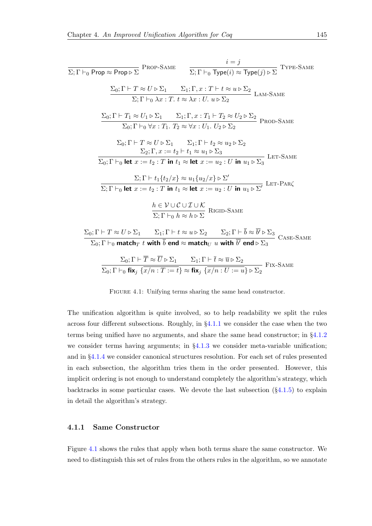<span id="page-164-1"></span>
$$
\Sigma; \Gamma \vdash_{0} \text{Prop} \approx \text{Prop} \triangleright \Sigma \text{ PROP-SAME}
$$
\n
$$
\frac{i = j}{\Sigma; \Gamma \vdash_{0} \text{ Type}(i) \approx \text{Type}(j) \triangleright \Sigma} \text{ Type-SAME}
$$
\n
$$
\frac{\Sigma_{0}; \Gamma \vdash T \approx U \triangleright \Sigma_{1} \quad \Sigma_{1}; \Gamma, x : T \vdash t \approx u \triangleright \Sigma_{2}}{\Sigma; \Gamma \vdash_{0} \lambda x : T. t \approx \lambda x : U. u \triangleright \Sigma_{2}} \text{ LAM-SAME}
$$
\n
$$
\frac{\Sigma_{0}; \Gamma \vdash T_{1} \approx U_{1} \triangleright \Sigma_{1} \quad \Sigma_{1}; \Gamma, x : T_{1} \vdash T_{2} \approx U_{2} \triangleright \Sigma_{2}}{\Sigma_{0}; \Gamma \vdash_{0} \forall x : T_{1}. T_{2} \approx \forall x : U_{1}. U_{2} \triangleright \Sigma_{2}} \text{ PROD-SAME}
$$
\n
$$
\Sigma_{0}; \Gamma \vdash T \approx U \triangleright \Sigma_{1} \quad \Sigma_{1}; \Gamma \vdash t_{2} \approx u_{2} \triangleright \Sigma_{2}
$$
\n
$$
\frac{\Sigma_{2}; \Gamma, x := t_{2} \vdash t_{1} \approx u_{1} \triangleright \Sigma_{3}}{\Sigma_{0}; \Gamma \vdash_{0} \text{ let } x := t_{2}: T \text{ in } t_{1} \approx \text{ let } x := u_{2}: U \text{ in } u_{1} \triangleright \Sigma_{3}} \text{ LET-SAME}
$$
\n
$$
\frac{\Sigma; \Gamma \vdash t_{1} \{t_{2}/x\} \approx u_{1} \{u_{2}/x\} \triangleright \Sigma'}{\Sigma; \Gamma \vdash_{0} \text{ let } x := t_{2}: T \text{ in } t_{1} \approx \text{ let } x := u_{2}: U \text{ in } u_{1} \triangleright \Sigma'} \text{ LET-PAR}\zeta}
$$
\n
$$
\frac{h \in \mathcal{V} \cup \mathcal{C} \cup \mathcal{I} \cup \mathcal{K}}{\Sigma; \Gamma \vdash_{0} h \approx h \triangleright \Sigma} \text{RIGD-SAME}
$$
\n
$$
\frac{\Sigma_{0}; \Gamma \vdash T \approx U \triangleright \Sigma_{1} \quad \Sigma_{1}; \Gamma \vdash t \approx u
$$

FIGURE 4.1: Unifying terms sharing the same head constructor.

The unification algorithm is quite involved, so to help readability we split the rules across four different subsections. Roughly, in §[4.1.1](#page-164-0) we consider the case when the two terms being unified have no arguments, and share the same head constructor; in §[4.1.2](#page-165-0) we consider terms having arguments; in  $\S4.1.3$  $\S4.1.3$  we consider meta-variable unification; and in §[4.1.4](#page-180-0) we consider canonical structures resolution. For each set of rules presented in each subsection, the algorithm tries them in the order presented. However, this implicit ordering is not enough to understand completely the algorithm's strategy, which backtracks in some particular cases. We devote the last subsection  $(\S 4.1.5)$  $(\S 4.1.5)$  to explain in detail the algorithm's strategy.

### <span id="page-164-0"></span>4.1.1 Same Constructor

Figure [4.1](#page-164-1) shows the rules that apply when both terms share the same constructor. We need to distinguish this set of rules from the others rules in the algorithm, so we annotate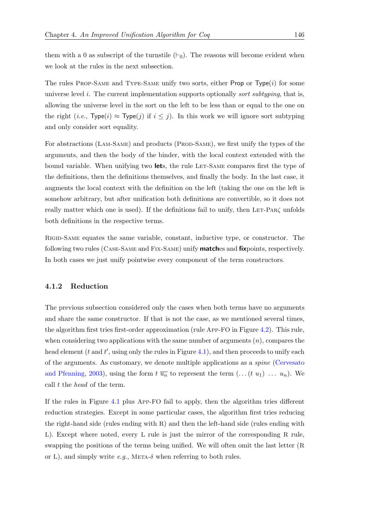them with a 0 as subscript of the turnstile  $(\vdash_0)$ . The reasons will become evident when we look at the rules in the next subsection.

The rules PROP-SAME and TYPE-SAME unify two sorts, either Prop or  $Type(i)$  for some universe level i. The current implementation supports optionally *sort subtyping*, that is, allowing the universe level in the sort on the left to be less than or equal to the one on the right (*i.e.*,  $Type(i) \approx Type(j)$  if  $i \leq j$ ). In this work we will ignore sort subtyping and only consider sort equality.

For abstractions (LAM-SAME) and products (PROD-SAME), we first unify the types of the arguments, and then the body of the binder, with the local context extended with the bound variable. When unifying two **let**s, the rule LET-SAME compares first the type of the definitions, then the definitions themselves, and finally the body. In the last case, it augments the local context with the definition on the left (taking the one on the left is somehow arbitrary, but after unification both definitions are convertible, so it does not really matter which one is used). If the definitions fail to unify, then LET-PAR $\zeta$  unfolds both definitions in the respective terms.

Rigid-Same equates the same variable, constant, inductive type, or constructor. The following two rules (Case-Same and Fix-Same) unify matches and fixpoints, respectively. In both cases we just unify pointwise every component of the term constructors.

### <span id="page-165-0"></span>4.1.2 Reduction

The previous subsection considered only the cases when both terms have no arguments and share the same constructor. If that is not the case, as we mentioned several times, the algorithm first tries first-order approximation (rule App-FO in Figure [4.2\)](#page-166-0). This rule, when considering two applications with the same number of arguments  $(n)$ , compares the head element  $(t \text{ and } t'$ , using only the rules in Figure [4.1\)](#page-164-1), and then proceeds to unify each of the arguments. As customary, we denote multiple applications as a spine [\(Cervesato](#page-211-1) [and Pfenning,](#page-211-1) [2003\)](#page-211-1), using the form  $t \overline{u_n}$  to represent the term  $(\ldots (t u_1) \ldots u_n)$ . We call t the head of the term.

If the rules in Figure [4.1](#page-164-1) plus App-FO fail to apply, then the algorithm tries different reduction strategies. Except in some particular cases, the algorithm first tries reducing the right-hand side (rules ending with R) and then the left-hand side (rules ending with L). Except where noted, every L rule is just the mirror of the corresponding R rule, swapping the positions of the terms being unified. We will often omit the last letter (R or L), and simply write  $e.g.,$  META- $\delta$  when referring to both rules.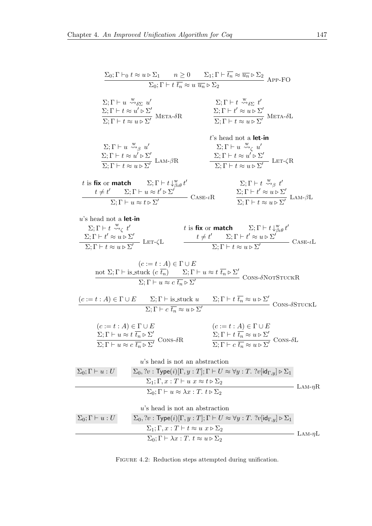<span id="page-166-0"></span>
$$
\frac{\Sigma_{0}:\Gamma\vdash_{0} t \approx u \triangleright \Sigma_{1} \qquad n \geq 0 \qquad \Sigma_{1}:\Gamma\vdash \overline{t_{n}} \approx u \overline{u_{n}} \triangleright \Sigma_{2} \qquad \text{APP-FO}
$$
\n
$$
\Sigma_{1}:\Gamma\vdash u \xrightarrow{\omega_{s}} u'
$$
\n
$$
\Sigma_{1}:\Gamma\vdash t \xrightarrow{\omega_{s}} u'
$$
\n
$$
\Sigma_{2}:\Gamma\vdash t \xrightarrow{\omega_{s}} u'
$$
\n
$$
\Sigma_{3}:\Gamma\vdash t \approx u \triangleright \Sigma'
$$
\n
$$
\Sigma_{4}:\Gamma\vdash t \approx u \triangleright \Sigma'
$$
\n
$$
\Sigma_{5}:\Gamma\vdash t \approx u \triangleright \Sigma'
$$
\n
$$
\Sigma_{6}:\Gamma\vdash t \approx u \triangleright \Sigma'
$$
\n
$$
\Sigma_{7}:\Gamma\vdash t \approx u \triangleright \Sigma'
$$
\n
$$
\Sigma_{8}:\Gamma\vdash t \approx u \triangleright \Sigma'
$$
\n
$$
\Sigma_{1}:\Gamma\vdash t \approx u \triangleright \Sigma'
$$
\n
$$
\Sigma_{2}:\Gamma\vdash t \approx u \triangleright \Sigma'
$$
\n
$$
\Sigma_{3}:\Gamma\vdash t \approx u \triangleright \Sigma'
$$
\n
$$
\Sigma_{4}:\Gamma\vdash t \approx u \triangleright \Sigma'
$$
\n
$$
\Sigma_{5}:\Gamma\vdash t \approx u \triangleright \Sigma'
$$
\n
$$
\Sigma_{6}:\Gamma\vdash t \approx u \triangleright \Sigma'
$$
\n
$$
\Sigma_{7}:\Gamma\vdash t \approx u \triangleright \Sigma'
$$
\n
$$
\Sigma_{8}:\Gamma\vdash t \times \Sigma_{9} t'
$$
\n
$$
\frac{t}{\Sigma_{1}:\Gamma\vdash u \approx t \triangleright \Sigma'}
$$
\n
$$
\Sigma_{1}:\Gamma\vdash t \approx u \triangleright \Sigma'
$$
\n
$$
\frac{t}{\Sigma_{1}:\Gamma\vdash t \approx u \triangleright \Sigma'} = \text{Lars-} \cdot \text{R}
$$
\n
$$
\frac{\Sigma_{1}:\Gamma\vdash t \times \Sigma_{1}t}{\Sigma_{1}:\Gamma\vdash t \approx u \triangleright \Sigma'} = \text{Lars-} \cdot \text{R}
$$

FIGURE 4.2: Reduction steps attempted during unification.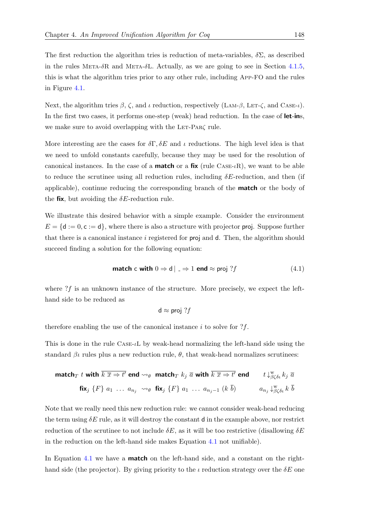The first reduction the algorithm tries is reduction of meta-variables,  $\delta \Sigma$ , as described in the rules META- $\delta$ R and META- $\delta$ L. Actually, as we are going to see in Section [4.1.5,](#page-181-0) this is what the algorithm tries prior to any other rule, including App-FO and the rules in Figure [4.1.](#page-164-1)

Next, the algorithm tries  $\beta$ ,  $\zeta$ , and  $\iota$  reduction, respectively (LAM- $\beta$ , LET- $\zeta$ , and CASE- $\iota$ ). In the first two cases, it performs one-step (weak) head reduction. In the case of let-ins, we make sure to avoid overlapping with the LET-PARζ rule.

More interesting are the cases for  $\delta\Gamma$ ,  $\delta E$  and  $\iota$  reductions. The high level idea is that we need to unfold constants carefully, because they may be used for the resolution of canonical instances. In the case of a **match** or a fix (rule  $\text{Case-}\iota\text{R}$ ), we want to be able to reduce the scrutinee using all reduction rules, including  $\delta E$ -reduction, and then (if applicable), continue reducing the corresponding branch of the match or the body of the fix, but avoiding the  $\delta E$ -reduction rule.

We illustrate this desired behavior with a simple example. Consider the environment  $E = \{d := 0, c := d\}$ , where there is also a structure with projector **proj.** Suppose further that there is a canonical instance i registered for proj and d. Then, the algorithm should succeed finding a solution for the following equation:

**match c with** 
$$
0 \Rightarrow d \mid 2 \Rightarrow 1
$$
 **end**  $\approx$  **proj**  $?f$  (4.1)

where  $?f$  is an unknown instance of the structure. More precisely, we expect the lefthand side to be reduced as

<span id="page-167-0"></span>
$$
d \approx \text{proj } ?f
$$

therefore enabling the use of the canonical instance  $i$  to solve for  $?f$ .

This is done in the rule CASE-L by weak-head normalizing the left-hand side using the standard  $\beta\iota$  rules plus a new reduction rule,  $\theta$ , that weak-head normalizes scrutiness:

$$
\begin{array}{ll}\n\text{match}_T \ t \text{ with } \overline{k} \ \overline{x} \Rightarrow t' \text{ end } \leadsto_{\theta} \text{ match}_T \ k_j \ \overline{a} \text{ with } \overline{k} \ \overline{x} \Rightarrow t' \text{ end } \qquad t \downarrow^{\text{w}}_{\beta \zeta \delta \iota} k_j \ \overline{a} \\
\text{fix}_j \ \{F\} \ a_1 \ \ldots \ a_{n_j} \ \leadsto_{\theta} \ \text{fix}_j \ \{F\} \ a_1 \ \ldots \ a_{n_j-1} \ (k \ \overline{b}) \qquad a_{n_j} \downarrow^{\text{w}}_{\beta \zeta \delta \iota} k \ \overline{b}\n\end{array}
$$

Note that we really need this new reduction rule: we cannot consider weak-head reducing the term using  $\delta E$  rule, as it will destroy the constant d in the example above, nor restrict reduction of the scrutinee to not include  $\delta E$ , as it will be too restrictive (disallowing  $\delta E$ in the reduction on the left-hand side makes Equation [4.1](#page-167-0) not unifiable).

In Equation [4.1](#page-167-0) we have a **match** on the left-hand side, and a constant on the righthand side (the projector). By giving priority to the  $\iota$  reduction strategy over the  $\delta E$  one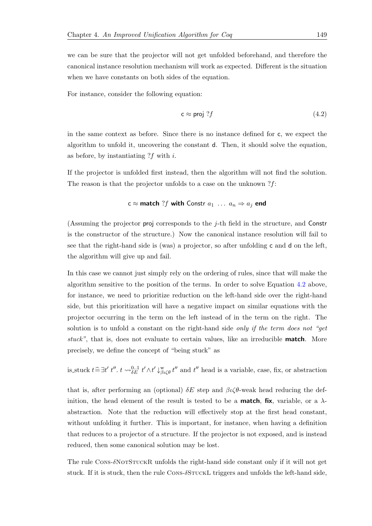we can be sure that the projector will not get unfolded beforehand, and therefore the canonical instance resolution mechanism will work as expected. Different is the situation when we have constants on both sides of the equation.

For instance, consider the following equation:

<span id="page-168-0"></span>
$$
c \approx \text{proj } ?f \tag{4.2}
$$

in the same context as before. Since there is no instance defined for c, we expect the algorithm to unfold it, uncovering the constant d. Then, it should solve the equation, as before, by instantiating  $?f$  with i.

If the projector is unfolded first instead, then the algorithm will not find the solution. The reason is that the projector unfolds to a case on the unknown ?f:

# $c \approx$  match ?f with Constr  $a_1 \ldots a_n \Rightarrow a_j$  end

(Assuming the projector proj corresponds to the j-th field in the structure, and Constr is the constructor of the structure.) Now the canonical instance resolution will fail to see that the right-hand side is (was) a projector, so after unfolding c and d on the left, the algorithm will give up and fail.

In this case we cannot just simply rely on the ordering of rules, since that will make the algorithm sensitive to the position of the terms. In order to solve Equation [4.2](#page-168-0) above, for instance, we need to prioritize reduction on the left-hand side over the right-hand side, but this prioritization will have a negative impact on similar equations with the projector occurring in the term on the left instead of in the term on the right. The solution is to unfold a constant on the right-hand side only if the term does not "get stuck", that is, does not evaluate to certain values, like an irreducible **match**. More precisely, we define the concept of "being stuck" as

is\_stuck  $t \triangleq \exists t'$   $t''$ .  $t \leadsto_{\delta E}^{0,1} t' \wedge t' \downarrow_{\beta \iota \zeta \theta}^{\infty} t''$  and  $t''$  head is a variable, case, fix, or abstraction

that is, after performing an (optional)  $\delta E$  step and  $\beta \iota \zeta \theta$ -weak head reducing the definition, the head element of the result is tested to be a **match, fix**, variable, or a  $\lambda$ abstraction. Note that the reduction will effectively stop at the first head constant, without unfolding it further. This is important, for instance, when having a definition that reduces to a projector of a structure. If the projector is not exposed, and is instead reduced, then some canonical solution may be lost.

The rule Cons- $\delta$ NotStuckR unfolds the right-hand side constant only if it will not get stuck. If it is stuck, then the rule CONS- $\delta$ STUCKL triggers and unfolds the left-hand side,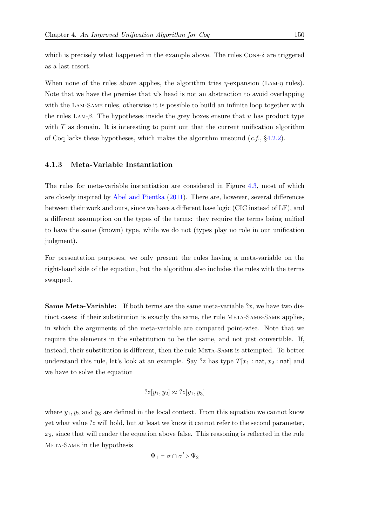which is precisely what happened in the example above. The rules  $\cos \delta$  are triggered as a last resort.

When none of the rules above applies, the algorithm tries  $\eta$ -expansion (LAM- $\eta$  rules). Note that we have the premise that  $u$ 's head is not an abstraction to avoid overlapping with the Lam-Same rules, otherwise it is possible to build an infinite loop together with the rules LAM- $\beta$ . The hypotheses inside the grey boxes ensure that u has product type with  $T$  as domain. It is interesting to point out that the current unification algorithm of Coq lacks these hypotheses, which makes the algorithm unsound  $(c.f., §4.2.2)$  $(c.f., §4.2.2)$ .

### <span id="page-169-0"></span>4.1.3 Meta-Variable Instantiation

The rules for meta-variable instantiation are considered in Figure [4.3,](#page-170-0) most of which are closely inspired by [Abel and Pientka](#page-210-1) [\(2011\)](#page-210-1). There are, however, several differences between their work and ours, since we have a different base logic (CIC instead of LF), and a different assumption on the types of the terms: they require the terms being unified to have the same (known) type, while we do not (types play no role in our unification judgment).

For presentation purposes, we only present the rules having a meta-variable on the right-hand side of the equation, but the algorithm also includes the rules with the terms swapped.

**Same Meta-Variable:** If both terms are the same meta-variable  $x$ , we have two distinct cases: if their substitution is exactly the same, the rule META-SAME-SAME applies, in which the arguments of the meta-variable are compared point-wise. Note that we require the elements in the substitution to be the same, and not just convertible. If, instead, their substitution is different, then the rule Meta-Same is attempted. To better understand this rule, let's look at an example. Say ?z has type  $T[x_1 : \text{nat}, x_2 : \text{nat}]$  and we have to solve the equation

$$
?z[y_1,y_2] \approx ?z[y_1,y_3]
$$

where  $y_1, y_2$  and  $y_3$  are defined in the local context. From this equation we cannot know yet what value ?z will hold, but at least we know it cannot refer to the second parameter,  $x_2$ , since that will render the equation above false. This reasoning is reflected in the rule Meta-Same in the hypothesis

$$
\Psi_1 \vdash \sigma \cap \sigma' \triangleright \Psi_2
$$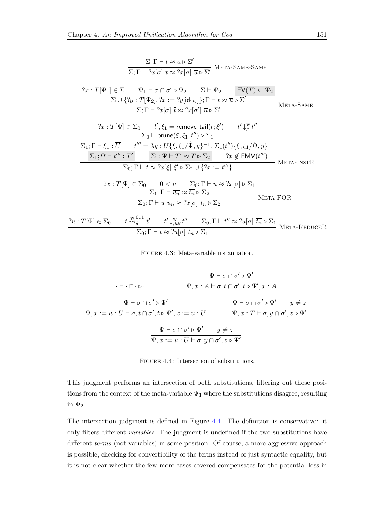<span id="page-170-0"></span>
$$
\Sigma; \Gamma \vdash \overline{t} \approx \overline{u} \triangleright \Sigma'
$$
\n
$$
\overline{\Sigma; \Gamma \vdash 2x[\sigma] \overline{t} \approx 2x[\sigma] \overline{u} \triangleright \Sigma'}
$$
\n
$$
\overline{\Sigma; \Gamma \vdash 2x[\sigma] \overline{t} \approx 2x[\sigma] \overline{u} \triangleright \Sigma'}
$$
\n
$$
\overline{\Sigma \cup \{2y : T[\Psi_2], 2x := 2y[\text{id}_{\Psi_2}]\}; \Gamma \vdash \overline{t} \approx \overline{u} \triangleright \Sigma'}
$$
\n
$$
\overline{\Sigma; \Gamma \vdash 2x[\sigma] \overline{t} \approx 2x[\sigma'] \overline{u} \triangleright \Sigma'}
$$
\n
$$
\overline{\Sigma; \Gamma \vdash 2x[\sigma] \overline{t} \approx 2x[\sigma'] \overline{u} \triangleright \Sigma'}
$$
\n
$$
\overline{\Sigma; \Gamma \vdash 2x[\sigma] \overline{t} \approx 2x[\sigma'] \overline{u} \triangleright \Sigma'}
$$
\n
$$
\Sigma_{\text{I}}; \Gamma \vdash \xi_1 : \overline{U} \qquad t'', \xi_1 = \text{remove-tail}(t; \xi') \qquad t' \downarrow^{\text{W}}_{\beta} t''
$$
\n
$$
\Sigma_0 \vdash \text{prune}(\xi, \xi_1; t'') \triangleright \Sigma_1
$$
\n
$$
\Sigma_1; \Gamma \vdash \xi_1 : \overline{U} \qquad t''' = \lambda y : U\{\xi, \xi_1/\hat{\Psi}, \overline{y}\}^{-1} : \Sigma_1(t'')\{\xi, \xi_1/\hat{\Psi}, \overline{y}\}^{-1}
$$
\n
$$
\Sigma_1; \Psi \vdash t''': \Gamma' \qquad \Sigma_1; \Psi \vdash T' \approx T \triangleright \Sigma_2 \qquad 2x \notin \text{FMV}(t'')
$$
\n
$$
\overline{\Sigma_0; \Gamma \vdash t \approx 2x[\xi] \xi' \triangleright \Sigma_2 \cup \{2x := t'''\}} \qquad \text{META-InSTR}
$$
\n
$$
\overline{2x : T[\Psi] \in \Sigma_0 \qquad 0 < n \qquad \Sigma_0; \Gamma \vdash u \approx 2x[\
$$

Figure 4.3: Meta-variable instantiation.

<span id="page-170-1"></span>
$$
\frac{\Psi \vdash \sigma \cap \sigma' \triangleright \Psi'}{\Psi, x : A \vdash \sigma, t \cap \sigma', t \triangleright \Psi', x : A}
$$
\n
$$
\frac{\Psi \vdash \sigma \cap \sigma' \triangleright \Psi'}{\Psi, x : x \vdash \sigma, t \cap \sigma', t \triangleright \Psi', x : A}
$$
\n
$$
\frac{\Psi \vdash \sigma \cap \sigma' \triangleright \Psi'}{\Psi, x : x \vdash \sigma, y \cap \sigma', z \triangleright \Psi'}
$$
\n
$$
\frac{\Psi \vdash \sigma \cap \sigma' \triangleright \Psi'}{\Psi, x : x \vdash \sigma, y \cap \sigma', z \triangleright \Psi'}
$$
\n
$$
\frac{\Psi \vdash \sigma \cap \sigma' \triangleright \Psi'}{\Psi, x : x \vdash \sigma, y \cap \sigma', z \triangleright \Psi'}
$$

FIGURE 4.4: Intersection of substitutions.

This judgment performs an intersection of both substitutions, filtering out those positions from the context of the meta-variable  $\Psi_1$  where the substitutions disagree, resulting in  $\Psi_2$ .

The intersection judgment is defined in Figure [4.4.](#page-170-1) The definition is conservative: it only filters different variables. The judgment is undefined if the two substitutions have different *terms* (not variables) in some position. Of course, a more aggressive approach is possible, checking for convertibility of the terms instead of just syntactic equality, but it is not clear whether the few more cases covered compensates for the potential loss in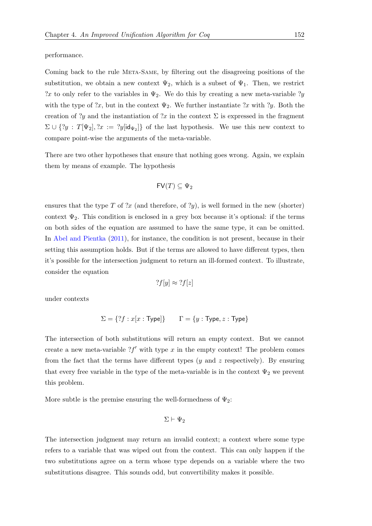performance.

Coming back to the rule Meta-Same, by filtering out the disagreeing positions of the substitution, we obtain a new context  $\Psi_2$ , which is a subset of  $\Psi_1$ . Then, we restrict ?x to only refer to the variables in  $\Psi_2$ . We do this by creating a new meta-variable ?y with the type of ?x, but in the context  $\Psi_2$ . We further instantiate ?x with ?y. Both the creation of ?y and the instantiation of ?x in the context  $\Sigma$  is expressed in the fragment  $\Sigma \cup \{?y : T[\Psi_2], ?x := ?y[\text{id}_{\Psi_2}]\}$  of the last hypothesis. We use this new context to compare point-wise the arguments of the meta-variable.

There are two other hypotheses that ensure that nothing goes wrong. Again, we explain them by means of example. The hypothesis

$$
\mathsf{FV}(T) \subseteq \Psi_2
$$

ensures that the type T of  $\mathcal{X}$  (and therefore, of  $\mathcal{Y}$ ), is well formed in the new (shorter) context  $\Psi_2$ . This condition is enclosed in a grey box because it's optional: if the terms on both sides of the equation are assumed to have the same type, it can be omitted. In [Abel and Pientka](#page-210-1) [\(2011\)](#page-210-1), for instance, the condition is not present, because in their setting this assumption holds. But if the terms are allowed to have different types, then it's possible for the intersection judgment to return an ill-formed context. To illustrate, consider the equation

$$
?f[y] \approx ?f[z]
$$

under contexts

$$
\Sigma = \{?f : x[x : Type]\} \qquad \Gamma = \{y : Type, z : Type\}
$$

The intersection of both substitutions will return an empty context. But we cannot create a new meta-variable  $?f'$  with type x in the empty context! The problem comes from the fact that the terms have different types  $(y \text{ and } z \text{ respectively})$ . By ensuring that every free variable in the type of the meta-variable is in the context  $\Psi_2$  we prevent this problem.

More subtle is the premise ensuring the well-formedness of  $\Psi_2$ :

$$
\Sigma \vdash \Psi_2
$$

The intersection judgment may return an invalid context; a context where some type refers to a variable that was wiped out from the context. This can only happen if the two substitutions agree on a term whose type depends on a variable where the two substitutions disagree. This sounds odd, but convertibility makes it possible.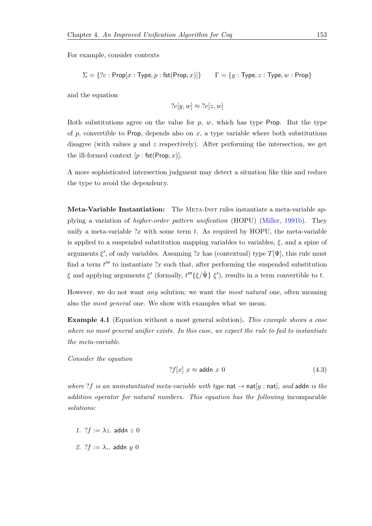For example, consider contexts

$$
\Sigma = \{?v : \mathsf{Prop}[x : \mathsf{Type}, p : \mathsf{fst}(\mathsf{Prop}, x)]\} \qquad \Gamma = \{y : \mathsf{Type}, z : \mathsf{Type}, w : \mathsf{Prop}\}
$$

and the equation

$$
?v[y, w] \approx ?v[z, w]
$$

Both substitutions agree on the value for  $p$ ,  $w$ , which has type Prop. But the type of p, convertible to Prop, depends also on  $x$ , a type variable where both substitutions disagree (with values  $y$  and  $z$  respectively). After performing the intersection, we get the ill-formed context  $[p : \mathsf{fst}(\mathsf{Prop}, x)].$ 

A more sophisticated intersection judgment may detect a situation like this and reduce the type to avoid the dependency.

Meta-Variable Instantiation: The Meta-Inst rules instantiate a meta-variable applying a variation of higher-order pattern unification (HOPU) [\(Miller,](#page-214-0) [1991b\)](#page-214-0). They unify a meta-variable  $x$  with some term t. As required by HOPU, the meta-variable is applied to a suspended substitution mapping variables to variables,  $\xi$ , and a spine of arguments  $\xi'$ , of only variables. Assuming ?x has (contextual) type  $T[\Psi]$ , this rule must find a term  $t^{\prime\prime\prime}$  to instantiate ?x such that, after performing the suspended substitution ξ and applying arguments  $\xi'$  (formally,  $t'''$ { $\xi/\hat{\Psi}$ }  $\xi'$ ), results in a term convertible to t.

However, we do not want any solution; we want the most natural one, often meaning also the most general one. We show with examples what we mean.

Example 4.1 (Equation without a most general solution). This example shows a case where no most general unifier exists. In this case, we expect the rule to fail to instantiate the meta-variable.

Consider the equation

<span id="page-172-0"></span>
$$
?f[x] x \approx \text{addn } x 0 \tag{4.3}
$$

where ?f is an uninstantiated meta-variable with type nat  $\rightarrow$  nat[y : nat], and addn is the addition operator for natural numbers. This equation has the following incomparable solutions:

- 1.  $?f := \lambda z$ . addn z 0
- 2. ? $f := \lambda_+$  addn  $y \neq 0$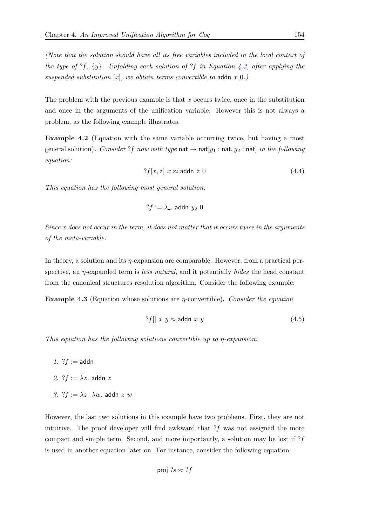(Note that the solution should have all its free variables included in the local context of the type of ?f,  $\{y\}$ . Unfolding each solution of ?f in Equation [4.3,](#page-172-0) after applying the suspended substitution  $[x]$ , we obtain terms convertible to addn x 0.)

The problem with the previous example is that  $x$  occurs twice, once in the substitution and once in the arguments of the unification variable. However this is not always a problem, as the following example illustrates.

Example 4.2 (Equation with the same variable occurring twice, but having a most general solution). Consider ?f now with type nat  $\rightarrow$  nat $[y_1 : \text{nat}, y_2 : \text{nat}]$  in the following equation:

$$
?f[x, z] x \approx \text{addn } z 0 \tag{4.4}
$$

This equation has the following most general solution:

$$
?f := \lambda_-\ \text{addn}\ y_2\ 0
$$

Since x does not occur in the term, it does not matter that it occurs twice in the arguments of the meta-variable.

In theory, a solution and its  $\eta$ -expansion are comparable. However, from a practical perspective, an  $\eta$ -expanded term is less natural, and it potentially hides the head constant from the canonical structures resolution algorithm. Consider the following example:

<span id="page-173-1"></span>**Example 4.3** (Equation whose solutions are  $\eta$ -convertible). Consider the equation

<span id="page-173-0"></span>
$$
?f \parallel x \ y \approx \text{addn} \ x \ y \tag{4.5}
$$

This equation has the following solutions convertible up to η-expansion:

- 1.  $?f :=$ addn
- 2. ? $f := \lambda z$ . addn z
- 3.  $?f := \lambda z$ .  $\lambda w$ . addn z w

However, the last two solutions in this example have two problems. First, they are not intuitive. The proof developer will find awkward that  $?f$  was not assigned the more compact and simple term. Second, and more importantly, a solution may be lost if  $?f$ is used in another equation later on. For instance, consider the following equation:

proj 
$$
?s \approx ?f
$$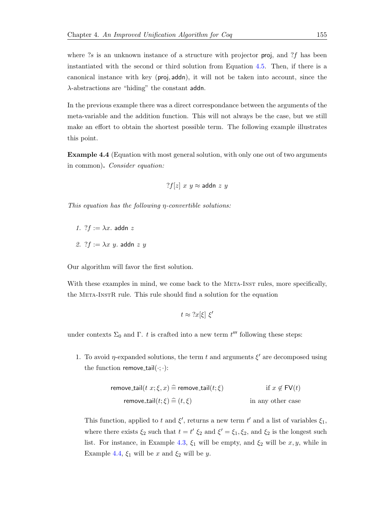where  $?s$  is an unknown instance of a structure with projector **proj**, and  $?f$  has been instantiated with the second or third solution from Equation [4.5.](#page-173-0) Then, if there is a canonical instance with key (proj, addn), it will not be taken into account, since the  $\lambda$ -abstractions are "hiding" the constant addn.

In the previous example there was a direct correspondance between the arguments of the meta-variable and the addition function. This will not always be the case, but we still make an effort to obtain the shortest possible term. The following example illustrates this point.

<span id="page-174-0"></span>Example 4.4 (Equation with most general solution, with only one out of two arguments in common). Consider equation:

$$
?f[z] x y \approx \text{addn} \ z \ y
$$

This equation has the following  $\eta$ -convertible solutions:

- 1.  $?f := \lambda x$ . addn z
- 2.  $?f := \lambda x \ y$ . addn z y

Our algorithm will favor the first solution.

With these examples in mind, we come back to the META-INST rules, more specifically, the Meta-InstR rule. This rule should find a solution for the equation

$$
t \approx 2x[\xi] \xi'
$$

under contexts  $\Sigma_0$  and  $\Gamma$ . t is crafted into a new term  $t^{\prime\prime\prime}$  following these steps:

1. To avoid  $\eta$ -expanded solutions, the term t and arguments  $\xi'$  are decomposed using the function remove\_tail $(\cdot; \cdot)$ :

$$
\begin{aligned}\n\text{remove\_tail}(t \ x; \xi, x) &\stackrel{\frown}{=} \text{remove\_tail}(t; \xi) & \text{if } x \notin \mathsf{FV}(t) \\
\text{remove\_tail}(t; \xi) &\stackrel{\frown}{=} (t, \xi) & \text{in any other case}\n\end{aligned}
$$

This function, applied to t and  $\xi'$ , returns a new term t' and a list of variables  $\xi_1$ , where there exists  $\xi_2$  such that  $t = t' \xi_2$  and  $\xi' = \xi_1, \xi_2$ , and  $\xi_2$  is the longest such list. For instance, in Example [4.3,](#page-173-1)  $\xi_1$  will be empty, and  $\xi_2$  will be  $x, y$ , while in Example [4.4,](#page-174-0)  $\xi_1$  will be x and  $\xi_2$  will be y.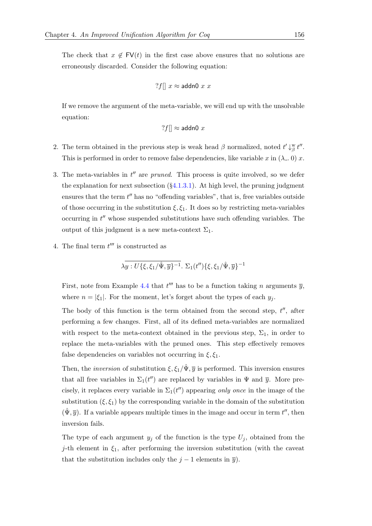The check that  $x \notin FV(t)$  in the first case above ensures that no solutions are erroneously discarded. Consider the following equation:

$$
?f|| x \approx \text{addn0 } x x
$$

If we remove the argument of the meta-variable, we will end up with the unsolvable equation:

$$
?f[] \approx \text{addn0 } x
$$

- 2. The term obtained in the previous step is weak head  $\beta$  normalized, noted  $t' \downarrow^w_{\beta} t''$ . This is performed in order to remove false dependencies, like variable x in  $(\lambda_-, 0)$  x.
- 3. The meta-variables in  $t''$  are pruned. This process is quite involved, so we defer the explanation for next subsection  $(\S 4.1.3.1)$  $(\S 4.1.3.1)$ . At high level, the pruning judgment ensures that the term  $t''$  has no "offending variables", that is, free variables outside of those occurring in the substitution  $\xi, \xi_1$ . It does so by restricting meta-variables occurring in  $t''$  whose suspended substitutions have such offending variables. The output of this judgment is a new meta-context  $\Sigma_1$ .
- 4. The final term  $t^{\prime\prime\prime}$  is constructed as

$$
\lambda\overline{y:U\{\xi,\xi_1/\hat{\Psi},\overline{y}\}^{-1}}.\ \Sigma_1(t'')\{\xi,\xi_1/\hat{\Psi},\overline{y}\}^{-1}
$$

First, note from Example [4.4](#page-174-0) that  $t^{\prime\prime\prime}$  has to be a function taking n arguments  $\overline{y}$ , where  $n = |\xi_1|$ . For the moment, let's forget about the types of each  $y_i$ .

The body of this function is the term obtained from the second step,  $t''$ , after performing a few changes. First, all of its defined meta-variables are normalized with respect to the meta-context obtained in the previous step,  $\Sigma_1$ , in order to replace the meta-variables with the pruned ones. This step effectively removes false dependencies on variables not occurring in  $\xi, \xi_1$ .

Then, the *inversion* of substitution  $\xi, \xi_1/\hat{\Psi}, \overline{y}$  is performed. This inversion ensures that all free variables in  $\Sigma_1(t'')$  are replaced by variables in  $\Psi$  and  $\overline{y}$ . More precisely, it replaces every variable in  $\Sigma_1(t'')$  appearing only once in the image of the substitution  $(\xi, \xi_1)$  by the corresponding variable in the domain of the substitution  $(\hat{\Psi}, \overline{y})$ . If a variable appears multiple times in the image and occur in term  $t''$ , then inversion fails.

The type of each argument  $y_j$  of the function is the type  $U_j$ , obtained from the j-th element in  $\xi_1$ , after performing the inversion substitution (with the caveat that the substitution includes only the  $j-1$  elements in  $\overline{y}$ ).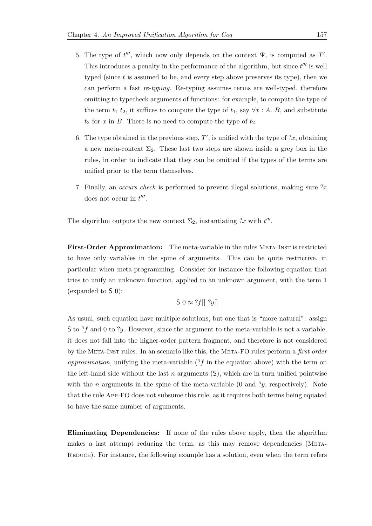- 5. The type of  $t^{\prime\prime\prime}$ , which now only depends on the context  $\Psi$ , is computed as  $T'$ . This introduces a penalty in the performance of the algorithm, but since  $t^{\prime\prime\prime}$  is well typed (since  $t$  is assumed to be, and every step above preserves its type), then we can perform a fast re-typing. Re-typing assumes terms are well-typed, therefore omitting to typecheck arguments of functions: for example, to compute the type of the term  $t_1$   $t_2$ , it suffices to compute the type of  $t_1$ , say  $\forall x : A$ . B, and substitute  $t_2$  for x in B. There is no need to compute the type of  $t_2$ .
- 6. The type obtained in the previous step,  $T'$ , is unified with the type of  $x$ , obtaining a new meta-context  $\Sigma_2$ . These last two steps are shown inside a grey box in the rules, in order to indicate that they can be omitted if the types of the terms are unified prior to the term themselves.
- 7. Finally, an *occurs check* is performed to prevent illegal solutions, making sure  $x$ does not occur in  $t^{\prime\prime\prime}$ .

The algorithm outputs the new context  $\Sigma_2$ , instantiating ?x with  $t'''$ .

First-Order Approximation: The meta-variable in the rules META-INST is restricted to have only variables in the spine of arguments. This can be quite restrictive, in particular when meta-programming. Consider for instance the following equation that tries to unify an unknown function, applied to an unknown argument, with the term 1 (expanded to S 0):

$$
\mathsf{S} \; 0 \approx ?f \parallel ?y \parallel
$$

As usual, such equation have multiple solutions, but one that is "more natural": assign S to ?f and 0 to ?y. However, since the argument to the meta-variable is not a variable, it does not fall into the higher-order pattern fragment, and therefore is not considered by the META-INST rules. In an scenario like this, the META-FO rules perform a *first order* approximation, unifying the meta-variable  $($ *:* $f$  in the equation above) with the term on the left-hand side without the last n arguments  $(S)$ , which are in turn unified pointwise with the *n* arguments in the spine of the meta-variable  $(0 \text{ and } ?y$ , respectively). Note that the rule App-FO does not subsume this rule, as it requires both terms being equated to have the same number of arguments.

Eliminating Dependencies: If none of the rules above apply, then the algorithm makes a last attempt reducing the term, as this may remove dependencies (Meta-REDUCE). For instance, the following example has a solution, even when the term refers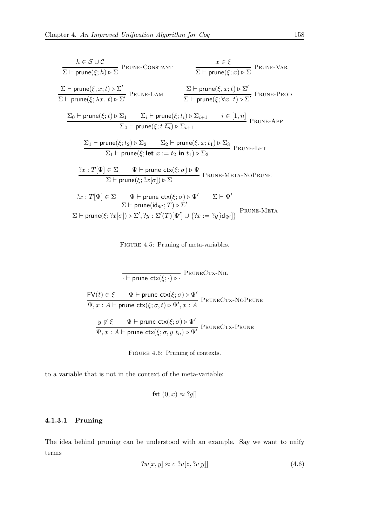<span id="page-177-2"></span>
$$
h \in \mathcal{S} \cup \mathcal{C}
$$
\n
$$
\sum \vdash \text{prune}(\xi; h) \triangleright \sum \text{PRUNE-CONSTANT}
$$
\n
$$
\sum \vdash \text{prune}(\xi; x) \triangleright \sum' \text{PRUNE-LAN}
$$
\n
$$
\sum \vdash \text{prune}(\xi, x; t) \triangleright \sum' \text{PRUNE-LAM}
$$
\n
$$
\sum \vdash \text{prune}(\xi, x; t) \triangleright \sum' \text{PRUNE-LAM}
$$
\n
$$
\sum \vdash \text{prune}(\xi; \forall x; t) \triangleright \sum' \text{PRUNE-PROD}
$$
\n
$$
\sum \vdash \text{prune}(\xi; t) \triangleright \sum_{1} \sum_{i} \vdash \text{prune}(\xi; t_{i}) \triangleright \sum_{i+1} i \in [1, n]
$$
\n
$$
\sum \vdash \text{prune}(\xi; t) \triangleright \sum_{1} \sum_{i} \vdash \text{prune}(\xi; t \overline{t_{n}}) \triangleright \sum_{i+1} i \in [1, n]
$$
\n
$$
\text{PRUNE-APP}
$$
\n
$$
\sum \vdash \text{prune}(\xi; t_{2}) \triangleright \sum_{2} \sum_{2} \vdash \text{prune}(\xi, x; t_{1}) \triangleright \sum_{3} \text{PRUNE-LEFT}
$$
\n
$$
\sum \vdash \text{prune}(\xi; t_{2}) \triangleright \sum_{2} \sum_{i} \vdash \text{prune}(\xi; x; t_{1}) \triangleright \sum_{3} \text{PRUNE-LET}
$$
\n
$$
\frac{?x : T[\Psi] \in \Sigma \qquad \Psi \vdash \text{prune}.\text{ctx}(\xi; \sigma) \triangleright \Psi}{\sum \vdash \text{prune}(\xi; ?x[\sigma]) \triangleright \Sigma}
$$
\n
$$
?x : T[\Psi] \in \Sigma \qquad \Psi \vdash \text{prune}.\text{ctx}(\xi; \sigma) \triangleright \Psi' \qquad \Sigma \vdash \Psi'
$$
\n
$$
\frac{\sum \vdash \text{prune}(\text{idx}(\xi; t_{n}) \triangleright \sum_{i} \text{PRUNE-MENT}}{\sum \vdash \text{prune}(\text{idx}(\xi; t_{n}) \triangler
$$

FIGURE 4.5: Pruning of meta-variables.

<span id="page-177-3"></span>
$$
\frac{\text{Prune\_ctx}(\xi; \cdot) \triangleright}{\text{Prune\_ctx}(\xi; \sigma) \triangleright \Psi'}
$$
\n
$$
\frac{\text{FV}(t) \in \xi \qquad \Psi \vdash \text{prune\_ctx}(\xi; \sigma) \triangleright \Psi'}{\Psi, x : A \vdash \text{prune\_ctx}(\xi; \sigma, t) \triangleright \Psi', x : A} \text{PRUNECTX-NOPRUNE}
$$
\n
$$
\frac{y \notin \xi \qquad \Psi \vdash \text{prune\_ctx}(\xi; \sigma) \triangleright \Psi'}{\Psi, x : A \vdash \text{prune\_ctx}(\xi; \sigma, y \overline{t_n}) \triangleright \Psi'} \text{PRUNECTX-PRUNE}
$$

Figure 4.6: Pruning of contexts.

to a variable that is not in the context of the meta-variable:

$$
fst(0, x) \approx ?g||
$$

# <span id="page-177-0"></span>4.1.3.1 Pruning

The idea behind pruning can be understood with an example. Say we want to unify terms

<span id="page-177-1"></span>
$$
?w[x, y] \approx c \; ?u[z, ?v[y]] \tag{4.6}
$$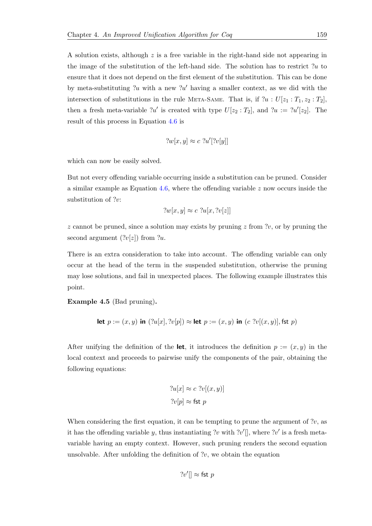A solution exists, although  $z$  is a free variable in the right-hand side not appearing in the image of the substitution of the left-hand side. The solution has to restrict ?u to ensure that it does not depend on the first element of the substitution. This can be done by meta-substituting ?u with a new ?u' having a smaller context, as we did with the intersection of substitutions in the rule META-SAME. That is, if  $?u : U[z_1 : T_1, z_2 : T_2],$ then a fresh meta-variable  $?u'$  is created with type  $U[z_2 : T_2]$ , and  $?u := ?u'[z_2]$ . The result of this process in Equation [4.6](#page-177-1) is

$$
?w[x,y] \approx c \; ?u'[?v[y]]
$$

which can now be easily solved.

But not every offending variable occurring inside a substitution can be pruned. Consider a similar example as Equation [4.6,](#page-177-1) where the offending variable  $z$  now occurs inside the substitution of ?v:

$$
?w[x, y] \approx c \; ?u[x, ?v[z]]
$$

z cannot be pruned, since a solution may exists by pruning z from  $2v$ , or by pruning the second argument  $(2v|z|)$  from  $2u$ .

There is an extra consideration to take into account. The offending variable can only occur at the head of the term in the suspended substitution, otherwise the pruning may lose solutions, and fail in unexpected places. The following example illustrates this point.

Example 4.5 (Bad pruning).

let 
$$
p := (x, y)
$$
 in  $(?u[x], ?v[p]) \approx$  let  $p := (x, y)$  in  $(c ?v[(x, y)],$ fst  $p)$ 

After unifying the definition of the let, it introduces the definition  $p := (x, y)$  in the local context and proceeds to pairwise unify the components of the pair, obtaining the following equations:

$$
?u[x] \approx c \; ?v[(x, y)]
$$

$$
?v[p] \approx \text{fst } p
$$

When considering the first equation, it can be tempting to prune the argument of  $?v$ , as it has the offending variable y, thus instantiating ?v with ?v'[], where ?v' is a fresh metavariable having an empty context. However, such pruning renders the second equation unsolvable. After unfolding the definition of  $?v$ , we obtain the equation

$$
?v'|\rvert \approx \mathsf{fst}\; p
$$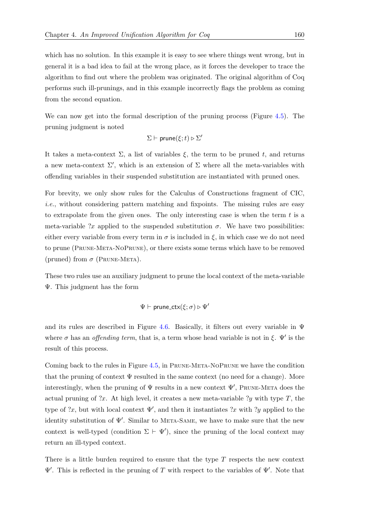which has no solution. In this example it is easy to see where things went wrong, but in general it is a bad idea to fail at the wrong place, as it forces the developer to trace the algorithm to find out where the problem was originated. The original algorithm of Coq performs such ill-prunings, and in this example incorrectly flags the problem as coming from the second equation.

We can now get into the formal description of the pruning process (Figure [4.5\)](#page-177-2). The pruning judgment is noted

$$
\Sigma \vdash \mathsf{prune}(\xi; t) \triangleright \Sigma'
$$

It takes a meta-context  $\Sigma$ , a list of variables  $\xi$ , the term to be pruned t, and returns a new meta-context  $\Sigma'$ , which is an extension of  $\Sigma$  where all the meta-variables with offending variables in their suspended substitution are instantiated with pruned ones.

For brevity, we only show rules for the Calculus of Constructions fragment of CIC, i.e., without considering pattern matching and fixpoints. The missing rules are easy to extrapolate from the given ones. The only interesting case is when the term  $t$  is a meta-variable ?x applied to the suspended substitution  $\sigma$ . We have two possibilities: either every variable from every term in  $\sigma$  is included in  $\xi$ , in which case we do not need to prune (Prune-Meta-NoPrune), or there exists some terms which have to be removed (pruned) from  $\sigma$  (PRUNE-META).

These two rules use an auxiliary judgment to prune the local context of the meta-variable Ψ. This judgment has the form

$$
\Psi \vdash \mathsf{prune\_ctx}(\xi; \sigma) \triangleright \Psi'
$$

and its rules are described in Figure [4.6.](#page-177-3) Basically, it filters out every variable in  $\Psi$ where  $\sigma$  has an *offending term*, that is, a term whose head variable is not in  $\xi$ .  $\Psi'$  is the result of this process.

Coming back to the rules in Figure [4.5,](#page-177-2) in Prune-Meta-NoPrune we have the condition that the pruning of context  $\Psi$  resulted in the same context (no need for a change). More interestingly, when the pruning of  $\Psi$  results in a new context  $\Psi'$ , Prune-Meta does the actual pruning of  $x$ . At high level, it creates a new meta-variable ?y with type T, the type of  $x$ , but with local context  $\Psi'$ , and then it instantiates  $x$  with  $y$  applied to the identity substitution of  $\Psi'$ . Similar to META-SAME, we have to make sure that the new context is well-typed (condition  $\Sigma \vdash \Psi'$ ), since the pruning of the local context may return an ill-typed context.

There is a little burden required to ensure that the type  $T$  respects the new context  $\Psi'$ . This is reflected in the pruning of T with respect to the variables of  $\Psi'$ . Note that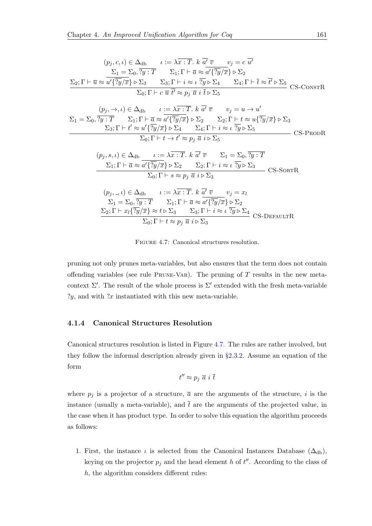<span id="page-180-0"></span>
$$
(p_j, c, t) \in \Delta_{db} \qquad t := \lambda \overline{x} : \overline{T}. k \overline{d} \overline{v} \qquad v_j = c \overline{u'}
$$
  
\n
$$
\Sigma_1 = \Sigma_0, \overline{?y} : \overline{T} \qquad \Sigma_1; \Gamma \vdash \overline{a} \approx a' \{\overline{?y}/\overline{x}\} \triangleright \Sigma_2
$$
  
\n
$$
\Sigma_2; \Gamma \vdash \overline{u} \approx a' \{\overline{?y}/\overline{x}\} \triangleright \Sigma_3 \qquad \Sigma_3; \Gamma \vdash i \approx t \overline{?y} \triangleright \Sigma_4 \qquad \Sigma_4; \Gamma \vdash \overline{t} \approx \overline{t'} \triangleright \Sigma_5 \qquad \text{CS-CosrR}
$$
  
\n
$$
\Sigma_0; \Gamma \vdash c \overline{u} \overline{t'} \approx p_j \overline{a} \overline{i} \overline{t} \triangleright \Sigma_5 \qquad v_j = u \rightarrow u'
$$
  
\n
$$
\Sigma_1 = \Sigma_0, \overline{?y : \overline{T}} \qquad \Sigma_1; \Gamma \vdash \overline{a} \approx a' \{\overline{?y}/\overline{x}\} \triangleright \Sigma_2 \qquad \Sigma_2; \Gamma \vdash t \approx u \{\overline{?y}/\overline{x}\} \triangleright \Sigma_3
$$
  
\n
$$
\Sigma_3; \Gamma \vdash t' \approx a' \{\overline{?y}/\overline{x}\} \triangleright \Sigma_4 \qquad \Sigma_4; \Gamma \vdash i \approx t \overline{?y} \triangleright \Sigma_5 \qquad \text{CS-PRODR}
$$
  
\n
$$
(p_j, s, t) \in \Delta_{db} \qquad t := \lambda \overline{x : \overline{T}. k \overline{a'} \overline{v} \qquad \Sigma_1 = \Sigma_0, \overline{?y : \overline{T}} \qquad \text{CS-PRODR}
$$
  
\n
$$
(p_j, s, t) \in \Delta_{db} \qquad t := \lambda \overline{x : \overline{T}. k \overline{a'} \overline{v} \qquad \Sigma_1 = \Sigma_0, \overline{?y : \overline{T}} \qquad \text{CS-SoRTR}
$$
  
\n
$$
(p_j, s, t) \in \Delta_{db
$$

FIGURE 4.7: Canonical structures resolution.

pruning not only prunes meta-variables, but also ensures that the term does not contain offending variables (see rule PRUNE-VAR). The pruning of  $T$  results in the new metacontext  $\Sigma'$ . The result of the whole process is  $\Sigma'$  extended with the fresh meta-variable  $?y$ , and with  $?x$  instantiated with this new meta-variable.

#### 4.1.4 Canonical Structures Resolution

Canonical structures resolution is listed in Figure [4.7.](#page-180-0) The rules are rather involved, but they follow the informal description already given in §[2.3.2.](#page-53-0) Assume an equation of the form

$$
t'' \approx p_j \bar{a} i \bar{t}
$$

where  $p_j$  is a projector of a structure,  $\bar{a}$  are the arguments of the structure, i is the instance (usually a meta-variable), and  $\bar{t}$  are the arguments of the projected value, in the case when it has product type. In order to solve this equation the algorithm proceeds as follows:

1. First, the instance  $\iota$  is selected from the Canonical Instances Database ( $\Delta_{db}$ ), keying on the projector  $p_j$  and the head element h of  $t''$ . According to the class of  $h$ , the algorithm considers different rules: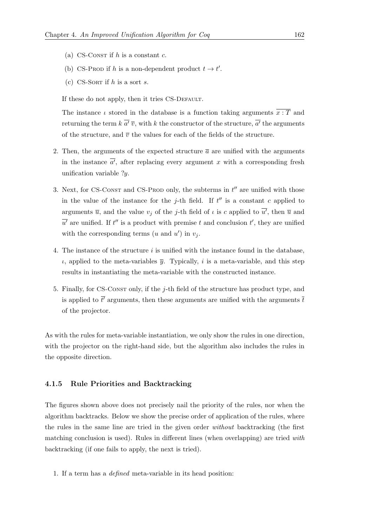- (a) CS-CONST if  $h$  is a constant  $c$ .
- (b) CS-PROD if h is a non-dependent product  $t \to t'$ .
- (c) CS-SORT if h is a sort s.

If these do not apply, then it tries CS-DEFAULT.

The instance  $\iota$  stored in the database is a function taking arguments  $\overline{x : T}$  and returning the term  $k \overline{a'} \overline{v}$ , with k the constructor of the structure,  $\overline{a'}$  the arguments of the structure, and  $\bar{v}$  the values for each of the fields of the structure.

- 2. Then, the arguments of the expected structure  $\bar{a}$  are unified with the arguments in the instance  $\overline{a'}$ , after replacing every argument x with a corresponding fresh unification variable  $?y$ .
- 3. Next, for CS-CONST and CS-PROD only, the subterms in  $t''$  are unified with those in the value of the instance for the j-th field. If  $t''$  is a constant c applied to arguments  $\overline{u}$ , and the value  $v_j$  of the j-th field of  $\iota$  is c applied to  $\overline{u'}$ , then  $\overline{u}$  and  $\overline{u'}$  are unified. If t'' is a product with premise t and conclusion t', they are unified with the corresponding terms  $(u \text{ and } u')$  in  $v_j$ .
- 4. The instance of the structure  $i$  is unified with the instance found in the database,  $\iota$ , applied to the meta-variables  $\bar{y}$ . Typically, i is a meta-variable, and this step results in instantiating the meta-variable with the constructed instance.
- 5. Finally, for CS-Constr only, if the j-th field of the structure has product type, and is applied to  $\bar{t'}$  arguments, then these arguments are unified with the arguments  $\bar{t}$ of the projector.

As with the rules for meta-variable instantiation, we only show the rules in one direction, with the projector on the right-hand side, but the algorithm also includes the rules in the opposite direction.

#### <span id="page-181-0"></span>4.1.5 Rule Priorities and Backtracking

The figures shown above does not precisely nail the priority of the rules, nor when the algorithm backtracks. Below we show the precise order of application of the rules, where the rules in the same line are tried in the given order without backtracking (the first matching conclusion is used). Rules in different lines (when overlapping) are tried with backtracking (if one fails to apply, the next is tried).

1. If a term has a defined meta-variable in its head position: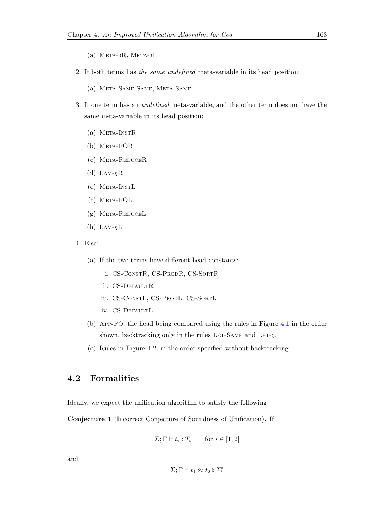- (a) META- $\delta$ R, META- $\delta$ L
- 2. If both terms has the same undefined meta-variable in its head position:
	- (a) Meta-Same-Same, Meta-Same
- 3. If one term has an undefined meta-variable, and the other term does not have the same meta-variable in its head position:
	- (a) Meta-InstR
	- (b) Meta-FOR
	- (c) Meta-ReduceR
	- (d) LAM- $\eta$ R
	- (e) Meta-InstL
	- (f) Meta-FOL
	- (g) Meta-ReduceL
	- (h) LAM- $\eta$ L
- 4. Else:
	- (a) If the two terms have different head constants:
		- i. CS-ConstR, CS-ProdR, CS-SortR
		- ii. CS-DEFAULTR
		- iii. CS-ConstL, CS-ProdL, CS-SortL
		- iv. CS-DEFAULTL
	- (b) App-FO, the head being compared using the rules in Figure [4.1](#page-164-0) in the order shown, backtracking only in the rules LET-SAME and LET- $\zeta$ .
	- (c) Rules in Figure [4.2,](#page-166-0) in the order specified without backtracking.

## <span id="page-182-0"></span>4.2 Formalities

Ideally, we expect the unification algorithm to satisfy the following:

Conjecture 1 (Incorrect Conjecture of Soundness of Unification). If

$$
\Sigma; \Gamma \vdash t_i : T_i \qquad \text{for } i \in [1, 2]
$$

and

$$
\Sigma;\Gamma\vdash t_1\approx t_2\triangleright\Sigma'
$$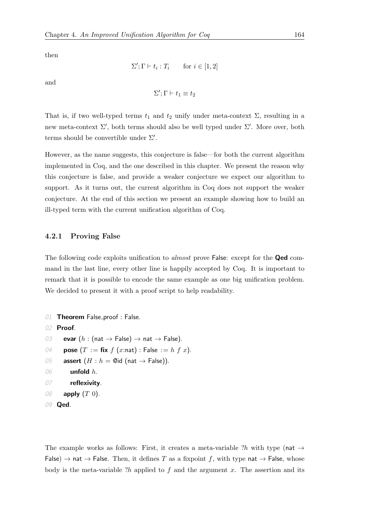then

```
\Sigma'; \Gamma \vdash t_i : T_i \quad \text{for } i \in [1,2]
```
and

 $\Sigma'; \Gamma \vdash t_1 \equiv t_2$ 

That is, if two well-typed terms  $t_1$  and  $t_2$  unify under meta-context  $\Sigma$ , resulting in a new meta-context  $\Sigma'$ , both terms should also be well typed under  $\Sigma'$ . More over, both terms should be convertible under  $\Sigma'$ .

However, as the name suggests, this conjecture is false—for both the current algorithm implemented in Coq, and the one described in this chapter. We present the reason why this conjecture is false, and provide a weaker conjecture we expect our algorithm to support. As it turns out, the current algorithm in Coq does not support the weaker conjecture. At the end of this section we present an example showing how to build an ill-typed term with the current unification algorithm of Coq.

#### 4.2.1 Proving False

The following code exploits unification to *almost* prove False: except for the **Qed** command in the last line, every other line is happily accepted by Coq. It is important to remark that it is possible to encode the same example as one big unification problem. We decided to present it with a proof script to help readability.

```
01 Theorem False_proof : False.
02 Proof.
03 evar (h : (nat \rightarrow False) \rightarrow nat \rightarrow False).
04 pose (T := \textbf{fix } f(x:\textbf{nat}) : \textbf{False} := h f x.
05 assert (H : h = \mathbb{Q} \text{id} \text{ (nat } \rightarrow \text{False)}).06 unfold h.
07 reflexivity.
08 apply (T\ 0).
```

```
09 Qed.
```
The example works as follows: First, it creates a meta-variable ?h with type (nat  $\rightarrow$ False)  $\rightarrow$  nat  $\rightarrow$  False. Then, it defines T as a fixpoint f, with type nat  $\rightarrow$  False, whose body is the meta-variable  $2h$  applied to f and the argument x. The assertion and its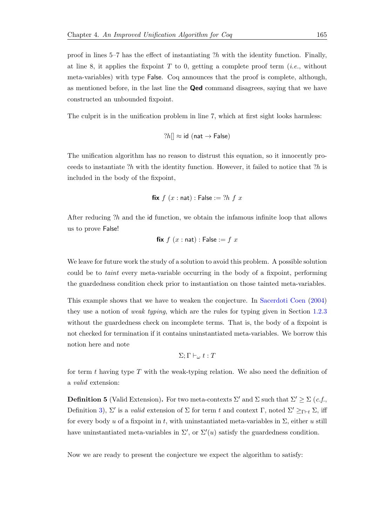proof in lines  $5-7$  has the effect of instantiating ?h with the identity function. Finally, at line 8, it applies the fixpoint  $T$  to 0, getting a complete proof term (*i.e.*, without meta-variables) with type False. Coq announces that the proof is complete, although, as mentioned before, in the last line the Qed command disagrees, saying that we have constructed an unbounded fixpoint.

The culprit is in the unification problem in line 7, which at first sight looks harmless:

$$
?h[] \approx id \text{ (nat } \rightarrow \text{False)}
$$

The unification algorithm has no reason to distrust this equation, so it innocently proceeds to instantiate ?h with the identity function. However, it failed to notice that  $?h$  is included in the body of the fixpoint,

**fix** 
$$
f(x : \text{nat}) : \text{False} := ?h f x
$$

After reducing ?h and the id function, we obtain the infamous infinite loop that allows us to prove False!

$$
\mathbf{fix}\;f\;(x:\mathsf{nat}):\mathsf{False}:=f\;x
$$

We leave for future work the study of a solution to avoid this problem. A possible solution could be to taint every meta-variable occurring in the body of a fixpoint, performing the guardedness condition check prior to instantiation on those tainted meta-variables.

This example shows that we have to weaken the conjecture. In [Sacerdoti Coen](#page-215-0) [\(2004\)](#page-215-0) they use a notion of weak typing, which are the rules for typing given in Section [1.2.3](#page-38-0) without the guardedness check on incomplete terms. That is, the body of a fixpoint is not checked for termination if it contains uninstantiated meta-variables. We borrow this notion here and note

$$
\Sigma;\Gamma\vdash_\omega t:T
$$

for term t having type  $T$  with the weak-typing relation. We also need the definition of a valid extension:

**Definition 5** (Valid Extension). For two meta-contexts  $\Sigma'$  and  $\Sigma$  such that  $\Sigma' \geq \Sigma$  (c.f., Definition [3\)](#page-128-0),  $\Sigma'$  is a *valid* extension of  $\Sigma$  for term t and context  $\Gamma$ , noted  $\Sigma' \geq_{\Gamma \vdash t} \Sigma$ , iff for every body u of a fixpoint in t, with uninstantiated meta-variables in  $\Sigma$ , either u still have uninstantiated meta-variables in  $\Sigma'$ , or  $\Sigma'(u)$  satisfy the guardedness condition.

Now we are ready to present the conjecture we expect the algorithm to satisfy: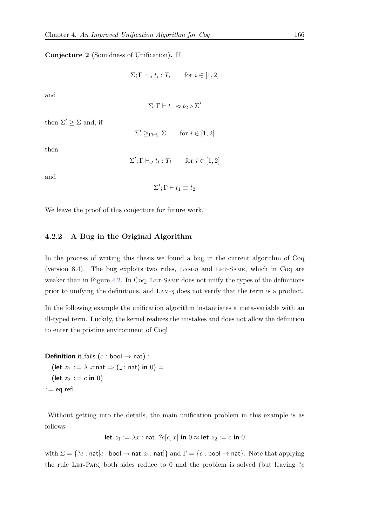<span id="page-185-1"></span>Conjecture 2 (Soundness of Unification). If

 $\Sigma; \Gamma \vdash_{\omega} t_i : T_i \quad \text{for } i \in [1,2]$ 

and

$$
\Sigma;\Gamma\vdash t_1\approx t_2\triangleright\Sigma'
$$

then  $\Sigma' \geq \Sigma$  and, if

 $\Sigma' \geq_{\Gamma \vdash t_i} \Sigma$  for  $i \in [1, 2]$ 

then

 $\Sigma'; \Gamma \vdash_{\omega} t_i : T_i \quad \text{for } i \in [1,2]$ 

and

 $\Sigma'; \Gamma \vdash t_1 \equiv t_2$ 

We leave the proof of this conjecture for future work.

#### <span id="page-185-0"></span>4.2.2 A Bug in the Original Algorithm

In the process of writing this thesis we found a bug in the current algorithm of Coq (version 8.4). The bug exploits two rules,  $\text{LAM-}\eta$  and LET-SAME, which in Coq are weaker than in Figure [4.2.](#page-166-0) In Coq, LET-SAME does not unify the types of the definitions prior to unifying the definitions, and  $\text{LAM-}\eta$  does not verify that the term is a product.

In the following example the unification algorithm instantiates a meta-variable with an ill-typed term. Luckily, the kernel realizes the mistakes and does not allow the definition to enter the pristine environment of Coq!

**Definition** it fails  $(c : \text{bool} \rightarrow \text{nat})$ : (let  $z_1 := \lambda x$ :nat  $\Rightarrow$  ( $\Box$ : nat) in 0) = (let  $z_2 := c$  in 0)  $:=$  eq\_refl.

Without getting into the details, the main unification problem in this example is as follows:

$$
\mathbf{let } z_1 := \lambda x : \mathbf{nat.} \; ?e[c, x] \text{ in } 0 \approx \mathbf{let } z_2 := c \text{ in } 0
$$

with  $\Sigma = \{?e : \text{nat}[c : \text{bool} \rightarrow \text{nat}, x : \text{nat}]\}$  and  $\Gamma = \{c : \text{bool} \rightarrow \text{nat}\}$ . Note that applying the rule LET-PAR $\zeta$  both sides reduce to 0 and the problem is solved (but leaving ?e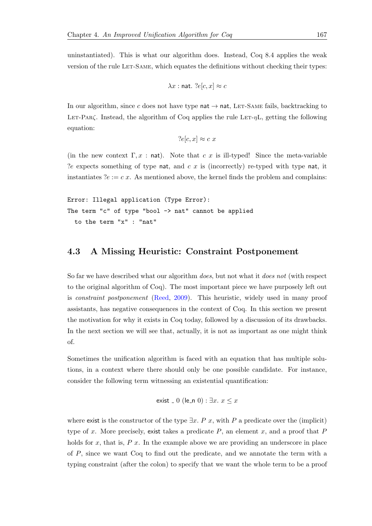uninstantiated). This is what our algorithm does. Instead, Coq 8.4 applies the weak version of the rule LET-SAME, which equates the definitions without checking their types:

$$
\lambda x : \text{nat. } ?e[c, x] \approx c
$$

In our algorithm, since c does not have type nat  $\rightarrow$  nat, LET-SAME fails, backtracking to LET-PAR $\zeta$ . Instead, the algorithm of Coq applies the rule LET- $\eta$ L, getting the following equation:

$$
?e[c, x] \approx c \; x
$$

(in the new context  $\Gamma, x$ : nat). Note that c x is ill-typed! Since the meta-variable ?e expects something of type nat, and  $c \, x$  is (incorrectly) re-typed with type nat, it instantiates  $?e := c x$ . As mentioned above, the kernel finds the problem and complains:

```
Error: Illegal application (Type Error):
The term "c" of type "bool -> nat" cannot be applied
  to the term "x" : "nat"
```
### 4.3 A Missing Heuristic: Constraint Postponement

So far we have described what our algorithm does, but not what it does not (with respect to the original algorithm of Coq). The most important piece we have purposely left out is constraint postponement [\(Reed,](#page-215-1) [2009\)](#page-215-1). This heuristic, widely used in many proof assistants, has negative consequences in the context of Coq. In this section we present the motivation for why it exists in Coq today, followed by a discussion of its drawbacks. In the next section we will see that, actually, it is not as important as one might think of.

Sometimes the unification algorithm is faced with an equation that has multiple solutions, in a context where there should only be one possible candidate. For instance, consider the following term witnessing an existential quantification:

exist 
$$
\overline{\phantom{x}}
$$
0 (le $\overline{\phantom{x}}$ 0) :  $\exists x. x \leq x$ 

where exist is the constructor of the type  $\exists x. P x$ , with P a predicate over the (implicit) type of x. More precisely, exist takes a predicate  $P$ , an element x, and a proof that  $P$ holds for  $x$ , that is,  $P(x)$ . In the example above we are providing an underscore in place of P, since we want Coq to find out the predicate, and we annotate the term with a typing constraint (after the colon) to specify that we want the whole term to be a proof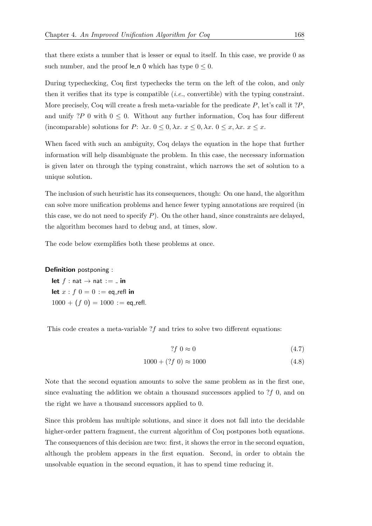that there exists a number that is lesser or equal to itself. In this case, we provide 0 as such number, and the proof le\_n 0 which has type  $0 \le 0$ .

During typechecking, Coq first typechecks the term on the left of the colon, and only then it verifies that its type is compatible  $(i.e.,$  convertible) with the typing constraint. More precisely, Coq will create a fresh meta-variable for the predicate  $P$ , let's call it ? $P$ , and unify ?P 0 with  $0 \leq 0$ . Without any further information, Coq has four different (incomparable) solutions for P:  $\lambda x. 0 \leq 0, \lambda x. x \leq 0, \lambda x. 0 \leq x, \lambda x. x \leq x.$ 

When faced with such an ambiguity, Coq delays the equation in the hope that further information will help disambiguate the problem. In this case, the necessary information is given later on through the typing constraint, which narrows the set of solution to a unique solution.

The inclusion of such heuristic has its consequences, though: On one hand, the algorithm can solve more unification problems and hence fewer typing annotations are required (in this case, we do not need to specify  $P$ ). On the other hand, since constraints are delayed, the algorithm becomes hard to debug and, at times, slow.

The code below exemplifies both these problems at once.

#### Definition postponing :

let  $f : \text{nat} \rightarrow \text{nat} := \square$  in let  $x : f \nvert 0 = 0 :=$  eq\_refl in  $1000 + (f 0) = 1000 :=$  eq\_refl.

This code creates a meta-variable  $?f$  and tries to solve two different equations:

$$
?f \; 0 \approx 0 \tag{4.7}
$$

$$
1000 + (?f \ 0) \approx 1000 \tag{4.8}
$$

Note that the second equation amounts to solve the same problem as in the first one, since evaluating the addition we obtain a thousand successors applied to  $?f$  0, and on the right we have a thousand successors applied to 0.

Since this problem has multiple solutions, and since it does not fall into the decidable higher-order pattern fragment, the current algorithm of Coq postpones both equations. The consequences of this decision are two: first, it shows the error in the second equation, although the problem appears in the first equation. Second, in order to obtain the unsolvable equation in the second equation, it has to spend time reducing it.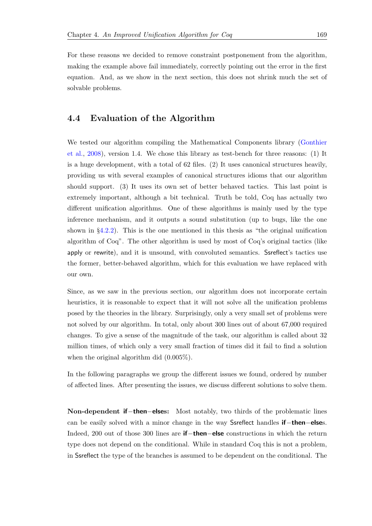For these reasons we decided to remove constraint postponement from the algorithm, making the example above fail immediately, correctly pointing out the error in the first equation. And, as we show in the next section, this does not shrink much the set of solvable problems.

## <span id="page-188-0"></span>4.4 Evaluation of the Algorithm

We tested our algorithm compiling the Mathematical Components library [\(Gonthier](#page-212-0) [et al.,](#page-212-0) [2008\)](#page-212-0), version 1.4. We chose this library as test-bench for three reasons: (1) It is a huge development, with a total of 62 files. (2) It uses canonical structures heavily, providing us with several examples of canonical structures idioms that our algorithm should support. (3) It uses its own set of better behaved tactics. This last point is extremely important, although a bit technical. Truth be told, Coq has actually two different unification algorithms. One of these algorithms is mainly used by the type inference mechanism, and it outputs a sound substitution (up to bugs, like the one shown in §[4.2.2\)](#page-185-0). This is the one mentioned in this thesis as "the original unification algorithm of Coq". The other algorithm is used by most of Coq's original tactics (like apply or rewrite), and it is unsound, with convoluted semantics. Ssreflect's tactics use the former, better-behaved algorithm, which for this evaluation we have replaced with our own.

Since, as we saw in the previous section, our algorithm does not incorporate certain heuristics, it is reasonable to expect that it will not solve all the unification problems posed by the theories in the library. Surprisingly, only a very small set of problems were not solved by our algorithm. In total, only about 300 lines out of about 67,000 required changes. To give a sense of the magnitude of the task, our algorithm is called about 32 million times, of which only a very small fraction of times did it fail to find a solution when the original algorithm did (0.005%).

In the following paragraphs we group the different issues we found, ordered by number of affected lines. After presenting the issues, we discuss different solutions to solve them.

Non-dependent **if**−then−elses: Most notably, two thirds of the problematic lines can be easily solved with a minor change in the way Ssreflect handles if−then−elses. Indeed, 200 out of those 300 lines are if−then−else constructions in which the return type does not depend on the conditional. While in standard Coq this is not a problem, in Ssreflect the type of the branches is assumed to be dependent on the conditional. The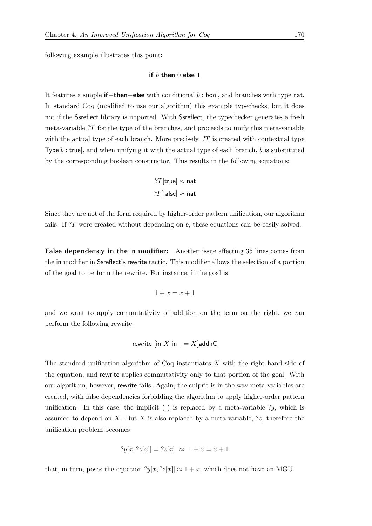following example illustrates this point:

#### if  $b$  then  $0$  else  $1$

It features a simple if−then−else with conditional b : bool, and branches with type nat. In standard Coq (modified to use our algorithm) this example typechecks, but it does not if the Ssreflect library is imported. With Ssreflect, the typechecker generates a fresh meta-variable  $T$  for the type of the branches, and proceeds to unify this meta-variable with the actual type of each branch. More precisely,  $T$  is created with contextual type  $Type[b:true]$ , and when unifying it with the actual type of each branch, b is substituted by the corresponding boolean constructor. This results in the following equations:

$$
?T[\mathsf{true}] \approx \mathsf{nat}
$$
  

$$
?T[\mathsf{false}] \approx \mathsf{nat}
$$

Since they are not of the form required by higher-order pattern unification, our algorithm fails. If ?T were created without depending on b, these equations can be easily solved.

False dependency in the in modifier: Another issue affecting 35 lines comes from the in modifier in Ssreflect's rewrite tactic. This modifier allows the selection of a portion of the goal to perform the rewrite. For instance, if the goal is

$$
1 + x = x + 1
$$

and we want to apply commutativity of addition on the term on the right, we can perform the following rewrite:

#### rewrite  $\left[\ln X\right]$  in  $= X$  addnC

The standard unification algorithm of Coq instantiates  $X$  with the right hand side of the equation, and rewrite applies commutativity only to that portion of the goal. With our algorithm, however, rewrite fails. Again, the culprit is in the way meta-variables are created, with false dependencies forbidding the algorithm to apply higher-order pattern unification. In this case, the implicit  $\binom{1}{k}$  is replaced by a meta-variable ?y, which is assumed to depend on X. But X is also replaced by a meta-variable,  $\mathcal{Z}$ , therefore the unification problem becomes

$$
?y[x, ?z[x]] = ?z[x] \approx 1 + x = x + 1
$$

that, in turn, poses the equation  $2y[x, 2z[x]] \approx 1 + x$ , which does not have an MGU.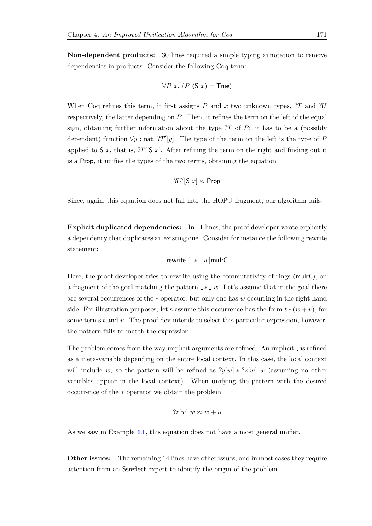Non-dependent products: 30 lines required a simple typing annotation to remove dependencies in products. Consider the following Coq term:

$$
\forall P \ x. \ (P \ (S \ x) = \mathsf{True})
$$

When Coq refines this term, it first assigns P and x two unknown types,  $T$  and  $U$ respectively, the latter depending on P. Then, it refines the term on the left of the equal sign, obtaining further information about the type  $T$  of P: it has to be a (possibly dependent) function  $\forall y$ : nat. ?T'[y]. The type of the term on the left is the type of P applied to S x, that is,  $T'[S x]$ . After refining the term on the right and finding out it is a Prop, it unifies the types of the two terms, obtaining the equation

$$
?U'[S\ x] \approx \text{Prop}
$$

Since, again, this equation does not fall into the HOPU fragment, our algorithm fails.

Explicit duplicated dependencies: In 11 lines, the proof developer wrote explicitly a dependency that duplicates an existing one. Consider for instance the following rewrite statement:

$$
rewrite [-*_- w] multC
$$

Here, the proof developer tries to rewrite using the commutativity of rings (mulrC), on a fragment of the goal matching the pattern  $-* w$ . Let's assume that in the goal there are several occurrences of the ∗ operator, but only one has w occurring in the right-hand side. For illustration purposes, let's assume this occurrence has the form  $t * (w + u)$ , for some terms  $t$  and  $u$ . The proof dev intends to select this particular expression, however, the pattern fails to match the expression.

The problem comes from the way implicit arguments are refined: An implicit  $\overline{\phantom{a}}$  is refined as a meta-variable depending on the entire local context. In this case, the local context will include w, so the pattern will be refined as  $?y[w] * ?z[w] w$  (assuming no other variables appear in the local context). When unifying the pattern with the desired occurrence of the ∗ operator we obtain the problem:

$$
?z[w] w \approx w + u
$$

As we saw in Example [4.1,](#page-172-0) this equation does not have a most general unifier.

Other issues: The remaining 14 lines have other issues, and in most cases they require attention from an Ssreflect expert to identify the origin of the problem.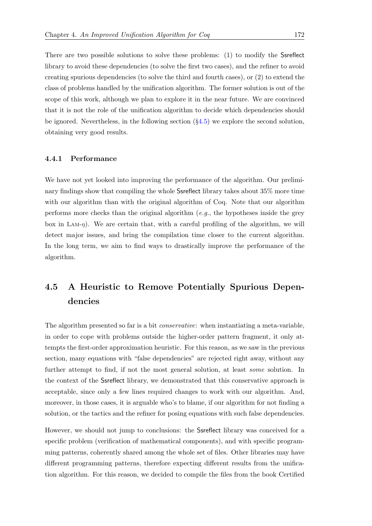There are two possible solutions to solve these problems: (1) to modify the Ssreflect library to avoid these dependencies (to solve the first two cases), and the refiner to avoid creating spurious dependencies (to solve the third and fourth cases), or (2) to extend the class of problems handled by the unification algorithm. The former solution is out of the scope of this work, although we plan to explore it in the near future. We are convinced that it is not the role of the unification algorithm to decide which dependencies should be ignored. Nevertheless, in the following section  $(\S 4.5)$  $(\S 4.5)$  we explore the second solution, obtaining very good results.

#### 4.4.1 Performance

We have not yet looked into improving the performance of the algorithm. Our preliminary findings show that compiling the whole Ssreflect library takes about 35% more time with our algorithm than with the original algorithm of Coq. Note that our algorithm performs more checks than the original algorithm (*e.g.*, the hypotheses inside the grey box in LAM- $\eta$ ). We are certain that, with a careful profiling of the algorithm, we will detect major issues, and bring the compilation time closer to the current algorithm. In the long term, we aim to find ways to drastically improve the performance of the algorithm.

## <span id="page-191-0"></span>4.5 A Heuristic to Remove Potentially Spurious Dependencies

The algorithm presented so far is a bit conservative: when instantiating a meta-variable, in order to cope with problems outside the higher-order pattern fragment, it only attempts the first-order approximation heuristic. For this reason, as we saw in the previous section, many equations with "false dependencies" are rejected right away, without any further attempt to find, if not the most general solution, at least *some* solution. In the context of the Ssreflect library, we demonstrated that this conservative approach is acceptable, since only a few lines required changes to work with our algorithm. And, moreover, in those cases, it is arguable who's to blame, if our algorithm for not finding a solution, or the tactics and the refiner for posing equations with such false dependencies.

However, we should not jump to conclusions: the Ssreflect library was conceived for a specific problem (verification of mathematical components), and with specific programming patterns, coherently shared among the whole set of files. Other libraries may have different programming patterns, therefore expecting different results from the unification algorithm. For this reason, we decided to compile the files from the book Certified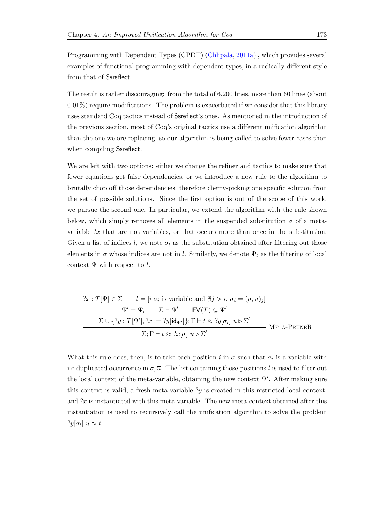Programming with Dependent Types (CPDT) [\(Chlipala,](#page-211-0) [2011a\)](#page-211-0) , which provides several examples of functional programming with dependent types, in a radically different style from that of Ssreflect.

The result is rather discouraging: from the total of 6.200 lines, more than 60 lines (about 0.01%) require modifications. The problem is exacerbated if we consider that this library uses standard Coq tactics instead of Ssreflect's ones. As mentioned in the introduction of the previous section, most of Coq's original tactics use a different unification algorithm than the one we are replacing, so our algorithm is being called to solve fewer cases than when compiling Ssreflect.

We are left with two options: either we change the refiner and tactics to make sure that fewer equations get false dependencies, or we introduce a new rule to the algorithm to brutally chop off those dependencies, therefore cherry-picking one specific solution from the set of possible solutions. Since the first option is out of the scope of this work, we pursue the second one. In particular, we extend the algorithm with the rule shown below, which simply removes all elements in the suspended substitution  $\sigma$  of a metavariable ?x that are not variables, or that occurs more than once in the substitution. Given a list of indices l, we note  $\sigma_l$  as the substitution obtained after filtering out those elements in  $\sigma$  whose indices are not in l. Similarly, we denote  $\Psi_l$  as the filtering of local context  $\Psi$  with respect to l.

$$
?x : T[\Psi] \in \Sigma \qquad l = [i|\sigma_i \text{ is variable and } \nexists j > i. \ \sigma_i = (\sigma, \overline{u})_j]
$$
\n
$$
\Psi' = \Psi_l \qquad \Sigma \vdash \Psi' \qquad \text{FV}(T) \subseteq \Psi'
$$
\n
$$
\frac{\Sigma \cup \{?y : T[\Psi'], ?x := ?y[\text{id}_{\Psi'}]\}; \Gamma \vdash t \approx ?y[\sigma_l] \ \overline{u} \triangleright \Sigma' \qquad \text{META-PRUNER}
$$
\n
$$
\Sigma; \Gamma \vdash t \approx ?x[\sigma] \ \overline{u} \triangleright \Sigma' \qquad \text{META-PRUNER}
$$

What this rule does, then, is to take each position i in  $\sigma$  such that  $\sigma_i$  is a variable with no duplicated occurrence in  $\sigma, \overline{u}$ . The list containing those positions l is used to filter out the local context of the meta-variable, obtaining the new context  $\Psi'$ . After making sure this context is valid, a fresh meta-variable  $y$  is created in this restricted local context, and ?x is instantiated with this meta-variable. The new meta-context obtained after this instantiation is used to recursively call the unification algorithm to solve the problem  $?y[\sigma_l] \overline{u} \approx t.$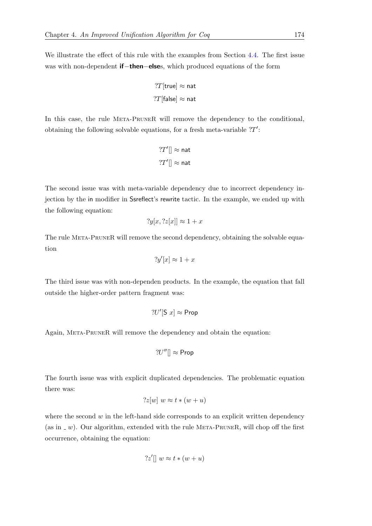We illustrate the effect of this rule with the examples from Section [4.4.](#page-188-0) The first issue was with non-dependent **if−then−else**s, which produced equations of the form

$$
?T[\mathsf{true}] \approx \mathsf{nat}
$$
  

$$
?T[\mathsf{false}] \approx \mathsf{nat}
$$

In this case, the rule Meta-PruneR will remove the dependency to the conditional, obtaining the following solvable equations, for a fresh meta-variable  $T'$ :

$$
?T'[] \approx \mathsf{nat}
$$
  

$$
?T'[] \approx \mathsf{nat}
$$

The second issue was with meta-variable dependency due to incorrect dependency injection by the in modifier in Ssreflect's rewrite tactic. In the example, we ended up with the following equation:

$$
?y[x, ?z[x]] \approx 1 + x
$$

The rule Meta-PruneR will remove the second dependency, obtaining the solvable equation

$$
?y'[x] \approx 1 + x
$$

The third issue was with non-dependen products. In the example, the equation that fall outside the higher-order pattern fragment was:

$$
?U'[S\ x] \approx \mathsf{Prop}
$$

Again, Meta-PruneR will remove the dependency and obtain the equation:

$$
?U''[] \approx \mathsf{Prop}
$$

The fourth issue was with explicit duplicated dependencies. The problematic equation there was:

$$
?z[w] w \approx t * (w + u)
$$

where the second  $w$  in the left-hand side corresponds to an explicit written dependency (as in  $\omega$ ). Our algorithm, extended with the rule META-PRUNER, will chop off the first occurrence, obtaining the equation:

$$
?z'|| w \approx t * (w + u)
$$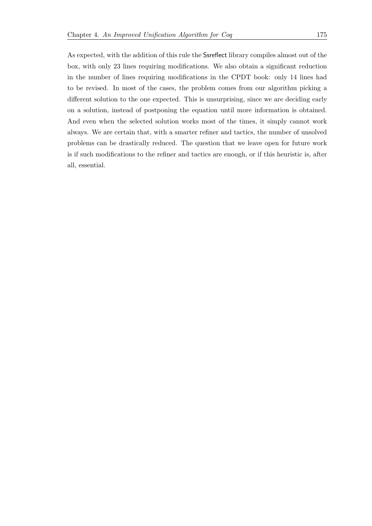As expected, with the addition of this rule the Ssreflect library compiles almost out of the box, with only 23 lines requiring modifications. We also obtain a significant reduction in the number of lines requiring modifications in the CPDT book: only 14 lines had to be revised. In most of the cases, the problem comes from our algorithm picking a different solution to the one expected. This is unsurprising, since we are deciding early on a solution, instead of postponing the equation until more information is obtained. And even when the selected solution works most of the times, it simply cannot work always. We are certain that, with a smarter refiner and tactics, the number of unsolved problems can be drastically reduced. The question that we leave open for future work is if such modifications to the refiner and tactics are enough, or if this heuristic is, after all, essential.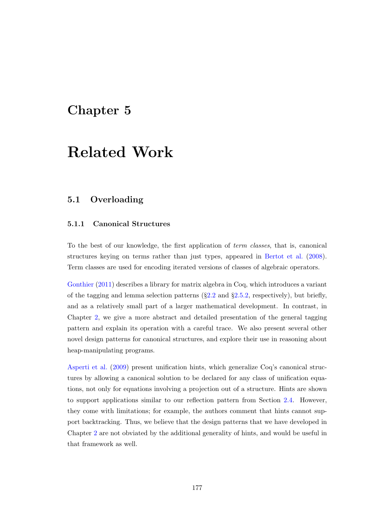## Chapter 5

# Related Work

## 5.1 Overloading

#### 5.1.1 Canonical Structures

To the best of our knowledge, the first application of term classes, that is, canonical structures keying on terms rather than just types, appeared in [Bertot et al.](#page-211-1) [\(2008\)](#page-211-1). Term classes are used for encoding iterated versions of classes of algebraic operators.

[Gonthier](#page-212-1) [\(2011\)](#page-212-1) describes a library for matrix algebra in Coq, which introduces a variant of the tagging and lemma selection patterns  $(\S2.2 \text{ and } \S2.5.2, \text{ respectively})$  $(\S2.2 \text{ and } \S2.5.2, \text{ respectively})$  $(\S2.2 \text{ and } \S2.5.2, \text{ respectively})$  $(\S2.2 \text{ and } \S2.5.2, \text{ respectively})$  $(\S2.2 \text{ and } \S2.5.2, \text{ respectively})$ , but briefly, and as a relatively small part of a larger mathematical development. In contrast, in Chapter [2,](#page-46-0) we give a more abstract and detailed presentation of the general tagging pattern and explain its operation with a careful trace. We also present several other novel design patterns for canonical structures, and explore their use in reasoning about heap-manipulating programs.

[Asperti et al.](#page-210-0) [\(2009\)](#page-210-0) present unification hints, which generalize Coq's canonical structures by allowing a canonical solution to be declared for any class of unification equations, not only for equations involving a projection out of a structure. Hints are shown to support applications similar to our reflection pattern from Section [2.4.](#page-56-0) However, they come with limitations; for example, the authors comment that hints cannot support backtracking. Thus, we believe that the design patterns that we have developed in Chapter [2](#page-46-0) are not obviated by the additional generality of hints, and would be useful in that framework as well.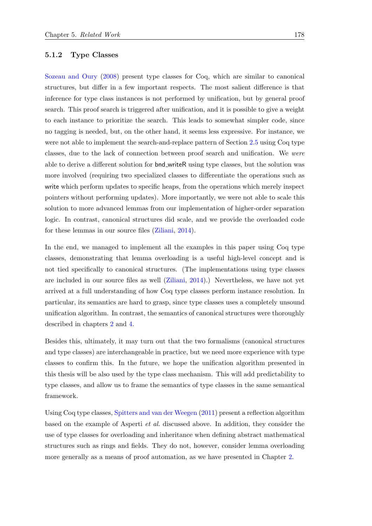[Sozeau and Oury](#page-215-2) [\(2008\)](#page-215-2) present type classes for Coq, which are similar to canonical structures, but differ in a few important respects. The most salient difference is that inference for type class instances is not performed by unification, but by general proof search. This proof search is triggered after unification, and it is possible to give a weight to each instance to prioritize the search. This leads to somewhat simpler code, since no tagging is needed, but, on the other hand, it seems less expressive. For instance, we were not able to implement the search-and-replace pattern of Section [2.5](#page-66-0) using Coq type classes, due to the lack of connection between proof search and unification. We were able to derive a different solution for bnd writeR using type classes, but the solution was more involved (requiring two specialized classes to differentiate the operations such as write which perform updates to specific heaps, from the operations which merely inspect pointers without performing updates). More importantly, we were not able to scale this solution to more advanced lemmas from our implementation of higher-order separation logic. In contrast, canonical structures did scale, and we provide the overloaded code for these lemmas in our source files [\(Ziliani,](#page-216-0) [2014\)](#page-216-0).

In the end, we managed to implement all the examples in this paper using Coq type classes, demonstrating that lemma overloading is a useful high-level concept and is not tied specifically to canonical structures. (The implementations using type classes are included in our source files as well [\(Ziliani,](#page-216-0) [2014\)](#page-216-0).) Nevertheless, we have not yet arrived at a full understanding of how Coq type classes perform instance resolution. In particular, its semantics are hard to grasp, since type classes uses a completely unsound unification algorithm. In contrast, the semantics of canonical structures were thoroughly described in chapters [2](#page-46-0) and [4.](#page-160-0)

Besides this, ultimately, it may turn out that the two formalisms (canonical structures and type classes) are interchangeable in practice, but we need more experience with type classes to confirm this. In the future, we hope the unification algorithm presented in this thesis will be also used by the type class mechanism. This will add predictability to type classes, and allow us to frame the semantics of type classes in the same semantical framework.

Using Coq type classes, [Spitters and van der Weegen](#page-215-3) [\(2011\)](#page-215-3) present a reflection algorithm based on the example of Asperti et al. discussed above. In addition, they consider the use of type classes for overloading and inheritance when defining abstract mathematical structures such as rings and fields. They do not, however, consider lemma overloading more generally as a means of proof automation, as we have presented in Chapter [2.](#page-46-0)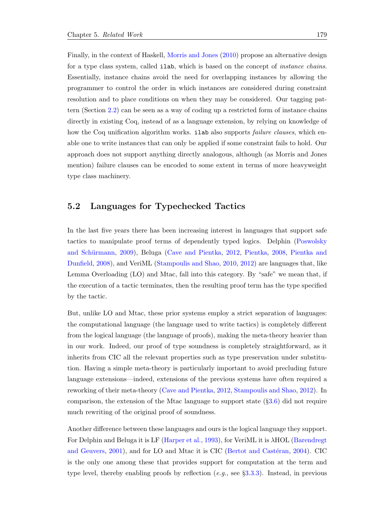Finally, in the context of Haskell, [Morris and Jones](#page-214-0) [\(2010\)](#page-214-0) propose an alternative design for a type class system, called **ilab**, which is based on the concept of *instance chains*. Essentially, instance chains avoid the need for overlapping instances by allowing the programmer to control the order in which instances are considered during constraint resolution and to place conditions on when they may be considered. Our tagging pattern (Section [2.2\)](#page-49-0) can be seen as a way of coding up a restricted form of instance chains directly in existing Coq, instead of as a language extension, by relying on knowledge of how the Coq unification algorithm works. **ilab** also supports *failure clauses*, which enable one to write instances that can only be applied if some constraint fails to hold. Our approach does not support anything directly analogous, although (as Morris and Jones mention) failure clauses can be encoded to some extent in terms of more heavyweight type class machinery.

## <span id="page-198-0"></span>5.2 Languages for Typechecked Tactics

In the last five years there has been increasing interest in languages that support safe tactics to manipulate proof terms of dependently typed logics. Delphin [\(Poswolsky](#page-214-1) and Schürmann, [2009\)](#page-214-1), Beluga [\(Cave and Pientka,](#page-211-2) [2012,](#page-211-2) [Pientka,](#page-214-2) [2008,](#page-214-2) [Pientka and](#page-214-3) [Dunfield,](#page-214-3) [2008\)](#page-214-3), and VeriML [\(Stampoulis and Shao,](#page-215-4) [2010,](#page-215-4) [2012\)](#page-216-1) are languages that, like Lemma Overloading (LO) and Mtac, fall into this category. By "safe" we mean that, if the execution of a tactic terminates, then the resulting proof term has the type specified by the tactic.

But, unlike LO and Mtac, these prior systems employ a strict separation of languages: the computational language (the language used to write tactics) is completely different from the logical language (the language of proofs), making the meta-theory heavier than in our work. Indeed, our proof of type soundness is completely straightforward, as it inherits from CIC all the relevant properties such as type preservation under substitution. Having a simple meta-theory is particularly important to avoid precluding future language extensions—indeed, extensions of the previous systems have often required a reworking of their meta-theory [\(Cave and Pientka,](#page-211-2) [2012,](#page-211-2) [Stampoulis and Shao,](#page-216-1) [2012\)](#page-216-1). In comparison, the extension of the Mtac language to support state  $(\S3.6)$  $(\S3.6)$  did not require much rewriting of the original proof of soundness.

Another difference between these languages and ours is the logical language they support. For Delphin and Beluga it is LF [\(Harper et al.,](#page-213-0) [1993\)](#page-213-0), for VeriML it is λHOL [\(Barendregt](#page-210-1) [and Geuvers,](#page-210-1)  $2001$ , and for LO and Mtac it is CIC (Bertot and Castéran,  $2004$ ). CIC is the only one among these that provides support for computation at the term and type level, thereby enabling proofs by reflection  $(e.g.,\,$  see  $\S 3.3.3)$  $\S 3.3.3)$ . Instead, in previous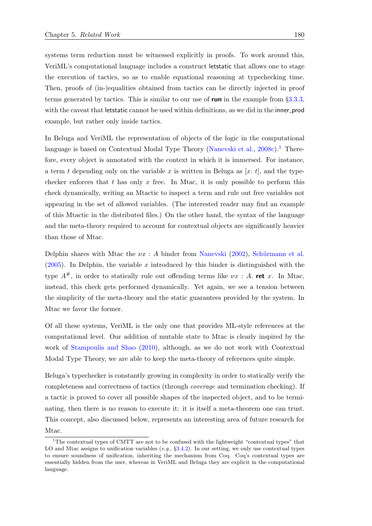systems term reduction must be witnessed explicitly in proofs. To work around this, VeriML's computational language includes a construct letstatic that allows one to stage the execution of tactics, so as to enable equational reasoning at typechecking time. Then, proofs of (in-)equalities obtained from tactics can be directly injected in proof terms generated by tactics. This is similar to our use of **run** in the example from §[3.3.3,](#page-112-0) with the caveat that letstatic cannot be used within definitions, as we did in the inner-prod example, but rather only inside tactics.

In Beluga and VeriML the representation of objects of the logic in the computational language is based on Contextual Modal Type Theory [\(Nanevski et al.,](#page-214-4)  $2008c$ ).<sup>[1](#page-199-0)</sup> Therefore, every object is annotated with the context in which it is immersed. For instance, a term t depending only on the variable x is written in Beluga as  $[x, t]$ , and the typechecker enforces that t has only x free. In Mtac, it is only possible to perform this check dynamically, writing an Mtactic to inspect a term and rule out free variables not appearing in the set of allowed variables. (The interested reader may find an example of this Mtactic in the distributed files.) On the other hand, the syntax of the language and the meta-theory required to account for contextual objects are significantly heavier than those of Mtac.

Delphin shares with Mtac the  $\nu x : A$  binder from [Nanevski](#page-214-5) [\(2002\)](#page-214-5), Schürmann et al.  $(2005)$ . In Delphin, the variable x introduced by this binder is distinguished with the type  $A^{\#}$ , in order to statically rule out offending terms like  $\nu x : A$ . ret x. In Mtac, instead, this check gets performed dynamically. Yet again, we see a tension between the simplicity of the meta-theory and the static guarantees provided by the system. In Mtac we favor the former.

Of all these systems, VeriML is the only one that provides ML-style references at the computational level. Our addition of mutable state to Mtac is clearly inspired by the work of [Stampoulis and Shao](#page-215-4) [\(2010\)](#page-215-4), although, as we do not work with Contextual Modal Type Theory, we are able to keep the meta-theory of references quite simple.

Beluga's typechecker is constantly growing in complexity in order to statically verify the completeness and correctness of tactics (through coverage and termination checking). If a tactic is proved to cover all possible shapes of the inspected object, and to be terminating, then there is no reason to execute it: it is itself a meta-theorem one can trust. This concept, also discussed below, represents an interesting area of future research for Mtac.

<span id="page-199-0"></span><sup>1</sup>The contextual types of CMTT are not to be confused with the lightweight "contextual types" that LO and Mtac assigns to unification variables  $(e,q, \S 3.4.2)$  $(e,q, \S 3.4.2)$ . In our setting, we only use contextual types to ensure soundness of unification, inheriting the mechanism from Coq. Coq's contextual types are essentially hidden from the user, whereas in VeriML and Beluga they are explicit in the computational language.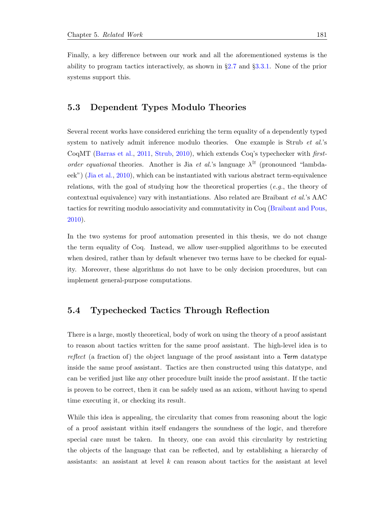Finally, a key difference between our work and all the aforementioned systems is the ability to program tactics interactively, as shown in §[2.7](#page-89-0) and §[3.3.1.](#page-103-0) None of the prior systems support this.

## 5.3 Dependent Types Modulo Theories

Several recent works have considered enriching the term equality of a dependently typed system to natively admit inference modulo theories. One example is Strub *et al.*'s CoqMT [\(Barras et al.,](#page-210-2) [2011,](#page-210-2) [Strub,](#page-216-2) [2010\)](#page-216-2), which extends Coq's typechecker with firstorder equational theories. Another is Jia et al.'s language  $\lambda^{\cong}$  (pronounced "lambdaeek") [\(Jia et al.,](#page-213-1) [2010\)](#page-213-1), which can be instantiated with various abstract term-equivalence relations, with the goal of studying how the theoretical properties  $(e.g.,\)$  the theory of contextual equivalence) vary with instantiations. Also related are Braibant et al.'s AAC tactics for rewriting modulo associativity and commutativity in Coq [\(Braibant and Pous,](#page-211-4) [2010\)](#page-211-4).

In the two systems for proof automation presented in this thesis, we do not change the term equality of Coq. Instead, we allow user-supplied algorithms to be executed when desired, rather than by default whenever two terms have to be checked for equality. Moreover, these algorithms do not have to be only decision procedures, but can implement general-purpose computations.

## 5.4 Typechecked Tactics Through Reflection

There is a large, mostly theoretical, body of work on using the theory of a proof assistant to reason about tactics written for the same proof assistant. The high-level idea is to reflect (a fraction of) the object language of the proof assistant into a Term datatype inside the same proof assistant. Tactics are then constructed using this datatype, and can be verified just like any other procedure built inside the proof assistant. If the tactic is proven to be correct, then it can be safely used as an axiom, without having to spend time executing it, or checking its result.

While this idea is appealing, the circularity that comes from reasoning about the logic of a proof assistant within itself endangers the soundness of the logic, and therefore special care must be taken. In theory, one can avoid this circularity by restricting the objects of the language that can be reflected, and by establishing a hierarchy of assistants: an assistant at level  $k$  can reason about tactics for the assistant at level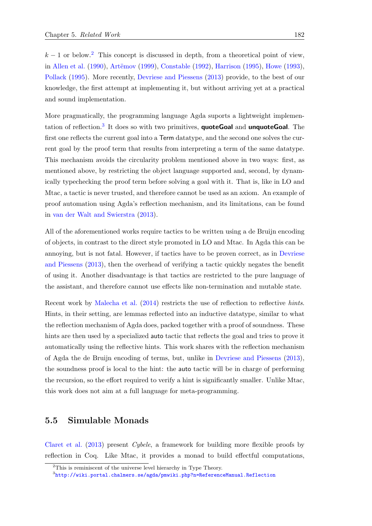$k-1$  or below.<sup>[2](#page-201-0)</sup> This concept is discussed in depth, from a theoretical point of view, in [Allen et al.](#page-210-3) [\(1990\)](#page-210-3), Artëmov [\(1999\)](#page-210-4), [Constable](#page-211-5) [\(1992\)](#page-211-5), [Harrison](#page-213-2) [\(1995\)](#page-213-2), [Howe](#page-213-3) [\(1993\)](#page-213-3), [Pollack](#page-214-6) [\(1995\)](#page-214-6). More recently, [Devriese and Piessens](#page-212-2) [\(2013\)](#page-212-2) provide, to the best of our knowledge, the first attempt at implementing it, but without arriving yet at a practical and sound implementation.

More pragmatically, the programming language Agda suports a lightweight implemen-tation of reflection.<sup>[3](#page-201-1)</sup> It does so with two primitives, **quoteGoal** and **unquoteGoal**. The first one reflects the current goal into a Term datatype, and the second one solves the current goal by the proof term that results from interpreting a term of the same datatype. This mechanism avoids the circularity problem mentioned above in two ways: first, as mentioned above, by restricting the object language supported and, second, by dynamically typechecking the proof term before solving a goal with it. That is, like in LO and Mtac, a tactic is never trusted, and therefore cannot be used as an axiom. An example of proof automation using Agda's reflection mechanism, and its limitations, can be found in [van der Walt and Swierstra](#page-216-3) [\(2013\)](#page-216-3).

All of the aforementioned works require tactics to be written using a de Bruijn encoding of objects, in contrast to the direct style promoted in LO and Mtac. In Agda this can be annoying, but is not fatal. However, if tactics have to be proven correct, as in [Devriese](#page-212-2) [and Piessens](#page-212-2) [\(2013\)](#page-212-2), then the overhead of verifying a tactic quickly negates the benefit of using it. Another disadvantage is that tactics are restricted to the pure language of the assistant, and therefore cannot use effects like non-termination and mutable state.

Recent work by [Malecha et al.](#page-213-4) [\(2014\)](#page-213-4) restricts the use of reflection to reflective hints. Hints, in their setting, are lemmas reflected into an inductive datatype, similar to what the reflection mechanism of Agda does, packed together with a proof of soundness. These hints are then used by a specialized auto tactic that reflects the goal and tries to prove it automatically using the reflective hints. This work shares with the reflection mechanism of Agda the de Bruijn encoding of terms, but, unlike in [Devriese and Piessens](#page-212-2) [\(2013\)](#page-212-2), the soundness proof is local to the hint: the auto tactic will be in charge of performing the recursion, so the effort required to verify a hint is significantly smaller. Unlike Mtac, this work does not aim at a full language for meta-programming.

## 5.5 Simulable Monads

[Claret et al.](#page-211-6) [\(2013\)](#page-211-6) present Cybele, a framework for building more flexible proofs by reflection in Coq. Like Mtac, it provides a monad to build effectful computations,

<span id="page-201-0"></span> $2$ This is reminiscent of the universe level hierarchy in Type Theory.

<span id="page-201-1"></span> $^3$ <http://wiki.portal.chalmers.se/agda/pmwiki.php?n=ReferenceManual.Reflection>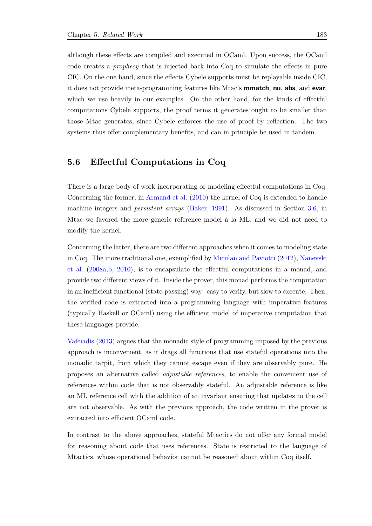although these effects are compiled and executed in OCaml. Upon success, the OCaml code creates a prophecy that is injected back into Coq to simulate the effects in pure CIC. On the one hand, since the effects Cybele supports must be replayable inside CIC, it does not provide meta-programming features like Mtac's mmatch, nu, abs, and evar, which we use heavily in our examples. On the other hand, for the kinds of effectful computations Cybele supports, the proof terms it generates ought to be smaller than those Mtac generates, since Cybele enforces the use of proof by reflection. The two systems thus offer complementary benefits, and can in principle be used in tandem.

## 5.6 Effectful Computations in Coq

There is a large body of work incorporating or modeling effectful computations in Coq. Concerning the former, in [Armand et al.](#page-210-5) [\(2010\)](#page-210-5) the kernel of Coq is extended to handle machine integers and persistent arrays [\(Baker,](#page-210-6) [1991\)](#page-210-6). As discussed in Section [3.6,](#page-139-0) in Mtac we favored the more generic reference model à la ML, and we did not need to modify the kernel.

Concerning the latter, there are two different approaches when it comes to modeling state in Coq. The more traditional one, exemplified by [Miculan and Paviotti](#page-213-5) [\(2012\)](#page-213-5), [Nanevski](#page-214-7) [et al.](#page-214-7) [\(2008a](#page-214-7)[,b,](#page-214-8) [2010\)](#page-214-9), is to encapsulate the effectful computations in a monad, and provide two different views of it. Inside the prover, this monad performs the computation in an inefficient functional (state-passing) way: easy to verify, but slow to execute. Then, the verified code is extracted into a programming language with imperative features (typically Haskell or OCaml) using the efficient model of imperative computation that these languages provide.

[Vafeiadis](#page-216-4) [\(2013\)](#page-216-4) argues that the monadic style of programming imposed by the previous approach is inconvenient, as it drags all functions that use stateful operations into the monadic tarpit, from which they cannot escape even if they are observably pure. He proposes an alternative called adjustable references, to enable the convenient use of references within code that is not observably stateful. An adjustable reference is like an ML reference cell with the addition of an invariant ensuring that updates to the cell are not observable. As with the previous approach, the code written in the prover is extracted into efficient OCaml code.

In contrast to the above approaches, stateful Mtactics do not offer any formal model for reasoning about code that uses references. State is restricted to the language of Mtactics, whose operational behavior cannot be reasoned about within Coq itself.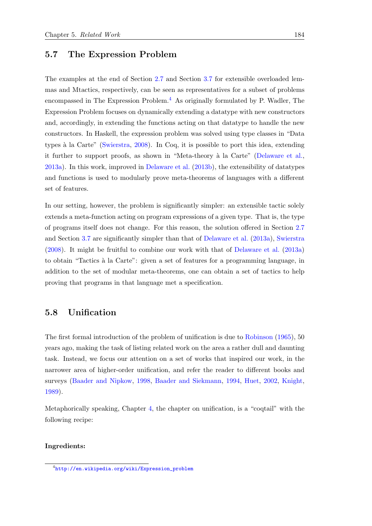## 5.7 The Expression Problem

The examples at the end of Section [2.7](#page-89-0) and Section [3.7](#page-154-0) for extensible overloaded lemmas and Mtactics, respectively, can be seen as representatives for a subset of problems encompassed in The Expression Problem.<sup>[4](#page-203-0)</sup> As originally formulated by P. Wadler, The Expression Problem focuses on dynamically extending a datatype with new constructors and, accordingly, in extending the functions acting on that datatype to handle the new constructors. In Haskell, the expression problem was solved using type classes in "Data types `a la Carte" [\(Swierstra,](#page-216-5) [2008\)](#page-216-5). In Coq, it is possible to port this idea, extending it further to support proofs, as shown in "Meta-theory à la Carte" [\(Delaware et al.,](#page-211-7) [2013a\)](#page-211-7). In this work, improved in [Delaware et al.](#page-212-3) [\(2013b\)](#page-212-3), the extensibility of datatypes and functions is used to modularly prove meta-theorems of languages with a different set of features.

In our setting, however, the problem is significantly simpler: an extensible tactic solely extends a meta-function acting on program expressions of a given type. That is, the type of programs itself does not change. For this reason, the solution offered in Section [2.7](#page-89-0) and Section [3.7](#page-154-0) are significantly simpler than that of [Delaware et al.](#page-211-7) [\(2013a\)](#page-211-7), [Swierstra](#page-216-5) [\(2008\)](#page-216-5). It might be fruitful to combine our work with that of [Delaware et al.](#page-211-7) [\(2013a\)](#page-211-7) to obtain "Tactics `a la Carte": given a set of features for a programming language, in addition to the set of modular meta-theorems, one can obtain a set of tactics to help proving that programs in that language met a specification.

## <span id="page-203-1"></span>5.8 Unification

The first formal introduction of the problem of unification is due to [Robinson](#page-215-6) [\(1965\)](#page-215-6), 50 years ago, making the task of listing related work on the area a rather dull and daunting task. Instead, we focus our attention on a set of works that inspired our work, in the narrower area of higher-order unification, and refer the reader to different books and surveys [\(Baader and Nipkow,](#page-210-7) [1998,](#page-210-7) [Baader and Siekmann,](#page-210-8) [1994,](#page-210-8) [Huet,](#page-213-6) [2002,](#page-213-6) [Knight,](#page-213-7) [1989\)](#page-213-7).

Metaphorically speaking, Chapter [4,](#page-160-0) the chapter on unification, is a "coqtail" with the following recipe:

#### Ingredients:

<span id="page-203-0"></span><sup>4</sup> [http://en.wikipedia.org/wiki/Expression\\_problem](http://en.wikipedia.org/wiki/Expression_problem)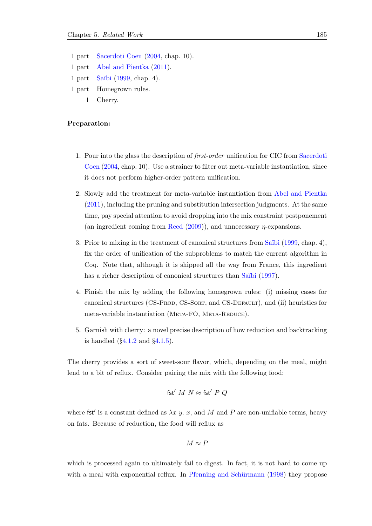1 part [Sacerdoti Coen](#page-215-0) [\(2004,](#page-215-0) chap. 10). 1 part [Abel and Pientka](#page-210-9) [\(2011\)](#page-210-9). 1 part Saïbi [\(1999,](#page-215-7) chap. 4). 1 part Homegrown rules. 1 Cherry.

#### Preparation:

- 1. Pour into the glass the description of first-order unification for CIC from [Sacerdoti](#page-215-0) [Coen](#page-215-0) [\(2004,](#page-215-0) chap. 10). Use a strainer to filter out meta-variable instantiation, since it does not perform higher-order pattern unification.
- 2. Slowly add the treatment for meta-variable instantiation from [Abel and Pientka](#page-210-9) [\(2011\)](#page-210-9), including the pruning and substitution intersection judgments. At the same time, pay special attention to avoid dropping into the mix constraint postponement (an ingredient coming from [Reed](#page-215-1)  $(2009)$ ), and unnecessary  $\eta$ -expansions.
- 3. Prior to mixing in the treatment of canonical structures from Saïbi [\(1999,](#page-215-7) chap. 4), fix the order of unification of the subproblems to match the current algorithm in Coq. Note that, although it is shipped all the way from France, this ingredient has a richer description of canonical structures than Saïbi [\(1997\)](#page-215-8).
- 4. Finish the mix by adding the following homegrown rules: (i) missing cases for canonical structures (CS-Prod, CS-Sort, and CS-Default), and (ii) heuristics for meta-variable instantiation (META-FO, META-REDUCE).
- 5. Garnish with cherry: a novel precise description of how reduction and backtracking is handled  $(\S 4.1.2 \text{ and } \S 4.1.5)$  $(\S 4.1.2 \text{ and } \S 4.1.5)$  $(\S 4.1.2 \text{ and } \S 4.1.5)$  $(\S 4.1.2 \text{ and } \S 4.1.5)$ .

The cherry provides a sort of sweet-sour flavor, which, depending on the meal, might lend to a bit of reflux. Consider pairing the mix with the following food:

$$
\mathsf{fst}'\ M\ N \approx \mathsf{fst}'\ P\ Q
$$

where fst' is a constant defined as  $\lambda x$  y. x, and M and P are non-unifiable terms, heavy on fats. Because of reduction, the food will reflux as

$$
M\approx F
$$

which is processed again to ultimately fail to digest. In fact, it is not hard to come up with a meal with exponential reflux. In Pfenning and Schürmann  $(1998)$  they propose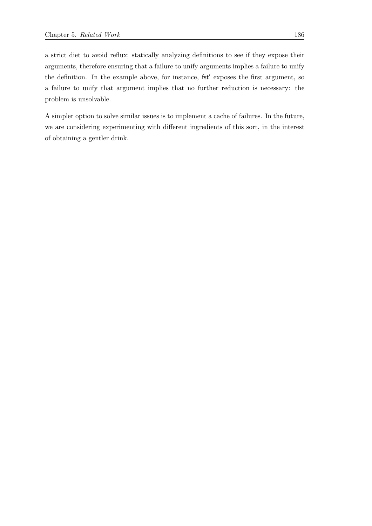a strict diet to avoid reflux; statically analyzing definitions to see if they expose their arguments, therefore ensuring that a failure to unify arguments implies a failure to unify the definition. In the example above, for instance,  $\text{fst}'$  exposes the first argument, so a failure to unify that argument implies that no further reduction is necessary: the problem is unsolvable.

A simpler option to solve similar issues is to implement a cache of failures. In the future, we are considering experimenting with different ingredients of this sort, in the interest of obtaining a gentler drink.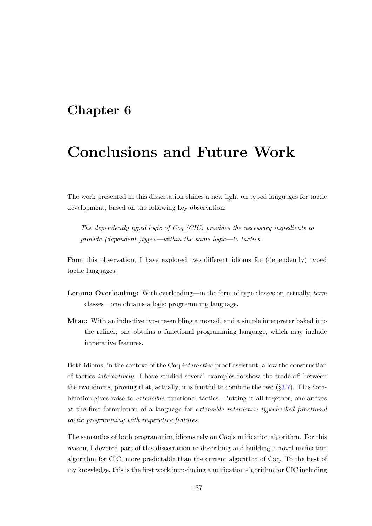## <span id="page-206-0"></span>Chapter 6

# Conclusions and Future Work

The work presented in this dissertation shines a new light on typed languages for tactic development, based on the following key observation:

The dependently typed logic of Coq (CIC) provides the necessary ingredients to provide (dependent-)types—within the same logic—to tactics.

From this observation, I have explored two different idioms for (dependently) typed tactic languages:

- Lemma Overloading: With overloading—in the form of type classes or, actually, term classes—one obtains a logic programming language.
- Mtac: With an inductive type resembling a monad, and a simple interpreter baked into the refiner, one obtains a functional programming language, which may include imperative features.

Both idioms, in the context of the Coq interactive proof assistant, allow the construction of tactics interactively. I have studied several examples to show the trade-off between the two idioms, proving that, actually, it is fruitful to combine the two  $(\S3.7)$  $(\S3.7)$ . This combination gives raise to extensible functional tactics. Putting it all together, one arrives at the first formulation of a language for extensible interactive typechecked functional tactic programming with imperative features.

The semantics of both programming idioms rely on Coq's unification algorithm. For this reason, I devoted part of this dissertation to describing and building a novel unification algorithm for CIC, more predictable than the current algorithm of Coq. To the best of my knowledge, this is the first work introducing a unification algorithm for CIC including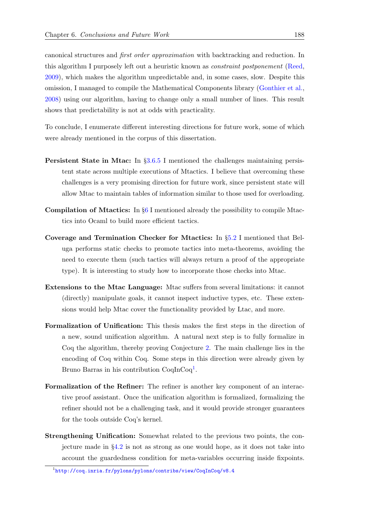canonical structures and first order approximation with backtracking and reduction. In this algorithm I purposely left out a heuristic known as constraint postponement [\(Reed,](#page-215-1) [2009\)](#page-215-1), which makes the algorithm unpredictable and, in some cases, slow. Despite this omission, I managed to compile the Mathematical Components library [\(Gonthier et al.,](#page-212-0) [2008\)](#page-212-0) using our algorithm, having to change only a small number of lines. This result shows that predictability is not at odds with practicality.

To conclude, I enumerate different interesting directions for future work, some of which were already mentioned in the corpus of this dissertation.

- Persistent State in Mtac: In §[3.6.5](#page-151-0) I mentioned the challenges maintaining persistent state across multiple executions of Mtactics. I believe that overcoming these challenges is a very promising direction for future work, since persistent state will allow Mtac to maintain tables of information similar to those used for overloading.
- Compilation of Mtactics: In §[6](#page-206-0) I mentioned already the possibility to compile Mtactics into Ocaml to build more efficient tactics.
- Coverage and Termination Checker for Mtactics: In §[5.2](#page-198-0) I mentioned that Beluga performs static checks to promote tactics into meta-theorems, avoiding the need to execute them (such tactics will always return a proof of the appropriate type). It is interesting to study how to incorporate those checks into Mtac.
- Extensions to the Mtac Language: Mtac suffers from several limitations: it cannot (directly) manipulate goals, it cannot inspect inductive types, etc. These extensions would help Mtac cover the functionality provided by Ltac, and more.
- Formalization of Unification: This thesis makes the first steps in the direction of a new, sound unification algorithm. A natural next step is to fully formalize in Coq the algorithm, thereby proving Conjecture [2.](#page-185-1) The main challenge lies in the encoding of Coq within Coq. Some steps in this direction were already given by Bruno Barras in his contribution CoqInCoq<sup>[1](#page-207-0)</sup>.
- Formalization of the Refiner: The refiner is another key component of an interactive proof assistant. Once the unification algorithm is formalized, formalizing the refiner should not be a challenging task, and it would provide stronger guarantees for the tools outside Coq's kernel.
- Strengthening Unification: Somewhat related to the previous two points, the conjecture made in §[4.2](#page-182-0) is not as strong as one would hope, as it does not take into account the guardedness condition for meta-variables occurring inside fixpoints.

<span id="page-207-0"></span> $^{\rm 1}$ <http://coq.inria.fr/pylons/pylons/contribs/view/CoqInCoq/v8.4>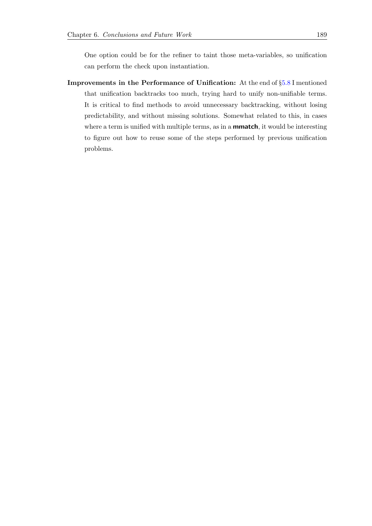One option could be for the refiner to taint those meta-variables, so unification can perform the check upon instantiation.

Improvements in the Performance of Unification: At the end of §[5.8](#page-203-1) I mentioned that unification backtracks too much, trying hard to unify non-unifiable terms. It is critical to find methods to avoid unnecessary backtracking, without losing predictability, and without missing solutions. Somewhat related to this, in cases where a term is unified with multiple terms, as in a **mmatch**, it would be interesting to figure out how to reuse some of the steps performed by previous unification problems.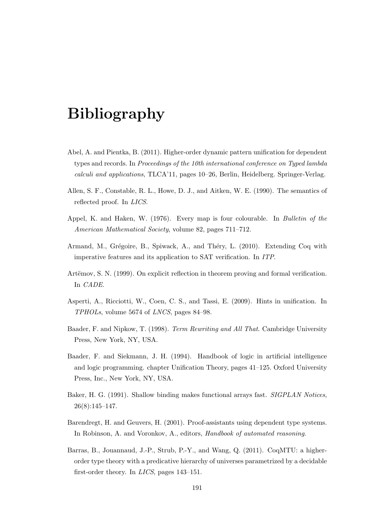# Bibliography

- <span id="page-210-9"></span>Abel, A. and Pientka, B. (2011). Higher-order dynamic pattern unification for dependent types and records. In Proceedings of the 10th international conference on Typed lambda calculi and applications, TLCA'11, pages 10–26, Berlin, Heidelberg. Springer-Verlag.
- <span id="page-210-3"></span>Allen, S. F., Constable, R. L., Howe, D. J., and Aitken, W. E. (1990). The semantics of reflected proof. In LICS.
- Appel, K. and Haken, W. (1976). Every map is four colourable. In Bulletin of the American Mathematical Society, volume 82, pages 711–712.
- <span id="page-210-5"></span>Armand, M., Grégoire, B., Spiwack, A., and Théry, L. (2010). Extending Coq with imperative features and its application to SAT verification. In ITP.
- <span id="page-210-4"></span>Artëmov, S. N. (1999). On explicit reflection in theorem proving and formal verification. In CADE.
- <span id="page-210-0"></span>Asperti, A., Ricciotti, W., Coen, C. S., and Tassi, E. (2009). Hints in unification. In TPHOLs, volume 5674 of LNCS, pages 84–98.
- <span id="page-210-7"></span>Baader, F. and Nipkow, T. (1998). Term Rewriting and All That. Cambridge University Press, New York, NY, USA.
- <span id="page-210-8"></span>Baader, F. and Siekmann, J. H. (1994). Handbook of logic in artificial intelligence and logic programming. chapter Unification Theory, pages 41–125. Oxford University Press, Inc., New York, NY, USA.
- <span id="page-210-6"></span>Baker, H. G. (1991). Shallow binding makes functional arrays fast. SIGPLAN Notices, 26(8):145–147.
- <span id="page-210-1"></span>Barendregt, H. and Geuvers, H. (2001). Proof-assistants using dependent type systems. In Robinson, A. and Voronkov, A., editors, Handbook of automated reasoning.
- <span id="page-210-2"></span>Barras, B., Jouannaud, J.-P., Strub, P.-Y., and Wang, Q. (2011). CoqMTU: a higherorder type theory with a predicative hierarchy of universes parametrized by a decidable first-order theory. In LICS, pages 143–151.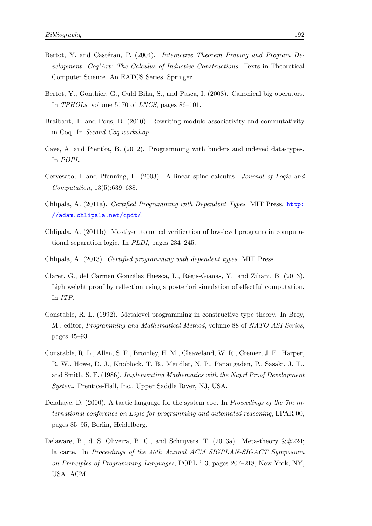- <span id="page-211-3"></span>Bertot, Y. and Castéran, P. (2004). *Interactive Theorem Proving and Program De*velopment: Coq'Art: The Calculus of Inductive Constructions. Texts in Theoretical Computer Science. An EATCS Series. Springer.
- <span id="page-211-1"></span>Bertot, Y., Gonthier, G., Ould Biha, S., and Pasca, I. (2008). Canonical big operators. In TPHOLs, volume 5170 of LNCS, pages 86–101.
- <span id="page-211-4"></span>Braibant, T. and Pous, D. (2010). Rewriting modulo associativity and commutativity in Coq. In Second Coq workshop.
- <span id="page-211-2"></span>Cave, A. and Pientka, B. (2012). Programming with binders and indexed data-types. In POPL.
- Cervesato, I. and Pfenning, F. (2003). A linear spine calculus. Journal of Logic and Computation, 13(5):639–688.
- <span id="page-211-0"></span>Chlipala, A. (2011a). Certified Programming with Dependent Types. MIT Press. [http:](http://adam.chlipala.net/cpdt/) [//adam.chlipala.net/cpdt/](http://adam.chlipala.net/cpdt/).
- Chlipala, A. (2011b). Mostly-automated verification of low-level programs in computational separation logic. In PLDI, pages 234–245.
- Chlipala, A. (2013). Certified programming with dependent types. MIT Press.
- <span id="page-211-6"></span>Claret, G., del Carmen González Huesca, L., Régis-Gianas, Y., and Ziliani, B. (2013). Lightweight proof by reflection using a posteriori simulation of effectful computation. In ITP.
- <span id="page-211-5"></span>Constable, R. L. (1992). Metalevel programming in constructive type theory. In Broy, M., editor, Programming and Mathematical Method, volume 88 of NATO ASI Series, pages 45–93.
- Constable, R. L., Allen, S. F., Bromley, H. M., Cleaveland, W. R., Cremer, J. F., Harper, R. W., Howe, D. J., Knoblock, T. B., Mendler, N. P., Panangaden, P., Sasaki, J. T., and Smith, S. F. (1986). Implementing Mathematics with the Nuprl Proof Development System. Prentice-Hall, Inc., Upper Saddle River, NJ, USA.
- Delahaye, D. (2000). A tactic language for the system coq. In Proceedings of the 7th international conference on Logic for programming and automated reasoning, LPAR'00, pages 85–95, Berlin, Heidelberg.
- <span id="page-211-7"></span>Delaware, B., d. S. Oliveira, B. C., and Schrijvers, T. (2013a). Meta-theory  $\&\#224$ ; la carte. In Proceedings of the 40th Annual ACM SIGPLAN-SIGACT Symposium on Principles of Programming Languages, POPL '13, pages 207–218, New York, NY, USA. ACM.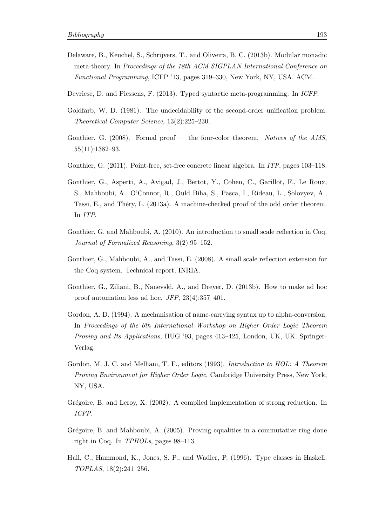- <span id="page-212-3"></span>Delaware, B., Keuchel, S., Schrijvers, T., and Oliveira, B. C. (2013b). Modular monadic meta-theory. In Proceedings of the 18th ACM SIGPLAN International Conference on Functional Programming, ICFP '13, pages 319–330, New York, NY, USA. ACM.
- <span id="page-212-2"></span>Devriese, D. and Piessens, F. (2013). Typed syntactic meta-programming. In ICFP.
- Goldfarb, W. D. (1981). The undecidability of the second-order unification problem. Theoretical Computer Science, 13(2):225–230.
- Gonthier, G.  $(2008)$ . Formal proof the four-color theorem. Notices of the AMS, 55(11):1382–93.
- <span id="page-212-1"></span>Gonthier, G. (2011). Point-free, set-free concrete linear algebra. In ITP, pages 103–118.
- Gonthier, G., Asperti, A., Avigad, J., Bertot, Y., Cohen, C., Garillot, F., Le Roux, S., Mahboubi, A., O'Connor, R., Ould Biha, S., Pasca, I., Rideau, L., Solovyev, A., Tassi, E., and Théry, L. (2013a). A machine-checked proof of the odd order theorem. In ITP.
- Gonthier, G. and Mahboubi, A. (2010). An introduction to small scale reflection in Coq. Journal of Formalized Reasoning, 3(2):95–152.
- <span id="page-212-0"></span>Gonthier, G., Mahboubi, A., and Tassi, E. (2008). A small scale reflection extension for the Coq system. Technical report, INRIA.
- Gonthier, G., Ziliani, B., Nanevski, A., and Dreyer, D. (2013b). How to make ad hoc proof automation less ad hoc. JFP, 23(4):357–401.
- Gordon, A. D. (1994). A mechanisation of name-carrying syntax up to alpha-conversion. In Proceedings of the 6th International Workshop on Higher Order Logic Theorem Proving and Its Applications, HUG '93, pages 413–425, London, UK, UK. Springer-Verlag.
- Gordon, M. J. C. and Melham, T. F., editors (1993). Introduction to HOL: A Theorem Proving Environment for Higher Order Logic. Cambridge University Press, New York, NY, USA.
- Grégoire, B. and Leroy, X. (2002). A compiled implementation of strong reduction. In ICFP.
- Grégoire, B. and Mahboubi, A. (2005). Proving equalities in a commutative ring done right in Coq. In TPHOLs, pages 98–113.
- Hall, C., Hammond, K., Jones, S. P., and Wadler, P. (1996). Type classes in Haskell. TOPLAS, 18(2):241–256.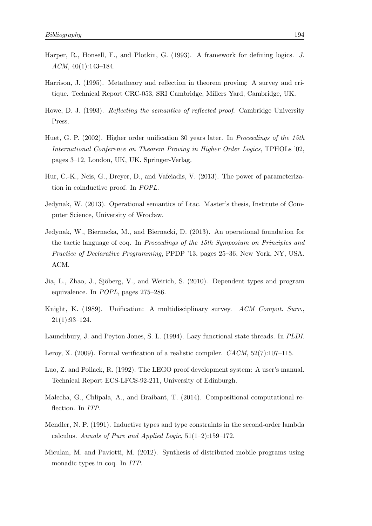- <span id="page-213-0"></span>Harper, R., Honsell, F., and Plotkin, G. (1993). A framework for defining logics. J. ACM, 40(1):143–184.
- <span id="page-213-2"></span>Harrison, J. (1995). Metatheory and reflection in theorem proving: A survey and critique. Technical Report CRC-053, SRI Cambridge, Millers Yard, Cambridge, UK.
- <span id="page-213-3"></span>Howe, D. J. (1993). *Reflecting the semantics of reflected proof.* Cambridge University Press.
- <span id="page-213-6"></span>Huet, G. P. (2002). Higher order unification 30 years later. In *Proceedings of the 15th* International Conference on Theorem Proving in Higher Order Logics, TPHOLs '02, pages 3–12, London, UK, UK. Springer-Verlag.
- Hur, C.-K., Neis, G., Dreyer, D., and Vafeiadis, V. (2013). The power of parameterization in coinductive proof. In POPL.
- Jedynak, W. (2013). Operational semantics of Ltac. Master's thesis, Institute of Computer Science, University of Wrocław.
- Jedynak, W., Biernacka, M., and Biernacki, D. (2013). An operational foundation for the tactic language of coq. In Proceedings of the 15th Symposium on Principles and Practice of Declarative Programming, PPDP '13, pages 25–36, New York, NY, USA. ACM.
- <span id="page-213-1"></span>Jia, L., Zhao, J., Sjöberg, V., and Weirich, S. (2010). Dependent types and program equivalence. In POPL, pages 275–286.
- <span id="page-213-7"></span>Knight, K. (1989). Unification: A multidisciplinary survey. ACM Comput. Surv., 21(1):93–124.
- Launchbury, J. and Peyton Jones, S. L. (1994). Lazy functional state threads. In PLDI.
- Leroy, X. (2009). Formal verification of a realistic compiler. *CACM*, 52(7):107-115.
- Luo, Z. and Pollack, R. (1992). The LEGO proof development system: A user's manual. Technical Report ECS-LFCS-92-211, University of Edinburgh.
- <span id="page-213-4"></span>Malecha, G., Chlipala, A., and Braibant, T. (2014). Compositional computational reflection. In ITP.
- Mendler, N. P. (1991). Inductive types and type constraints in the second-order lambda calculus. Annals of Pure and Applied Logic,  $51(1-2):159-172$ .
- <span id="page-213-5"></span>Miculan, M. and Paviotti, M. (2012). Synthesis of distributed mobile programs using monadic types in coq. In ITP.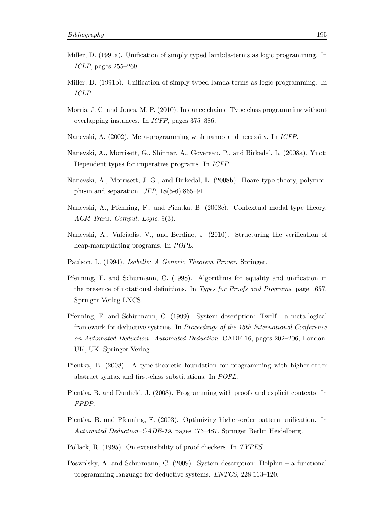- Miller, D. (1991a). Unification of simply typed lambda-terms as logic programming. In ICLP, pages 255–269.
- Miller, D. (1991b). Unification of simply typed lamda-terms as logic programming. In ICLP.
- <span id="page-214-0"></span>Morris, J. G. and Jones, M. P. (2010). Instance chains: Type class programming without overlapping instances. In ICFP, pages 375–386.
- <span id="page-214-5"></span>Nanevski, A. (2002). Meta-programming with names and necessity. In ICFP.
- <span id="page-214-7"></span>Nanevski, A., Morrisett, G., Shinnar, A., Govereau, P., and Birkedal, L. (2008a). Ynot: Dependent types for imperative programs. In ICFP.
- <span id="page-214-8"></span>Nanevski, A., Morrisett, J. G., and Birkedal, L. (2008b). Hoare type theory, polymorphism and separation.  $JFP$ , 18(5-6):865–911.
- <span id="page-214-4"></span>Nanevski, A., Pfenning, F., and Pientka, B. (2008c). Contextual modal type theory. ACM Trans. Comput. Logic, 9(3).
- <span id="page-214-9"></span>Nanevski, A., Vafeiadis, V., and Berdine, J. (2010). Structuring the verification of heap-manipulating programs. In POPL.
- Paulson, L. (1994). Isabelle: A Generic Theorem Prover. Springer.
- <span id="page-214-10"></span>Pfenning, F. and Schürmann, C. (1998). Algorithms for equality and unification in the presence of notational definitions. In Types for Proofs and Programs, page 1657. Springer-Verlag LNCS.
- Pfenning, F. and Schürmann, C. (1999). System description: Twelf a meta-logical framework for deductive systems. In Proceedings of the 16th International Conference on Automated Deduction: Automated Deduction, CADE-16, pages 202–206, London, UK, UK. Springer-Verlag.
- <span id="page-214-2"></span>Pientka, B. (2008). A type-theoretic foundation for programming with higher-order abstract syntax and first-class substitutions. In POPL.
- <span id="page-214-3"></span>Pientka, B. and Dunfield, J. (2008). Programming with proofs and explicit contexts. In PPDP.
- Pientka, B. and Pfenning, F. (2003). Optimizing higher-order pattern unification. In Automated Deduction–CADE-19, pages 473–487. Springer Berlin Heidelberg.
- <span id="page-214-6"></span>Pollack, R. (1995). On extensibility of proof checkers. In TYPES.
- <span id="page-214-1"></span>Poswolsky, A. and Schürmann, C.  $(2009)$ . System description: Delphin – a functional programming language for deductive systems. ENTCS, 228:113–120.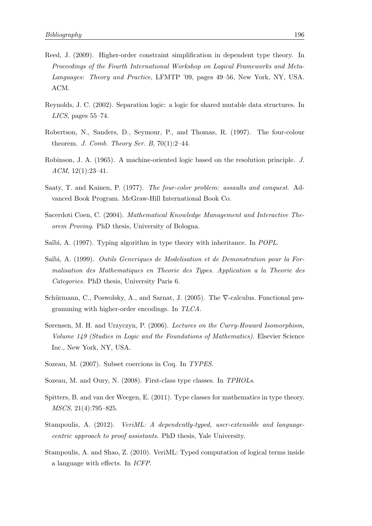- <span id="page-215-1"></span>Reed, J. (2009). Higher-order constraint simplification in dependent type theory. In Proceedings of the Fourth International Workshop on Logical Frameworks and Meta-Languages: Theory and Practice, LFMTP '09, pages 49–56, New York, NY, USA. ACM.
- Reynolds, J. C. (2002). Separation logic: a logic for shared mutable data structures. In LICS, pages 55–74.
- Robertson, N., Sanders, D., Seymour, P., and Thomas, R. (1997). The four-colour theorem. J. Comb. Theory Ser. B,  $70(1):2-44$ .
- <span id="page-215-6"></span>Robinson, J. A. (1965). A machine-oriented logic based on the resolution principle. J. ACM, 12(1):23–41.
- Saaty, T. and Kainen, P. (1977). The four-color problem: assaults and conquest. Advanced Book Program. McGraw-Hill International Book Co.
- <span id="page-215-0"></span>Sacerdoti Coen, C. (2004). Mathematical Knowledge Management and Interactive Theorem Proving. PhD thesis, University of Bologna.
- <span id="page-215-8"></span>Saïbi, A. (1997). Typing algorithm in type theory with inheritance. In *POPL*.
- <span id="page-215-7"></span>Saïbi, A. (1999). Outils Generiques de Modelisation et de Demonstration pour la Formalisation des Mathematiques en Theorie des Types. Application a la Theorie des Categories. PhD thesis, University Paris 6.
- <span id="page-215-5"></span>Schürmann, C., Poswolsky, A., and Sarnat, J. (2005). The  $\nabla$ -calculus. Functional programming with higher-order encodings. In TLCA.
- Sørensen, M. H. and Urzyczyn, P. (2006). Lectures on the Curry-Howard Isomorphism, Volume 149 (Studies in Logic and the Foundations of Mathematics). Elsevier Science Inc., New York, NY, USA.
- Sozeau, M. (2007). Subset coercions in Coq. In TYPES.
- <span id="page-215-2"></span>Sozeau, M. and Oury, N. (2008). First-class type classes. In TPHOLs.
- <span id="page-215-3"></span>Spitters, B. and van der Weegen, E. (2011). Type classes for mathematics in type theory. MSCS, 21(4):795–825.
- Stampoulis, A. (2012). *VeriML: A dependently-typed, user-extensible and language*centric approach to proof assistants. PhD thesis, Yale University.
- <span id="page-215-4"></span>Stampoulis, A. and Shao, Z. (2010). VeriML: Typed computation of logical terms inside a language with effects. In ICFP.